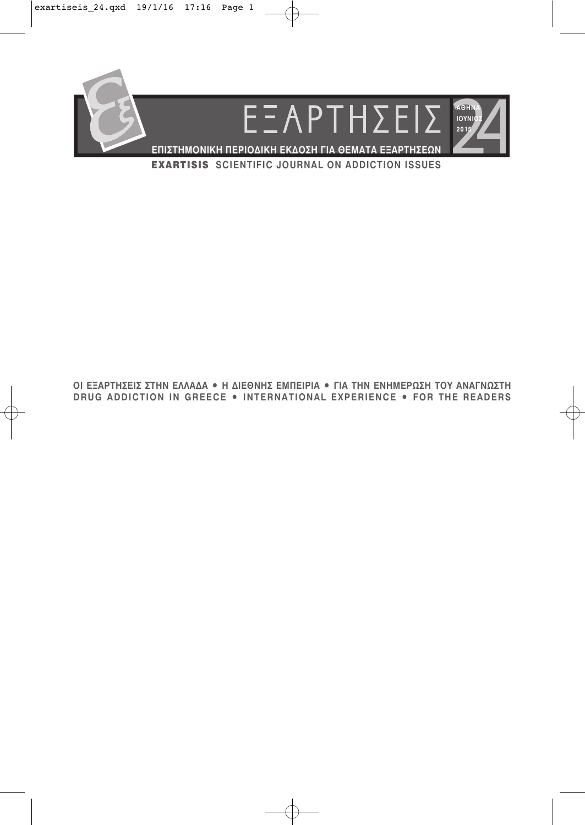



ΟΙ ΕΞΑΡΤΗΣΕΙΣ ΣΤΗΝ ΕΛΛΑΔΑ • Η ΔΙΕΘΝΗΣ ΕΜΠΕΙΡΙΑ • ΓΙΑ ΤΗΝ ΕΝΗΜΕΡΩΣΗ ΤΟΥ ΑΝΑΓΝΩΣΤΗ DRUG ADDICTION IN GREECE . INTERNATIONAL EXPERIENCE . FOR THE READERS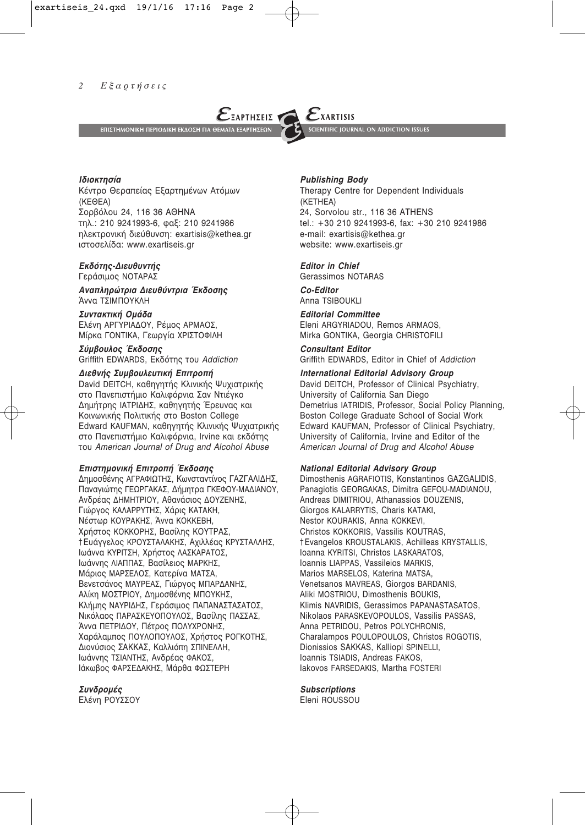

NTIFIC JOURNAL ON ADDICTION ISSUES

#### *Ιδιοκτησία*

Κέντρο Θεραπείας Εξαρτημένων Ατόμων (∫∂£∂∞) Σορβόλου 24, 116 36 ΑΘΗΝΑ τηλ.: 210 9241993-6, φαξ: 210 9241986 ηλεκτρονική διεύθυνση: exartisis@kethea.gr ιστοσελίδα: www.exartiseis.gr

#### *<i>Eκδότης-Διευθυντής*

Γεράσιμος ΝΟΤΑΡΑΣ

 $A$ ναπληρώτρια Διευθύντρια Έκδοσης Άννα ΤΣΙΜΠΟΥΚΛΗ

#### Συντακτική Ομάδα

Ελένη ΑΡΓΥΡΙΑΔΟΥ, Ρέμος ΑΡΜΑΟΣ, Μίρκα ΓΟΝΤΙΚΑ, Γεωργία ΧΡΙΣΤΟΦΙΛΗ

 $\Sigma$ ύμβουλος Έκδοσης Griffith EDWARDS, Εκδότης του Addiction

#### Διεθνής Συμβουλευτική Επιτροπή

David DEITCH, καθηγητής Κλινικής Ψυχιατρικής στο Πανεπιστήμιο Καλιφόρνια Σαν Ντιέγκο Δημήτρης ΙΑΤΡΙΔΗΣ, καθηγητής Έρευνας και Κοινωνικής Πολιτικής στο Boston College Edward KAUFMAN, καθηγητής Κλινικής Ψυχιατρικής στο Πανεπιστήμιο Καλιφόρνια, Irvine και εκδότης ÙÔ˘ *∞merican Journal of Drug and Alcohol Abuse*

#### *<i><del>Ēπιστημονική Επιτροπή Έκδοσης</del>*

Δημοσθένης ΑΓΡΑΦΙΩΤΗΣ, Κωνσταντίνος ΓΑΖΓΑΛΙΔΗΣ, Παναγιώτης ΓΕΩΡΓΑΚΑΣ, Δήμητρα ΓΚΕΦΟΥ-ΜΑΔΙΑΝΟΥ, Ανδρέας ΔΗΜΗΤΡΙΟΥ, Αθανάσιος ΔΟΥΖΕΝΗΣ, Γιώργος ΚΑΛΑΡΡΥΤΗΣ, Χάρις ΚΑΤΑΚΗ, Νέστωρ ΚΟΥΡΑΚΗΣ, Άννα ΚΟΚΚΕΒΗ, Χρήστος ΚΟΚΚΟΡΗΣ, Βασίλης ΚΟΥΤΡΑΣ, †Ευάγγελος ΚΡΟΥΣΤΑΛΑΚΗΣ, Αχιλλέας ΚΡΥΣΤΑΛΛΗΣ, Ιωάννα ΚΥΡΙΤΣΗ, Χρήστος ΛΑΣΚΑΡΑΤΟΣ, Ιωάννης ΛΙΑΠΠΑΣ, Βασίλειος ΜΑΡΚΗΣ, Μάριος ΜΑΡΣΕΛΟΣ, Κατερίνα ΜΑΤΣΑ, Βενετσάνος ΜΑΥΡΕΑΣ, Γιώργος ΜΠΑΡΔΑΝΗΣ, Αλίκη ΜΟΣΤΡΙΟΥ, Δημοσθένης ΜΠΟΥΚΗΣ, Κλήμης ΝΑΥΡΙΔΗΣ, Γεράσιμος ΠΑΠΑΝΑΣΤΑΣΑΤΟΣ, Νικόλαος ΠΑΡΑΣΚΕΥΟΠΟΥΛΟΣ, Βασίλης ΠΑΣΣΑΣ, Άννα ΠΕΤΡΙΔΟΥ, Πέτρος ΠΟΛΥΧΡΟΝΗΣ, Χαράλαμπος ΠΟΥΛΟΠΟΥΛΟΣ, Χρήστος ΡΟΓΚΟΤΗΣ, Διονύσιος ΣΑΚΚΑΣ, Καλλιόπη ΣΠΙΝΕΛΛΗ, Ιωάννης ΤΣΙΑΝΤΗΣ, Ανδρέας ΦΑΚΟΣ, Ιάκωβος ΦΑΡΣΕΔΑΚΗΣ, Μάρθα ΦΩΣΤΕΡΗ

#### Συνδρομές

Ελένη ΡΟΥΣΣΟΥ

#### *Publishing Body*

Therapy Centre for Dependent Individuals (KETHEA) 24, Sorvolou str., 116 36 ATHENS tel.: +30 210 9241993-6, fax: +30 210 9241986 e-mail: exartisis@kethea.gr website: www.exartiseis.gr

#### *Editor in Chief*

Gerassimos NOTARAS *Co-Editor*

Anna TSIBOUKLI

*Editorial Committee* Eleni ARGYRIADOU, Remos ARMAOS, Mirka GONTIKA, Georgia CHRISTOFILI

*Consultant Editor*  Griffith EDWARDS, Editor in Chief of *Addiction* 

# *International Editorial Advisory Group*

David DEITCH, Professor of Clinical Psychiatry, University of California San Diego Demetrius IATRIDIS, Professor, Social Policy Planning, Boston College Graduate School of Social Work Edward KAUFMAN, Professor of Clinical Psychiatry, University of California, Irvine and Editor of the *∞merican Journal of Drug and Alcohol Abuse*

#### *National Editorial Advisory Group*

Dimosthenis AGRAFIOTIS, Konstantinos GAZGALIDIS, Panagiotis GEORGAKAS, Dimitra GEFOU-MADIANOU, Andreas DIMITRIOU, Athanassios DOUZENIS, Giorgos KALARRYTIS, Charis KATAKI, Nestor KOURAKIS, Anna KOKKEVI, Christos KOKKORIS, Vassilis KOUTRAS, †Evangelos KROUSTALAKIS, Achilleas KRYSTALLIS, Ioanna KYRITSI, Christos LASKARATOS, Ioannis LIAPPAS, Vassileios MARKIS, Marios MARSELOS, Katerina MATSA, Venetsanos MAVREAS, Giorgos BARDANIS, Aliki MOSTRIOU, Dimosthenis BOUKIS, Klimis NAVRIDIS, Gerassimos PAPANASTASATOS, Nikolaos PARASKEVOPOULOS, Vassilis PASSAS, Anna PETRIDOU, Petros POLYCHRONIS, Charalampos POULOPOULOS, Christos ROGOTIS, Dionissios SAKKAS, Kalliopi SPINELLI, Ioannis TSIADIS, Andreas FAKOS, Iakovos FARSEDAKIS, Martha FOSTERI

# *Subscriptions*

Eleni ROUSSOU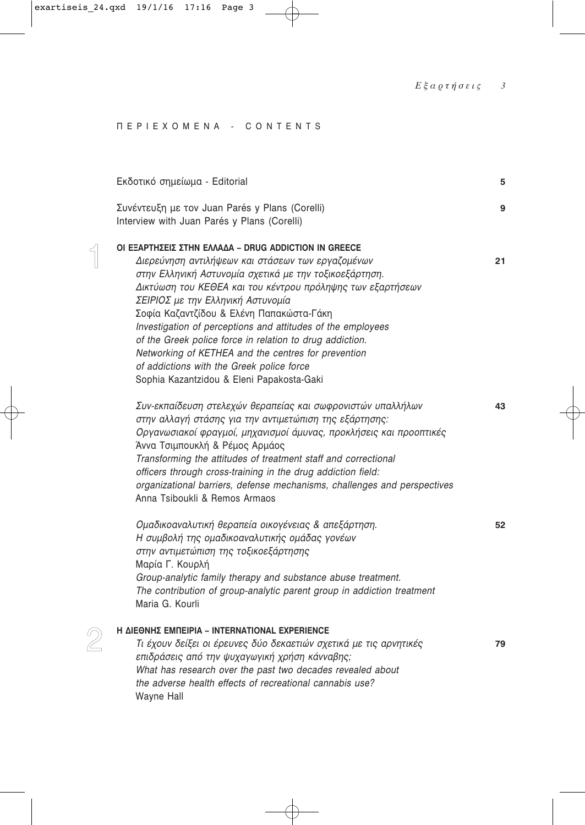# $E \xi a \varrho \tau \eta \sigma \varepsilon \iota \varsigma$  3

# $\vert$ exartiseis\_24.qxd 19/1/16 17:16 Page 3

# **ΠΕΡΙΕΧΟΜΕΝΑ - CONTENTS**

| Εκδοτικό σημείωμα - Editorial                                                                                                                                                                                                                                                                                                                                                                                                                                                                                                                                                                  | 5  |
|------------------------------------------------------------------------------------------------------------------------------------------------------------------------------------------------------------------------------------------------------------------------------------------------------------------------------------------------------------------------------------------------------------------------------------------------------------------------------------------------------------------------------------------------------------------------------------------------|----|
| Συνέντευξη με τον Juan Parés y Plans (Corelli)<br>Interview with Juan Parés y Plans (Corelli)                                                                                                                                                                                                                                                                                                                                                                                                                                                                                                  | 9  |
| ΟΙ ΕΞΑΡΤΗΣΕΙΣ ΣΤΗΝ ΕΛΛΑΔΑ – DRUG ADDICTION IN GREECE<br>Διερεύνηση αντιλήψεων και στάσεων των εργαζομένων<br>στην Ελληνική Αστυνομία σχετικά με την τοξικοεξάρτηση.<br>Δικτύωση του ΚΕΘΕΑ και του κέντρου πρόληψης των εξαρτήσεων<br>ΣΕΙΡΙΟΣ με την Ελληνική Αστυνομία<br>Σοφία Καζαντζίδου & Ελένη Παπακώστα-Γάκη<br>Investigation of perceptions and attitudes of the employees<br>of the Greek police force in relation to drug addiction.<br>Networking of KETHEA and the centres for prevention<br>of addictions with the Greek police force<br>Sophia Kazantzidou & Eleni Papakosta-Gaki | 21 |
| Συν-εκπαίδευση στελεχών θεραπείας και σωφρονιστών υπαλλήλων<br>στην αλλαγή στάσης για την αντιμετώπιση της εξάρτησης:<br>Οργανωσιακοί φραγμοί, μηχανισμοί άμυνας, προκλήσεις και προοπτικές<br>Άννα Τσιμπουκλή & Ρέμος Αρμάος<br>Transforming the attitudes of treatment staff and correctional<br>officers through cross-training in the drug addiction field:<br>organizational barriers, defense mechanisms, challenges and perspectives<br>Anna Tsiboukli & Remos Armaos                                                                                                                   | 43 |
| Ομαδικοαναλυτική θεραπεία οικογένειας & απεξάρτηση.<br>Η συμβολή της ομαδικοαναλυτικής ομάδας γονέων<br>στην αντιμετώπιση της τοξικοεξάρτησης<br>Μαρία Γ. Κουρλή<br>Group-analytic family therapy and substance abuse treatment.<br>The contribution of group-analytic parent group in addiction treatment<br>Maria G. Kourli                                                                                                                                                                                                                                                                  | 52 |
| Η ΔΙΕΘΝΗΣ ΕΜΠΕΙΡΙΑ – INTERNATIONAL EXPERIENCE<br>Τι έχουν δείξει οι έρευνες δύο δεκαετιών σχετικά με τις αρνητικές<br>επιδράσεις από την ψυχαγωγική χρήση κάνναβης;<br>What has research over the past two decades revealed about<br>the adverse health effects of recreational cannabis use?<br>Wayne Hall                                                                                                                                                                                                                                                                                    | 79 |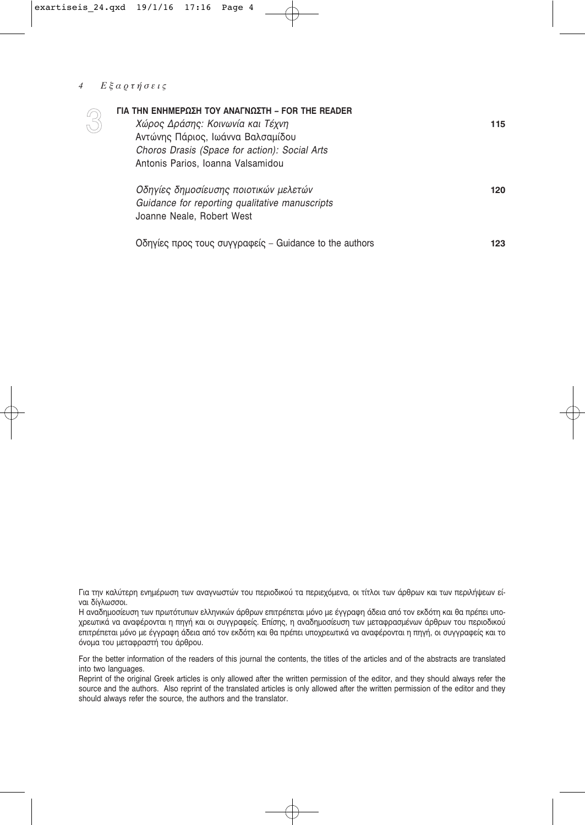#### Εξαρτήσεις  $\overline{4}$



| <b>ΓΙΑ ΤΗΝ ΕΝΗΜΕΡΩΣΗ ΤΟΥ ΑΝΑΓΝΩΣΤΗ – FOR THE READER</b><br>Χώρος Δράσης: Κοινωνία και Τέχνη<br>Αντώνης Πάριος, Ιωάννα Βαλσαμίδου<br>Choros Drasis (Space for action): Social Arts<br>Antonis Parios, Ioanna Valsamidou | 115 |
|------------------------------------------------------------------------------------------------------------------------------------------------------------------------------------------------------------------------|-----|
| Οδηγίες δημοσίευσης ποιοτικών μελετών<br>Guidance for reporting qualitative manuscripts<br>Joanne Neale, Robert West                                                                                                   | 120 |
| Οδηγίες προς τους συγγραφείς – Guidance to the authors                                                                                                                                                                 | 123 |

Για την καλύτερη ενημέρωση των αναγνωστών του περιοδικού τα περιεχόμενα, οι τίτλοι των άρθρων και των περιλήψεων είναι δίγλωσσοι.

Η αναδημοσίευση των πρωτότυπων ελληνικών άρθρων επιτρέπεται μόνο με έγγραφη άδεια από τον εκδότη και θα πρέπει υποχρεωτικά να αναφέρονται η πηγή και οι συγγραφείς. Επίσης, η αναδημοσίευση των μεταφρασμένων άρθρων του περιοδικού επιτρέπεται μόνο με έγγραφη άδεια από τον εκδότη και θα πρέπει υποχρεωτικά να αναφέρονται η πηγή, οι συγγραφείς και το όνομα του μεταφραστή του άρθρου.

For the better information of the readers of this journal the contents, the titles of the articles and of the abstracts are translated into two languages.

Reprint of the original Greek articles is only allowed after the written permission of the editor, and they should always refer the source and the authors. Also reprint of the translated articles is only allowed after the written permission of the editor and they should always refer the source, the authors and the translator.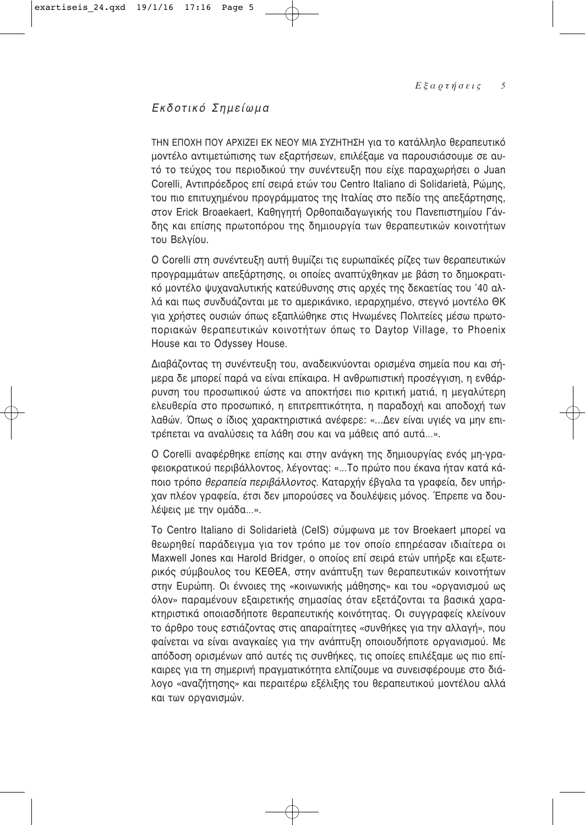# *EΚδοτικό Σημείωμα*

ΤΗΝ ΕΠΟΧΗ ΠΟΥ ΑΡΧΙΖΕΙ ΕΚ ΝΕΟΥ ΜΙΑ ΣΥΖΗΤΗΣΗ για το κατάλληλο θεραπευτικό μοντέλο αντιμετώπισης των εξαρτήσεων, επιλέξαμε να παρουσιάσουμε σε αυτό το τεύχος του περιοδικού την συνέντευξη που είχε παραχωρήσει ο Juan Corelli, Αντιπρόεδρος επί σειρά ετών του Centro Italiano di Solidarietà, Ρώμης, του πιο επιτυχημένου προγράμματος της Ιταλίας στο πεδίο της απεξάρτησης, στον Erick Broaekaert, Καθηγητή Ορθοπαιδαγωγικής του Πανεπιστημίου Γάνδης και επίσης πρωτοπόρου της δημιουργία των θεραπευτικών κοινοτήτων του Βελγίου.

Ο Corelli στη συνέντευξη αυτή θυμίζει τις ευρωπαϊκές ρίζες των θεραπευτικών προγραμμάτων απεξάρτησης, οι οποίες αναπτύχθηκαν με βάση το δημοκρατικό μοντέλο ψυχαναλυτικής κατεύθυνσης στις αρχές της δεκαετίας του '40 αλλά και πως συνδυάζονται με το αμερικάνικο, ιεραρχημένο, στεγνό μοντέλο ΘΚ για χρήστες ουσιών όπως εξαπλώθηκε στις Ηνωμένες Πολιτείες μέσω πρωτοποριακών θεραπευτικών κοινοτήτων όπως το Daytop Village, το Phoenix House **Kal To Odyssey House.** 

Διαβάζοντας τη συνέντευξη του, αναδεικνύονται ορισμένα σημεία που και σήμερα δε μπορεί παρά να είναι επίκαιρα. Η ανθρωπιστική προσέγγιση, η ενθάρρυνση του προσωπικού ώστε να αποκτήσει πιο κριτική ματιά, η μεγαλύτερη ελευθερία στο προσωπικό, η επιτρεπτικότητα, η παραδοχή και αποδοχή των λαθών. Όπως ο ίδιος χαρακτηριστικά ανέφερε: «...Δεν είναι υγιές να μην επιτρέπεται να αναλύσεις τα λάθη σου και να μάθεις από αυτά...».

Ο Corelli αναφέρθηκε επίσης και στην ανάγκη της δημιουργίας ενός μη-γραφειοκρατικού περιβάλλοντος, λέγοντας: «...Το πρώτο που έκανα ήταν κατά κάποιο τρόπο θεραπεία περιβάλλοντος. Καταρχήν έβγαλα τα γραφεία, δεν υπήρχαν πλέον γραφεία, έτσι δεν μπορούσες να δουλέψεις μόνος. Έπρεπε να δουλέψεις με την ομάδα...».

To Centro Italiano di Solidarietà (CeIS) σύμφωνα με τον Broekaert μπορεί να θεωρηθεί παράδειγμα για τον τρόπο με τον οποίο επηρέασαν ιδιαίτερα οι Maxwell Jones και Harold Bridger, ο οποίος επί σειρά ετών υπήρξε και εξωτερικός σύμβουλος του ΚΕΘΕΑ, στην ανάπτυξη των θεραπευτικών κοινοτήτων στην Ευρώπη. Οι έννοιες της «κοινωνικής μάθησης» και του «οργανισμού ως όλον» παραμένουν εξαιρετικής σημασίας όταν εξετάζονται τα βασικά χαρακτηριστικά οποιασδήποτε θεραπευτικής κοινότητας. Οι συγγραφείς κλείνουν το άρθρο τους εστιάζοντας στις απαραίτητες «συνθήκες για την αλλαγή», που φαίνεται να είναι αναγκαίες για την ανάπτυξη οποιουδήποτε οργανισμού. Με απόδοση ορισμένων από αυτές τις συνθήκες, τις οποίες επιλέξαμε ως πιο επίκαιρες για τη σημερινή πραγματικότητα ελπίζουμε να συνεισφέρουμε στο διάλογο «αναζήτησης» και περαιτέρω εξέλιξης του θεραπευτικού μοντέλου αλλά και των οργανισμών.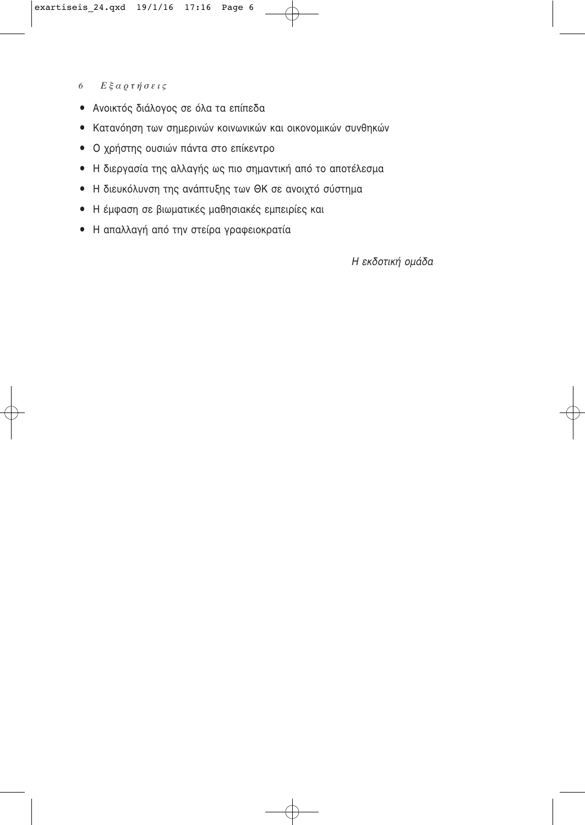- *6 Εξαρτήσεις*
- Ανοικτός διάλογος σε όλα τα επίπεδα
- Κατανόηση των σημερινών κοινωνικών και οικονομικών συνθηκών
- Ο χρήστης ουσιών πάντα στο επίκεντρο
- Η διεργασία της αλλαγής ως πιο σημαντική από το αποτέλεσμα
- Η διευκόλυνση της ανάπτυξης των ΘΚ σε ανοιχτό σύστημα
- Η έμφαση σε βιωματικές μαθησιακές εμπειρίες και
- Η απαλλαγή από την στείρα γραφειοκρατία

Η εκδοτική ομάδα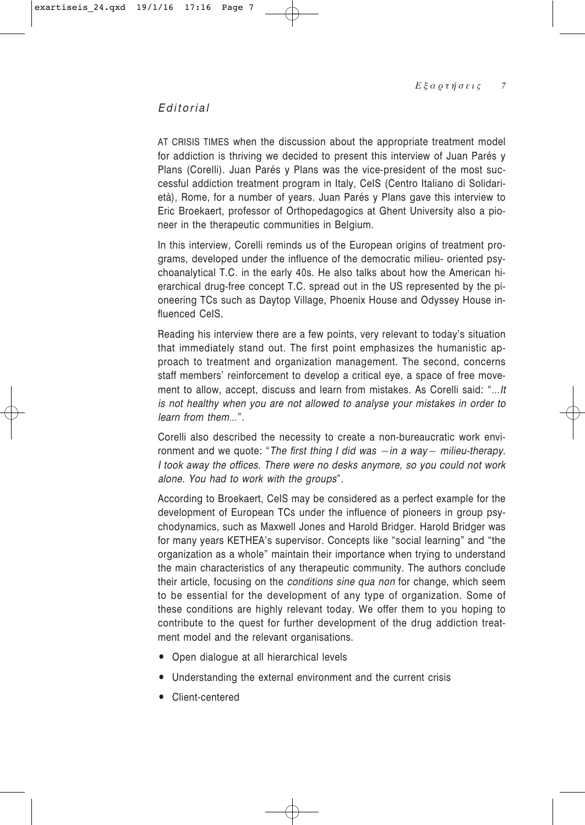## *Editorial*

AT CRISIS TIMES when the discussion about the appropriate treatment model for addiction is thriving we decided to present this interview of Juan Parés y Plans (Corelli). Juan Parés y Plans was the vice-president of the most successful addiction treatment program in Italy, CeIS (Centro Italiano di Solidarietà), Rome, for a number of years. Juan Parés y Plans gave this interview to Eric Broekaert, professor of Orthopedagogics at Ghent University also a pioneer in the therapeutic communities in Belgium.

In this interview, Corelli reminds us of the European origins of treatment programs, developed under the influence of the democratic milieu- oriented psychoanalytical T.C. in the early 40s. He also talks about how the American hierarchical drug-free concept T.C. spread out in the US represented by the pioneering TCs such as Daytop Village, Phoenix House and Odyssey House influenced CeIS.

Reading his interview there are a few points, very relevant to today's situation that immediately stand out. The first point emphasizes the humanistic approach to treatment and organization management. The second, concerns staff members' reinforcement to develop a critical eye, a space of free movement to allow, accept, discuss and learn from mistakes. As Corelli said: "…*It is not healthy when you are not allowed to analyse your mistakes in order to learn from them*…".

Corelli also described the necessity to create a non-bureaucratic work environment and we quote: "*The first thing I did was —in a way— milieu-therapy. I took away the offices. There were no desks anymore, so you could not work alone. You had to work with the groups*".

According to Broekaert, CeIS may be considered as a perfect example for the development of European TCs under the influence of pioneers in group psychodynamics, such as Maxwell Jones and Harold Bridger. Harold Bridger was for many years KETHEA's supervisor. Concepts like "social learning" and "the organization as a whole" maintain their importance when trying to understand the main characteristics of any therapeutic community. The authors conclude their article, focusing on the *conditions sine qua non* for change, which seem to be essential for the development of any type of organization. Some of these conditions are highly relevant today. We offer them to you hoping to contribute to the quest for further development of the drug addiction treatment model and the relevant organisations.

- Open dialogue at all hierarchical levels
- Understanding the external environment and the current crisis
- Client-centered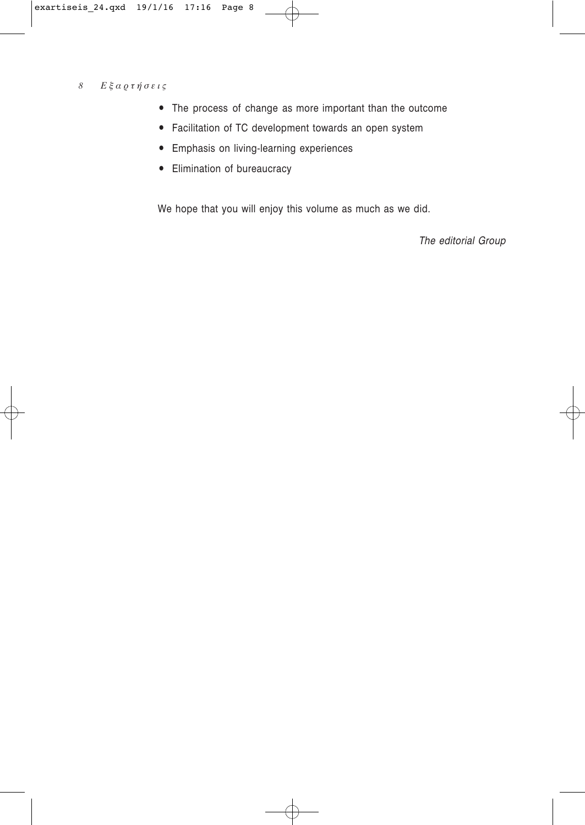#### $E$ ξαρτήσεις 8

- The process of change as more important than the outcome
- Facilitation of TC development towards an open system
- Emphasis on living-learning experiences
- Elimination of bureaucracy

We hope that you will enjoy this volume as much as we did.

The editorial Group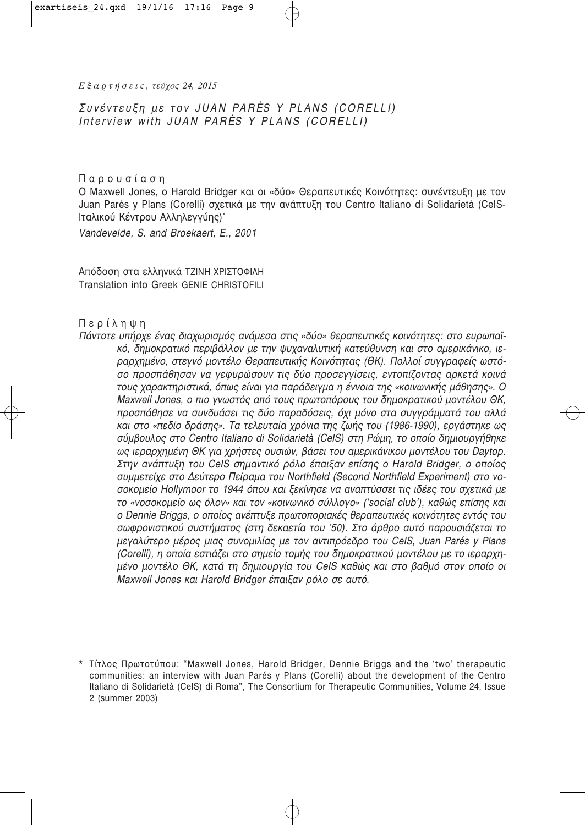*Ε ξ α ρ τ ή σ ε ι ς , τεύχος 24, 2015*

*™˘Ó¤ÓÙ¢ÍË Ì ÙÔÓ* JUAN PARÈS Y PLANS (CORELLI) *Interview with* JUAN PARÈS Y PLANS (CORELLI)

Παρουσίαση

O Maxwell Jones, ο Harold Bridger και οι «δύο» Θεραπευτικές Κοινότητες: συνέντευξη με τον Juan Parés y Plans (Corelli) σχετικά με την ανάπτυξη του Centro Italiano di Solidarietà (CeIS-Ιταλικού Κέντρου Αλληλεγγύης)\*

*Vandevelde, S. and Broekaert, E., 2001*

Απόδοση στα ελληνικά ΤΖΙΝΗ ΧΡΙΣΤΟΦΙΛΗ Translation into Greek GENIE CHRISTOFILI

#### $\Box$ ερίληψη

*Πάντοτε υπήρχε ένας διαχωρισμός ανάμεσα στις «δύο» θεραπευτικές κοινότητες: στο ευρωπαϊ-Κό, δημοκρατικό περιβάλλον με την ψυχαναλυτική κατεύθυνση και στο αμερικάνικο, ιε*ραρχημένο, στεγνό μοντέλο Θεραπευτικής Κοινότητας (ΘΚ). Πολλοί συγγραφείς ωστόσο προσπάθησαν να γεφυρώσουν τις δύο προσεγγίσεις, εντοπίζοντας αρκετά κοινά τους χαρακτηριστικά, όπως είναι για παράδειγμα η έννοια της «κοινωνικής μάθησης». Ο *Maxwell Jones, ο πιο γνωστός από τους πρωτοπόρους του δημοκρατικού μοντέλου ΘΚ,* προσπάθησε να συνδυάσει τις δύο παραδόσεις, όχι μόνο στα συγγράμματά του αλλά *Και στο «πεδίο δράσης». Τα τελευταία χρόνια της ζωής του (1986-1990), εργάστηκε ως*  $σύμβουλος στο Centro Italiano di Solidarietà (CeIS) στη Ρώμη, το οποίο δημιουργήθηκε$ *ˆ˜ ÈÂÚ·Ú¯Ë̤ÓË £∫ ÁÈ· ¯Ú‹ÛÙ˜ Ô˘ÛÈÒÓ, '¿ÛÂÈ ÙÔ˘ ·ÌÂÚÈοÓÈÎÔ˘ ÌÔÓÙ¤ÏÔ˘ ÙÔ˘ Daytop.*  $\Sigma$ την ανάπτυξη του CeIS σημαντικό ρόλο έπαιξαν επίσης ο Harold Bridger, ο οποίος συμμετείχε στο Δεύτερο Πείραμα του Northfield (Second Northfield Experiment) στο νοσοκομείο Hollymoor το 1944 όπου και ξεκίνησε να αναπτύσσει τις ιδέες του σχετικά με *το «νοσοκομείο ως όλον» και τον «κοινωνικό σύλλογο» ('social club'), καθώς επίσης και* ο Dennie Briggs, ο οποίος ανέπτυξε πρωτοποριακές θεραπευτικές κοινότητες εντός του σωφρονιστικού συστήματος (στη δεκαετία του '50). Στο άρθρο αυτό παρουσιάζεται το *ÌÂÁ·Ï‡ÙÂÚÔ Ì¤ÚÔ˜ ÌÈ·˜ Û˘ÓÔÌÈÏ›·˜ Ì ÙÔÓ ·ÓÙÈÚfi‰ÚÔ ÙÔ˘ CeIS, Juan Parés y Plans (Corelli), η οποία εστιάζει στο σημείο τομής του δημοκρατικού μοντέλου με το ιεραρχη*µένο μοντέλο ΘΚ, κατά τη δημιουργία του CeIS καθώς και στο βαθμό στον οποίο οι *Maxwell Jones και Harold Bridger έπαιξαν ρόλο σε αυτό.* 

<sup>\*</sup> Τίτλος Πρωτοτύπου: "Maxwell Jones, Harold Bridger, Dennie Briggs and the 'two' therapeutic communities: an interview with Juan Parés y Plans (Corelli) about the development of the Centro Italiano di Solidarietà (CeIS) di Roma", The Consortium for Therapeutic Communities, Volume 24, Issue 2 (summer 2003)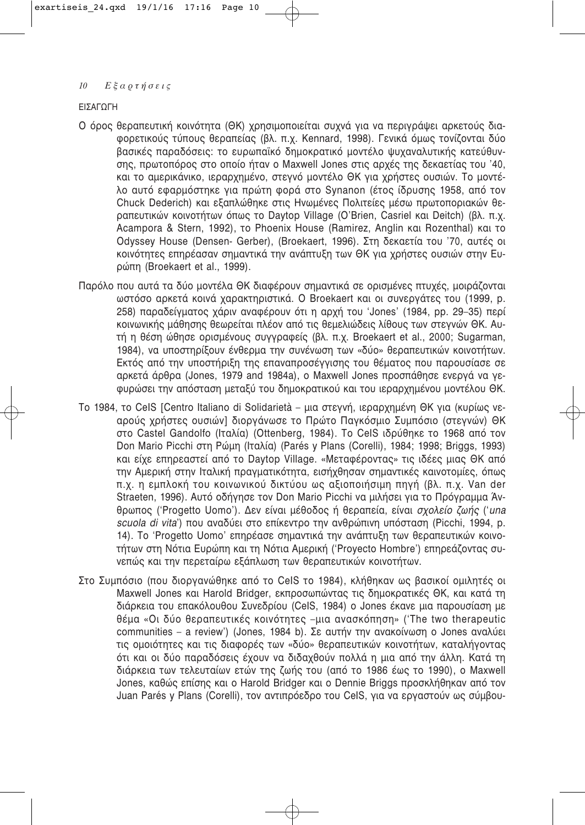ΕΙΣΑΓΩΓΗ

- Ο όρος θεραπευτική κοινότητα (ΘΚ) χρησιμοποιείται συχνά για να περιγράψει αρκετούς διαφορετικούς τύπους θεραπείας (βλ. π.χ. Kennard, 1998). Γενικά όμως τονίζονται δύο βασικές παραδόσεις; το ευρωπαϊκό δημοκρατικό μοντέλο ψυχαναλυτικής κατεύθυνσης, πρωτοπόρος στο οποίο ήταν ο Maxwell Jones στις αρχές της δεκαετίας του '40, Και το αμερικάνικο, ιεραρχημένο, στεγνό μοντέλο ΘΚ για χρήστες ουσιών. Το μοντέλο αυτό εφαρμόστηκε για πρώτη φορά στο Synanon (έτος ίδρυσης 1958, από τον Chuck Dederich) και εξαπλώθηκε στις Ηνωμένες Πολιτείες μέσω πρωτοποριακών θεpαπευτικών κοινοτήτων όπως το Daytop Village (O'Brien, Casriel και Deitch) (βλ. π.χ. Acampora & Stern, 1992), to Phoenix House (Ramirez, Anglin και Rozenthal) και το Odyssey House (Densen- Gerber), (Broekaert, 1996). Στη δεκαετία του '70, αυτές οι κοινότητες επηρέασαν σημαντικά την ανάπτυξη των ΘΚ για χρήστες ουσιών στην Eυ $ρωπη$  (Broekaert et al., 1999).
- Παρόλο που αυτά τα δύο μοντέλα ΘΚ διαφέρουν σημαντικά σε ορισμένες πτυχές, μοιράζονται ωστόσο αρκετά κοινά χαρακτηριστικά. Ο Broekaert και οι συνεργάτες του (1999, p. 258) παραδείγματος χάριν αναφέρουν ότι η αρχή του 'Jones' (1984, pp. 29–35) περί Κοινωνικής μάθησης θεωρείται πλέον από τις θεμελιώδεις λίθους των στεγνών ΘΚ. Αυτή η θέση ώθησε ορισμένους συγγραφείς (βλ. π.χ. Broekaert et al., 2000; Sugarman, 1984), να υποστηρίξουν ένθερμα την συνένωση των «δύο» θεραπευτικών κοινοτήτων. Εκτός από την υποστήριξη της επαναπροσέγγισης του θέματος που παρουσίασε σε αρκετά άρθρα (Jones, 1979 and 1984a), ο Maxwell Jones προσπάθησε ενεργά να γεφυρώσει την απόσταση μεταξύ του δημοκρατικού και του ιεραρχημένου μοντέλου ΘΚ.
- To 1984, το CelS [Centro Italiano di Solidarietà μια στεγνή, ιεραρχημένη ΘΚ για (κυρίως νεαρούς χρήστες ουσιών] διοργάνωσε το Πρώτο Παγκόσμιο Συμπόσιο (στεγνών) ΘΚ στο Castel Gandolfo (Ιταλία) (Ottenberg, 1984). Το CeIS ιδρύθηκε το 1968 από τον Don Mario Picchi στη Ρώμη (Ιταλία) (Parés y Plans (Corelli), 1984; 1998; Briggs, 1993) Και είχε επηρεαστεί από το Davtop Village. «Μεταφέροντας» τις ιδέες μιας ΘΚ από την Αμερική στην Ιταλική πραγματικότητα, εισήχθησαν σημαντικές καινοτομίες, όπως π.χ. η εμπλοκή του κοινωνικού δικτύου ως αξιοποιήσιμη πηγή (βλ. π.χ. Van der Straeten, 1996). Αυτό οδήγησε τον Don Mario Picchi να μιλήσει για το Πρόγραμμα Άνθρωπος ('Progetto Uomo'). Δεν είναι μέθοδος ή θεραπεία, είναι *σχολείο ζωής ('una* scuola di vita') που αναδύει στο επίκεντρο την ανθρώπινη υπόσταση (Picchi, 1994, p. 14). Το 'Progetto Uomo' επηρέασε σημαντικά την ανάπτυξη των θεραπευτικών κοινοτήτων στη Νότια Ευρώπη και τη Νότια Αμερική ('Proyecto Hombre') επηρεάζοντας συνεπώς και την περεταίρω εξάπλωση των θεραπευτικών κοινοτήτων.
- Στο Συμπόσιο (που διοργανώθηκε από το CeIS το 1984), κλήθηκαν ως βασικοί ομιλητές οι Maxwell Jones και Harold Bridger, εκπροσωπώντας τις δημοκρατικές ΘΚ, και κατά τη διάρκεια του επακόλουθου Συνεδρίου (CeIS, 1984) ο Jones έκανε μια παρουσίαση με θέμα «Οι δύο θεραπευτικές κοινότητες –μια ανασκόπηση» ('The two therapeutic communities – a review') (Jones, 1984 b). Σε αυτήν την ανακοίνωση ο Jones αναλύει τις ομοιότητες και τις διαφορές των «δύο» θεραπευτικών κοινοτήτων, καταλήγοντας ότι και οι δύο παραδόσεις έχουν να διδαχθούν πολλά η μια από την άλλη. Κατά τη διάρκεια των τελευταίων ετών της ζωής του (από το 1986 έως το 1990), ο Maxwell Jones, καθώς επίσης και ο Harold Bridger και ο Dennie Briggs προσκλήθηκαν από τον Juan Parés y Plans (Corelli), τον αντιπρόεδρο του CeIS, για να εργαστούν ως σύμβου-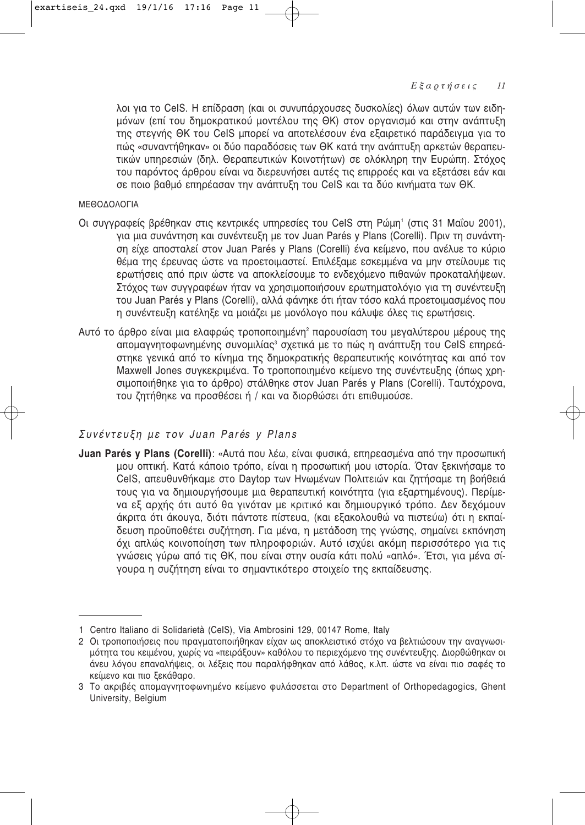λοι για το CeIS. Η επίδραση (και οι συνυπάρχουσες δυσκολίες) όλων αυτών των ειδημόνων (επί του δημοκρατικού μοντέλου της ΘΚ) στον οργανισμό και στην ανάπτυξη της στεγνής ΘΚ του CeIS μπορεί να αποτελέσουν ένα εξαιρετικό παράδειγμα για το πώς «συναντήθηκαν» οι δύο παραδόσεις των ΘΚ κατά την ανάπτυξη αρκετών θεραπευτικών υπηρεσιών (δηλ. Θεραπευτικών Κοινοτήτων) σε ολόκληρη την Ευρώπη. Στόχος του παρόντος άρθρου είναι να διερευνήσει αυτές τις επιρροές και να εξετάσει εάν και σε ποιο βαθμό επηρέασαν την ανάπτυξη του CeIS και τα δύο κινήματα των ΘΚ.

#### ΜΕΘΩΛΩΛΟΓΙΑ

- Οι συγγραφείς βρέθηκαν στις κεντρικές υπηρεσίες του CeIS στη Ρώμη<sup>1</sup> (στις 31 Μαΐου 2001), για μια συνάντηση και συνέντευξη με τον Juan Parés y Plans (Corelli). Πριν τη συνάντηση είχε αποσταλεί στον Juan Parés y Plans (Corelli) ένα κείμενο, που ανέλυε το κύριο θέμα της έρευνας ώστε να προετοιμαστεί. Επιλέξαμε εσκεμμένα να μην στείλουμε τις ερωτήσεις από πριν ώστε να αποκλείσουμε το ενδεχόμενο πιθανών προκαταλήψεων. Στόχος των συννραφέων ήταν να χρησιμοποιήσουν ερωτηματολόνιο για τη συνέντευξη του Juan Parés y Plans (Corelli), αλλά φάνηκε ότι ήταν τόσο καλά προετοιμασμένος που η συνέντευξη κατέληξε να μοιάζει με μονόλογο που κάλυψε όλες τις ερωτήσεις.
- Aυτό το άρθρο είναι μια ελαφρώς τροποποιημένη<sup>2</sup> παρουσίαση του μεγαλύτερου μέρους της απομαγνητοφωνημένης συνομιλίας<sup>3</sup> σχετικά με το πώς η ανάπτυξη του CeIS επηρεάστηκε γενικά από το κίνημα της δημοκρατικής θεραπευτικής κοινότητας και από τον Maxwell Jones συγκεκριμένα. Το τροποποιημένο κείμενο της συνέντευξης (όπως χρησιμοποιήθηκε για το άρθρο) στάλθηκε στον Juan Parés y Plans (Corelli). Ταυτόχρονα, του ζητήθηκε να προσθέσει ή / και να διορθώσει ότι επιθυμούσε.

## $\Sigma$ υνέντευξη με τον Juan Parés γ Plans

Juan Parés y Plans (Corelli): «Αυτά που λέω, είναι φυσικά, επηρεασμένα από την προσωπική μου οπτική. Κατά κάποιο τρόπο, είναι η προσωπική μου ιστορία. Όταν ξεκινήσαμε το CeIS, απευθυνθήκαμε στο Daytop των Ηνωμένων Πολιτειών και ζητήσαμε τη βοήθειά τους για να δημιουργήσουμε μια θεραπευτική κοινότητα (για εξαρτημένους). Περίμενα εξ αρχής ότι αυτό θα γινόταν με κριτικό και δημιουργικό τρόπο. Δεν δεχόμουν άκριτα ότι άκουγα, διότι πάντοτε πίστευα, (και εξακολουθώ να πιστεύω) ότι η εκπαίδευση προϋποθέτει συζήτηση. Για μένα, η μετάδοση της γνώσης, σημαίνει εκπόνηση όχι απλώς κοινοποίηση των πληροφοριών. Αυτό ισχύει ακόμη περισσότερο για τις γνώσεις γύρω από τις ΘΚ, που είναι στην ουσία κάτι πολύ «απλό». Έτσι, για μένα σίγουρα η συζήτηση είναι το σημαντικότερο στοιχείο της εκπαίδευσης.

<sup>1</sup> Centro Italiano di Solidarietà (CeIS), Via Ambrosini 129, 00147 Rome, Italy

<sup>2</sup> Οι τροποποιήσεις που πραγματοποιήθηκαν είχαν ως αποκλειστικό στόχο να βελτιώσουν την αναγνωσιμότητα του κειμένου, χωρίς να «πειράξουν» καθόλου το περιεχόμενο της συνέντευξης. Διορθώθηκαν οι άνευ λόγου επαναλήψεις, οι λέξεις που παραλήφθηκαν από λάθος, κ.λπ. ώστε να είναι πιο σαφές το κείμενο και πιο ξεκάθαρο.

<sup>3</sup> Το ακριβές απομαγνητοφωνημένο κείμενο φυλάσσεται στο Department of Orthopedagogics, Ghent University, Belgium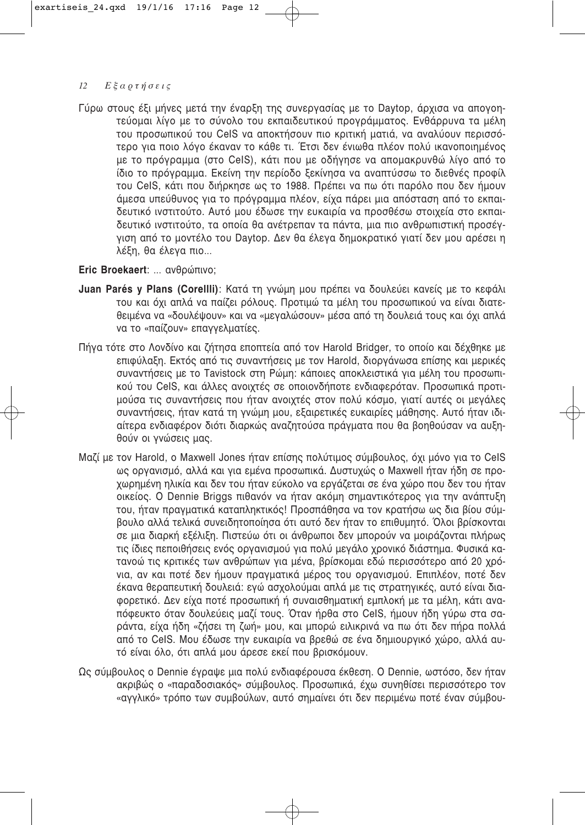Γύρω στους έξι μήνες μετά την έναρξη της συνεργασίας με το Daytop, άρχισα να απογοητεύομαι λίγο με το σύνολο του εκπαιδευτικού προγράμματος. Ενθάρρυνα τα μέλη του προσωπικού του CeIS να αποκτήσουν πιο κριτική ματιά, να αναλύουν περισσότερο νια ποιο λόνο έκαναν το κάθε τι. Έτσι δεν ένιωθα πλέον πολύ ικανοποιημένος με το πρόγραμμα (στο CeIS), κάτι που με οδήγησε να απομακρυνθώ λίγο από το ίδιο το πρόγραμμα. Εκείνη την περίοδο ξεκίνησα να αναπτύσσω το διεθνές προφίλ του CeIS, κάτι που διήρκησε ως το 1988. Πρέπει να πω ότι παρόλο που δεν ήμουν άμεσα υπεύθυνος για το πρόγραμμα πλέον, είχα πάρει μια απόσταση από το εκπαιδευτικό ινστιτούτο. Αυτό μου έδωσε την ευκαιρία να προσθέσω στοιχεία στο εκπαιδευτικό ινστιτούτο, τα οποία θα ανέτρεπαν τα πάντα, μια πιο ανθρωπιστική προσένγιση από το μοντέλο του Daytop. Δεν θα έλεγα δημοκρατικό γιατί δεν μου αρέσει η λέξη, θα έλεγα πιο...

## **Eric Broekaert: ... ανθρώπινο;**

- Juan Parés y Plans (Corellli): Κατά τη γνώμη μου πρέπει να δουλεύει κανείς με το κεφάλι του και όχι απλά να παίζει ρόλους. Προτιμώ τα μέλη του προσωπικού να είναι διατεθειμένα να «δουλέψουν» και να «μεγαλώσουν» μέσα από τη δουλειά τους και όχι απλά να το «παίζουν» επαγγελματίες.
- Πήγα τότε στο Λονδίνο και ζήτησα εποπτεία από τον Harold Bridger, το οποίο και δέχθηκε με επιφύλαξη. Εκτός από τις συναντήσεις με τον Harold, διοργάνωσα επίσης και μερικές συναντήσεις με το Tavistock στη Ρώμη: κάποιες αποκλειστικά νια μέλη του προσωπικού του CeIS, και άλλες ανοιχτές σε οποιονδήποτε ενδιαφερόταν. Προσωπικά προτιμούσα τις συναντήσεις που ήταν ανοιχτές στον πολύ κόσμο, γιατί αυτές οι μεγάλες συναντήσεις, ήταν κατά τη γνώμη μου, εξαιρετικές ευκαιρίες μάθησης. Αυτό ήταν ιδιαίτερα ενδιαφέρον διότι διαρκώς αναζητούσα πράγματα που θα βοηθούσαν να αυξηθούν οι γνώσεις μας.
- Μαζί με τον Harold, ο Maxwell Jones ήταν επίσης πολύτιμος σύμβουλος, όχι μόνο για το CeIS ως οργανισμό, αλλά και για εμένα προσωπικά. Δυστυχώς ο Maxwell ήταν ήδη σε προχωρημένη ηλικία και δεν του ήταν εύκολο να εργάζεται σε ένα χώρο που δεν του ήταν οικείος. Ο Dennie Briggs πιθανόν να ήταν ακόμη σημαντικότερος για την ανάπτυξη του, ήταν πραγματικά καταπληκτικός! Προσπάθησα να τον κρατήσω ως δια βίου σύμβουλο αλλά τελικά συνειδητοποίησα ότι αυτό δεν ήταν το επιθυμητό. Όλοι βρίσκονται σε μια διαρκή εξέλιξη. Πιστεύω ότι οι άνθρωποι δεν μπορούν να μοιράζονται πλήρως τις ίδιες πεποιθήσεις ενός οργανισμού για πολύ μεγάλο χρονικό διάστημα. Φυσικά κατανοώ τις κριτικές των ανθρώπων για μένα, βρίσκομαι εδώ περισσότερο από 20 χρόνια, αν και ποτέ δεν ήμουν πραγματικά μέρος του οργανισμού. Επιπλέον, ποτέ δεν έκανα θεραπευτική δουλειά: εγώ ασχολούμαι απλά με τις στρατηγικές, αυτό είναι διαφορετικό. Δεν είχα ποτέ προσωπική ή συναισθηματική εμπλοκή με τα μέλη, κάτι αναπόφευκτο όταν δουλεύεις μαζί τους. Όταν ήρθα στο CeIS, ήμουν ήδη γύρω στα σαράντα, είχα ήδη «ζήσει τη ζωή» μου, και μπορώ ειλικρινά να πω ότι δεν πήρα πολλά από το CeIS. Μου έδωσε την ευκαιρία να βρεθώ σε ένα δημιουργικό χώρο, αλλά αυτό είναι όλο, ότι απλά μου άρεσε εκεί που βρισκόμουν.
- Ως σύμβουλος ο Dennie έγραψε μια πολύ ενδιαφέρουσα έκθεση. Ο Dennie, ωστόσο, δεν ήταν ακριβώς ο «παραδοσιακός» σύμβουλος. Προσωπικά, έχω συνηθίσει περισσότερο τον «αγγλικό» τρόπο των συμβούλων, αυτό σημαίνει ότι δεν περιμένω ποτέ έναν σύμβου-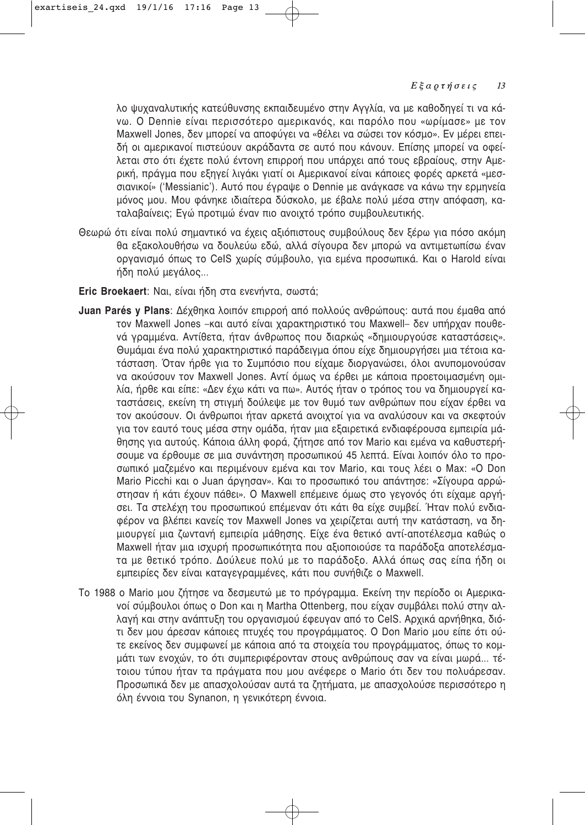exartiseis  $24.$ qxd  $19/1/16$ 

λο ψυχαναλυτικής κατεύθυνσης εκπαιδευμένο στην Αγγλία, να με καθοδηγεί τι να κάνω. Ο Dennie είναι περισσότερο αμερικανός, και παρόλο που «ωρίμασε» με τον Maxwell Jones, δεν μπορεί να αποφύγει να «θέλει να σώσει τον κόσμο». Εν μέρει επειδή οι αμερικανοί πιστεύουν ακράδαντα σε αυτό που κάνουν. Επίσης μπορεί να οφείλεται στο ότι έχετε πολύ έντονη επιρροή που υπάρχει από τους εβραίους, στην Αμερική, πράγμα που εξηγεί λιγάκι γιατί οι Αμερικανοί είναι κάποιες φορές αρκετά «μεσσιανικοί» ('Messianic'). Αυτό που έγραψε ο Dennie με ανάγκασε να κάνω την ερμηνεία μόνος μου. Μου φάνηκε ιδιαίτερα δύσκολο, με έβαλε πολύ μέσα στην απόφαση, καταλαβαίνεις; Εγώ προτιμώ έναν πιο ανοιχτό τρόπο συμβουλευτικής.

Θεωρώ ότι είναι πολύ σημαντικό να έχεις αξιόπιστους συμβούλους δεν ξέρω για πόσο ακόμη θα εξακολουθήσω να δουλεύω εδώ, αλλά σίγουρα δεν μπορώ να αντιμετωπίσω έναν οργανισμό όπως το CeIS χωρίς σύμβουλο, για εμένα προσωπικά. Και ο Harold είναι ήδη πολύ μενάλος...

**Eric Broekaert**: Ναι, είναι ήδη στα ενενήντα, σωστά;

- **Juan Parés y Plans**: Δέχθηκα λοιπόν επιρροή από πολλούς ανθρώπους: αυτά που έμαθα από τον Maxwell Jones –και αυτό είναι χαρακτηριστικό του Maxwell– δεν υπήρχαν πουθενά γραμμένα. Αντίθετα, ήταν άνθρωπος που διαρκώς «δημιουργούσε καταστάσεις». Θυμάμαι ένα πολύ χαρακτηριστικό παράδειγμα όπου είχε δημιουργήσει μια τέτοια κατάσταση. Όταν ήρθε για το Συμπόσιο που είχαμε διοργανώσει, όλοι ανυπομονούσαν να ακούσουν τον Maxwell Jones. Αντί όμως να έρθει με κάποια προετοιμασμένη ομιλία, ήρθε και είπε: «Δεν έχω κάτι να πω». Αυτός ήταν ο τρόπος του να δημιουργεί καταστάσεις, εκείνη τη στιγμή δούλεψε με τον θυμό των ανθρώπων που είχαν έρθει να τον ακούσουν. Οι άνθρωποι ήταν αρκετά ανοιχτοί για να αναλύσουν και να σκεφτούν για τον εαυτό τους μέσα στην ομάδα, ήταν μια εξαιρετικά ενδιαφέρουσα εμπειρία μάθησης για αυτούς. Κάποια άλλη φορά, ζήτησε από τον Mario και εμένα να καθυστερήσουμε να έρθουμε σε μια συνάντηση προσωπικού 45 λεπτά. Είναι λοιπόν όλο το προσωπικό μαζεμένο και περιμένουν εμένα και τον Mario, και τους λέει ο Max: «Ο Don Mario Picchi και ο Juan άργησαν». Και το προσωπικό του απάντησε: «Σίγουρα αρρώστησαν ή κάτι έχουν πάθει». Ο Maxwell επέμεινε όμως στο νενονός ότι είχαμε αρνήσει. Τα στελέχη του προσωπικού επέμεναν ότι κάτι θα είχε συμβεί. Ήταν πολύ ενδιαφέρον να βλέπει κανείς τον Maxwell Jones να χειρίζεται αυτή την κατάσταση, να δημιουργεί μια ζωντανή εμπειρία μάθησης. Είχε ένα θετικό αντί-αποτέλεσμα καθώς ο Maxwell ήταν μια ισχυρή προσωπικότητα που αξιοποιούσε τα παράδοξα αποτελέσματα με θετικό τρόπο. Δούλευε πολύ με το παράδοξο. Αλλά όπως σας είπα ήδη οι εμπειρίες δεν είναι καταγεγραμμένες, κάτι που συνήθιζε ο Maxwell.
- Το 1988 ο Mario μου ζήτησε να δεσμευτώ με το πρόγραμμα. Εκείνη την περίοδο οι Αμερικανοί σύμβουλοι όπως ο Don και η Martha Ottenberg, που είχαν συμβάλει πολύ στην αλλανή και στην ανάπτυξη του ορνανισμού έφευναν από το CelS. Αρχικά αρνήθηκα, διότι δεν μου άρεσαν κάποιες πτυχές του προγράμματος. Ο Don Mario μου είπε ότι ούτε εκείνος δεν συμφωνεί με κάποια από τα στοιχεία του προγράμματος, όπως το κομμάτι των ενοχών, το ότι συμπεριφέρονταν στους ανθρώπους σαν να είναι μωρά... τέτοιου τύπου ήταν τα πράγματα που μου ανέφερε ο Mario ότι δεν του πολυάρεσαν. Προσωπικά δεν με απασχολούσαν αυτά τα ζητήματα, με απασχολούσε περισσότερο η όλη έννοια του Synanon, η γενικότερη έννοια.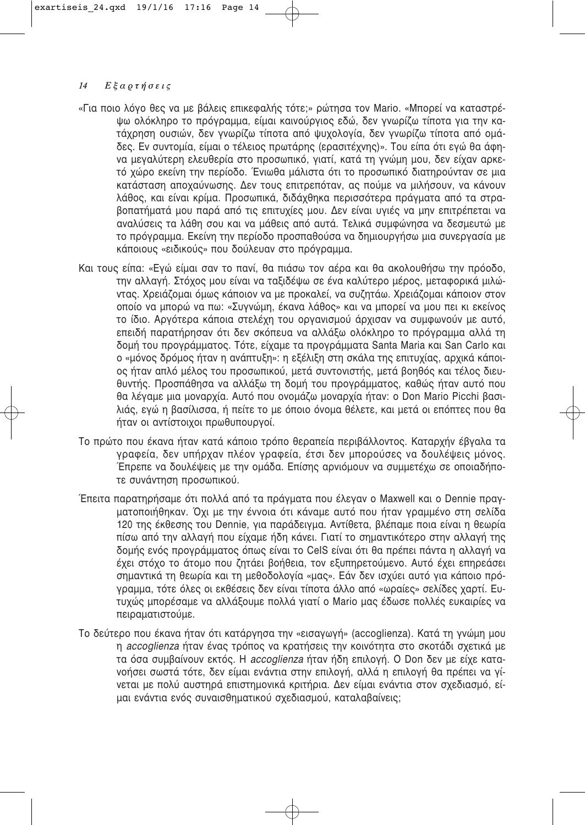- «Για ποιο λόγο θες να με βάλεις επικεφαλής τότε;» ρώτησα τον Mario. «Μπορεί να καταστρέψω ολόκληρο το πρόγραμμα, είμαι καινούργιος εδώ, δεν γνωρίζω τίποτα για την κατάχρηση ουσιών, δεν γνωρίζω τίποτα από ψυχολογία, δεν γνωρίζω τίποτα από ομάδες. Εν συντομία, είμαι ο τέλειος πρωτάρης (ερασιτέχνης)». Του είπα ότι εγώ θα άφηνα μεγαλύτερη ελευθερία στο προσωπικό, γιατί, κατά τη γνώμη μου, δεν είχαν αρκετό χώρο εκείνη την περίοδο. Ένιωθα μάλιστα ότι το προσωπικό διατηρούνταν σε μια κατάσταση αποχαύνωσης. Δεν τους επιτρεπόταν, ας πούμε να μιλήσουν, να κάνουν λάθος, και είναι κρίμα. Προσωπικά, διδάχθηκα περισσότερα πράγματα από τα στραβοπατήματά μου παρά από τις επιτυχίες μου. Δεν είναι υγιές να μην επιτρέπεται να αναλύσεις τα λάθη σου και να μάθεις από αυτά. Τελικά συμφώνησα να δεσμευτώ με το πρόγραμμα. Εκείνη την περίοδο προσπαθούσα να δημιουργήσω μια συνεργασία με κάποιους «ειδικούς» που δούλευαν στο πρόγραμμα.
- Και τους είπα: «Εγώ είμαι σαν το πανί, θα πιάσω τον αέρα και θα ακολουθήσω την πρόοδο, την αλλαγή. Στόχος μου είναι να ταξιδέψω σε ένα καλύτερο μέρος, μεταφορικά μιλώντας. Χρειάζομαι όμως κάποιον να με προκαλεί, να συζητάω. Χρειάζομαι κάποιον στον οποίο να μπορώ να πω: «Συγνώμη, έκανα λάθος» και να μπορεί να μου πει κι εκείνος το ίδιο. Αργότερα κάποια στελέχη του οργανισμού άρχισαν να συμφωνούν με αυτό, επειδή παρατήρησαν ότι δεν σκόπευα να αλλάξω ολόκληρο το πρόγραμμα αλλά τη δομή του προγράμματος. Τότε, είχαμε τα προγράμματα Santa Maria και San Carlo και ο «μόνος δρόμος ήταν η ανάπτυξη»: η εξέλιξη στη σκάλα της επιτυχίας, αρχικά κάποιος ήταν απλό μέλος του προσωπικού, μετά συντονιστής, μετά βοηθός και τέλος διευθυντής. Προσπάθησα να αλλάξω τη δομή του προγράμματος, καθώς ήταν αυτό που θα λέγαμε μια μοναρχία. Αυτό που ονομάζω μοναρχία ήταν: ο Don Mario Picchi βασιλιάς, εγώ η βασίλισσα, ή πείτε το με όποιο όνομα θέλετε, και μετά οι επόπτες που θα ήταν οι αντίστοιχοι πρωθυπουργοί.
- Το πρώτο που έκανα ήταν κατά κάποιο τρόπο θεραπεία περιβάλλοντος. Καταρχήν έβγαλα τα γραφεία, δεν υπήρχαν πλέον γραφεία, έτσι δεν μπορούσες να δουλέψεις μόνος. Έπρεπε να δουλέψεις με την ομάδα. Επίσης αρνιόμουν να συμμετέχω σε οποιαδήποτε συνάντηση προσωπικού.
- Έπειτα παρατηρήσαμε ότι πολλά από τα πράγματα που έλεγαν ο Maxwell και ο Dennie πραγματοποιήθηκαν. Όχι με την έννοια ότι κάναμε αυτό που ήταν γραμμένο στη σελίδα 120 της έκθεσης του Dennie, για παράδειγμα, Αντίθετα, βλέπαμε ποια είναι η θεωρία πίσω από την αλλαγή που είχαμε ήδη κάνει. Γιατί το σημαντικότερο στην αλλαγή της δομής ενός προγράμματος όπως είναι το CeIS είναι ότι θα πρέπει πάντα η αλλαγή να έχει στόχο το άτομο που ζητάει βοήθεια, τον εξυπηρετούμενο. Αυτό έχει επηρεάσει σημαντικά τη θεωρία και τη μεθοδολογία «μας». Εάν δεν ισχύει αυτό για κάποιο πρόγραμμα, τότε όλες οι εκθέσεις δεν είναι τίποτα άλλο από «ωραίες» σελίδες χαρτί. Ευτυχώς μπορέσαμε να αλλάξουμε πολλά γιατί ο Mario μας έδωσε πολλές ευκαιρίες να πειραματιστούμε.
- Το δεύτερο που έκανα ήταν ότι κατάργησα την «εισαγωγή» (accoglienza). Κατά τη γνώμη μου η *accoglienza* ήταν ένας τρόπος να κρατήσεις την κοινότητα στο σκοτάδι σχετικά με τα όσα συμβαίνουν εκτός. Η *accoglienza* ήταν ήδη επιλογή. Ο Don δεν με είχε καταvοήσει σωστά τότε, δεν είμαι ενάντια στην επιλογή, αλλά η επιλογή θα πρέπει να γίνεται με πολύ αυστηρά επιστημονικά κριτήρια. Δεν είμαι ενάντια στον σχεδιασμό, είμαι ενάντια ενός συναισθηματικού σχεδιασμού, καταλαβαίνεις;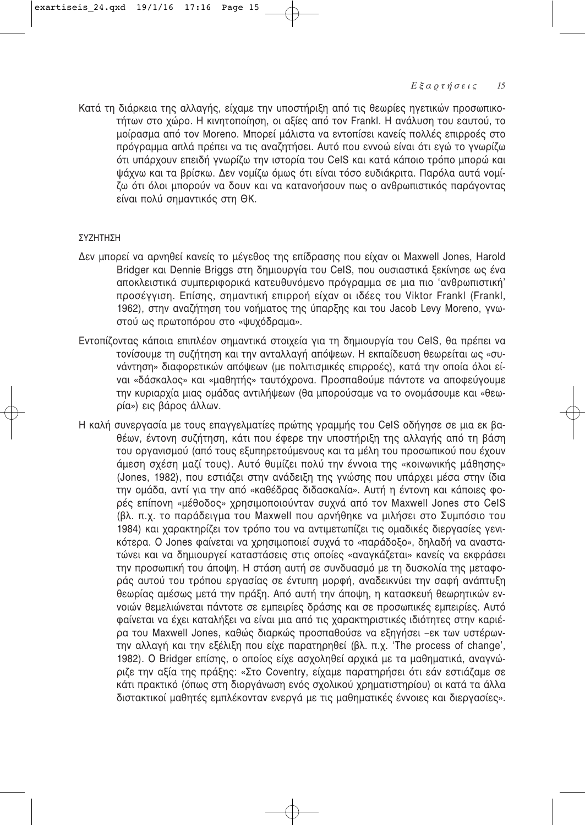Κατά τη διάρκεια της αλλαγής, είχαμε την υποστήριξη από τις θεωρίες ηγετικών προσωπικοτήτων στο χώρο. Η κινητοποίηση, οι αξίες από τον Frankl. Η ανάλυση του εαυτού, το μοίρασμα από τον Moreno. Μπορεί μάλιστα να εντοπίσει κανείς πολλές επιρροές στο πρόγραμμα απλά πρέπει να τις αναζητήσει. Αυτό που εννοώ είναι ότι ενώ το γνωρίζω ότι υπάρχουν επειδή γνωρίζω την ιστορία του CeIS και κατά κάποιο τρόπο μπορώ και ψάχνω και τα βρίσκω. Δεν νομίζω όμως ότι είναι τόσο ευδιάκριτα. Παρόλα αυτά νομίζω ότι όλοι μπορούν να δουν και να κατανοήσουν πως ο ανθρωπιστικός παράγοντας είναι πολύ σημαντικός στη ΘΚ.

#### ΣΥΖΗΤΗΣΗ

- Δεν μπορεί να αρνηθεί κανείς το μέγεθος της επίδρασης που είχαν οι Maxwell Jones, Harold Bridger και Dennie Briggs στη δημιουργία του CeIS, που ουσιαστικά ξεκίνησε ως ένα αποκλειστικά συμπεριφορικά κατευθυνόμενο πρόγραμμα σε μια πιο 'ανθρωπιστική' προσέγγιση. Επίσης, σημαντική επιρροή είχαν οι ιδέες του Viktor Frankl (Frankl, 1962), στην αναζήτηση του νοήματος της ύπαρξης και του Jacob Levy Moreno, γνωστού ως πρωτοπόρου στο «ψυχόδραμα».
- Εντοπίζοντας κάποια επιπλέον σημαντικά στοιχεία για τη δημιουργία του CeIS, θα πρέπει να τονίσουμε τη συζήτηση και την ανταλλαγή απόψεων. Η εκπαίδευση θεωρείται ως «συvάντηση» διαφορετικών απόψεων (με πολιτισμικές επιρροές), κατά την οποία όλοι εί-Vαι «δάσκαλος» και «μαθητής» ταυτόχρονα. Προσπαθούμε πάντοτε να αποφεύγουμε την κυριαρχία μιας ομάδας αντιλήψεων (θα μπορούσαμε να το ονομάσουμε και «θεωρία») εις βάρος άλλων.
- Η καλή συνεργασία με τους επαγγελματίες πρώτης γραμμής του CeIS οδήγησε σε μια εκ βαθέων, έντονη συζήτηση, κάτι που έφερε την υποστήριξη της αλλαγής από τη βάση του οργανισμού (από τους εξυπηρετούμενους και τα μέλη του προσωπικού που έχουν άμεση σχέση μαζί τους). Αυτό θυμίζει πολύ την έννοια της «κοινωνικής μάθησης» (Jones, 1982), που εστιάζει στην ανάδειξη της γνώσης που υπάρχει μέσα στην ίδια την ομάδα, αντί για την από «καθέδρας διδασκαλία». Αυτή η έντονη και κάποιες φορές επίπονη «μέθοδος» χρησιμοποιούνταν συχνά από τον Maxwell Jones στο CeIS (βλ. π.χ. το παράδειγμα του Maxwell που αρνήθηκε να μιλήσει στο Συμπόσιο του 1984) και χαρακτηρίζει τον τρόπο του να αντιμετωπίζει τις ομαδικές διεργασίες γενι-Κότερα. Ο Jones φαίνεται να χρησιμοποιεί συχνά το «παράδοξο», δηλαδή να αναστατώνει και να δημιουργεί καταστάσεις στις οποίες «αναγκάζεται» κανείς να εκφράσει την προσωπική του άποψη. Η στάση αυτή σε συνδυασμό με τη δυσκολία της μεταφοράς αυτού του τρόπου εργασίας σε έντυπη μορφή, αναδεικνύει την σαφή ανάπτυξη θεωρίας αμέσως μετά την πράξη. Από αυτή την άποψη, η κατασκευή θεωρητικών εννοιών θεμελιώνεται πάντοτε σε εμπειρίες δράσης και σε προσωπικές εμπειρίες. Αυτό φαίνεται να έχει καταλήξει να είναι μια από τις χαρακτηριστικές ιδιότητες στην καριέρα του Maxwell Jones, καθώς διαρκώς προσπαθούσε να εξηγήσει –εκ των υστέρωντην αλλαγή και την εξέλιξη που είχε παρατηρηθεί (βλ. π.χ. 'The process of change', 1982). Ο Bridger επίσης, ο οποίος είχε ασχοληθεί αρχικά με τα μαθηματικά, αναγνώριζε την αξία της πράξης: «Στο Coventry, είχαμε παρατηρήσει ότι εάν εστιάζαμε σε κάτι πρακτικό (όπως στη διοργάνωση ενός σχολικού χρηματιστηρίου) οι κατά τα άλλα διστακτικοί μαθητές εμπλέκονταν ενεργά με τις μαθηματικές έννοιες και διεργασίες».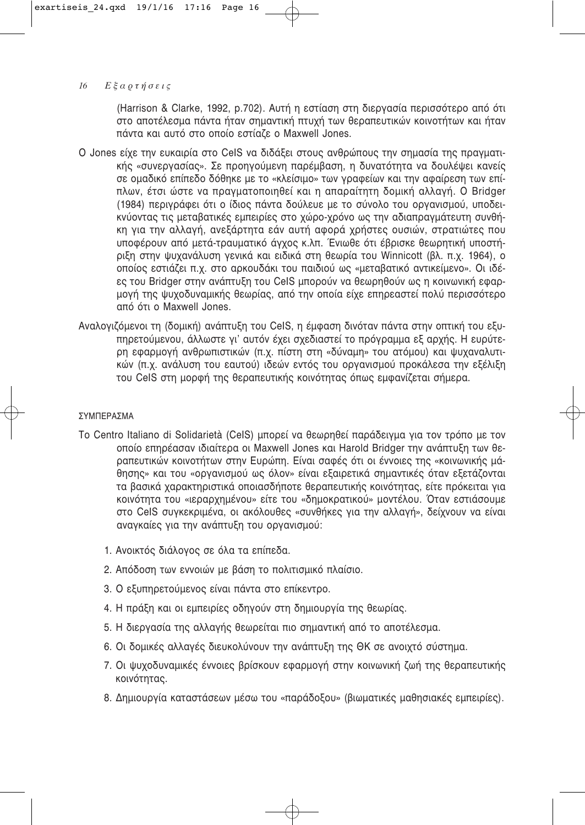(Harrison & Clarke, 1992, p.702). Αυτή η εστίαση στη διεργασία περισσότερο από ότι στο αποτέλεσμα πάντα ήταν σημαντική πτυχή των θεραπευτικών κοινοτήτων και ήταν πάντα και αυτό στο οποίο εστίαζε ο Maxwell Jones.

- Ο Jones είχε την ευκαιρία στο CeIS να διδάξει στους ανθρώπους την σημασία της πραγματικής «συνεργασίας». Σε προηγούμενη παρέμβαση, η δυνατότητα να δουλέψει κανείς σε ομαδικό επίπεδο δόθηκε με το «κλείσιμο» των γραφείων και την αφαίρεση των επίπλων, έτσι ώστε να πραγματοποιηθεί και η απαραίτητη δομική αλλαγή. Ο Bridger (1984) περιγράφει ότι ο ίδιος πάντα δούλευε με το σύνολο του οργανισμού, υποδει-ΚΥÚΟΥΤας τις μεταβατικές εμπειρίες στο χώρο-χρόνο ως την αδιαπρανμάτευτη συνθήκη για την αλλαγή, ανεξάρτητα εάν αυτή αφορά χρήστες ουσιών, στρατιώτες που υποφέρουν από μετά-τραυματικό άγχος κ.λπ. Ένιωθε ότι έβρισκε θεωρητική υποστήριξη στην ψυχανάλυση γενικά και ειδικά στη θεωρία του Winnicott (βλ. π.χ. 1964), ο οποίος εστιάζει π.χ. στο αρκουδάκι του παιδιού ως «μεταβατικό αντικείμενο». Οι ιδέες του Bridger στην ανάπτυξη του CeIS μπορούν να θεωρηθούν ως η κοινωνική εφαρμογή της ψυχοδυναμικής θεωρίας, από την οποία είχε επηρεαστεί πολύ περισσότερο από ότι ο Maxwell Jones.
- Αναλογιζόμενοι τη (δομική) ανάπτυξη του CeIS, η έμφαση δινόταν πάντα στην οπτική του εξυπηρετούμενου, άλλωστε γι' αυτόν έχει σχεδιαστεί το πρόγραμμα εξ αρχής. Η ευρύτερη εφαρμογή ανθρωπιστικών (π.χ. πίστη στη «δύναμη» του ατόμου) και ψυχαναλυτι-Κών (π.χ. ανάλυση του εαυτού) ιδεών εντός του οργανισμού προκάλεσα την εξέλιξη του CeIS στη μορφή της θεραπευτικής κοινότητας όπως εμφανίζεται σήμερα.

#### ΣΥΜΠΕΡΑΣΜΑ

- To Centro Italiano di Solidarietà (CeIS) μπορεί να θεωρηθεί παράδειγμα για τον τρόπο με τον οποίο επηρέασαν ιδιαίτερα οι Maxwell Jones και Harold Bridger την ανάπτυξη των θεραπευτικών κοινοτήτων στην Ευρώπη. Είναι σαφές ότι οι έννοιες της «κοινωνικής μάθησης» και του «οργανισμού ως όλον» είναι εξαιρετικά σημαντικές όταν εξετάζονται τα βασικά χαρακτηριστικά οποιασδήποτε θεραπευτικής κοινότητας, είτε πρόκειται για Κοινότητα του «ιεραρχημένου» είτε του «δημοκρατικού» μοντέλου. Όταν εστιάσουμε στο CelS συγκεκριμένα, οι ακόλουθες «συνθήκες για την αλλαγή», δείχνουν να είναι αναγκαίες για την ανάπτυξη του οργανισμού:
	- 1. Ανοικτός διάλογος σε όλα τα επίπεδα.
	- 2. Απόδοση των εννοιών με βάση το πολιτισμικό πλαίσιο.
	- 3. Ο εξυπηρετούμενος είναι πάντα στο επίκεντρο.
	- 4. Η πράξη και οι εμπειρίες οδηγούν στη δημιουργία της θεωρίας.
	- 5. Η διεργασία της αλλαγής θεωρείται πιο σημαντική από το αποτέλεσμα.
	- 6. Οι δομικές αλλαγές διευκολύνουν την ανάπτυξη της ΘΚ σε ανοιχτό σύστημα.
	- 7. Οι ψυχοδυναμικές έννοιες βρίσκουν εφαρμογή στην κοινωνική ζωή της θεραπευτικής κοινότητας.
	- 8. Δημιουργία καταστάσεων μέσω του «παράδοξου» (βιωματικές μαθησιακές εμπειρίες).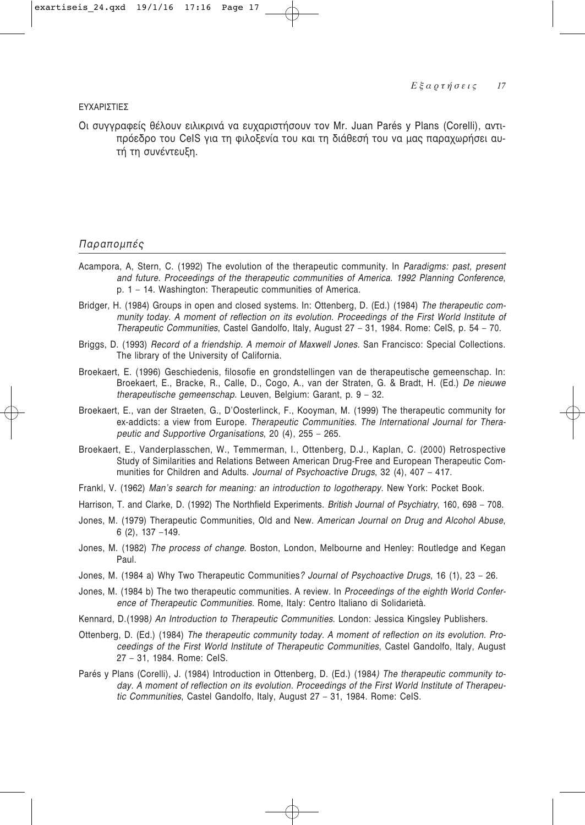#### ΕΥΧΑΡΙΣΤΙΕΣ

Οι συγγραφείς θέλουν ειλικρινά να ευχαριστήσουν τον Mr. Juan Parés y Plans (Corelli), αντιπρόεδρο του CelS για τη φιλοξενία του και τη διάθεσή του να μας παραχωρήσει αυτή τη συνέντευξη.

#### Παραπομπές

- Acampora, A. Stern, C. (1992) The evolution of the therapeutic community. In Paradigms: past, present and future. Proceedings of the therapeutic communities of America. 1992 Planning Conference, p. 1 - 14. Washington: Therapeutic communities of America.
- Bridger, H. (1984) Groups in open and closed systems. In: Ottenberg, D. (Ed.) (1984) The therapeutic community today. A moment of reflection on its evolution. Proceedings of the First World Institute of Therapeutic Communities, Castel Gandolfo, Italy, August 27 - 31, 1984. Rome: CelS, p. 54 - 70.
- Briggs, D. (1993) Record of a friendship. A memoir of Maxwell Jones. San Francisco: Special Collections. The library of the University of California.
- Broekaert, E. (1996) Geschiedenis, filosofie en grondstellingen van de therapeutische gemeenschap. In: Broekaert, E., Bracke, R., Calle, D., Cogo, A., van der Straten, G. & Bradt, H. (Ed.) De nieuwe therapeutische gemeenschap. Leuven, Belgium: Garant, p. 9 - 32.
- Broekaert, E., van der Straeten, G., D'Oosterlinck, F., Kooyman, M. (1999) The therapeutic community for ex-addicts: a view from Europe. Therapeutic Communities. The International Journal for Therapeutic and Supportive Organisations, 20 (4), 255 - 265.
- Broekaert, E., Vanderplasschen, W., Temmerman, I., Ottenberg, D.J., Kaplan, C. (2000) Retrospective Study of Similarities and Relations Between American Drug-Free and European Therapeutic Communities for Children and Adults. Journal of Psychoactive Drugs, 32 (4), 407 - 417.
- Frankl, V. (1962) Man's search for meaning: an introduction to logotherapy. New York: Pocket Book.
- Harrison, T. and Clarke, D. (1992) The Northfield Experiments. British Journal of Psychiatry, 160, 698 708.
- Jones, M. (1979) Therapeutic Communities, Old and New. American Journal on Drug and Alcohol Abuse,  $6(2), 137 - 149.$
- Jones, M. (1982) The process of change. Boston, London, Melbourne and Henley: Routledge and Kegan Paul.
- Jones, M. (1984 a) Why Two Therapeutic Communities? Journal of Psychoactive Drugs, 16 (1), 23 26.
- Jones, M. (1984 b) The two therapeutic communities. A review. In Proceedings of the eighth World Conference of Therapeutic Communities. Rome, Italy: Centro Italiano di Solidarietà.
- Kennard, D. (1998) An Introduction to Therapeutic Communities. London: Jessica Kingsley Publishers.
- Ottenberg, D. (Ed.) (1984) The therapeutic community today. A moment of reflection on its evolution. Proceedings of the First World Institute of Therapeutic Communities, Castel Gandolfo, Italy, August 27 - 31, 1984. Rome: CelS.
- Parés y Plans (Corelli), J. (1984) Introduction in Ottenberg, D. (Ed.) (1984) The therapeutic community today. A moment of reflection on its evolution. Proceedings of the First World Institute of Therapeutic Communities, Castel Gandolfo, Italy, August 27 - 31, 1984. Rome: CelS.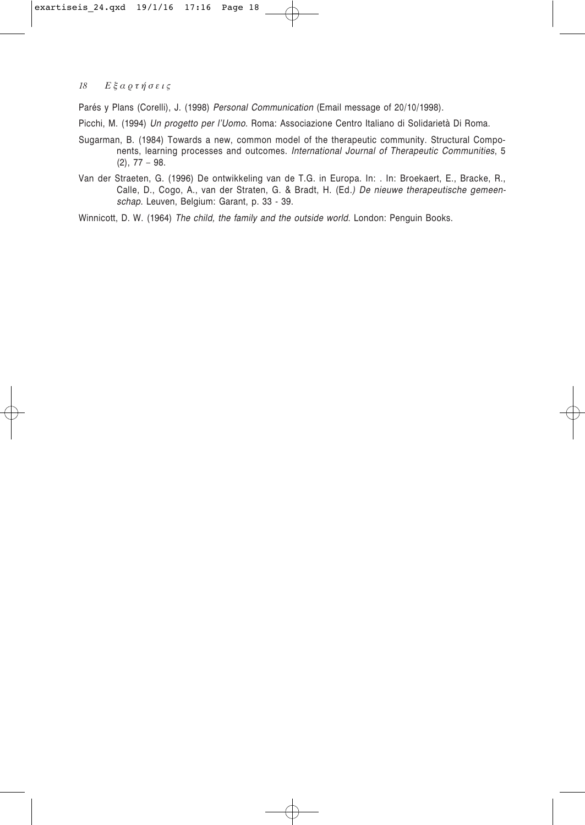Parés y Plans (Corelli), J. (1998) *Personal Communication* (Email message of 20/10/1998).

Picchi, M. (1994) *Un progetto per l'Uomo*. Roma: Associazione Centro Italiano di Solidarietà Di Roma.

- Sugarman, B. (1984) Towards a new, common model of the therapeutic community. Structural Components, learning processes and outcomes. *International Journal of Therapeutic Communities*, 5 (2), 77 – 98.
- Van der Straeten, G. (1996) De ontwikkeling van de T.G. in Europa. In: . In: Broekaert, E., Bracke, R., Calle, D., Cogo, A., van der Straten, G. & Bradt, H. (Ed*.) De nieuwe therapeutische gemeenschap*. Leuven, Belgium: Garant, p. 33 - 39.

Winnicott, D. W. (1964) *The child, the family and the outside world*. London: Penguin Books.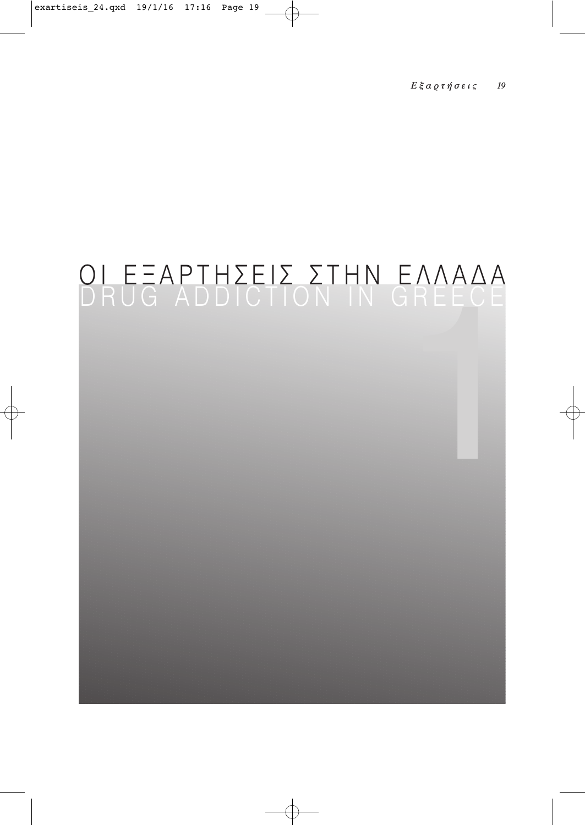$E \xi a \varrho \tau \eta \sigma \varepsilon \iota$ ς 19

# <u>ΟΙ ΕΞΑΡΤΗΣΕΙΣ ΣΤΗΝ ΕΛΛΑΔΑ</u><br>DRUG ADDICTION IN GREECE</u>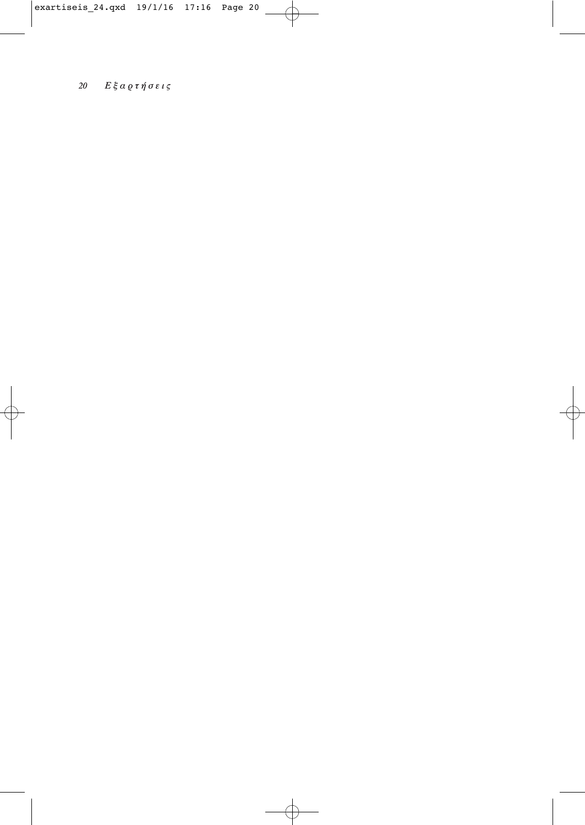F

*20 Εξαρτήσεις*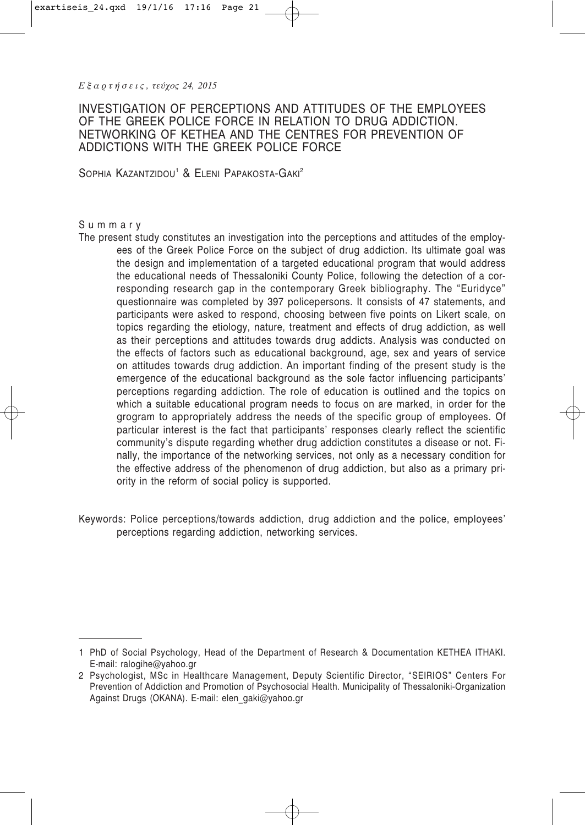*Ε ξ α ρ τ ή σ ε ι ς , τεύχος 24, 2015*

# INVESTIGATION OF PERCEPTIONS AND ATTITUDES OF THE EMPLOYEES OF THE GREEK POLICE FORCE IN RELATION TO DRUG ADDICTION. NETWORKING OF KETHEA AND THE CENTRES FOR PREVENTION OF ADDICTIONS WITH THE GREEK POLICE FORCE

SOPHIA KAZANTZIDOU<sup>1</sup> & ELENI PAPAKOSTA-GAKI<sup>2</sup>

Summary

- The present study constitutes an investigation into the perceptions and attitudes of the employees of the Greek Police Force on the subject of drug addiction. Its ultimate goal was the design and implementation of a targeted educational program that would address the educational needs of Thessaloniki County Police, following the detection of a corresponding research gap in the contemporary Greek bibliography. The "Euridyce" questionnaire was completed by 397 policepersons. It consists of 47 statements, and participants were asked to respond, choosing between five points on Likert scale, on topics regarding the etiology, nature, treatment and effects of drug addiction, as well as their perceptions and attitudes towards drug addicts. Analysis was conducted on the effects of factors such as educational background, age, sex and years of service on attitudes towards drug addiction. An important finding of the present study is the emergence of the educational background as the sole factor influencing participants' perceptions regarding addiction. The role of education is outlined and the topics on which a suitable educational program needs to focus on are marked, in order for the grogram to appropriately address the needs of the specific group of employees. Of particular interest is the fact that participants' responses clearly reflect the scientific community's dispute regarding whether drug addiction constitutes a disease or not. Finally, the importance of the networking services, not only as a necessary condition for the effective address of the phenomenon of drug addiction, but also as a primary priority in the reform of social policy is supported.
- Keywords: Police perceptions/towards addiction, drug addiction and the police, employees' perceptions regarding addiction, networking services.

<sup>1</sup> PhD of Social Psychology, Head of the Department of Research & Documentation KETHEA ITHAKI. E-mail: ralogihe@yahoo.gr

<sup>2</sup> Psychologist, MSc in Healthcare Management, Deputy Scientific Director, "SEIRIOS" Centers For Prevention of Addiction and Promotion of Psychosocial Health. Municipality of Thessaloniki-Organization Against Drugs (OKANA). E-mail: elen\_gaki@yahoo.gr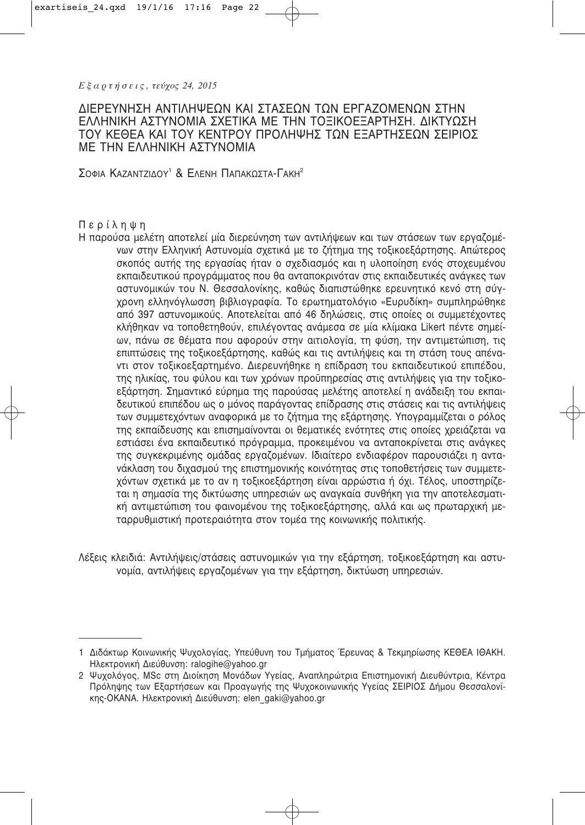Εξαρτήσεις, τεύγος 24, 2015

# ΔΙΕΡΕΥΝΗΣΗ ΑΝΤΙΛΗΨΕΩΝ ΚΑΙ ΣΤΑΣΕΩΝ ΤΩΝ ΕΡΓΑΖΟΜΕΝΩΝ ΣΤΗΝ ΕΛΛΗΝΙΚΗ ΑΣΤΥΝΟΜΙΑ ΣΧΕΤΙΚΑ ΜΕ ΤΗΝ ΤΟΞΙΚΟΕΞΑΡΤΗΣΗ, ΔΙΚΤΥΩΣΗ ΤΟΥ ΚΕΘΕΑ ΚΑΙ ΤΟΥ ΚΕΝΤΡΟΥ ΠΡΟΛΗΨΗΣ ΤΩΝ ΕΞΑΡΤΗΣΕΩΝ ΣΕΙΡΙΟΣ ΜΕ ΤΗΝ ΕΛΛΗΝΙΚΗ ΑΣΤΥΝΟΜΙΑ

ΣΟΦΙΑ ΚΑΖΑΝΤΖΙΔΟΥ<sup>1</sup> & ΕΛΕΝΗ ΠΑΠΑΚΩΣΤΑ-ΓΑΚΗ<sup>2</sup>

Περίληψη

Η παρούσα μελέτη αποτελεί μία διερεύνηση των αντιλήψεων και των στάσεων των εργαζομένων στην Ελληνική Αστυνομία σχετικά με το ζήτημα της τοξικοεξάρτησης. Απώτερος σκοπός αυτής της εργασίας ήταν ο σχεδιασμός και η υλοποίηση ενός στοχευμένου εκπαιδευτικού προγράμματος που θα ανταποκρινόταν στις εκπαιδευτικές ανάγκες των αστυνομικών του Ν. Θεσσαλονίκης, καθώς διαπιστώθηκε ερευνητικό κενό στη σύγχρονη ελληνόγλωσση βιβλιογραφία. Το ερωτηματολόγιο «Ευρυδίκη» συμπληρώθηκε από 397 αστυνομικούς. Αποτελείται από 46 δηλώσεις, στις οποίες οι συμμετέχοντες κλήθηκαν να τοποθετηθούν, επιλέγοντας ανάμεσα σε μία κλίμακα Likert πέντε σημείων, πάνω σε θέματα που αφορούν στην αιτιολογία, τη φύση, την αντιμετώπιση, τις επιπτώσεις της τοξικοεξάρτησης, καθώς και τις αντιλήψεις και τη στάση τους απέναντι στον τοξικοεξαρτημένο. Διερευνήθηκε η επίδραση του εκπαιδευτικού επιπέδου, της ηλικίας, του φύλου και των χρόνων προϋπηρεσίας στις αντιλήψεις για την τοξικοεξάρτηση. Σημαντικό εύρημα της παρούσας μελέτης αποτελεί η ανάδειξη του εκπαιδευτικού επιπέδου ως ο μόνος παράγοντας επίδρασης στις στάσεις και τις αντιλήψεις των συμμετεχόντων αναφορικά με το ζήτημα της εξάρτησης. Υπογραμμίζεται ο ρόλος της εκπαίδευσης και επισημαίνονται οι θεματικές ενότητες στις οποίες χρειάζεται να εστιάσει ένα εκπαιδευτικό πρόγραμμα, προκειμένου να ανταποκρίνεται στις ανάγκες της συγκεκριμένης ομάδας εργαζομένων. Ιδιαίτερο ενδιαφέρον παρουσιάζει η αντανάκλαση του διχασμού της επιστημονικής κοινότητας στις τοποθετήσεις των συμμετεχόντων σχετικά με το αν η τοξικοεξάρτηση είναι αρρώστια ή όχι. Τέλος, υποστηρίζεται η σημασία της δικτύωσης υπηρεσιών ως αναγκαία συνθήκη για την αποτελεσματική αντιμετώπιση του φαινομένου της τοξικοεξάρτησης, αλλά και ως πρωταρχική μεταρρυθμιστική προτεραιότητα στον τομέα της κοινωνικής πολιτικής.

Λέξεις κλειδιά: Αντιλήψεις/στάσεις αστυνομικών για την εξάρτηση, τοξικοεξάρτηση και αστυνομία, αντιλήψεις εργαζομένων για την εξάρτηση, δικτύωση υπηρεσιών.

<sup>1</sup> Διδάκτωρ Κοινωνικής Ψυχολογίας, Υπεύθυνη του Τμήματος Έρευνας & Τεκμηρίωσης ΚΕΘΕΑ ΙΘΑΚΗ. Ηλεκτρονική Διεύθυνση: ralogihe@yahoo.gr

<sup>2</sup> Ψυχολόγος, MSc στη Διοίκηση Μονάδων Υγείας, Αναπληρώτρια Επιστημονική Διευθύντρια, Κέντρα Πρόληψης των Εξαρτήσεων και Προαγωγής της Ψυχοκοινωνικής Υγείας ΣΕΙΡΙΟΣ Δήμου Θεσσαλονίκης-ΟΚΑΝΑ. Ηλεκτρονική Διεύθυνση: elen gaki@yahoo.gr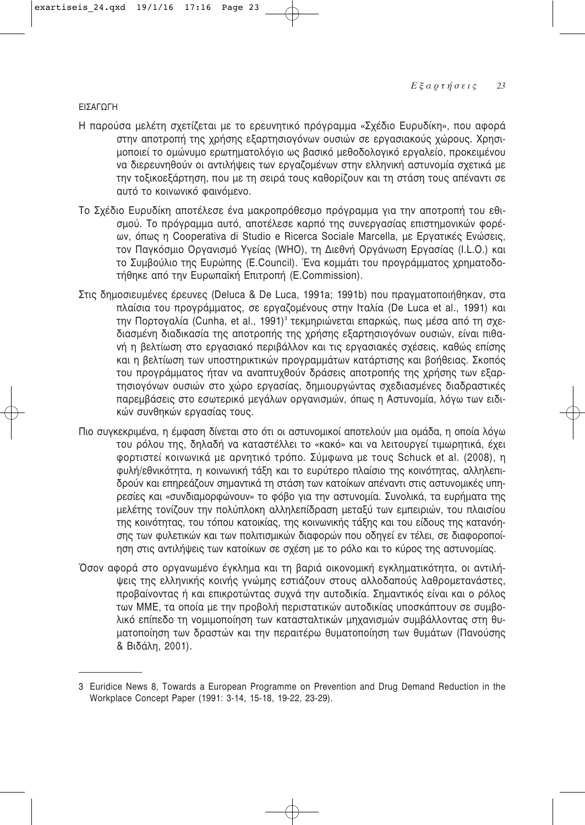ΕΙΣΑΓΩΓΗ

- Η παρούσα μελέτη σχετίζεται με το ερευνητικό πρόνραμμα «Σχέδιο Ευρυδίκη», που αφορά στην αποτροπή της χρήσης εξαρτησιογόνων ουσιών σε εργασιακούς χώρους. Χρησιμοποιεί το ομώνυμο ερωτηματολόγιο ως βασικό μεθοδολογικό εργαλείο, προκειμένου να διερευνηθούν οι αντιλήψεις των εργαζομένων στην ελληνική αστυνομία σχετικά με την τοξικοεξάρτηση, που με τη σειρά τους καθορίζουν και τη στάση τους απέναντι σε αυτό το κοινωνικό φαινόμενο.
- Το Σχέδιο Ευρυδίκη αποτέλεσε ένα μακροπρόθεσμο πρόγραμμα νια την αποτροπή του εθισμού. Το πρόγραμμα αυτό, αποτέλεσε καρπό της συνεργασίας επιστημονικών φορέων, όπως η Cooperativa di Studio e Ricerca Sociale Marcella, με Ερνατικές Ενώσεις, τον Παγκόσμιο Οργανισμό Υγείας (WHO), τη Διεθνή Οργάνωση Εργασίας (I.L.O.) και το Συμβούλιο της Ευρώπης (E.Council). Ένα κομμάτι του προγράμματος χρηματοδοτήθηκε από την Ευρωπαϊκή Επιτροπή (E.Commission).
- Στις δημοσιευμένες έρευνες (Deluca & De Luca, 1991a; 1991b) που πραγματοποιήθηκαν, στα πλαίσια του προγράμματος, σε εργαζομένους στην Ιταλία (De Luca et al., 1991) και την Πορτογαλία (Cunha, et al., 1991)<sup>3</sup> τεκμηριώνεται επαρκώς, πως μέσα από τη σχεδιασμένη διαδικασία της αποτροπής της χρήσης εξαρτησιογόνων ουσιών, είναι πιθανή η βελτίωση στο εργασιακό περιβάλλον και τις εργασιακές σχέσεις, καθώς επίσης Και η βελτίωση των υποστηρικτικών προγραμμάτων κατάρτισης και βοήθειας. Σκοπός του προγράμματος ήταν να αναπτυχθούν δράσεις αποτροπής της χρήσης των εξαρτησιογόνων ουσιών στο χώρο εργασίας, δημιουργώντας σχεδιασμένες διαδραστικές παρεμβάσεις στο εσωτερικό μεγάλων οργανισμών, όπως η Αστυνομία, λόγω των ειδικών συνθηκών εργασίας τους.
- Πιο συνκεκριμένα, η έμφαση δίνεται στο ότι οι αστυνομικοί αποτελούν μια ομάδα, η οποία λόνω του ρόλου της, δηλαδή να καταστέλλει το «κακό» και να λειτουργεί τιμωρητικά, έχει φορτιστεί κοινωνικά με αρνητικό τρόπο. Σύμφωνα με τους Schuck et al. (2008), η φυλή/εθνικότητα, η κοινωνική τάξη και το ευρύτερο πλαίσιο της κοινότητας, αλληλεπιδρούν και επηρεάζουν σημαντικά τη στάση των κατοίκων απέναντι στις αστυνομικές υπηρεσίες και «συνδιαμορφώνουν» το φόβο για την αστυνομία. Συνολικά, τα ευρήματα της μελέτης τονίζουν την πολύπλοκη αλληλεπίδραση μεταξύ των εμπειριών, του πλαισίου της κοινότητας, του τόπου κατοικίας, της κοινωνικής τάξης και του είδους της κατανόησης των φυλετικών και των πολιτισμικών διαφορών που οδηγεί εν τέλει, σε διαφοροποίηση στις αντιλήψεις των κατοίκων σε σχέση με το ρόλο και το κύρος της αστυνομίας.
- Όσον αφορά στο οργανωμένο έγκλημα και τη βαριά οικονομική εγκληματικότητα, οι αντιλήψεις της ελληνικής κοινής γνώμης εστιάζουν στους αλλοδαπούς λαθρομετανάστες, προβαίνοντας ή και επικροτώντας συχνά την αυτοδικία. Σημαντικός είναι και ο ρόλος των ΜΜΕ, τα οποία με την προβολή περιστατικών αυτοδικίας υποσκάπτουν σε συμβολικό επίπεδο τη νομιμοποίηση των κατασταλτικών μηχανισμών συμβάλλοντας στη θυματοποίηση των δραστών και την περαιτέρω θυματοποίηση των θυμάτων (Πανούσης & Βιδάλη, 2001).

<sup>3</sup> Euridice News 8, Towards a European Programme on Prevention and Drug Demand Reduction in the Workplace Concept Paper (1991: 3-14, 15-18, 19-22, 23-29).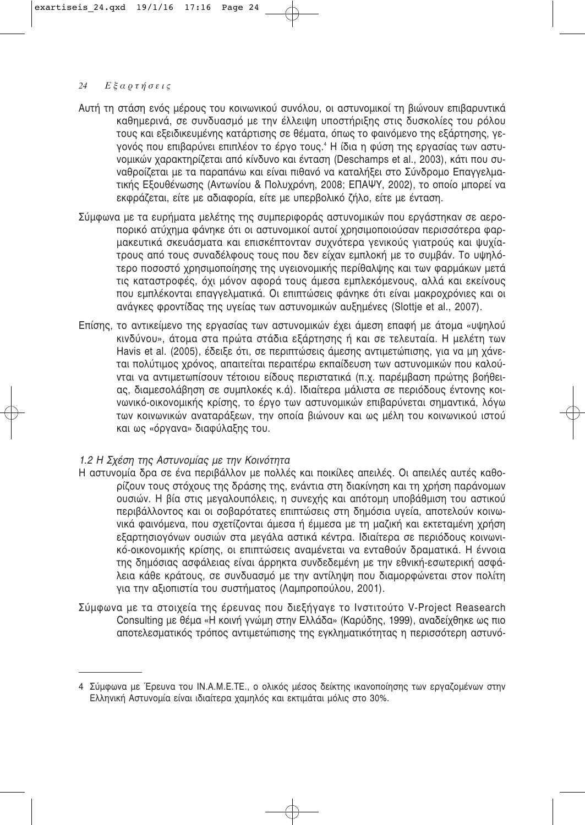- Aυτή τη στάση ενός μέρους του κοινωνικού συνόλου, οι αστυνομικοί τη βιώνουν επιβαρυντικά καθημερινά, σε συνδυασμό με την έλλειψη υποστήριξης στις δυσκολίες του ρόλου τους και εξειδικευμένης κατάρτισης σε θέματα, όπως το φαινόμενο της εξάρτησης, γεγονός που επιβαρύνει επιπλέον το έργο τους.<sup>4</sup> Η ίδια η φύση της εργασίας των αστυvομικών χαρακτηρίζεται από κίνδυνο και ένταση (Deschamps et al., 2003), κάτι που συναθροίζεται με τα παραπάνω και είναι πιθανό να καταλήξει στο Σύνδρομο Επαγγελματικής Εξουθένωσης (Αντωνίου & Πολυχρόνη, 2008; ΕΠΑΨΥ, 2002), το οποίο μπορεί να εκφράζεται, είτε με αδιαφορία, είτε με υπερβολικό ζήλο, είτε με ένταση.
- Σύμφωνα με τα ευρήματα μελέτης της συμπεριφοράς αστυνομικών που εργάστηκαν σε αεροπορικό ατύχημα φάνηκε ότι οι αστυνομικοί αυτοί χρησιμοποιούσαν περισσότερα φαρμακευτικά σκευάσματα και επισκέπτονταν συχνότερα γενικούς γιατρούς και ψυχίατρους από τους συναδέλφους τους που δεν είχαν εμπλοκή με το συμβάν. Το υψηλότερο ποσοστό χρησιμοποίησης της υνειονομικής περίθαλψης και των φαρμάκων μετά τις καταστροφές, όχι μόνον αφορά τους άμεσα εμπλεκόμενους, αλλά και εκείνους που εμπλέκονται επαγγελματικά. Οι επιπτώσεις φάνηκε ότι είναι μακροχρόνιες και οι ανάγκες φροντίδας της υγείας των αστυνομικών αυξημένες (Slottje et al., 2007).
- Επίσης, το αντικείμενο της εργασίας των αστυνομικών έχει άμεση επαφή με άτομα «υψηλού κινδύνου», άτομα στα πρώτα στάδια εξάρτησης ή και σε τελευταία. Η μελέτη των Havis et al. (2005), έδειξε ότι, σε περιπτώσεις άμεσης αντιμετώπισης, για να μη χάνεται πολύτιμος χρόνος, απαιτείται περαιτέρω εκπαίδευση των αστυνομικών που καλούνται να αντιμετωπίσουν τέτοιου είδους περιστατικά (π.χ. παρέμβαση πρώτης βοήθειας, διαμεσολάβηση σε συμπλοκές κ.ά). Ιδιαίτερα μάλιστα σε περιόδους έντονης κοινωνικό-οικονομικής κρίσης, το έργο των αστυνομικών επιβαρύνεται σημαντικά, λόγω των κοινωνικών αναταράξεων, την οποία βιώνουν και ως μέλη του κοινωνικού ιστού και ως «όργανα» διαφύλαξης του.

# 1.2 H Σχέση της Αστυνομίας με την Κοινότητα

- Η αστυνομία δρα σε ένα περιβάλλον με πολλές και ποικίλες απειλές. Οι απειλές αυτές καθορίζουν τους στόχους της δράσης της, ενάντια στη διακίνηση και τη χρήση παράνομων ουσιών. Η βία στις μεγαλουπόλεις, η συνεχής και απότομη υποβάθμιση του αστικού περιβάλλοντος και οι σοβαρότατες επιπτώσεις στη δημόσια υγεία, αποτελούν κοινωνικά φαινόμενα, που σχετίζονται άμεσα ή έμμεσα με τη μαζική και εκτεταμένη χρήση εξαρτησιογόνων ουσιών στα μεγάλα αστικά κέντρα. Ιδιαίτερα σε περιόδους κοινωνικό-οικονομικής κρίσης, οι επιπτώσεις αναμένεται να ενταθούν δραματικά. Η έννοια της δημόσιας ασφάλειας είναι άρρηκτα συνδεδεμένη με την εθνική-εσωτερική ασφάλεια κάθε κράτους, σε συνδυασμό με την αντίληψη που διαμορφώνεται στον πολίτη για την αξιοπιστία του συστήματος (Λαμπροπούλου, 2001).
- Σύμφωνα με τα στοιχεία της έρευνας που διεξήγαγε το Ινστιτούτο V-Project Reasearch Consulting με θέμα «Η κοινή γνώμη στην Ελλάδα» (Καρύδης, 1999), αναδείχθηκε ως πιο aποτελεσματικός τρόπος αντιμετώπισης της εγκληματικότητας η περισσότερη αστυνό-

<sup>4</sup> Σύμφωνα με Έρευνα του IN.A.M.E.TE., ο ολικός μέσος δείκτης ικανοποίησης των εργαζομένων στην Ελληνική Αστυνομία είναι ιδιαίτερα χαμηλός και εκτιμάται μόλις στο 30%.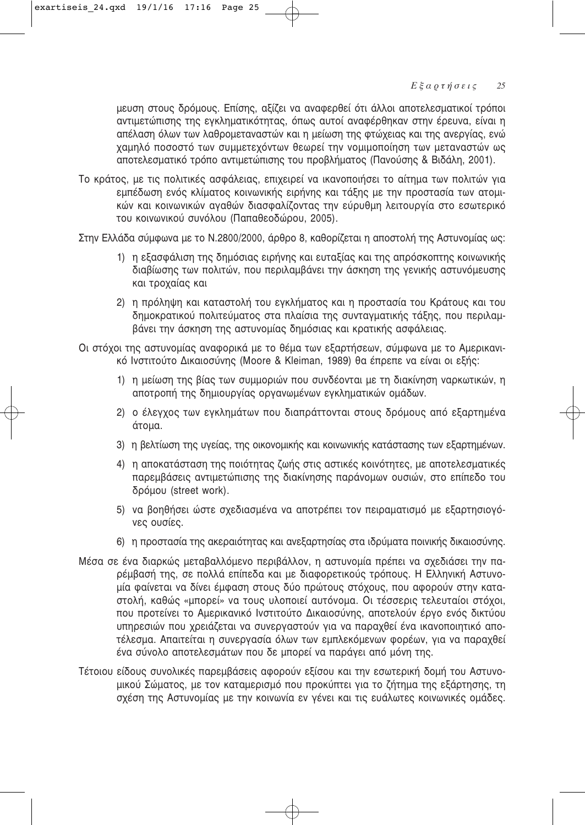exartiseis\_24.qxd 19/1/16 17:16 Page 25

μευση στους δρόμους. Επίσης, αξίζει να αναφερθεί ότι άλλοι αποτελεσματικοί τρόποι αντιμετώπισης της ενκληματικότητας, όπως αυτοί αναφέρθηκαν στην έρευνα, είναι η απέλαση όλων των λαθρομεταναστών και η μείωση της φτώχειας και της ανεργίας, ενώ γαμηλό ποσοστό των συμμετεχόντων θεωρεί την νομιμοποίηση των μεταναστών ως αποτελεσματικό τρόπο αντιμετώπισης του προβλήματος (Πανούσης & Βιδάλη, 2001).

Το κράτος, με τις πολιτικές ασφάλειας, επιχειρεί να ικανοποιήσει το αίτημα των πολιτών για εμπέδωση ενός κλίματος κοινωνικής ειρήνης και τάξης με την προστασία των ατομι-Κών και κοινωνικών αναθών διασφαλίζοντας την εύρυθμη λειτουρνία στο εσωτερικό του κοινωνικού συνόλου (Παπαθεοδώρου, 2005).

Στην Ελλάδα σύμφωνα με το Ν.2800/2000, άρθρο 8, καθορίζεται η αποστολή της Αστυνομίας ως:

- 1) η εξασφάλιση της δημόσιας ειρήνης και ευταξίας και της απρόσκοπτης κοινωνικής διαβίωσης των πολιτών, που περιλαμβάνει την άσκηση της γενικής αστυνόμευσης και τροχαίας και
- 2) η πρόληψη και καταστολή του εγκλήματος και η προστασία του Κράτους και του δημοκρατικού πολιτεύματος στα πλαίσια της συνταγματικής τάξης, που περιλαμβάνει την άσκηση της αστυνομίας δημόσιας και κρατικής ασφάλειας.
- Οι στόχοι της αστυνομίας αναφορικά με το θέμα των εξαρτήσεων, σύμφωνα με το Αμερικανικό Ινστιτούτο Δικαιοσύνης (Moore & Kleiman, 1989) θα έπρεπε να είναι οι εξής:
	- 1) η μείωση της βίας των συμμοριών που συνδέονται με τη διακίνηση ναρκωτικών, η αποτροπή της δημιουργίας οργανωμένων εγκληματικών ομάδων.
	- 2) ο έλεγχος των εγκλημάτων που διαπράττονται στους δρόμους από εξαρτημένα άτομα.
	- 3) η βελτίωση της υγείας, της οικονομικής και κοινωνικής κατάστασης των εξαρτημένων.
	- 4) η αποκατάσταση της ποιότητας ζωής στις αστικές κοινότητες, με αποτελεσματικές παρεμβάσεις αντιμετώπισης της διακίνησης παράνομων ουσιών, στο επίπεδο του δρόμου (street work).
	- 5) να βοηθήσει ώστε σχεδιασμένα να αποτρέπει τον πειραματισμό με εξαρτησιογόνες ουσίες.
	- 6) η προστασία της ακεραιότητας και ανεξαρτησίας στα ιδρύματα ποινικής δικαιοσύνης.
- Μέσα σε ένα διαρκώς μεταβαλλόμενο περιβάλλον, η αστυνομία πρέπει να σχεδιάσει την παρέμβασή της, σε πολλά επίπεδα και με διαφορετικούς τρόπους. Η Ελληνική Αστυνομία φαίνεται να δίνει έμφαση στους δύο πρώτους στόχους, που αφορούν στην καταστολή, καθώς «μπορεί» να τους υλοποιεί αυτόνομα. Οι τέσσερις τελευταίοι στόχοι, που προτείνει το Αμερικανικό Ινστιτούτο Δικαιοσύνης, αποτελούν έργο ενός δικτύου υπηρεσιών που χρειάζεται να συνεργαστούν για να παραχθεί ένα ικανοποιητικό αποτέλεσμα. Απαιτείται η συνεργασία όλων των εμπλεκόμενων φορέων, για να παραχθεί ένα σύνολο αποτελεσμάτων που δε μπορεί να παράγει από μόνη της.
- Τέτοιου είδους συνολικές παρεμβάσεις αφορούν εξίσου και την εσωτερική δομή του Αστυνομικού Σώματος, με τον καταμερισμό που προκύπτει για το ζήτημα της εξάρτησης, τη σχέση της Αστυνομίας με την κοινωνία εν γένει και τις ευάλωτες κοινωνικές ομάδες.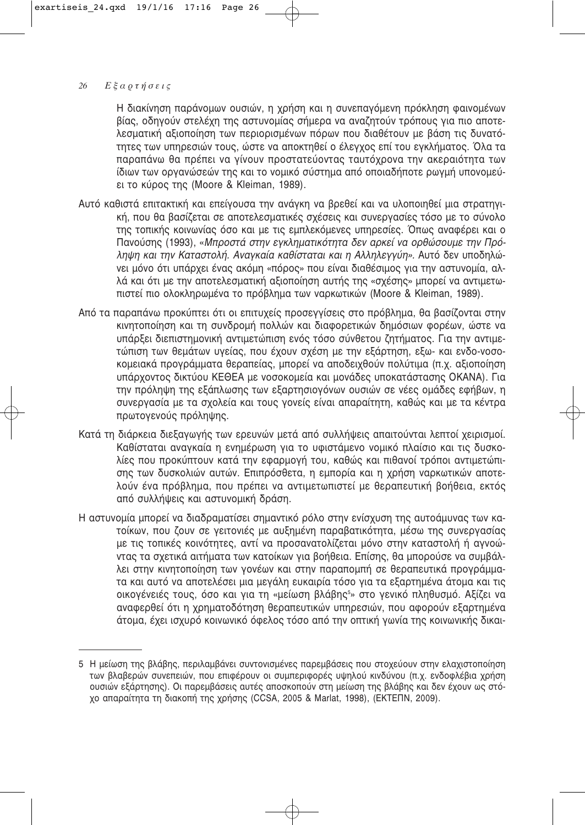Η διακίνηση παράνομων ουσιών, η χρήση και η συνεπαγόμενη πρόκληση φαινομένων βίας, οδηγούν στελέχη της αστυνομίας σήμερα να αναζητούν τρόπους για πιο αποτελεσματική αξιοποίηση των περιορισμένων πόρων που διαθέτουν με βάση τις δυνατότητες των υπηρεσιών τους, ώστε να αποκτηθεί ο έλεγχος επί του εγκλήματος. Όλα τα παραπάνω θα πρέπει να γίνουν προστατεύοντας ταυτόχρονα την ακεραιότητα των ίδιων των οργανώσεών της και το νομικό σύστημα από οποιαδήποτε ρωγμή υπονομεύει το κύρος της (Moore & Kleiman, 1989).

- Aυτό καθιστά επιτακτική και επείγουσα την ανάγκη να βρεθεί και να υλοποιηθεί μια στρατηγική, που θα βασίζεται σε αποτελεσματικές σχέσεις και συνεργασίες τόσο με το σύνολο της τοπικής κοινωνίας όσο και με τις εμπλεκόμενες υπηρεσίες. Όπως αναφέρει και ο Πανούσης (1993), «Μπροστά στην εγκληματικότητα δεν αρκεί να ορθώσουμε την Πρόληψη και την Καταστολή. Αναγκαία καθίσταται και η Αλληλεγγύη». Αυτό δεν υποδηλώ-Vει μόνο ότι υπάρχει ένας ακόμη «πόρος» που είναι διαθέσιμος για την αστυνομία, αλλά και ότι με την αποτελεσματική αξιοποίηση αυτής της «σχέσης» μπορεί να αντιμετωπιστεί πιο ολοκληρωμένα το πρόβλημα των ναρκωτικών (Moore & Kleiman, 1989).
- Aπό τα παραπάνω προκύπτει ότι οι επιτυχείς προσεγγίσεις στο πρόβλημα, θα βασίζονται στην κινητοποίηση και τη συνδρομή πολλών και διαφορετικών δημόσιων φορέων, ώστε να υπάρξει διεπιστημονική αντιμετώπιση ενός τόσο σύνθετου ζητήματος. Για την αντιμετώπιση των θεμάτων υγείας, που έχουν σχέση με την εξάρτηση, εξω- και ενδο-νοσοκομειακά προγράμματα θεραπείας, μπορεί να αποδειχθούν πολύτιμα (π.χ. αξιοποίηση υπάρχοντος δικτύου ΚΕΘΕΑ με νοσοκομεία και μονάδες υποκατάστασης ΟΚΑΝΑ). Για την πρόληψη της εξάπλωσης των εξαρτησιογόνων ουσιών σε νέες ομάδες εφήβων, η συνεργασία με τα σχολεία και τους γονείς είναι απαραίτητη, καθώς και με τα κέντρα πρωτογενούς πρόληψης.
- Κατά τη διάρκεια διεξαγωγής των ερευνών μετά από συλλήψεις απαιτούνται λεπτοί χειρισμοί. Καθίσταται αναγκαία η ενημέρωση για το υφιστάμενο νομικό πλαίσιο και τις δυσκολίες που προκύπτουν κατά την εφαρμογή του, καθώς και πιθανοί τρόποι αντιμετώπισης των δυσκολιών αυτών. Επιπρόσθετα, η εμπορία και η χρήση ναρκωτικών αποτελούν ένα πρόβλημα, που πρέπει να αντιμετωπιστεί με θεραπευτική βοήθεια, εκτός από συλλήψεις και αστυνομική δράση.
- Η αστυνομία μπορεί να διαδραματίσει σημαντικό ρόλο στην ενίσχυση της αυτοάμυνας των κατοίκων, που ζουν σε γειτονιές με αυξημένη παραβατικότητα, μέσω της συνεργασίας με τις τοπικές κοινότητες, αντί να προσανατολίζεται μόνο στην καταστολή ή αγνοώντας τα σχετικά αιτήματα των κατοίκων για βοήθεια. Επίσης, θα μπορούσε να συμβάλλει στην κινητοποίηση των γονέων και στην παραπομπή σε θεραπευτικά προγράμματα και αυτό να αποτελέσει μια μεγάλη ευκαιρία τόσο για τα εξαρτημένα άτομα και τις οικογένειές τους, όσο και για τη «μείωση βλάβης<sup>s</sup>» στο γενικό πληθυσμό. Αξίζει να αναφερθεί ότι η χρηματοδότηση θεραπευτικών υπηρεσιών, που αφορούν εξαρτημένα άτομα, έχει ισχυρό κοινωνικό όφελος τόσο από την οπτική γωνία της κοινωνικής δικαι-

<sup>5</sup> Η μείωση της βλάβης, περιλαμβάνει συντονισμένες παρεμβάσεις που στοχεύουν στην ελαχιστοποίηση των βλαβερών συνεπειών, που επιφέρουν οι συμπεριφορές υψηλού κινδύνου (π.χ. ενδοφλέβια χρήση ουσιών εξάρτησης). Οι παρεμβάσεις αυτές αποσκοπούν στη μείωση της βλάβης και δεν έχουν ως στόχο απαραίτητα τη διακοπή της χρήσης (CCSA, 2005 & Marlat, 1998), (ΕΚΤΕΠΝ, 2009).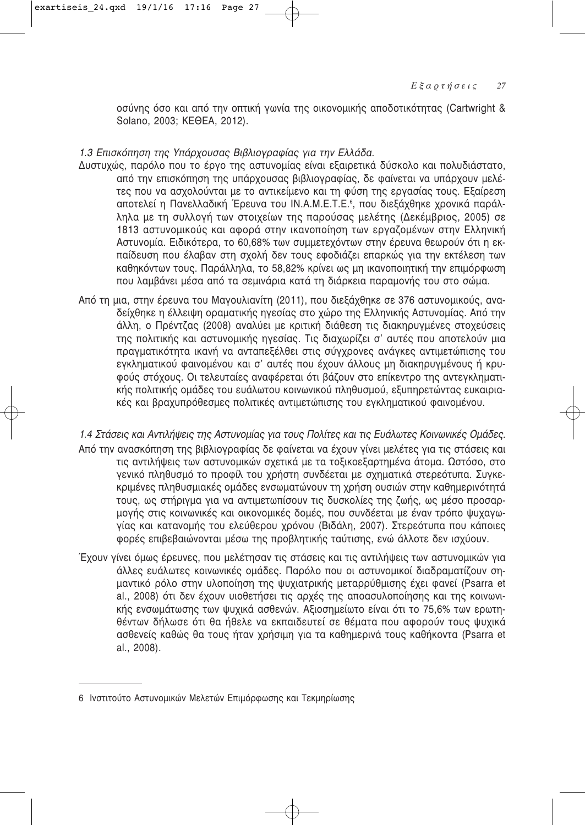οσύνης όσο και από την οπτική γωνία της οικονομικής αποδοτικότητας (Cartwright & Solano, 2003; KEΘEA, 2012).

## 1.3 Επισκόπηση της Υπάρχουσας Βιβλιονραφίας για την Ελλάδα.

- Δυστυχώς, παρόλο που το έργο της αστυνομίας είναι εξαιρετικά δύσκολο και πολυδιάστατο, από την επισκόπηση της υπάρχουσας βιβλιογραφίας, δε φαίνεται να υπάρχουν μελέτες που να ασχολούνται με το αντικείμενο και τη φύση της ερνασίας τους. Εξαίρεση αποτελεί η Πανελλαδική Έρευνα του ΙΝ.Α.Μ.Ε.Τ.Ε.°, που διεξάχθηκε χρονικά παράλληλα με τη συλλογή των στοιχείων της παρούσας μελέτης (Δεκέμβριος, 2005) σε 1813 αστυνομικούς και αφορά στην ικανοποίηση των εργαζομένων στην Ελληνική Αστυνομία. Ειδικότερα, το 60,68% των συμμετεχόντων στην έρευνα θεωρούν ότι η εκπαίδευση που έλαβαν στη σχολή δεν τους εφοδιάζει επαρκώς για την εκτέλεση των καθηκόντων τους. Παράλληλα, το 58,82% κρίνει ως μη ικανοποιητική την επιμόρφωση που λαμβάνει μέσα από τα σεμινάρια κατά τη διάρκεια παραμονής του στο σώμα.
- Aπό τη μια, στην έρευνα του Μαγουλιανίτη (2011), που διεξάχθηκε σε 376 αστυνομικούς, αναδείχθηκε η έλλειψη οραματικής ηγεσίας στο χώρο της Ελληνικής Αστυνομίας. Από την άλλη, ο Πρέντζας (2008) αναλύει με κριτική διάθεση τις διακηρυγμένες στοχεύσεις της πολιτικής και αστυνομικής ηγεσίας. Τις διαχωρίζει σ' αυτές που αποτελούν μια πραγματικότητα ικανή να ανταπεξέλθει στις σύγχρονες ανάγκες αντιμετώπισης του εγκληματικού φαινομένου και σ' αυτές που έχουν άλλους μη διακηρυγμένους ή κρυ-Φούς στόχους. Οι τελευταίες αναφέρεται ότι βάζουν στο επίκεντρο της αντενκληματικής πολιτικής ομάδες του ευάλωτου κοινωνικού πληθυσμού, εξυπηρετώντας ευκαιριακές και βραχυπρόθεσμες πολιτικές αντιμετώπισης του εγκληματικού φαινομένου.
- 1.4 Στάσεις και Αντιλήψεις της Αστυνομίας για τους Πολίτες και τις Ευάλωτες Κοινωνικές Ομάδες. Aπό την ανασκόπηση της βιβλιογραφίας δε φαίνεται να έχουν γίνει μελέτες για τις στάσεις και τις αντιλήψεις των αστυνομικών σχετικά με τα τοξικοεξαρτημένα άτομα. Ωστόσο, στο γενικό πληθυσμό το προφίλ του χρήστη συνδέεται με σχηματικά στερεότυπα. Συγκεκριμένες πληθυσμιακές ομάδες ενσωματώνουν τη χρήση ουσιών στην καθημερινότητά τους, ως στήριγμα για να αντιμετωπίσουν τις δυσκολίες της ζωής, ως μέσο προσαρμογής στις κοινωνικές και οικονομικές δομές, που συνδέεται με έναν τρόπο ψυχαγωγίας και κατανομής του ελεύθερου χρόνου (Βιδάλη, 2007). Στερεότυπα που κάποιες φορές επιβεβαιώνονται μέσω της προβλητικής ταύτισης, ενώ άλλοτε δεν ισχύουν.
- Έχουν γίνει όμως έρευνες, που μελέτησαν τις στάσεις και τις αντιλήψεις των αστυνομικών για άλλες ευάλωτες κοινωνικές ομάδες. Παρόλο που οι αστυνομικοί διαδραματίζουν σημαντικό ρόλο στην υλοποίηση της ψυχιατρικής μεταρρύθμισης έχει φανεί (Psarra et al., 2008) ότι δεν έχουν υιοθετήσει τις αρχές της αποασυλοποίησης και της κοινωνικής ενσωμάτωσης των ψυχικά ασθενών. Αξιοσημείωτο είναι ότι το 75,6% των ερωτηθέντων δήλωσε ότι θα ήθελε να εκπαιδευτεί σε θέματα που αφορούν τους ψυχικά ασθενείς καθώς θα τους ήταν χρήσιμη για τα καθημερινά τους καθήκοντα (Psarra et al., 2008).

<sup>6</sup> Ινστιτούτο Αστυνομικών Μελετών Επιμόρφωσης και Τεκμηρίωσης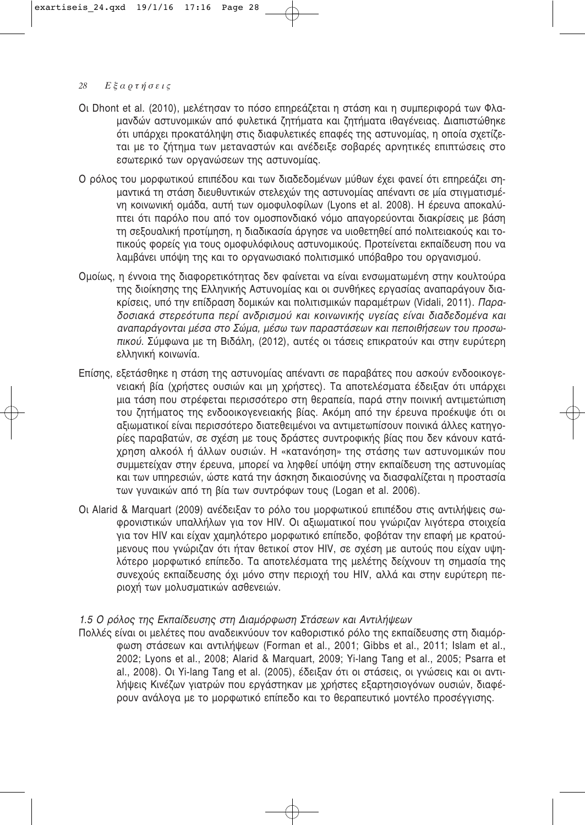- Οι Dhont et al. (2010), μελέτησαν το πόσο επηρεάζεται η στάση και η συμπεριφορά των Φλαμανδών αστυνομικών από φυλετικά ζητήματα και ζητήματα ιθανένειας. Διαπιστώθηκε .<br>ότι υπάρχει προκατάληψη στις διαφυλετικές επαφές της αστυνομίας, η οποία σχετίζεται με το ζήτημα των μεταναστών και ανέδειξε σοβαρές αρνητικές επιπτώσεις στο εσωτερικό των οργανώσεων της αστυνομίας.
- Ο ρόλος του μορφωτικού επιπέδου και των διαδεδομένων μύθων έχει φανεί ότι επηρεάζει σημαντικά τη στάση διευθυντικών στελεχών της αστυνομίας απέναντι σε μία στιγματισμένη κοινωνική ομάδα, αυτή των ομοφυλοφίλων (Lyons et al. 2008). Η έρευνα αποκαλύπτει ότι παρόλο που από τον ομοσπονδιακό νόμο απαγορεύονται διακρίσεις με βάση τη σεξουαλική προτίμηση, η διαδικασία άργησε να υιοθετηθεί από πολιτειακούς και τοπικούς φορείς για τους ομοφυλόφιλους αστυνομικούς. Προτείνεται εκπαίδευση που να λαμβάνει υπόψη της και το οργανωσιακό πολιτισμικό υπόβαθρο του οργανισμού.
- Ομοίως, η έννοια της διαφορετικότητας δεν φαίνεται να είναι ενσωματωμένη στην κουλτούρα της διοίκησης της Ελληνικής Αστυνομίας και οι συνθήκες εργασίας αναπαράγουν διακρίσεις, υπό την επίδραση δομικών και πολιτισμικών παραμέτρων (Vidali, 2011). *Παρα*δοσιακά στερεότυπα περί ανδρισμού και κοινωνικής υγείας είναι διαδεδομένα και *αναπαράγονται μέσα στο Σώμα, μέσω των παραστάσεων και πεποιθήσεων του προσωπικού.* Σύμφωνα με τη Βιδάλη, (2012), αυτές οι τάσεις επικρατούν και στην ευρύτερη ελληνική κοινωνία.
- Επίσης, εξετάσθηκε η στάση της αστυνομίας απέναντι σε παραβάτες που ασκούν ενδοοικογενειακή βία (χρήστες ουσιών και μη χρήστες). Τα αποτελέσματα έδειξαν ότι υπάρχει μια τάση που στρέφεται περισσότερο στη θεραπεία, παρά στην ποινική αντιμετώπιση του ζητήματος της ενδοοικογενειακής βίας. Ακόμη από την έρευνα προέκυψε ότι οι αξιωματικοί είναι περισσότερο διατεθειμένοι να αντιμετωπίσουν ποινικά άλλες κατηγορίες παραβατών, σε σχέση με τους δράστες συντροφικής βίας που δεν κάνουν κατάχρηση αλκοόλ ή άλλων ουσιών. Η «κατανόηση» της στάσης των αστυνομικών που συμμετείχαν στην έρευνα, μπορεί να ληφθεί υπόψη στην εκπαίδευση της αστυνομίας και των υπηρεσιών, ώστε κατά την άσκηση δικαιοσύνης να διασφαλίζεται η προστασία των γυναικών από τη βία των συντρόφων τους (Logan et al. 2006).
- Οι Alarid & Marquart (2009) ανέδειξαν το ρόλο του μορφωτικού επιπέδου στις αντιλήψεις σω-Φρονιστικών υπαλλήλων για τον HIV. Οι αξιωματικοί που γνώριζαν λιγότερα στοιχεία για τον HIV και είχαν χαμηλότερο μορφωτικό επίπεδο, φοβόταν την επαφή με κρατούμενους που γνώριζαν ότι ήταν θετικοί στον HIV, σε σχέση με αυτούς που είχαν υψηλότερο μορφωτικό επίπεδο. Τα αποτελέσματα της μελέτης δείχνουν τη σημασία της συνεχούς εκπαίδευσης όχι μόνο στην περιοχή του HIV, αλλά και στην ευρύτερη περιοχή των μολυσματικών ασθενειών.

# 1.5 Ο ρόλος της Εκπαίδευσης στη Διαμόρφωση Στάσεων και Αντιλήψεων

Πολλές είναι οι μελέτες που αναδεικνύουν τον καθοριστικό ρόλο της εκπαίδευσης στη διαμόρ $ω$ ση στάσεων και αντιλήψεων (Forman et al., 2001; Gibbs et al., 2011; Islam et al., 2002; Lyons et al., 2008; Alarid & Marquart, 2009; Yi-lang Tang et al., 2005; Psarra et al., 2008). Oι Yi-lang Tang et al. (2005), έδειξαν ότι οι στάσεις, οι γνώσεις και οι αντιλήψεις Κινέζων γιατρών που εργάστηκαν με χρήστες εξαρτησιογόνων ουσιών, διαφέρουν ανάλογα με το μορφωτικό επίπεδο και το θεραπευτικό μοντέλο προσέγγισης.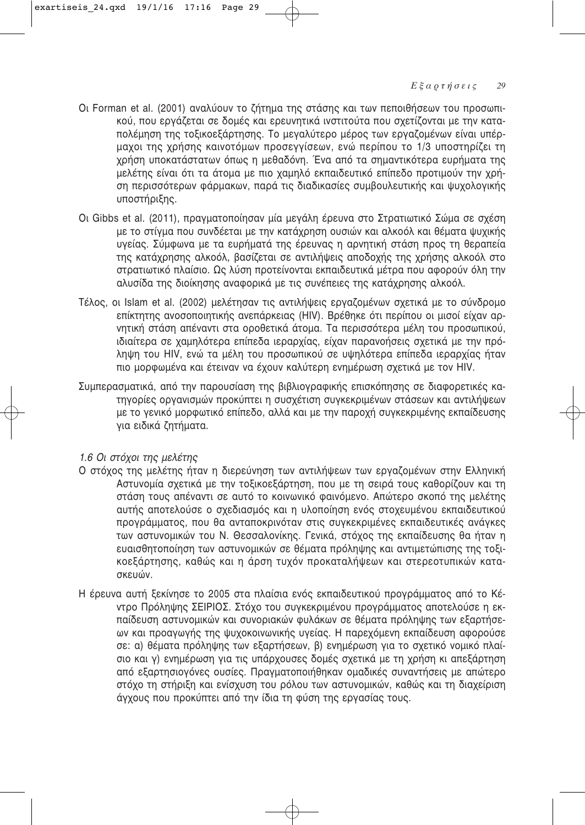- Οι Forman et al. (2001) αναλύουν το ζήτημα της στάσης και των πεποιθήσεων του προσωπικού, που εργάζεται σε δομές και ερευνητικά ινστιτούτα που σχετίζονται με την καταπολέμηση της τοξικοεξάρτησης. Το μεγαλύτερο μέρος των εργαζομένων είναι υπέρμαχοι της χρήσης καινοτόμων προσεννίσεων, ενώ περίπου το 1/3 υποστηρίζει τη χρήση υποκατάστατων όπως η μεθαδόνη. Ένα από τα σημαντικότερα ευρήματα της μελέτης είναι ότι τα άτομα με πιο χαμηλό εκπαιδευτικό επίπεδο προτιμούν την χρήση περισσότερων φάρμακων, παρά τις διαδικασίες συμβουλευτικής και ψυχολογικής υποστήριξης.
- Οι Gibbs et al. (2011), πραγματοποίησαν μία μεγάλη έρευνα στο Στρατιωτικό Σώμα σε σχέση με το στίγμα που συνδέεται με την κατάχρηση ουσιών και αλκοόλ και θέματα ψυχικής υγείας. Σύμφωνα με τα ευρήματά της έρευνας η αρνητική στάση προς τη θεραπεία της κατάχρησης αλκοόλ, βασίζεται σε αντιλήψεις αποδοχής της χρήσης αλκοόλ στο στρατιωτικό πλαίσιο. Ως λύση προτείνονται εκπαιδευτικά μέτρα που αφορούν όλη την αλυσίδα της διοίκησης αναφορικά με τις συνέπειες της κατάχρησης αλκοόλ.
- Τέλος, οι Islam et al. (2002) μελέτησαν τις αντιλήψεις εργαζομένων σχετικά με το σύνδρομο επίκτητης ανοσοποιητικής ανεπάρκειας (HIV). Βρέθηκε ότι περίπου οι μισοί είχαν αρνητική στάση απέναντι στα οροθετικά άτομα. Τα περισσότερα μέλη του προσωπικού, ιδιαίτερα σε χαμηλότερα επίπεδα ιεραρχίας, είχαν παρανοήσεις σχετικά με την πρόληψη του HIV, ενώ τα μέλη του προσωπικού σε υψηλότερα επίπεδα ιεραρχίας ήταν πιο μορφωμένα και έτειναν να έχουν καλύτερη ενημέρωση σχετικά με τον HIV.
- Συμπερασματικά, από την παρουσίαση της βιβλιογραφικής επισκόπησης σε διαφορετικές κατηγορίες οργανισμών προκύπτει η συσχέτιση συγκεκριμένων στάσεων και αντιλήψεων με το γενικό μορφωτικό επίπεδο, αλλά και με την παροχή συγκεκριμένης εκπαίδευσης για ειδικά ζητήματα.

# 1.6 Οι στόχοι της μελέτης

exartiseis\_24.qxd 19/1/16 17:16 Page 29

- Ο στόχος της μελέτης ήταν η διερεύνηση των αντιλήψεων των εργαζομένων στην Ελληνική Αστυνομία σχετικά με την τοξικοεξάρτηση, που με τη σειρά τους καθορίζουν και τη στάση τους απέναντι σε αυτό το κοινωνικό φαινόμενο. Απώτερο σκοπό της μελέτης αυτής αποτελούσε ο σχεδιασμός και η υλοποίηση ενός στοχευμένου εκπαιδευτικού προγράμματος, που θα ανταποκρινόταν στις συγκεκριμένες εκπαιδευτικές ανάγκες των αστυνομικών του Ν. Θεσσαλονίκης. Γενικά, στόχος της εκπαίδευσης θα ήταν η ευαισθητοποίηση των αστυνομικών σε θέματα πρόληψης και αντιμετώπισης της τοξικοεξάρτησης, καθώς και η άρση τυχόν προκαταλήψεων και στερεοτυπικών κατασκευών.
- Η έρευνα αυτή ξεκίνησε το 2005 στα πλαίσια ενός εκπαιδευτικού προγράμματος από το Κέντρο Πρόληψης ΣΕΙΡΙΟΣ. Στόχο του συγκεκριμένου προγράμματος αποτελούσε η εκπαίδευση αστυνομικών και συνοριακών φυλάκων σε θέματα πρόληψης των εξαρτήσεων και προαγωγής της ψυχοκοινωνικής υγείας. Η παρεχόμενη εκπαίδευση αφορούσε σε: α) θέματα πρόληψης των εξαρτήσεων, β) ενημέρωση για το σχετικό νομικό πλαίσιο και γ) ενημέρωση για τις υπάρχουσες δομές σχετικά με τη χρήση κι απεξάρτηση από εξαρτησιογόνες ουσίες. Πραγματοποιήθηκαν ομαδικές συναντήσεις με απώτερο στόχο τη στήριξη και ενίσχυση του ρόλου των αστυνομικών, καθώς και τη διαχείριση άγχους που προκύπτει από την ίδια τη φύση της εργασίας τους.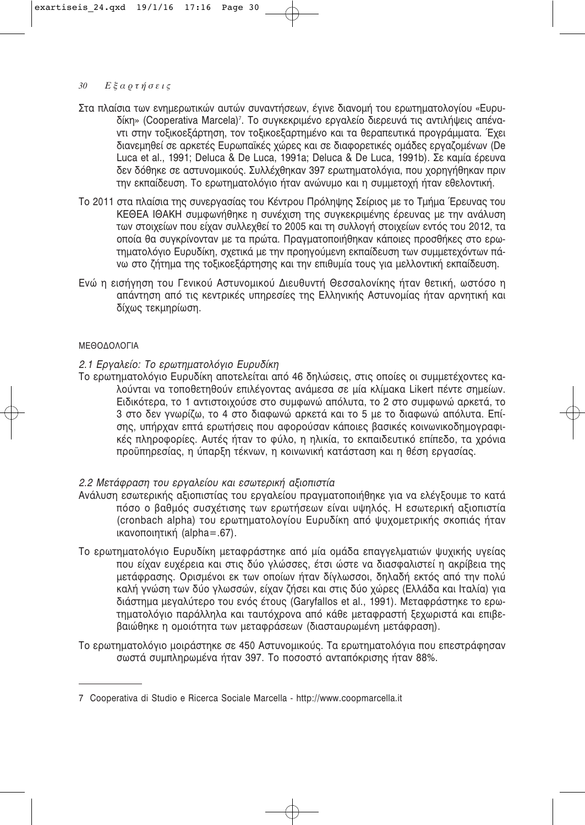- Στα πλαίσια των ενημερωτικών αυτών συναντήσεων, έγινε διανομή του ερωτηματολογίου «Ευρυδίκη» (Cooperativa Marcela)′. Το συγκεκριμένο εργαλείο διερευνά τις αντιλήψεις απένα-Vτι στην τοξικοεξάρτηση, τον τοξικοεξαρτημένο και τα θεραπευτικά προγράμματα. Έχει διανεμηθεί σε αρκετές Ευρωπαϊκές χώρες και σε διαφορετικές ομάδες εργαζομένων (De Luca et al., 1991; Deluca & De Luca, 1991a; Deluca & De Luca, 1991b). Σε καμία έρευνα δεν δόθηκε σε αστυνομικούς. Συλλέχθηκαν 397 ερωτηματολόγια, που χορηγήθηκαν πριν την εκπαίδευση. Το ερωτηματολόγιο ήταν ανώνυμο και η συμμετοχή ήταν εθελοντική.
- Το 2011 στα πλαίσια της συνεργασίας του Κέντρου Πρόληψης Σείριος με το Τμήμα Έρευνας του ΚΕΘΕΑ ΙΘΑΚΗ συμφωνήθηκε η συνέχιση της συγκεκριμένης έρευνας με την ανάλυση των στοιχείων που είχαν συλλεχθεί το 2005 και τη συλλογή στοιχείων εντός του 2012, τα οποία θα συγκρίνονταν με τα πρώτα. Πραγματοποιήθηκαν κάποιες προσθήκες στο ερωτηματολόγιο Ευρυδίκη, σχετικά με την προηγούμενη εκπαίδευση των συμμετεχόντων πάνω στο ζήτημα της τοξικοεξάρτησης και την επιθυμία τους για μελλοντική εκπαίδευση.
- Ενώ η εισήγηση του Γενικού Αστυνομικού Διευθυντή Θεσσαλονίκης ήταν θετική, ωστόσο η απάντηση από τις κεντρικές υπηρεσίες της Ελληνικής Αστυνομίας ήταν αρνητική και δίχως τεκμηρίωση.

#### ΜΕΘΟΔΟΛΟΓΙΑ

#### *2.1 Εργαλείο: Το ερωτηματολόγιο Ευρυδίκη*

Το ερωτηματολόγιο Ευρυδίκη αποτελείται από 46 δηλώσεις, στις οποίες οι συμμετέχοντες καλούνται να τοποθετηθούν επιλέγοντας ανάμεσα σε μία κλίμακα Likert πέντε σημείων. Ειδικότερα, το 1 αντιστοιχούσε στο συμφωνώ απόλυτα, το 2 στο συμφωνώ αρκετά, το 3 στο δεν γνωρίζω, το 4 στο διαφωνώ αρκετά και το 5 με το διαφωνώ απόλυτα. Επίσης, υπήρχαν επτά ερωτήσεις που αφορούσαν κάποιες βασικές κοινωνικοδημογραφικές πληροφορίες. Αυτές ήταν το φύλο, η ηλικία, το εκπαιδευτικό επίπεδο, τα χρόνια προϋπηρεσίας, η ύπαρξη τέκνων, η κοινωνική κατάσταση και η θέση εργασίας.

#### 2.2 Μετάφραση του εργαλείου και εσωτερική αξιοπιστία

- Ανάλυση εσωτερικής αξιοπιστίας του εργαλείου πραγματοποιήθηκε για να ελέγξουμε το κατά πόσο ο βαθμός συσχέτισης των ερωτήσεων είναι υψηλός. Η εσωτερική αξιοπιστία (cronbach alpha) του ερωτηματολογίου Ευρυδίκη από ψυχομετρικής σκοπιάς ήταν ικανοποιητική (alpha=.67).
- Το ερωτηματολόγιο Ευρυδίκη μεταφράστηκε από μία ομάδα επαγγελματιών ψυχικής υγείας που είχαν ευχέρεια και στις δύο γλώσσες, έτσι ώστε να διασφαλιστεί η ακρίβεια της μετάφρασης. Ορισμένοι εκ των οποίων ήταν δίγλωσσοι, δηλαδή εκτός από την πολύ καλή γνώση των δύο γλωσσών, είχαν ζήσει και στις δύο χώρες (Ελλάδα και Ιταλία) για διάστημα μεγαλύτερο του ενός έτους (Garyfallos et al., 1991). Μεταφράστηκε το ερωτηματολόγιο παράλληλα και ταυτόχρονα από κάθε μεταφραστή ξεχωριστά και επιβεβαιώθηκε η ομοιότητα των μεταφράσεων (διασταυρωμένη μετάφραση).
- <u>Το ερωτηματολόγιο μοιράστηκε σε 450 Αστυνομικούς. Τα ερωτηματολόγια που επεστράφησαν</u> σωστά συμπληρωμένα ήταν 397. Το ποσοστό ανταπόκρισης ήταν 88%.

<sup>7</sup> Cooperativa di Studio e Ricerca Sociale Marcella - http://www.coopmarcella.it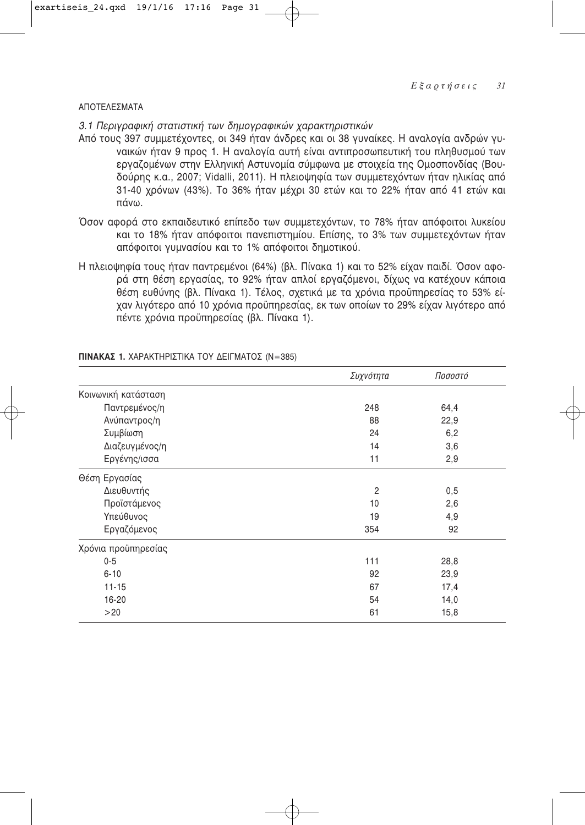#### AΠΟΤΕΛΕΣΜΑΤΑ

3.1 Περιγραφική στατιστική των δημογραφικών χαρακτηριστικών

- Aπό τους 397 συμμετέχοντες, οι 349 ήταν άνδρες και οι 38 γυναίκες. Η αναλογία ανδρών γυναικών ήταν 9 προς 1. Η αναλογία αυτή είναι αντιπροσωπευτική του πληθυσμού των εργαζομένων στην Ελληνική Αστυνομία σύμφωνα με στοιχεία της Ομοσπονδίας (Βουδούρης κ.α., 2007; Vidalli, 2011). Η πλειοψηφία των συμμετεχόντων ήταν ηλικίας από 31-40 χρόνων (43%). Το 36% ήταν μέχρι 30 ετών και το 22% ήταν από 41 ετών και πάνω.
- Όσον αφορά στο εκπαιδευτικό επίπεδο των συμμετεχόντων, το 78% ήταν απόφοιτοι λυκείου και το 18% ήταν απόφοιτοι πανεπιστημίου. Επίσης, το 3% των συμμετεχόντων ήταν απόφοιτοι γυμνασίου και το 1% απόφοιτοι δημοτικού.
- Η πλειοψηφία τους ήταν παντρεμένοι (64%) (βλ. Πίνακα 1) και το 52% είχαν παιδί. Όσον αφορά στη θέση εργασίας, το 92% ήταν απλοί εργαζόμενοι, δίχως να κατέχουν κάποια θέση ευθύνης (βλ. Πίνακα 1). Τέλος, σχετικά με τα χρόνια προϋπηρεσίας το 53% είχαν λιγότερο από 10 χρόνια προϋπηρεσίας, εκ των οποίων το 29% είχαν λιγότερο από πέντε χρόνια προϋπηρεσίας (βλ. Πίνακα 1).

|                     | Συχνότητα      | Ποσοστό |
|---------------------|----------------|---------|
| Κοινωνική κατάσταση |                |         |
| Παντρεμένος/η       | 248            | 64,4    |
| Ανύπαντρος/η        | 88             | 22,9    |
| Συμβίωση            | 24             | 6,2     |
| Διαζευγμένος/η      | 14             | 3,6     |
| Εργένης/ισσα        | 11             | 2,9     |
| Θέση Εργασίας       |                |         |
| Διευθυντής          | $\overline{2}$ | 0,5     |
| Προϊστάμενος        | 10             | 2,6     |
| Υπεύθυνος           | 19             | 4,9     |
| Εργαζόμενος         | 354            | 92      |
| Χρόνια προϋπηρεσίας |                |         |
| $0 - 5$             | 111            | 28,8    |
| $6 - 10$            | 92             | 23,9    |
| $11 - 15$           | 67             | 17,4    |
| $16 - 20$           | 54             | 14,0    |
| >20                 | 61             | 15,8    |

**ΠΙΝΑΚΑΣ 1.** ΧΑΡΑΚΤΗΡΙΣΤΙΚΑ ΤΟΥ ΔΕΙΓΜΑΤΟΣ (Ν=385)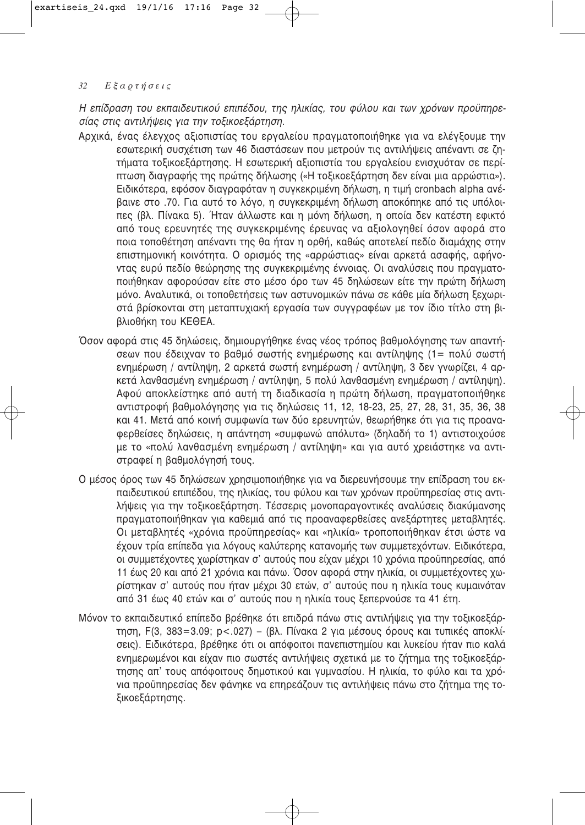Η επίδραση του εκπαιδευτικού επιπέδου, της ηλικίας, του φύλου και των χρόνων προϋπηρε-*Û›·˜ ÛÙȘ ·ÓÙÈÏ‹"ÂȘ ÁÈ· ÙËÓ ÙÔÍÈÎÔÂÍ¿ÚÙËÛË.*

- Αρχικά, ένας έλενχος αξιοπιστίας του εργαλείου πραγματοποιήθηκε για να ελένξουμε την εσωτερική συσχέτιση των 46 διαστάσεων που μετρούν τις αντιλήψεις απέναντι σε ζητήματα τοξικοεξάρτησης. Η εσωτερική αξιοπιστία του εργαλείου ενισχυόταν σε περίπτωση διαγραφής της πρώτης δήλωσης («Η τοξικοεξάρτηση δεν είναι μια αρρώστια»). Eιδικότερα, εφόσον διαγραφόταν η συγκεκριμένη δήλωση, η τιμή cronbach alpha ανέβαινε στο .70. Για αυτό το λόγο, η συγκεκριμένη δήλωση αποκόπηκε από τις υπόλοιπες (βλ. Πίνακα 5). Ήταν άλλωστε και η μόνη δήλωση, η οποία δεν κατέστη εφικτό από τους ερευνητές της συγκεκριμένης έρευνας να αξιολογηθεί όσον αφορά στο ποια τοποθέτηση απέναντι της θα ήταν η ορθή, καθώς αποτελεί πεδίο διαμάχης στην επιστημονική κοινότητα. Ο ορισμός της «αρρώστιας» είναι αρκετά ασαφής, αφήνοντας ευρύ πεδίο θεώρησης της συγκεκριμένης έννοιας. Οι αναλύσεις που πραγματοποιήθηκαν αφορούσαν είτε στο μέσο όρο των 45 δηλώσεων είτε την πρώτη δήλωση ιιόνο, Αναλυτικά, οι τοποθετήσεις των αστυνομικών πάνω σε κάθε μία δήλωση ξεχωριστά βρίσκονται στη μεταπτυχιακή ερνασία των συννραφέων με τον ίδιο τίτλο στη βιβλιοθήκη του ΚΕΘΕΑ.
- Όσον αφορά στις 45 δηλώσεις, δημιουργήθηκε ένας νέος τρόπος βαθμολόγησης των απαντήσεων που έδειχναν το βαθμό σωστής ενημέρωσης και αντίληψης (1= πολύ σωστή ενημέρωση / αντίληψη, 2 αρκετά σωστή ενημέρωση / αντίληψη, 3 δεν γνωρίζει, 4 αρ-Κετά λανθασμένη ενημέρωση / αντίληψη, 5 πολύ λανθασμένη ενημέρωση / αντίληψη). Αφού αποκλείστηκε από αυτή τη διαδικασία η πρώτη δήλωση, πραγματοποιήθηκε αντιστροφή βαθμολόγησης για τις δηλώσεις 11, 12, 18-23, 25, 27, 28, 31, 35, 36, 38 και 41. Μετά από κοινή συμφωνία των δύο ερευνητών, θεωρήθηκε ότι για τις προαναφερθείσες δηλώσεις, η απάντηση «συμφωνώ απόλυτα» (δηλαδή το 1) αντιστοιχούσε με το «πολύ λανθασμένη ενημέρωση / αντίληψη» και για αυτό χρειάστηκε να αντιστραφεί η βαθμολόγησή τους.
- Ο μέσος όρος των 45 δηλώσεων χρησιμοποιήθηκε για να διερευνήσουμε την επίδραση του εκπαιδευτικού επιπέδου, της ηλικίας, του φύλου και των χρόνων προϋπηρεσίας στις αντιλήψεις για την τοξικοεξάρτηση. Τέσσερις μονοπαραγοντικές αναλύσεις διακύμανσης πραγματοποιήθηκαν για καθεμιά από τις προαναφερθείσες ανεξάρτητες μεταβλητές. Οι μεταβλητές «χρόνια προϋπηρεσίας» και «ηλικία» τροποποιήθηκαν έτσι ώστε να έχουν τρία επίπεδα για λόγους καλύτερης κατανομής των συμμετεχόντων. Ειδικότερα, οι συμμετέχοντες χωρίστηκαν σ' αυτούς που είχαν μέχρι 10 χρόνια προϋπηρεσίας, από 11 έως 20 και από 21 χρόνια και πάνω. Όσον αφορά στην ηλικία, οι συμμετέχοντες χωρίστηκαν σ' αυτούς που ήταν μέχρι 30 ετών, σ' αυτούς που η ηλικία τους κυμαινόταν από 31 έως 40 ετών και σ' αυτούς που η ηλικία τους ξεπερνούσε τα 41 έτη.
- Μόνον το εκπαιδευτικό επίπεδο βρέθηκε ότι επιδρά πάνω στις αντιλήψεις για την τοξικοεξάρτηση, F(3, 383=3.09; p<.027) - (βλ. Πίνακα 2 για μέσους όρους και τυπικές αποκλίσεις). Ειδικότερα, βρέθηκε ότι οι απόφοιτοι πανεπιστημίου και λυκείου ήταν πιο καλά ενημερωμένοι και είχαν πιο σωστές αντιλήψεις σχετικά με το ζήτημα της τοξικοεξάρτησης απ' τους απόφοιτους δημοτικού και γυμνασίου. Η ηλικία, το φύλο και τα χρόνια προϋπηρεσίας δεν φάνηκε να επηρεάζουν τις αντιλήψεις πάνω στο ζήτημα της τοξικοεξάρτησης.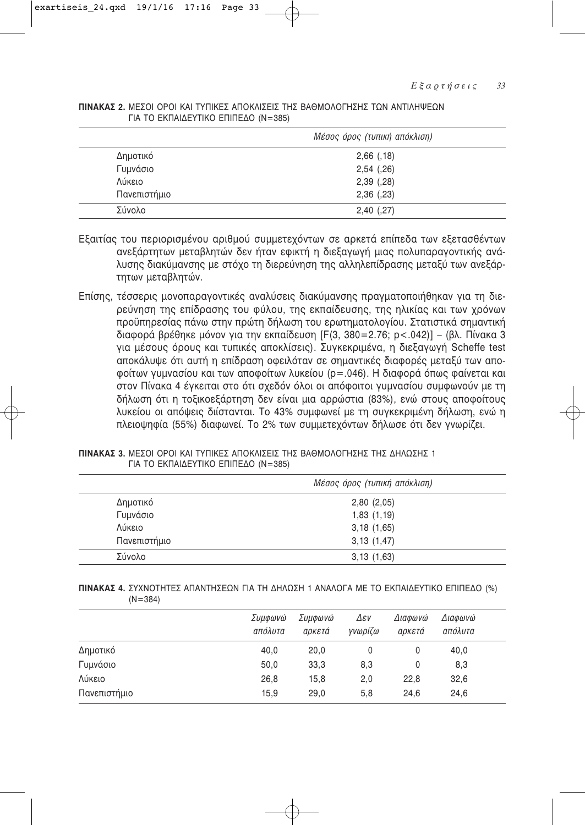| exartiseis_24.qxd 19/1/16 17:16 Page 33 |  |  |  | $\triangle$ |
|-----------------------------------------|--|--|--|-------------|
|-----------------------------------------|--|--|--|-------------|

|              | Μέσος όρος (τυπική απόκλιση) |
|--------------|------------------------------|
| Δημοτικό     | $2,66$ $(0.18)$              |
| Γυμνάσιο     | 2,54(,26)                    |
| Λύκειο       | 2,39(,28)                    |
| Πανεπιστήμιο | $2,36$ $(23)$                |
| Σύνολο       | $2,40$ (,27)                 |

#### ΠΙΝΑΚΑΣ 2. ΜΕΣΟΙ ΟΡΟΙ ΚΑΙ ΤΥΠΙΚΕΣ ΑΠΟΚΛΙΣΕΙΣ ΤΗΣ ΒΑΘΜΟΛΟΓΗΣΗΣ ΤΩΝ ΑΝΤΙΛΗΨΕΩΝ ΓΙΑ ΤΟ ΕΚΠΑΙΔΕΥΤΙΚΟ ΕΠΙΠΕΔΟ (N=385)

- Εξαιτίας του περιορισμένου αριθμού συμμετεχόντων σε αρκετά επίπεδα των εξετασθέντων ανεξάρτητων μεταβλητών δεν ήταν εφικτή η διεξαγωγή μιας πολυπαραγοντικής ανάλυσης διακύμανσης με στόχο τη διερεύνηση της αλληλεπίδρασης μεταξύ των ανεξάρτητων μεταβλητών.
- Επίσης, τέσσερις μονοπαρανοντικές αναλύσεις διακύμανσης πρανματοποιήθηκαν για τη διερεύνηση της επίδρασης του φύλου, της εκπαίδευσης, της ηλικίας και των χρόνων προϋπηρεσίας πάνω στην πρώτη δήλωση του ερωτηματολογίου. Στατιστικά σημαντική  $\delta$ ιαφορά βρέθηκε μόνον για την εκπαίδευση [F(3, 380=2.76; p<.042)] – (βλ. Πίνακα 3 για μέσους όρους και τυπικές αποκλίσεις). Συγκεκριμένα, η διεξαγωγή Scheffe test αποκάλυψε ότι αυτή η επίδραση οφειλόταν σε σημαντικές διαφορές μεταξύ των αποφοίτων γυμνασίου και των αποφοίτων λυκείου (p=.046). Η διαφορά όπως φαίνεται και στον Πίνακα 4 έγκειται στο ότι σχεδόν όλοι οι απόφοιτοι γυμνασίου συμφωνούν με τη δήλωση ότι η τοξικοεξάρτηση δεν είναι μια αρρώστια (83%), ενώ στους αποφοίτους λυκείου οι απόψεις διίστανται. Το 43% συμφωνεί με τη συνκεκριμένη δήλωση, ενώ η πλειοψηφία (55%) διαφωνεί. Το 2% των συμμετεχόντων δήλωσε ότι δεν γνωρίζει.

## ΠΙΝΑΚΑΣ 3. ΜΕΣΟΙ ΟΡΟΙ ΚΑΙ ΤΥΠΙΚΕΣ ΑΠΟΚΛΙΣΕΙΣ ΤΗΣ ΒΑΘΜΟΛΟΓΗΣΗΣ ΤΗΣ ΔΗΛΩΣΗΣ 1 ΓΙΑ ΤΟ ΕΚΠΑΙΔΕΥΤΙΚΟ ΕΠΙΠΕΔΟ (N=385)

|              | Μέσος όρος (τυπική απόκλιση) |
|--------------|------------------------------|
| Δημοτικό     | 2,80(2,05)                   |
| Γυμνάσιο     | 1,83(1,19)                   |
| Λύκειο       | 3,18(1,65)                   |
| Πανεπιστήμιο | 3,13(1,47)                   |
| Σύνολο       | 3,13(1,63)                   |

#### **ΠΙΝΑΚΑΣ 4. ΣΥΧΝΟΤΗΤΕΣ ΑΠΑΝΤΗΣΕΩΝ ΓΙΑ ΤΗ ΔΗΛΩΣΗ 1 ΑΝΑΛΟΓΑ ΜΕ ΤΟ ΕΚΠΑΙΔΕΥΤΙΚΟ ΕΠΙΠΕΔΟ (%)**  $(N=384)$

|              | Συμφωνώ<br>απόλυτα | Συμφωνώ<br>αρκετά | Δεν<br>γνωρίζω | Διαφωνώ<br>αρκετά | Διαφωνώ<br>απόλυτα |  |
|--------------|--------------------|-------------------|----------------|-------------------|--------------------|--|
| Δημοτικό     | 40,0               | 20,0              | 0              |                   | 40,0               |  |
| Γυμνάσιο     | 50,0               | 33,3              | 8,3            |                   | 8,3                |  |
| Λύκειο       | 26,8               | 15,8              | 2,0            | 22,8              | 32,6               |  |
| Πανεπιστήμιο | 15,9               | 29,0              | 5,8            | 24,6              | 24,6               |  |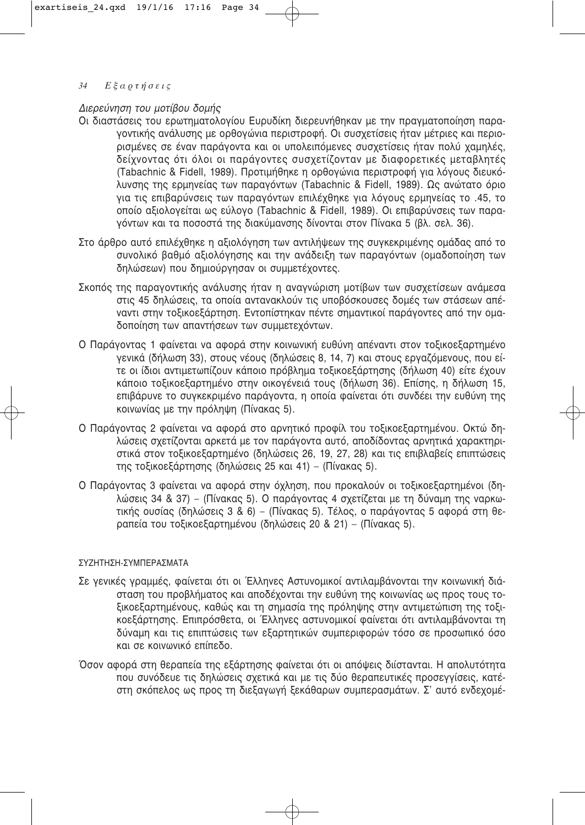#### *Διερεύνηση του μοτίβου δομής*

- Οι διαστάσεις του ερωτηματολογίου Ευρυδίκη διερευνήθηκαν με την πραγματοποίηση παραγοντικής ανάλυσης με ορθογώνια περιστροφή. Οι συσχετίσεις ήταν μέτριες και περιορισμένες σε έναν παράγοντα και οι υπολειπόμενες συσχετίσεις ήταν πολύ χαμηλές, δείχνοντας ότι όλοι οι παράγοντες συσχετίζονταν με διαφορετικές μεταβλητές (Tabachnic & Fidell, 1989). Προτιμήθηκε η ορθογώνια περιστροφή για λόγους διευκόλυνσης της ερμηνείας των παραγόντων (Tabachnic & Fidell, 1989). Ως ανώτατο όριο για τις επιβαρύνσεις των παραγόντων επιλέχθηκε για λόγους ερμηνείας το .45, το οποίο αξιολογείται ως εύλογο (Tabachnic & Fidell, 1989). Οι επιβαρύνσεις των παραγόντων και τα ποσοστά της διακύμανσης δίνονται στον Πίνακα 5 (βλ. σελ. 36).
- Στο άρθρο αυτό επιλέχθηκε η αξιολόγηση των αντιλήψεων της συγκεκριμένης ομάδας από το συνολικό βαθμό αξιολόγησης και την ανάδειξη των παραγόντων (ομαδοποίηση των δηλώσεων) που δημιούργησαν οι συμμετέχοντες.
- Σκοπός της παραγοντικής ανάλυσης ήταν η αναγγώριση μοτίβων των συσχετίσεων ανάμεσα στις 45 δηλώσεις, τα οποία αντανακλούν τις υποβόσκουσες δομές των στάσεων απέναντι στην τοξικοεξάρτηση. Εντοπίστηκαν πέντε σημαντικοί παράγοντες από την ομαδοποίηση των απαντήσεων των συμμετεχόντων.
- Ο Παράγοντας 1 φαίνεται να αφορά στην κοινωνική ευθύνη απέναντι στον τοξικοεξαρτημένο γενικά (δήλωση 33), στους νέους (δηλώσεις 8, 14, 7) και στους εργαζόμενους, που είτε οι ίδιοι αντιμετωπίζουν κάποιο πρόβλημα τοξικοεξάρτησης (δήλωση 40) είτε έχουν κάποιο τοξικοεξαρτημένο στην οικογένειά τους (δήλωση 36). Επίσης, η δήλωση 15, επιβάρυνε το συγκεκριμένο παράγοντα, η οποία φαίνεται ότι συνδέει την ευθύνη της κοινωνίας με την πρόληψη (Πίνακας 5).
- Ο Παράγοντας 2 φαίνεται να αφορά στο αρνητικό προφίλ του τοξικοεξαρτημένου. Οκτώ δηλώσεις σχετίζονται αρκετά με τον παράγοντα αυτό, αποδίδοντας αρνητικά χαρακτηριστικά στον τοξικοεξαρτημένο (δηλώσεις 26, 19, 27, 28) και τις επιβλαβείς επιπτώσεις της τοξικοεξάρτησης (δηλώσεις 25 και 41) – (Πίνακας 5).
- Ο Παράγοντας 3 φαίνεται να αφορά στην όχληση, που προκαλούν οι τοξικοεξαρτημένοι (δη- $\lambda$ ώσεις 34 & 37) – (Πίνακας 5). Ο παράγοντας 4 σχετίζεται με τη δύναμη της ναρκωτικής ουσίας (δηλώσεις 3 & 6) – (Πίνακας 5). Τέλος, ο παράγοντας 5 αφορά στη θεραπεία του τοξικοεξαρτημένου (δηλώσεις 20 & 21) – (Πίνακας 5).

## ΣΥΖΗΤΗΣΗ-ΣΥΜΠΕΡΑΣΜΑΤΑ

- Σε γενικές γραμμές, φαίνεται ότι οι Έλληνες Αστυνομικοί αντιλαμβάνονται την κοινωνική διάσταση του προβλήματος και αποδέχονται την ευθύνη της κοινωνίας ως προς τους τοξικοεξαρτημένους, καθώς και τη σημασία της πρόληψης στην αντιμετώπιση της τοξι-Κοεξάρτησης. Επιπρόσθετα, οι Έλληνες αστυνομικοί φαίνεται ότι αντιλαμβάνονται τη δύναμη και τις επιπτώσεις των εξαρτητικών συμπεριφορών τόσο σε προσωπικό όσο και σε κοινωνικό επίπεδο.
- Όσον αφορά στη θεραπεία της εξάρτησης φαίνεται ότι οι απόψεις διίστανται. Η απολυτότητα που συνόδευε τις δηλώσεις σχετικά και με τις δύο θεραπευτικές προσεγγίσεις, κατέστη σκόπελος ως προς τη διεξαγωγή ξεκάθαρων συμπερασμάτων. Σ' αυτό ενδεχομέ-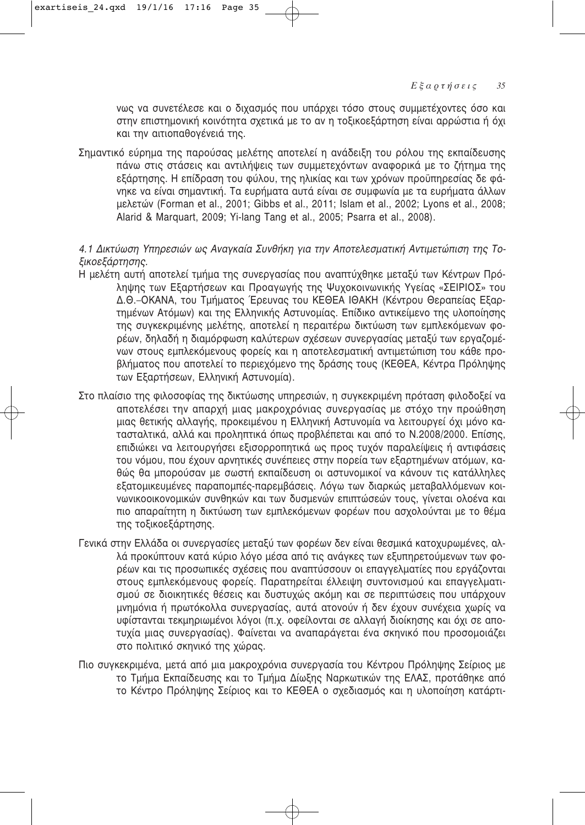νως να συνετέλεσε και ο διχασμός που υπάρχει τόσο στους συμμετέχοντες όσο και στην επιστημονική κοινότητα σχετικά με το αν η τοξικοεξάρτηση είναι αρρώστια ή όχι και την αιτιοπαθογένειά της.

Σημαντικό εύρημα της παρούσας μελέτης αποτελεί η ανάδειξη του ρόλου της εκπαίδευσης πάνω στις στάσεις και αντιλήψεις των συμμετεχόντων αναφορικά με το ζήτημα της εξάρτησης. Η επίδραση του φύλου, της ηλικίας και των χρόνων προϋπηρεσίας δε φάνηκε να είναι σημαντική. Τα ευρήματα αυτά είναι σε συμφωνία με τα ευρήματα άλλων μελετών (Forman et al., 2001; Gibbs et al., 2011; Islam et al., 2002; Lyons et al., 2008; Alarid & Marquart, 2009; Yi-lang Tang et al., 2005; Psarra et al., 2008).

4.1 Δικτύωση Υπηρεσιών ως Αναγκαία Συνθήκη για την Αποτελεσματική Αντιμετώπιση της Το-*<i><del>EIKO*εξάρτησης.</del>

- Η μελέτη αυτή αποτελεί τμήμα της συνεργασίας που αναπτύχθηκε μεταξύ των Κέντρων Πρόληψης των Εξαρτήσεων και Προαγωνής της Ψυχοκοινωνικής Υνείας «ΣΕΙΡΙΟΣ» του Δ.Θ.–ΟΚΑΝΑ, του Τμήματος Έρευνας του ΚΕΘΕΑ ΙΘΑΚΗ (Κέντρου Θεραπείας Εξαρτημένων Ατόμων) και της Ελληνικής Αστυνομίας. Επίδικο αντικείμενο της υλοποίησης της συγκεκριμένης μελέτης, αποτελεί η περαιτέρω δικτύωση των εμπλεκόμενων φορέων, δηλαδή η διαμόρφωση καλύτερων σχέσεων συνεργασίας μεταξύ των εργαζομέ-Vων στους εμπλεκόμενους φορείς και η αποτελεσματική αντιμετώπιση του κάθε προβλήματος που αποτελεί το περιεχόμενο της δράσης τους (ΚΕΘΕΑ, Κέντρα Πρόληψης των Εξαρτήσεων, Ελληνική Αστυνομία).
- Στο πλαίσιο της φιλοσοφίας της δικτύωσης υπηρεσιών, η συγκεκριμένη πρόταση φιλοδοξεί να αποτελέσει την απαρχή μιας μακροχρόνιας συνεργασίας με στόχο την προώθηση μιας θετικής αλλαγής, προκειμένου η Ελληνική Αστυνομία να λειτουργεί όχι μόνο κατασταλτικά, αλλά και προληπτικά όπως προβλέπεται και από το Ν.2008/2000. Επίσης, επιδιώκει να λειτουργήσει εξισορροπητικά ως προς τυχόν παραλείψεις ή αντιφάσεις του νόμου, που έχουν αρνητικές συνέπειες στην πορεία των εξαρτημένων ατόμων, καθώς θα μπορούσαν με σωστή εκπαίδευση οι αστυνομικοί να κάνουν τις κατάλληλες εξατομικευμένες παραπομπές-παρεμβάσεις. Λόγω των διαρκώς μεταβαλλόμενων κοινωνικοοικονομικών συνθηκών και των δυσμενών επιπτώσεών τους, γίνεται ολοένα και πιο απαραίτητη η δικτύωση των εμπλεκόμενων φορέων που ασχολούνται με το θέμα της τοξικοεξάρτησης.
- Γενικά στην Ελλάδα οι συνεργασίες μεταξύ των φορέων δεν είναι θεσμικά κατοχυρωμένες, αλλά προκύπτουν κατά κύριο λόγο μέσα από τις ανάγκες των εξυπηρετούμενων των φορέων και τις προσωπικές σχέσεις που αναπτύσσουν οι επαγγελματίες που εργάζονται στους εμπλεκόμενους φορείς. Παρατηρείται έλλειψη συντονισμού και επαγγελματισμού σε διοικητικές θέσεις και δυστυχώς ακόμη και σε περιπτώσεις που υπάρχουν μνημόνια ή πρωτόκολλα συνεργασίας, αυτά ατονούν ή δεν έχουν συνέχεια χωρίς να υφίστανται τεκμηριωμένοι λόγοι (π.χ. οφείλονται σε αλλαγή διοίκησης και όχι σε αποτυχία μιας συνεργασίας). Φαίνεται να αναπαράγεται ένα σκηνικό που προσομοιάζει στο πολιτικό σκηνικό της χώρας.
- Πιο συνκεκριμένα, μετά από μια μακροχρόνια συνερνασία του Κέντρου Πρόληψης Σείριος με το Τμήμα Εκπαίδευσης και το Τμήμα Δίωξης Ναρκωτικών της ΕΛΑΣ, προτάθηκε από το Κέντρο Πρόληψης Σείριος και το ΚΕΘΕΑ ο σχεδιασμός και η υλοποίηση κατάρτι-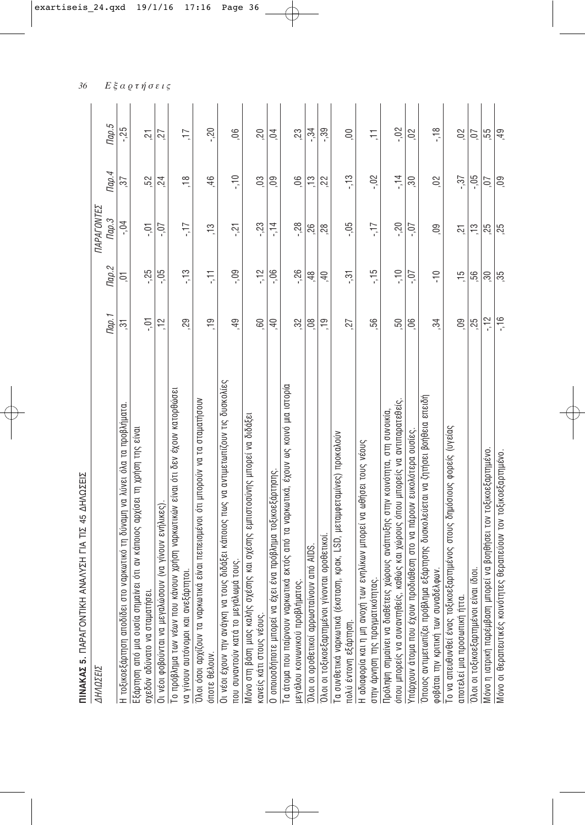| ANAAYZH FIA TIZ 45 AHAQZEIZ<br><b>NINAKAS 5. NAPAFONTIKH</b>                            |                  |               |                          |                 |                 |
|-----------------------------------------------------------------------------------------|------------------|---------------|--------------------------|-----------------|-----------------|
| <b>ΔΗΛΩΣΕΙΣ</b>                                                                         |                  |               | <b><i>MAPAFONTES</i></b> |                 |                 |
|                                                                                         | Пар. 1           | Пар. 2        | Tap.3                    | Пар. 4          | Пар. 5          |
| Η τοξικοεξάρτηση αποδίδει στο ναρκωτικό τη δύναμη να λύνει όλα τα προβλήματα.           | <u>یت</u>        | É             | $-0.4$                   | 22              | -,25            |
| Εξάρτηση από μια ουσία σημαίνει ότι αν κάποιος αρχίσει τη χρήση της είναι               |                  |               |                          |                 |                 |
| σχεδόν αδύνατο να σταματήσει.                                                           | - 0.1            | $-25$         | $-0.7$                   | 52              | 51              |
| Οι νέοι φοβούνται να μεγαλώσουν (να γίνουν ενήλικες)                                    | $\frac{1}{2}$    | $-0.5$        | - 07                     | $\overline{24}$ | 27              |
| Το πρόβλημα των νέων που κάνουν χρήση ναρκωτικών είναι ότι δεν έχουν κατορθώσει         |                  |               |                          |                 |                 |
| να γίνουν αυτόνομοι και ανεξάρτητοι                                                     | 29               | $-13$         | $\mathcal{L}$            | $\frac{8}{10}$  | $\overline{11}$ |
| ονοι οροι αρχίζουν τα ναρκωτικά είναι πεπεισμένοι ότι μπορούν να τα σταματήσουν         |                  |               |                          |                 |                 |
| όποτε θέλουν.                                                                           | .19              | Ę             | $\frac{1}{2}$            | 46              | $-20$           |
| τους διδάξει κάποιος πως να αντιμετωπίζουν τις δυσκολίες<br>Οι νέοι έχουν την ανάγκη να |                  |               |                          |                 |                 |
| που συναντούν κατά το μεγάλωμά τους.                                                    | 49               | $-0.9$        | $-21$                    | $-10$           | 66              |
| Μόνο στη βάση μιας καλής σχέσης και σχέσης εμπιστοσύνης μπορεί να διδάξει               |                  |               |                          |                 |                 |
| κανείς κάτι στους νέους.                                                                | 60               | $-12$         | -,23                     | $\mathbb{S}^2$  | $\overline{5}$  |
| (ει ένα πρόβλημα τοξικοεξάρτησης.<br>Ο οποιοσδήποτε μπορεί να έγ                        | $\overline{40}$  | $-0.5$        | $\frac{4}{1}$            | $\overline{0}$  | $\tilde{p}$     |
| Γα άτομα που παίρνουν ναρκωτικά εκτός από τα ναρκωτικά, έχουν ως κοινό μια ιστορία      |                  |               |                          |                 |                 |
| ατος.<br>ιεγάλου κοινωνικού προβλήμ                                                     | 32               | $-26$         | $-28$                    | $\overline{0}$  | 23              |
| vouv anó AIDS.<br>Όλοι οι οροθετικοί αρρωσταίν                                          | $\approx$        | 48            | 26                       | $\frac{3}{2}$   | $-34$           |
| νονται οροθετικοι<br>Όλοι οι τοξικοεξαρτημένοι γί                                       | $\overline{.}19$ | 40            | 28                       | 22              | $-39$           |
| Τα συνθετικά ναρκωτικά (έκσταση, κρακ, LSD, μεταμφεταμίνες) προκαλούν                   |                  |               |                          |                 |                 |
| πολύ έντονη εξάρτηση.                                                                   | 27               | $\frac{1}{2}$ | $-0.5$                   | $-13$           | $\tilde{S}$     |
| ων ενηλίκων μπορεί να ωθήσει τους νέους<br>Η αδιαφορία και η μη ανοχή                   |                  |               |                          |                 |                 |
| στην άρνηση της πραγματικότητας.                                                        | 56               | $-15$         | $\overline{11}$ .        | $-0.2$          |                 |
| Πρόληψη σημαίνει να διαθέτεις χώρους ανάπτυξης στην κοινότητα, στη συνοικία,            |                  |               |                          |                 |                 |
| όπου μπορείς να συναντηθείς, καθώς και χώρους όπου μπορείς να αντιπαρατεθείς.           | <b>SQ</b>        | $-10$         | $-20$                    | $-14$           | $-0.2$          |
| Υπάρχουν άτομα που έχουν προδιάθεση στο να πάρουν ευκολότερα ουσίες                     | 06               | - 07          | - 07                     | $\frac{30}{2}$  | $\tilde{S}$     |
| Οποιος αντιμετωπίζει πρόβλημα εξάρτησης δυσκολεύεται να ζητήσει βοήθεια επειδή          |                  |               |                          |                 |                 |
| φοβάται την κριτική των συναδέλφων.                                                     | 34               | $\frac{1}{1}$ | So                       | $\approx$       | $\frac{8}{1}$   |
| Το να απευθυνθεί ένας τοξικοεξαρτημένος στους δημόσιους φορείς (υγείας                  |                  |               |                          |                 |                 |
| αποτελεί μια προσωπική ήττα                                                             | $\overline{0}$   | $-15$         | <u>ير</u>                | $-37$           | $\approx$       |
| Ολοι οι τοξικοεξαρτημένοι είναι ίδιοι                                                   | ,25              | 56            | $\frac{1}{2}$            | $-0.5$          | Č,              |
| Μόνο η ιατρική παρέμβαση μπορεί να βοηθήσει τον τοξικοεξαρτημένο.                       | $-12$            | 30            | 25                       | $\dot{0}$       | 55              |
| τητες θεραπεύουν τον τοξικοεξαρτημένο.<br>Μόνο οι θεραπευτικές κοινότ                   | $-16$            | 35            | 25                       | 09              | 49              |

**ΠΙΝΑΚΑΣ 5.** ΠΑΡΑΓΟΝΤΙΚΗ ΑΝΑΛΥΣΗ ΓΙΑ ΤΙΣ 45 ΔΗΛΩΣΕΙΣ

*36 Εξαρτήσεις*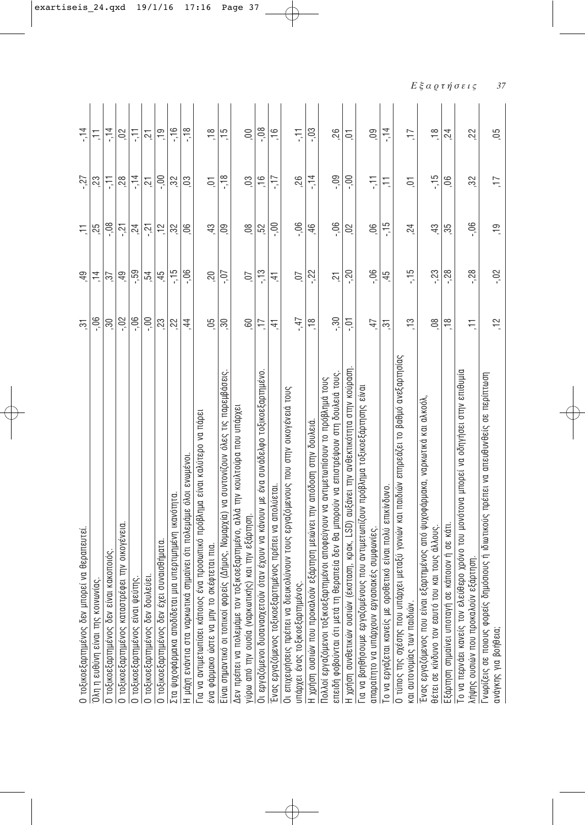| Ο τοξικοεξαρτημένος δεν μπορεί να θεραπευτεί                                                                                                                                     | $\overline{3}$        | 49             | Ę             | -27             | $-14$           |
|----------------------------------------------------------------------------------------------------------------------------------------------------------------------------------|-----------------------|----------------|---------------|-----------------|-----------------|
| Όλη η ευθύνη είναι της κοινωνίας                                                                                                                                                 | 90.                   | $\frac{14}{1}$ | 25            | 23              |                 |
| Ο τοξικοεξαρτημένος δεν είναι κακοποιός.                                                                                                                                         | 30                    | 25             | $-0.8$        | Ę               | $\frac{4}{1}$   |
| Ο τοξικοεξαρτημένος καταστρέφει την οικογένεια                                                                                                                                   | $-0.2$                | 49             | -,21          | 28              | $\approx$       |
| Ο τοξικοεξαρτημένος είναι ψεύτης.                                                                                                                                                | $-0.5$                | - 59           | $\mathcal{Z}$ | $-14$           | Ę               |
| Ο τοξικοεξαρτημένος δεν δουλεύει                                                                                                                                                 | $-0.0$                | 54             | $-21$         | 51              | 51              |
| Ο τοξικοεξαρτημένος δεν έχει συναισθήματα                                                                                                                                        | 23                    | 45             | $\frac{1}{2}$ | $-0.0$          | $\frac{5}{1}$   |
| Στα ψυχοφάρμακα αποδίδεται μια υπερτιμημένη ικανότητα                                                                                                                            | 22                    | $-15$          | 32            | 32              | $-16$           |
| ικά σημαίνει ότι πολεμάμε όλοι ενωμένοι<br>Η μάχη ενάντια στα ναρκωτ                                                                                                             | 44                    | $-0.5$         | ළ             | $\approx$       | $-18$           |
| ος ένα προσωπικό πρόβλημα είναι καλύτερο να πάρει<br>Για να αντιμετωπίσει κάποιο                                                                                                 |                       |                |               |                 |                 |
| ο σκέφτεται πια.<br>ένα φάρμακο ώστε να μην τ                                                                                                                                    | 50                    | 20             | 43            | ā               | $\frac{8}{10}$  |
| Είναι σημαντικό οι τοπικοί φορείς (Δήμος, Νομαρχία) να συντονίζουν όλες τις παρεμβάσεις.                                                                                         | $\ddot{30}$           | -07            | ළ             | $-18$           | $\ddot{1}$      |
| Δεν πρέπει να πολεμάμε τον τοξικοεξαρτημένο, αλλά την κουλτούρα που υπάρχει<br>γύρω από την ουσία (ναρκωτικής) και την εξάρτηση                                                  | S <sub>o</sub>        | ΟĪ.            | 8             | So              | S               |
| Οι εργαζόμενοι δυσανασχετούν όταν έχουν να κάνουν με ένα συνάδελφο τοξικοεξαρτημένο.                                                                                             | -i                    | ಼              | 52            | $\frac{6}{1}$   | $-0.8$          |
| Ενας εργαζόμενος τοξικοεξαρτημένος πρέπει να απολύεται                                                                                                                           | $\ddot{=}$            | 4              | $-0.$         | -17             | $\frac{6}{1}$   |
| Οι επιχειρήσεις πρέπει να διευκολύνουν τους εργαζόμενους που στην οικογένειά τους                                                                                                |                       |                |               |                 |                 |
| υπάρχει ένας τοξικοεξαρτημένος.                                                                                                                                                  | $-47$                 | $\overline{0}$ | $-0.06$       | 26              | Ę               |
| Η χρήση ουσιών που προκαλούν εξάρτηση μειώνει την απόδοση στην δουλειά.                                                                                                          | $\frac{8}{18}$        | -,22           | 46            | $\frac{4}{1}$   | $-0.3$          |
| τη θεραπεία δεν θα μπορούν να επιστρέψουν στη δουλειά τους.<br>Πολλοί εργαζόμενοι τοξικοεξαρτημένοι αποφεύγουν να αντιμετωπίσουν το πρόβλημά τους<br>επειδή φοβούνται ότι μετά τ | -.30                  | 51             | $-0.5$        | $-0.9$          | 26              |
| (έκσταση, κρακ, LSD) αυξάνει την ανθεκτικότητα στην κούραση<br>Η χρήση συνθετικών ουσιών                                                                                         | Ξ                     | $-20$          | S             | $-0.$           | Ξ.              |
| ια να βοηθήσουμε εργαζομένους που αντιμετωπίζουν πρόβλημα τοξικοεξάρτησης είναι                                                                                                  |                       |                |               |                 |                 |
| απαραίτητο να υπάρχουν εργασιακές συμφωνίες                                                                                                                                      | 47                    | $-0.5$         | ළි            | Ę               | $\overline{0}$  |
| ροθετικό είναι πολύ επικίνδυνο.<br>Το να εργάζεται κανείς με ι                                                                                                                   | $\tilde{\mathcal{E}}$ | 45             | $-15$         | Ę               | $-14$           |
| Ο τύπος της σχέσης που υπάρχει μεταξύ γονιών και παιδιών επηρεάζει το βαθμό ανεξαρτησίας<br>και αυτονομίας των παιδιών                                                           | $\frac{1}{2}$         | $-15$          | 24            | ā               | $\overline{17}$ |
| Ενας εργαζόμενος που είναι εξαρτημένος από ψυχοφάρμακα, ναρκωτικά και αλκοόλ                                                                                                     |                       |                |               |                 |                 |
| του και τους άλλους.<br>θέτει σε κίνδυνο τον εαυτό                                                                                                                               | $\approx$             | - 23           | 43            | $-15$           | $\frac{8}{1}$   |
| σε κάποιον ή σε κάτι<br>Εξάρτηση σημαίνει υποταγή                                                                                                                                | $\frac{8}{10}$        | $-28$          | 35            | 9Ō              | 24              |
| ο να περνάει κανείς τον ελεύθερο χρόνο του μονότονα μπορεί να οδηγήσει στην επιθυμία                                                                                             |                       |                |               | 32              |                 |
| λήψης ουσιών που προκαλούν εξάρτηση                                                                                                                                              | Ę                     | $-28$          | $-0.5$        |                 | 22              |
| δημόσιους ή ιδιωτικούς πρέπει να απευθυνθείς σε περίπτωση<br>[νωρίζεις σε ποιους φορείς                                                                                          | $\frac{1}{2}$         | $-0.02$        | $\frac{1}{2}$ | $\overline{11}$ |                 |
| ανάγκης για βοήθεια;                                                                                                                                                             |                       |                |               |                 | 65              |

₲

*Εξαρτήσεις 37*

 $\vert$ exartiseis\_24.qxd 19/1/16 17:16 Page 37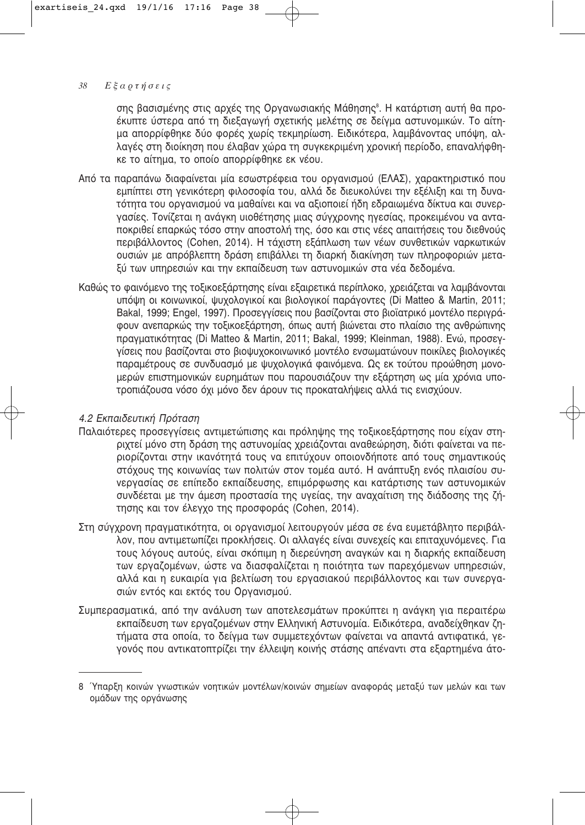σης βασισμένης στις αρχές της Οργανωσιακής Μάθησης°. Η κατάρτιση αυτή θα προέκυπτε ύστερα από τη διεξαγωγή σχετικής μελέτης σε δείγμα αστυνομικών. Το αίτημα απορρίφθηκε δύο φορές χωρίς τεκμηρίωση. Ειδικότερα, λαμβάνοντας υπόψη, αλλαγές στη διοίκηση που έλαβαν χώρα τη συγκεκριμένη χρονική περίοδο, επαναλήφθηκε το αίτημα, το οποίο απορρίφθηκε εκ νέου.

- Aπό τα παραπάνω διαφαίνεται μία εσωστρέφεια του οργανισμού (ΕΛΑΣ), χαρακτηριστικό που εμπίπτει στη νενικότερη φιλοσοφία του, αλλά δε διευκολύνει την εξέλιξη και τη δυνατότητα του οργανισμού να μαθαίνει και να αξιοποιεί ήδη εδραιωμένα δίκτυα και συνεργασίες. Τονίζεται η ανάγκη υιοθέτησης μιας σύγχρονης ηγεσίας, προκειμένου να ανταποκριθεί επαρκώς τόσο στην αποστολή της, όσο και στις νέες απαιτήσεις του διεθνούς περιβάλλοντος (Cohen, 2014). Η τάχιστη εξάπλωση των νέων συνθετικών ναρκωτικών ουσιών με απρόβλεπτη δράση επιβάλλει τη διαρκή διακίνηση των πληροφοριών μεταξύ των υπηρεσιών και την εκπαίδευση των αστυνομικών στα νέα δεδομένα.
- Καθώς το φαινόμενο της τοξικοεξάρτησης είναι εξαιρετικά περίπλοκο, χρειάζεται να λαμβάνονται υπόψη οι κοινωνικοί, ψυχολογικοί και βιολογικοί παράγοντες (Di Matteo & Martin, 2011; Bakal, 1999; Engel, 1997). Προσεγγίσεις που βασίζονται στο βιοϊατρικό μοντέλο περιγράφουν ανεπαρκώς την τοξικοεξάρτηση, όπως αυτή βιώνεται στο πλαίσιο της ανθρώπινης πραγματικότητας (Di Matteo & Martin, 2011; Bakal, 1999; Kleinman, 1988). Ενώ, προσενγίσεις που βασίζονται στο βιοψυχοκοινωνικό μοντέλο ενσωματώνουν ποικίλες βιολογικές παραμέτρους σε συνδυασμό με ψυχολογικά φαινόμενα. Ως εκ τούτου προώθηση μονομερών επιστημονικών ευρημάτων που παρουσιάζουν την εξάρτηση ως μία χρόνια υποτροπιάζουσα νόσο όχι μόνο δεν άρουν τις προκαταλήψεις αλλά τις ενισχύουν.

# *4.2 Εκπαιδευτική Πρόταση*

- Παλαιότερες προσεγγίσεις αντιμετώπισης και πρόληψης της τοξικοεξάρτησης που είχαν στηριχτεί μόνο στη δράση της αστυνομίας χρειάζονται αναθεώρηση, διότι φαίνεται να περιορίζονται στην ικανότητά τους να επιτύχουν οποιονδήποτε από τους σημαντικούς στόχους της κοινωνίας των πολιτών στον τομέα αυτό. Η ανάπτυξη ενός πλαισίου συνεργασίας σε επίπεδο εκπαίδευσης, επιμόρφωσης και κατάρτισης των αστυνομικών συνδέεται με την άμεση προστασία της υγείας, την αναχαίτιση της διάδοσης της ζήτησης και τον έλεγχο της προσφοράς (Cohen, 2014).
- Στη σύγχρονη πραγματικότητα, οι οργανισμοί λειτουργούν μέσα σε ένα ευμετάβλητο περιβάλλον, που αντιμετωπίζει προκλήσεις. Οι αλλαγές είναι συνεχείς και επιταχυνόμενες. Για τους λόγους αυτούς, είναι σκόπιμη η διερεύνηση αναγκών και η διαρκής εκπαίδευση των εργαζομένων, ώστε να διασφαλίζεται η ποιότητα των παρεχόμενων υπηρεσιών, αλλά και η ευκαιρία για βελτίωση του εργασιακού περιβάλλοντος και των συνεργασιών εντός και εκτός του Οργανισμού.
- Συμπερασματικά, από την ανάλυση των αποτελεσμάτων προκύπτει η ανάγκη για περαιτέρω εκπαίδευση των εργαζομένων στην Ελληνική Αστυνομία. Ειδικότερα, αναδείχθηκαν ζητήματα στα οποία, το δείγμα των συμμετεχόντων φαίνεται να απαντά αντιφατικά, γεγονός που αντικατοπτρίζει την έλλειψη κοινής στάσης απέναντι στα εξαρτημένα άτο-

<sup>8 &</sup>lt;sup>γ</sup>παρξη κοινών γνωστικών νοητικών μοντέλων/κοινών σημείων αναφοράς μεταξύ των μελών και των ομάδων της οργάνωσης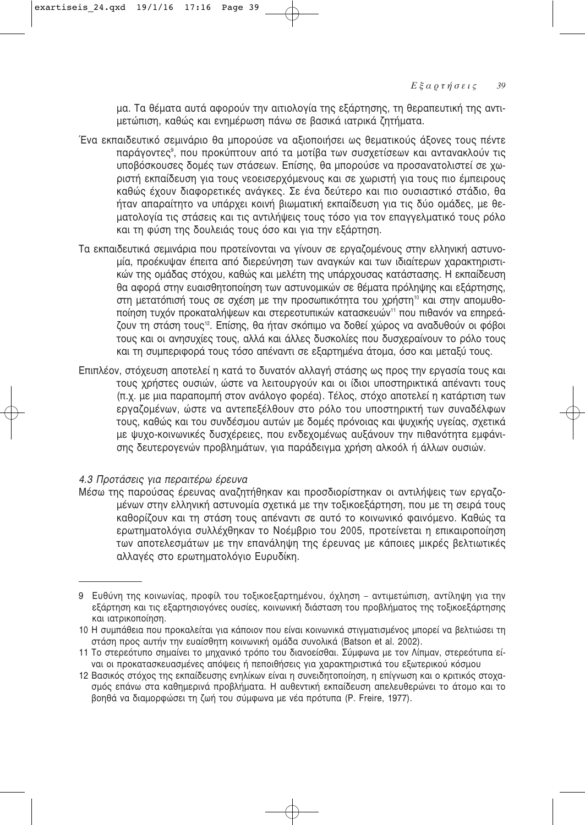exartiseis  $24.9xd$   $19/1/16$  $17:16$ Page  $39$ 

> μα. Τα θέματα αυτά αφορούν την αιτιολογία της εξάρτησης, τη θεραπευτική της αντιμετώπιση, καθώς και ενημέρωση πάνω σε βασικά ιατρικά ζητήματα.

- Ένα εκπαιδευτικό σεμινάριο θα μπορούσε να αξιοποιήσει ως θεματικούς άξονες τους πέντε παράνοντες<sup>9</sup>, που προκύπτουν από τα μοτίβα των συσχετίσεων και αντανακλούν τις υποβόσκουσες δομές των στάσεων. Επίσης, θα μπορούσε να προσανατολιστεί σε χωριστή εκπαίδευση για τους νεοεισερχόμενους και σε χωριστή για τους πιο έμπειρους καθώς έχουν διαφορετικές ανάνκες. Σε ένα δεύτερο και πιο ουσιαστικό στάδιο, θα ήταν απαραίτητο να υπάρχει κοινή βιωματική εκπαίδευση για τις δύο ομάδες, με θεματολογία τις στάσεις και τις αντιλήψεις τους τόσο για τον επαγγελματικό τους ρόλο και τη φύση της δουλειάς τους όσο και για την εξάρτηση.
- Τα εκπαιδευτικά σεμινάρια που προτείνονται να γίνουν σε εργαζομένους στην ελληνική αστυνομία, προέκυψαν έπειτα από διερεύνηση των ανανκών και των ιδιαίτερων χαρακτηριστικών της ομάδας στόχου, καθώς και μελέτη της υπάρχουσας κατάστασης. Η εκπαίδευση θα αφορά στην ευαισθητοποίηση των αστυνομικών σε θέματα πρόληψης και εξάρτησης. στη μετατόπισή τους σε σχέση με την προσωπικότητα του χρήστη<sup>10</sup> και στην απομυθοποίηση τυχόν προκαταλήψεων και στερεοτυπικών κατασκευών<sup>11</sup> που πιθανόν να επηρεάζουν τη στάση τους<sup>12</sup>. Επίσης, θα ήταν σκόπιμο να δοθεί χώρος να αναδυθούν οι φόβοι τους και οι ανησυχίες τους, αλλά και άλλες δυσκολίες που δυσχεραίνουν το ρόλο τους και τη συμπεριφορά τους τόσο απέναντι σε εξαρτημένα άτομα, όσο και μεταξύ τους.
- Επιπλέον, στόχευση αποτελεί η κατά το δυνατόν αλλαγή στάσης ως προς την εργασία τους και τους χρήστες ουσιών, ώστε να λειτουργούν και οι ίδιοι υποστηρικτικά απέναντι τους (π.χ. με μια παραπομπή στον ανάλογο φορέα). Τέλος, στόχο αποτελεί η κατάρτιση των εργαζομένων, ώστε να αντεπεξέλθουν στο ρόλο του υποστηρικτή των συναδέλφων τους, καθώς και του συνδέσμου αυτών με δομές πρόνοιας και ψυχικής υγείας, σχετικά με ψυχο-κοινωνικές δυσχέρειες, που ενδεχομένως αυξάνουν την πιθανότητα εμφάνισης δευτερογενών προβλημάτων, για παράδειγμα χρήση αλκοόλ ή άλλων ουσιών.

# 4.3 Προτάσεις για περαιτέρω έρευνα

Μέσω της παρούσας έρευνας αναζητήθηκαν και προσδιορίστηκαν οι αντιλήψεις των εργαζομένων στην ελληνική αστυνομία σχετικά με την τοξικοεξάρτηση, που με τη σειρά τους καθορίζουν και τη στάση τους απέναντι σε αυτό το κοινωνικό φαινόμενο. Καθώς τα ερωτηματολόγια συλλέχθηκαν το Νοέμβριο του 2005, προτείνεται η επικαιροποίηση των αποτελεσμάτων με την επανάληψη της έρευνας με κάποιες μικρές βελτιωτικές αλλαγές στο ερωτηματολόγιο Ευρυδίκη.

<sup>9</sup> Ευθύνη της κοινωνίας, προφίλ του τοξικοεξαρτημένου, όχληση - αντιμετώπιση, αντίληψη για την εξάρτηση και τις εξαρτησιογόνες ουσίες, κοινωνική διάσταση του προβλήματος της τοξικοεξάρτησης και ιατρικοποίηση.

<sup>10</sup> Η συμπάθεια που προκαλείται για κάποιον που είναι κοινωνικά στιγματισμένος μπορεί να βελτιώσει τη στάση προς αυτήν την ευαίσθητη κοινωνική ομάδα συνολικά (Batson et al. 2002).

<sup>11</sup> Το στερεότυπο σημαίνει το μηχανικό τρόπο του διανοείσθαι. Σύμφωνα με τον Λίπμαν, στερεότυπα είναι οι προκατασκευασμένες απόψεις ή πεποιθήσεις για χαρακτηριστικά του εξωτερικού κόσμου

<sup>12</sup> Βασικός στόχος της εκπαίδευσης ενηλίκων είναι η συνειδητοποίηση, η επίγνωση και ο κριτικός στοχασμός επάνω στα καθημερινά προβλήματα. Η αυθεντική εκπαίδευση απελευθερώνει το άτομο και το βοηθά να διαμορφώσει τη ζωή του σύμφωνα με νέα πρότυπα (P. Freire, 1977).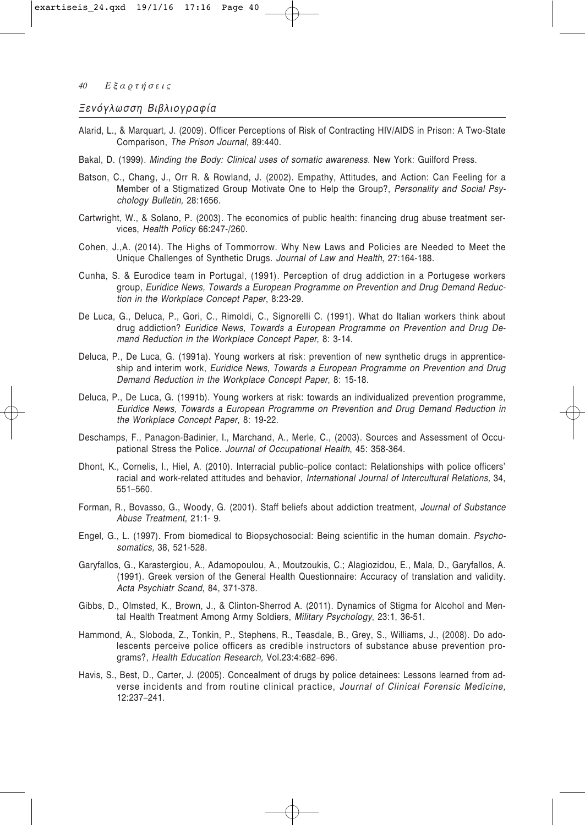*<u>Ξενόγλωσση</u> Βιβλιογραφία* 

- Alarid, L., & Marquart, J. (2009). Officer Perceptions of Risk of Contracting HIV/AIDS in Prison: A Two-State Comparison, *The Prison Journal,* 89:440.
- Bakal, D. (1999). *Minding the Body: Clinical uses of somatic awareness.* New York: Guilford Press.
- Batson, C., Chang, J., Orr R. & Rowland, J. (2002). Empathy, Attitudes, and Action: Can Feeling for a Member of a Stigmatized Group Motivate One to Help the Group?, *Personality and Social Psychology Bulletin,* 28:1656.
- Cartwright, W., & Solano, P. (2003). The economics of public health: financing drug abuse treatment services, *Health Policy* 66:247-/260.
- Cohen, J.,A. (2014). The Highs of Tommorrow. Why New Laws and Policies are Needed to Meet the Unique Challenges of Synthetic Drugs. *Journal of Law and Health*, 27:164-188.
- Cunha, S. & Eurodice team in Portugal, (1991). Perception of drug addiction in a Portugese workers group, *Euridice News, Towards a European Programme on Prevention and Drug Demand Reduction in the Workplace Concept Paper*, 8:23-29.
- De Luca, G., Deluca, P., Gori, C., Rimoldi, C., Signorelli C. (1991). What do Italian workers think about drug addiction? *Euridice News, Towards a European Programme on Prevention and Drug Demand Reduction in the Workplace Concept Paper*, 8: 3-14.
- Deluca, P., De Luca, G. (1991a). Young workers at risk: prevention of new synthetic drugs in apprenticeship and interim work, *Euridice News, Towards a European Programme on Prevention and Drug Demand Reduction in the Workplace Concept Paper*, 8: 15-18.
- Deluca, P., De Luca, G. (1991b). Young workers at risk: towards an individualized prevention programme, *Euridice News, Towards a European Programme on Prevention and Drug Demand Reduction in the Workplace Concept Paper*, 8: 19-22.
- Deschamps, F., Panagon-Badinier, I., Marchand, A., Merle, C., (2003). Sources and Assessment of Occupational Stress the Police. *Journal of Occupational Health*, 45: 358-364.
- Dhont, K., Cornelis, I., Hiel, A. (2010). Interracial public–police contact: Relationships with police officers' racial and work-related attitudes and behavior, *International Journal of Intercultural Relations,* 34, 551–560.
- Forman, R., Bovasso, G., Woody, G. (2001). Staff beliefs about addiction treatment, *Journal of Substance Abuse Treatment*, 21:1- 9.
- Engel, G., L. (1997). From biomedical to Biopsychosocial: Being scientific in the human domain. *Psychosomatics,* 38, 521-528.
- Garyfallos, G., Karastergiou, A., Adamopoulou, A., Moutzoukis, C.; Alagiozidou, E., Mala, D., Garyfallos, A. (1991). Greek version of the General Health Questionnaire: Accuracy of translation and validity*. Acta Psychiatr Scand*, 84, 371-378.
- Gibbs, D., Olmsted, K., Brown, J., & Clinton-Sherrod A. (2011). Dynamics of Stigma for Alcohol and Mental Health Treatment Among Army Soldiers, *Military Psychology*, 23:1, 36-51.
- Hammond, A., Sloboda, Z., Tonkin, P., Stephens, R., Teasdale, B., Grey, S., Williams, J., (2008). Do adolescents perceive police officers as credible instructors of substance abuse prevention programs?, *Health Education Research,* Vol.23:4:682–696.
- Havis, S., Best, D., Carter, J. (2005). Concealment of drugs by police detainees: Lessons learned from adverse incidents and from routine clinical practice, *Journal of Clinical Forensic Medicine,* 12:237–241.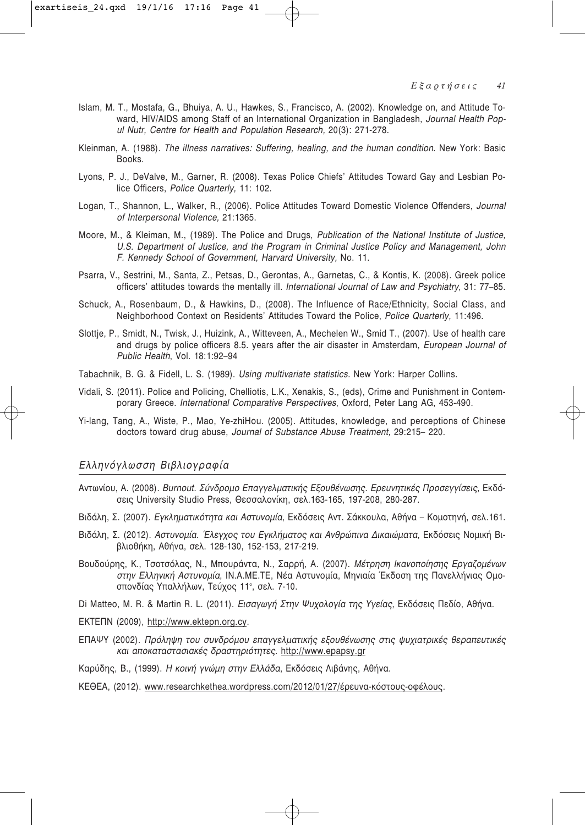- Islam, M. T., Mostafa, G., Bhuiya, A. U., Hawkes, S., Francisco, A. (2002). Knowledge on, and Attitude Toward, HIV/AIDS among Staff of an International Organization in Bangladesh, *Journal Health Popul Nutr, Centre for Health and Population Research,* 20(3): 271-278.
- Kleinman, A. (1988). *The illness narratives: Suffering, healing, and the human condition*. New York: Basic Books.
- Lyons, P. J., DeValve, M., Garner, R. (2008). Texas Police Chiefs' Attitudes Toward Gay and Lesbian Police Officers, *Police Quarterly,* 11: 102.
- Logan, T., Shannon, L., Walker, R., (2006). Police Attitudes Toward Domestic Violence Offenders, *Journal of Interpersonal Violence,* 21:1365.
- Moore, M., & Kleiman, M., (1989). The Police and Drugs, *Publication of the National Institute of Justice, U.S. Department of Justice, and the Program in Criminal Justice Policy and Management, John F. Kennedy School of Government, Harvard University,* No. 11.
- Psarra, V., Sestrini, M., Santa, Z., Petsas, D., Gerontas, A., Garnetas, C., & Kontis, K. (2008). Greek police officers' attitudes towards the mentally ill. *International Journal of Law and Psychiatry*, 31: 77–85.
- Schuck, A., Rosenbaum, D., & Hawkins, D., (2008). The Influence of Race/Ethnicity, Social Class, and Neighborhood Context on Residents' Attitudes Toward the Police, *Police Quarterly,* 11:496.
- Slottje, P., Smidt, N., Twisk, J., Huizink, A., Witteveen, A., Mechelen W., Smid T., (2007). Use of health care and drugs by police officers 8.5. years after the air disaster in Amsterdam, *European Journal of Public Health*, Vol. 18:1:92–94
- Tabachnik, B. G. & Fidell, L. S. (1989). *Using multivariate statistics.* New York: Harper Collins.
- Vidali, S. (2011). Police and Policing, Chelliotis, L.K., Xenakis, S., (eds), Crime and Punishment in Contemporary Greece. *International Comparative Perspectives*, Oxford, Peter Lang AG, 453-490.
- Yi-lang, Tang, A., Wiste, P., Mao, Ye-zhiHou. (2005). Attitudes, knowledge, and perceptions of Chinese doctors toward drug abuse, *Journal of Substance Abuse Treatment,* 29:215– 220.

# *Eλληνόγλωσση Βιβλιογραφία*

exartiseis\_24.qxd 19/1/16 17:16 Page 41

- Αντωνίου, Α. (2008). *Burnout. Σύνδρομο Επαγγελματικής Εξουθένωσης. Ερευνητικές Προσεγγίσεις*, Εκδόσεις University Studio Press, Θεσσαλονίκη, σελ. 163-165, 197-208, 280-287.
- Bιδάλη, Σ. (2007). *Εγκληματικότητα και Αστυνομία*, Εκδόσεις Αντ. Σάκκουλα, Αθήνα Κομοτηνή, σελ.161.
- Βιδάλη, Σ. (2012). *Αστυνομία. Έλεγχος του Εγκλήματος και Ανθρώπινα Δικαιώματα*, Εκδόσεις Νομική Βιβλιοθήκη, Αθήνα, σελ. 128-130, 152-153, 217-219.
- Βουδούρης, Κ., Τσοτσόλας, Ν., Μπουράντα, Ν., Σαρρή, Α. (2007). *Μέτρηση Ικανοποίησης Εργαζομένων* στην Ελληνική Αστυνομία, IN.A.ME.TE, Νέα Αστυνομία, Μηνιαία Έκδοση της Πανελλήνιας Ομοσπονδίας Υπαλλήλων, Τεύχος 11°, σελ. 7-10.
- Di Matteo, M. R. & Martin R. L. (2011). *Εισαγωγή Στην Ψυχολογία της Υγείας*, Εκδόσεις Πεδίο, Αθήνα.
- ∂∫Δ∂¶¡ (2009), http://www.ektepn.org.cy.
- ΕΠΑΨΥ (2002). Πρόληψη του συνδρόμου επαγγελματικής εξουθένωσης στις ψυχιατρικές θεραπευτικές *Î·È ·ÔηٷÛÙ·ÛȷΤ˜ ‰Ú·ÛÙËÚÈfiÙËÙ˜*. http://www.epapsy.gr
- Καρύδης, Β., (1999). *Η κοινή γνώμη στην Ελλάδα*, Εκδόσεις Λιβάνης, Αθήνα.
- KEΘEA, (2012). www.researchkethea.wordpress.com/2012/01/27/έρευνα-κόστους-οφέλους.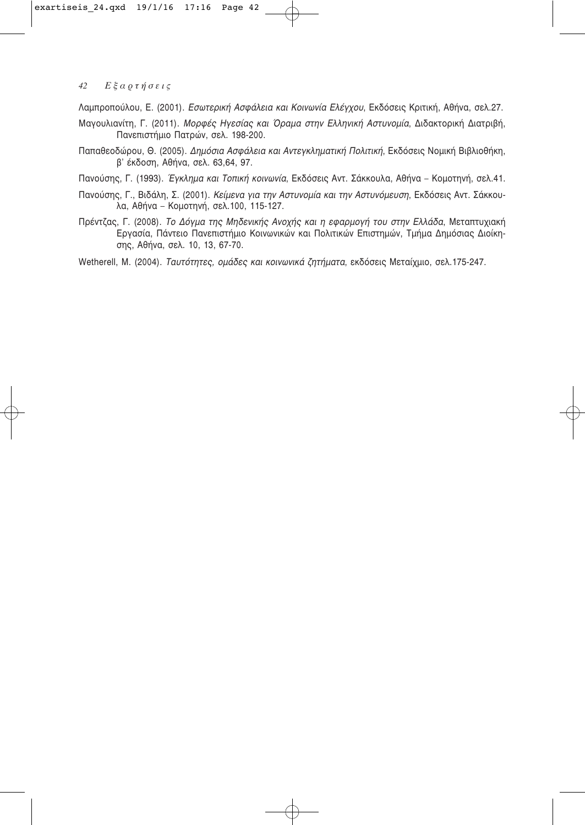Λαμπροπούλου, Ε. (2001). *Εσωτερική Ασφάλεια και Κοινωνία Ελέγχου*, Εκδόσεις Κριτική, Αθήνα, σελ.27.

- Μαγουλιανίτη, Γ. (2011). *Μορφές Ηγεσίας και Όραμα στην Ελληνική Αστυνομία*, Διδακτορική Διατριβή, Πανεπιστήμιο Πατρών, σελ. 198-200.
- Παπαθεοδώρου, Θ. (2005). *Δημόσια Ασφάλεια και Αντεγκληματική Πολιτική*, Εκδόσεις Νομική Βιβλιοθήκη, β' έκδοση, Αθήνα, σελ. 63,64, 97.
- Πανούσης, Γ. (1993). *Έγκλημα και Τοπική κοινωνία*, Εκδόσεις Αντ. Σάκκουλα, Αθήνα Κομοτηνή, σελ.41.
- Πανούσης, Γ., Βιδάλη, Σ. (2001). *Κείμενα για την Αστυνομία και την Αστυνόμευση*, Εκδόσεις Αντ. Σάκκουλα, Αθήνα – Κομοτηνή, σελ.100, 115-127.
- Πρέντζας, Γ. (2008). *Το Δόγμα της Μηδενικής Ανοχής και η εφαρμογή του στην Ελλάδα*, Μεταπτυχιακή Εργασία, Πάντειο Πανεπιστήμιο Κοινωνικών και Πολιτικών Επιστημών, Τμήμα Δημόσιας Διοίκησης, Αθήνα, σελ. 10, 13, 67-70.

Wetherell, M. (2004). *Ταυτότητες, ομάδες και κοινωνικά ζητήματα*, εκδόσεις Μεταίχμιο, σελ.175-247.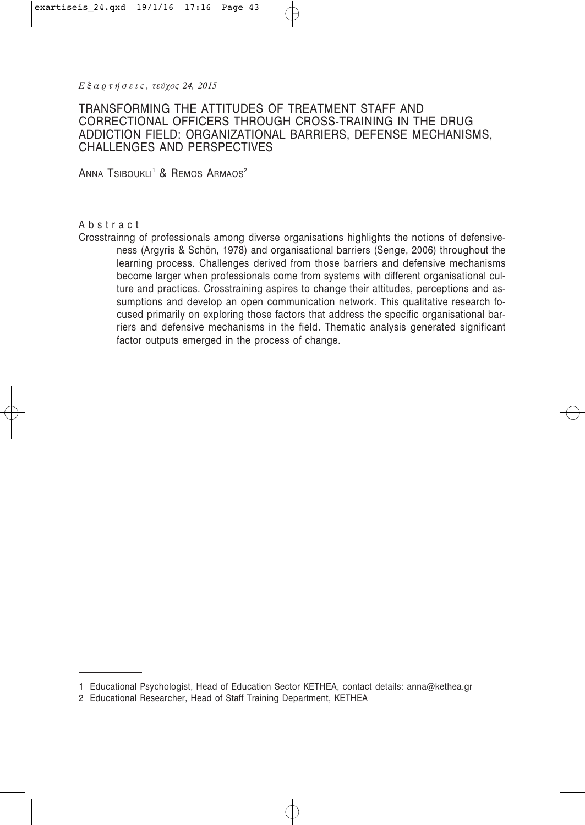*Ε ξ α ρ τ ή σ ε ι ς , τεύχος 24, 2015*

# TRANSFORMING THE ATTITUDES OF TREATMENT STAFF AND CORRECTIONAL OFFICERS THROUGH CROSS-TRAINING IN THE DRUG ADDICTION FIELD: ORGANIZATIONAL BARRIERS, DEFENSE MECHANISMS, CHALLENGES AND PERSPECTIVES

ANNA TSIBOUKLI<sup>1</sup> & REMOS ARMAOS<sup>2</sup>

Abstract

Crosstrainng of professionals among diverse organisations highlights the notions of defensiveness (Argyris & Schön, 1978) and organisational barriers (Senge, 2006) throughout the learning process. Challenges derived from those barriers and defensive mechanisms become larger when professionals come from systems with different organisational culture and practices. Crosstraining aspires to change their attitudes, perceptions and assumptions and develop an open communication network. This qualitative research focused primarily on exploring those factors that address the specific organisational barriers and defensive mechanisms in the field. Thematic analysis generated significant factor outputs emerged in the process of change.

<sup>1</sup> Educational Psychologist, Head of Education Sector KETHEA, contact details: anna@kethea.gr

<sup>2</sup> Educational Researcher, Head of Staff Training Department, KETHEA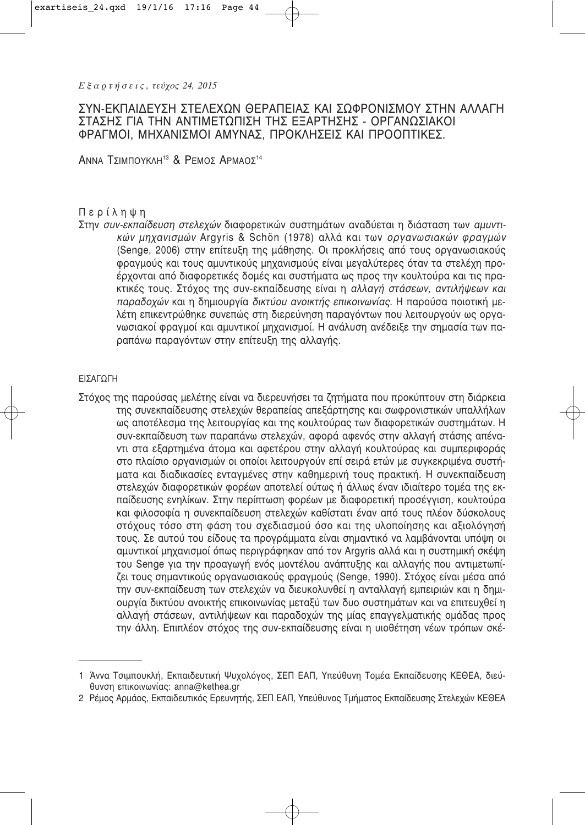*Ε ξ α ρ τ ή σ ε ι ς , τεύχος 24, 2015*

# ΣΥΝ-ΕΚΠΑΙΔΕΥΣΗ ΣΤΕΛΕΧΩΝ ΘΕΡΑΠΕΙΑΣ ΚΑΙ ΣΩΦΡΟΝΙΣΜΟΥ ΣΤΗΝ ΑΛΛΑΓΗ ΣΤΑΣΗΣ ΓΙΑ ΤΗΝ ΑΝΤΙΜΕΤΩΠΙΣΗ ΤΗΣ ΕΞΑΡΤΗΣΗΣ - ΟΡΓΑΝΩΣΙΑΚΟΙ ΦΡΑΓΜΟΙ, ΜΗΧΑΝΙΣΜΟΙ ΑΜΥΝΑΣ, ΠΡΟΚΛΗΣΕΙΣ ΚΑΙ ΠΡΟΟΠΤΙΚΕΣ.

ΑΝΝΑ ΤΣΙΜΠΟΥΚΛΗ<sup>13</sup> & ΡΕΜΟΣ ΑΡΜΑΟΣ<sup>14</sup>

# $\Pi$ ερίληψη

Στην συν-εκπαίδευση στελεχών διαφορετικών συστημάτων αναδύεται η διάσταση των *αμυντι-Κών μηχανισμών* Argyris & Schön (1978) αλλά και των *οργανωσιακών φραγμών* (Senge, 2006) στην επίτευξη της μάθησης. Οι προκλήσεις από τους οργανωσιακούς Φραγμούς και τους αμυντικούς μηχανισμούς είναι μεγαλύτερες όταν τα στελέχη προέρχονται από διαφορετικές δομές και συστήματα ως προς την κουλτούρα και τις πρα-Κτικές τους. Στόχος της συν-εκπαίδευσης είναι η *αλλαγή στάσεων, αντιλήψεων και παραδοχών* και η δημιουργία *δικτύου ανοικτής επικοινωνίας*. Η παρούσα ποιοτική μελέτη επικεντρώθηκε συνεπώς στη διερεύνηση παραγόντων που λειτουργούν ως οργανωσιακοί φραγμοί και αμυντικοί μηχανισμοί. Η ανάλυση ανέδειξε την σημασία των παραπάνω παραγόντων στην επίτευξη της αλλαγής.

### ΕΙΣΑΓΩΓΗ

Στόχος της παρούσας μελέτης είναι να διερευνήσει τα ζητήματα που προκύπτουν στη διάρκεια της συνεκπαίδευσης στελεχών θεραπείας απεξάρτησης και σωφρονιστικών υπαλλήλων ως αποτέλεσμα της λειτουργίας και της κουλτούρας των διαφορετικών συστημάτων. Η συν-εκπαίδευση των παραπάνω στελεχών, αφορά αφενός στην αλλαγή στάσης απένα-Vτι στα εξαρτημένα άτομα και αφετέρου στην αλλαγή κουλτούρας και συμπεριφοράς στο πλαίσιο οργανισμών οι οποίοι λειτουργούν επί σειρά ετών με συγκεκριμένα συστήματα και διαδικασίες ενταγμένες στην καθημερινή τους πρακτική. Η συνεκπαίδευση στελεχών διαφορετικών φορέων αποτελεί ούτως ή άλλως έναν ιδιαίτερο τομέα της εκπαίδευσης ενηλίκων. Στην περίπτωση φορέων με διαφορετική προσέγγιση, κουλτούρα και φιλοσοφία η συνεκπαίδευση στελεχών καθίστατι έναν από τους πλέον δύσκολους στόχους τόσο στη φάση του σχεδιασμού όσο και της υλοποίησης και αξιολόγησή τους. Σε αυτού του είδους τα προγράμματα είναι σημαντικό να λαμβάνονται υπόψη οι αμυντικοί μηχανισμοί όπως περιγράφηκαν από τον Argyris αλλά και η συστημική σκέψη του Senge για την προαγωγή ενός μοντέλου ανάπτυξης και αλλαγής που αντιμετωπίζει τους σημαντικούς οργανωσιακούς φραγμούς (Senge, 1990). Στόχος είναι μέσα από την συν-εκπαίδευση των στελεχών να διευκολυνθεί η ανταλλαγή εμπειριών και η δημιουργία δικτύου ανοικτής επικοινωνίας μεταξύ των δυο συστημάτων και να επιτευχθεί η αλλαγή στάσεων, αντιλήψεων και παραδοχών της μίας επαγγελματικής ομάδας προς την άλλη. Επιπλέον στόχος της συν-εκπαίδευσης είναι η υιοθέτηση νέων τρόπων σκέ-

<sup>1</sup> Άννα Τσιμπουκλή, Εκπαιδευτική Ψυχολόγος, ΣΕΠ ΕΑΠ, Υπεύθυνη Τομέα Εκπαίδευσης ΚΕΘΕΑ, διεύθυνση επικοινωνίας: anna@kethea.gr

<sup>2</sup> Ρέμος Αρμάος, Εκπαιδευτικός Ερευνητής, ΣΕΠ ΕΑΠ, Υπεύθυνος Τμήματος Εκπαίδευσης Στελεχών ΚΕΘΕΑ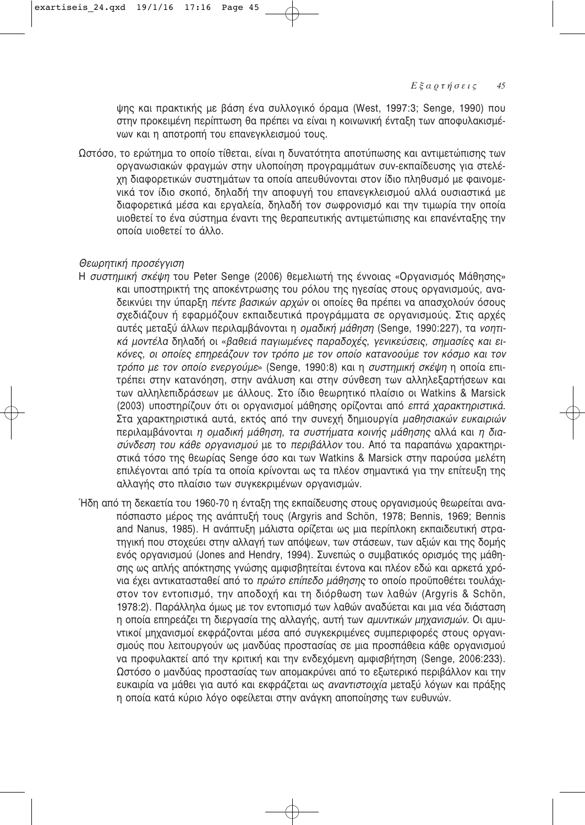exartiseis  $24.\text{axd}$   $19/1/16$  17:16 Page

ψης και πρακτικής με βάση ένα συλλογικό όραμα (West, 1997:3; Senge, 1990) που στην προκειμένη περίπτωση θα πρέπει να είναι η κοινωνική ένταξη των αποφυλακισμένων και η αποτροπή του επανεγκλεισμού τους.

Ωστόσο, το ερώτημα το οποίο τίθεται, είναι η δυνατότητα αποτύπωσης και αντιμετώπισης των οργανωσιακών φραγμών στην υλοποίηση προγραμμάτων συν-εκπαίδευσης για στελέχη διαφορετικών συστημάτων τα οποία απευθύνονται στον ίδιο πληθυσμό με φαινομενικά τον ίδιο σκοπό, δηλαδή την αποφυγή του επανεγκλεισμού αλλά ουσιαστικά με διαφορετικά μέσα και εργαλεία, δηλαδή τον σωφρονισμό και την τιμωρία την οποία υιοθετεί το ένα σύστημα έναντι της θεραπευτικής αντιμετώπισης και επανένταξης την οποία υιοθετεί το άλλο.

# Θεωρητική προσέγγιση

- Η συστημική σκέψη του Peter Senge (2006) θεμελιωτή της έννοιας «Οργανισμός Μάθησης» και υποστηρικτή της αποκέντρωσης του ρόλου της ηγεσίας στους οργανισμούς, αναδεικνύει την ύπαρξη *πέντε βασικών αρχών* οι οποίες θα πρέπει να απασχολούν όσους σχεδιάζουν ή εφαρμόζουν εκπαιδευτικά προγράμματα σε οργανισμούς. Στις αρχές αυτές μεταξύ άλλων περιλαμβάνονται η *ομαδική μάθηση* (Senge, 1990:227), τα νοητικά μοντέλα δηλαδή οι «βαθειά παγιωμένες παραδοχές, γενικεύσεις, σημασίες και ει-*Κόνες, οι οποίες επηρεάζουν τον τρόπο με τον οποίο κατανοούμε τον κόσμο και τον τρόπο με τον οποίο ενεργούμε»* (Senge, 1990:8) και η *συστημική σκέψη* η οποία επιτρέπει στην κατανόηση, στην ανάλυση και στην σύνθεση των αλληλεξαρτήσεων και των αλληλεπιδράσεων με άλλους. Στο ίδιο θεωρητικό πλαίσιο οι Watkins & Marsick (2003) υποστηρίζουν ότι οι οργανισμοί μάθησης ορίζονται από *επτά χαρακτηριστικά*. Στα χαρακτηριστικά αυτά, εκτός από την συνεχή δημιουργία *μαθησιακών ευκαιριών* περιλαμβάνονται *η ομαδική μάθηση, τα συστήματα κοινής μάθησης* αλλά και *η διασύνδεση του κάθε οργανισμού* με το περιβάλλον του. Από τα παραπάνω χαρακτηριστικά τόσο της θεωρίας Senge όσο και των Watkins & Marsick στην παρούσα μελέτη επιλέγονται από τρία τα οποία κρίνονται ως τα πλέον σημαντικά για την επίτευξη της αλλαγής στο πλαίσιο των συγκεκριμένων οργανισμών.
- Ήδη από τη δεκαετία του 1960-70 η ένταξη της εκπαίδευσης στους οργανισμούς θεωρείται αναπόσπαστο μέρος της ανάπτυξή τους (Argyris and Schön, 1978; Bennis, 1969; Bennis and Nanus, 1985). Η ανάπτυξη μάλιστα ορίζεται ως μια περίπλοκη εκπαιδευτική στρατηγική που στοχεύει στην αλλαγή των απόψεων, των στάσεων, των αξιών και της δομής ενός οργανισμού (Jones and Hendry, 1994). Συνεπώς ο συμβατικός ορισμός της μάθησης ως απλής απόκτησης γνώσης αμφισβητείται έντονα και πλέον εδώ και αρκετά χρόνια έχει αντικατασταθεί από το *πρώτο επίπεδο μάθησης* το οποίο προϋποθέτει τουλάχιστον τον εντοπισμό, την αποδοχή και τη διόρθωση των λαθών (Argyris & Schön, 1978:2). Παράλληλα όμως με τον εντοπισμό των λαθών αναδύεται και μια νέα διάσταση η οποία επηρεάζει τη διεργασία της αλλαγής, αυτή των *αμυντικών μηχανισμών.* Οι αμυντικοί μηχανισμοί εκφράζονται μέσα από συγκεκριμένες συμπεριφορές στους οργανισμούς που λειτουργούν ως μανδύας προστασίας σε μια προσπάθεια κάθε οργανισμού να προφυλακτεί από την κριτική και την ενδεχόμενη αμφισβήτηση (Senge, 2006:233). Ωστόσο ο μανδύας προστασίας των απομακρύνει από το εξωτερικό περιβάλλον και την ευκαιρία να μάθει για αυτό και εκφράζεται ως *αναντιστοιχία* μεταξύ λόγων και πράξης η οποία κατά κύριο λόγο οφείλεται στην ανάγκη αποποίησης των ευθυνών.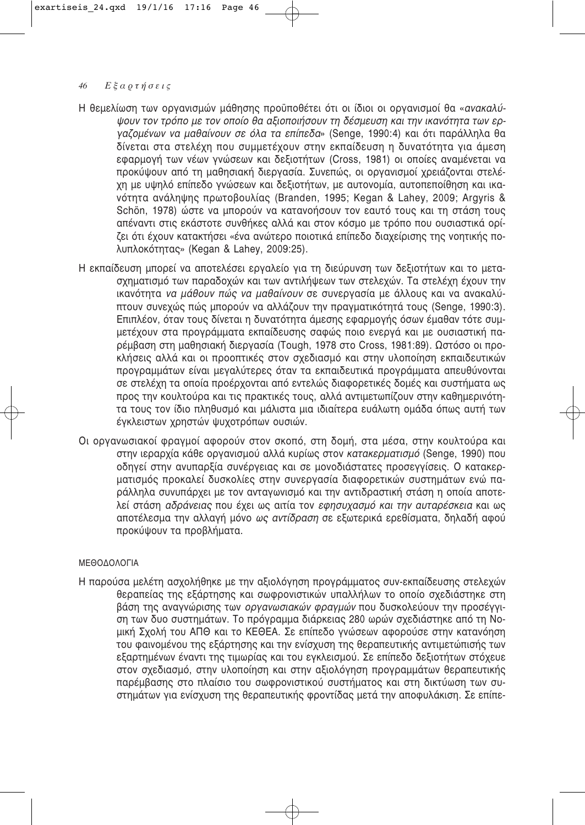- *46 Εξαρτήσεις*
- Η θεμελίωση των οργανισμών μάθησης προϋποθέτει ότι οι ίδιοι οι οργανισμοί θα «*ανακαλύ-"Ô˘Ó ÙÔÓ ÙÚfiÔ Ì ÙÔÓ ÔÔ›Ô ı· ·ÍÈÔÔÈ‹ÛÔ˘Ó ÙË ‰¤ÛÌ¢ÛË Î·È ÙËÓ ÈηÓfiÙËÙ· ÙˆÓ ÂÚ*γαζομένων να μαθαίνουν σε όλα τα επίπεδα» (Senge, 1990:4) και ότι παράλληλα θα δίνεται στα στελέχη που συμμετέχουν στην εκπαίδευση η δυνατότητα για άμεση εφαρμογή των νέων γνώσεων και δεξιοτήτων (Cross, 1981) οι οποίες αναμένεται να προκύψουν από τη μαθησιακή διεργασία. Συνεπώς, οι οργανισμοί χρειάζονται στελέχη με υψηλό επίπεδο γνώσεων και δεξιοτήτων, με αυτονομία, αυτοπεποίθηση και ικα-ÓfiÙËÙ· ·Ó¿Ï˄˘ ÚˆÙÔ'Ô˘Ï›·˜ (Branden, 1995; Kegan & Lahey, 2009; Argyris & Schön, 1978) ώστε να μπορούν να κατανοήσουν τον εαυτό τους και τη στάση τους απέναντι στις εκάστοτε συνθήκες αλλά και στον κόσμο με τρόπο που ουσιαστικά ορίζει ότι έχουν κατακτήσει «ένα ανώτερο ποιοτικά επίπεδο διαχείρισης της νοητικής πολυπλοκότητας» (Kegan & Lahey, 2009:25).
- Η εκπαίδευση μπορεί να αποτελέσει εργαλείο για τη διεύρυνση των δεξιοτήτων και το μετασχηματισμό των παραδοχών και των αντιλήψεων των στελεχών. Τα στελέχη έχουν την *ικανότητα να μάθουν πώς να μαθαίνουν σε συνεργασία με άλλους και να ανακαλύ*πτουν συνεχώς πώς μπορούν να αλλάζουν την πραγματικότητά τους (Senge, 1990:3). Επιπλέον, όταν τους δίνεται η δυνατότητα άμεσης εφαρμογής όσων έμαθαν τότε συμμετέχουν στα προγράμματα εκπαίδευσης σαφώς ποιο ενεργά και με ουσιαστική πα- $\rho$ έμβαση στη μαθησιακή διεργασία (Tough, 1978 στο Cross, 1981:89). Ωστόσο οι προκλήσεις αλλά και οι προοπτικές στον σχεδιασμό και στην υλοποίηση εκπαιδευτικών προγραμμάτων είναι μεγαλύτερες όταν τα εκπαιδευτικά προγράμματα απευθύνονται σε στελέχη τα οποία προέρχονται από εντελώς διαφορετικές δομές και συστήματα ως προς την κουλτούρα και τις πρακτικές τους, αλλά αντιμετωπίζουν στην καθημερινότητα τους τον ίδιο πληθυσμό και μάλιστα μια ιδιαίτερα ευάλωτη ομάδα όπως αυτή των έγκλειστων χρηστών ψυχοτρόπων ουσιών.
- Οι οργανωσιακοί φραγμοί αφορούν στον σκοπό, στη δομή, στα μέσα, στην κουλτούρα και στην ιεραρχία κάθε οργανισμού αλλά κυρίως στον κατακερματισμό (Senge, 1990) που οδηγεί στην ανυπαρξία συνέργειας και σε μονοδιάστατες προσεγγίσεις. Ο κατακερματισμός προκαλεί δυσκολίες στην συνεργασία διαφορετικών συστημάτων ενώ παράλληλα συνυπάρχει με τον ανταγωνισμό και την αντιδραστική στάση η οποία αποτελεί στάση *αδράνειας* που έχει ως αιτία τον *εφησυχασμό και την αυταρέσκεια κ*αι ως αποτέλεσμα την αλλαγή μόνο *ως αντίδραση* σε εξωτερικά ερεθίσματα, δηλαδή αφού προκύψουν τα προβλήματα.

#### ΜΕΘΟΔΟΛΟΓΙΑ

Η παρούσα μελέτη ασχολήθηκε με την αξιολόγηση προγράμματος συν-εκπαίδευσης στελεχών θεραπείας της εξάρτησης και σωφρονιστικών υπαλλήλων το οποίο σχεδιάστηκε στη βάση της αναγνώρισης των *οργανωσιακών φραγμών* που δυσκολεύουν την προσέγγιση των δυο συστημάτων. Το πρόγραμμα διάρκειας 280 ωρών σχεδιάστηκε από τη Noμική Σχολή του ΑΠΘ και το ΚΕΘΕΑ. Σε επίπεδο γνώσεων αφορούσε στην κατανόηση του φαινομένου της εξάρτησης και την ενίσχυση της θεραπευτικής αντιμετώπισής των εξαρτημένων έναντι της τιμωρίας και του εγκλεισμού. Σε επίπεδο δεξιοτήτων στόχευε στον σχεδιασμό, στην υλοποίηση και στην αξιολόγηση προγραμμάτων θεραπευτικής παρέμβασης στο πλαίσιο του σωφρονιστικού συστήματος και στη δικτύωση των συστημάτων για ενίσχυση της θεραπευτικής φροντίδας μετά την αποφυλάκιση. Σε επίπε-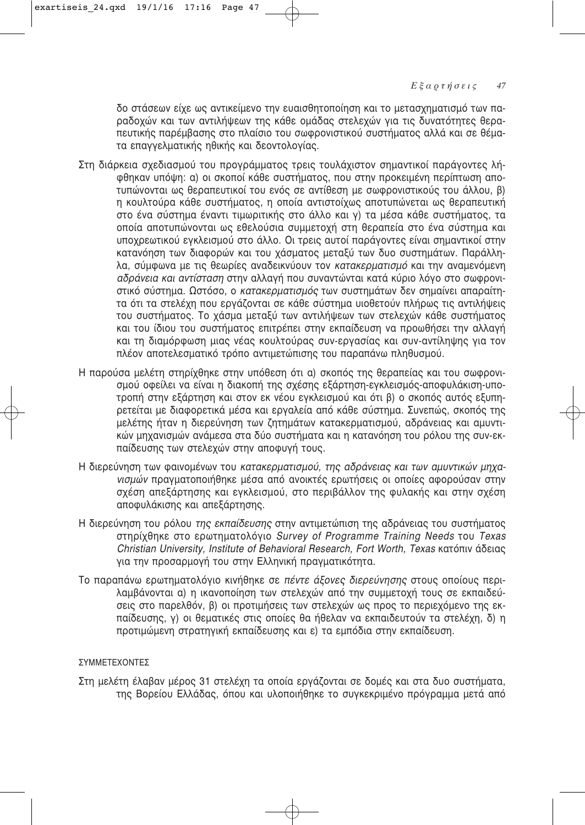#### Εξαρτήσεις  $\overline{47}$

δο στάσεων είχε ως αντικείμενο την ευαισθητοποίηση και το μετασχηματισμό των παραδοχών και των αντιλήψεων της κάθε ομάδας στελεχών για τις δυνατότητες θεραπευτικής παρέμβασης στο πλαίσιο του σωφρονιστικού συστήματος αλλά και σε θέματα επαγγελματικής ηθικής και δεοντολογίας.

- Στη διάρκεια σχεδιασμού του προγράμματος τρεις τουλάχιστον σημαντικοί παράγοντες λήφθηκαν υπόψη: α) οι σκοποί κάθε συστήματος, που στην προκειμένη περίπτωση αποτυπώνονται ως θεραπευτικοί του ενός σε αντίθεση με σωφρονιστικούς του άλλου. Β) η κουλτούρα κάθε συστήματος, η οποία αντιστοίχως αποτυπώνεται ως θεραπευτική στο ένα σύστημα έναντι τιμωριτικής στο άλλο και γ) τα μέσα κάθε συστήματος, τα οποία αποτυπώνονται ως εθελούσια συμμετοχή στη θεραπεία στο ένα σύστημα και υποχρεωτικού εγκλεισμού στο άλλο. Οι τρεις αυτοί παράγοντες είναι σημαντικοί στην κατανόηση των διαφορών και του χάσματος μεταξύ των δυο συστημάτων. Παράλληλα, σύμφωνα με τις θεωρίες αναδεικνύουν τον κατακερματισμό και την αναμενόμενη αδράνεια και αντίσταση στην αλλανή που συναντώνται κατά κύριο λόνο στο σωφρονιστικό σύστημα. Ωστόσο, ο κατακερματισμός των συστημάτων δεν σημαίνει απαραίτητα ότι τα στελέχη που εργάζονται σε κάθε σύστημα υιοθετούν πλήρως τις αντιλήψεις του συστήματος. Το χάσμα μεταξύ των αντιλήψεων των στελεχών κάθε συστήματος και του ίδιου του συστήματος επιτρέπει στην εκπαίδευση να προωθήσει την αλλαγή και τη διαμόρφωση μιας νέας κουλτούρας συν-εργασίας και συν-αντίληψης για τον πλέον αποτελεσματικό τρόπο αντιμετώπισης του παραπάνω πληθυσμού.
- Η παρούσα μελέτη στηρίχθηκε στην υπόθεση ότι α) σκοπός της θεραπείας και του σωφρονισμού οφείλει να είναι η διακοπή της σχέσης εξάρτηση-εγκλεισμός-αποφυλάκιση-υποτροπή στην εξάρτηση και στον εκ νέου εγκλεισμού και ότι β) ο σκοπός αυτός εξυπηρετείται με διαφορετικά μέσα και εργαλεία από κάθε σύστημα. Συνεπώς, σκοπός της μελέτης ήταν η διερεύνηση των ζητημάτων κατακερματισμού, αδράνειας και αμυντικών μηχανισμών ανάμεσα στα δύο συστήματα και η κατανόηση του ρόλου της συν-εκπαίδευσης των στελεχών στην αποφυγή τους.
- Η διερεύνηση των φαινομένων του κατακερματισμού, της αδράνειας και των αμυντικών μηχανισμών πραγματοποιήθηκε μέσα από ανοικτές ερωτήσεις οι οποίες αφορούσαν στην σχέση απεξάρτησης και εγκλεισμού, στο περιβάλλον της φυλακής και στην σχέση αποφυλάκισης και απεξάρτησης.
- Η διερεύνηση του ρόλου της εκπαίδευσης στην αντιμετώπιση της αδράνειας του συστήματος στηρίχθηκε στο ερωτηματολόγιο Survey of Programme Training Needs του Texas Christian University, Institute of Behavioral Research, Fort Worth, Texas κατόπιν άδειας για την προσαρμογή του στην Ελληνική πραγματικότητα.
- Το παραπάνω ερωτηματολόγιο κινήθηκε σε πέντε άξονες διερεύνησης στους οποίους περιλαμβάνονται α) η ικανοποίηση των στελεχών από την συμμετοχή τους σε εκπαιδεύσεις στο παρελθόν, β) οι προτιμήσεις των στελεχών ως προς το περιεχόμενο της εκπαίδευσης, γ) οι θεματικές στις οποίες θα ήθελαν να εκπαιδευτούν τα στελέχη. δ) η προτιμώμενη στρατηγική εκπαίδευσης και ε) τα εμπόδια στην εκπαίδευση.

### ΣΥΜΜΕΤΕΧΟΝΤΕΣ

Στη μελέτη έλαβαν μέρος 31 στελέχη τα οποία εργάζονται σε δομές και στα δυο συστήματα. της Βορείου Ελλάδας, όπου και υλοποιήθηκε το συγκεκριμένο πρόγραμμα μετά από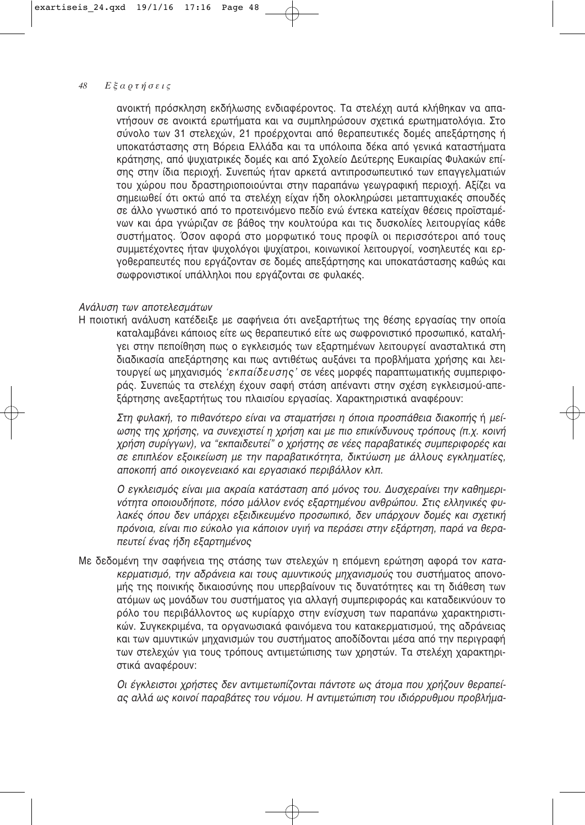ανοικτή πρόσκληση εκδήλωσης ενδιαφέροντος. Τα στελέχη αυτά κλήθηκαν να απαντήσουν σε ανοικτά ερωτήματα και να συμπληρώσουν σχετικά ερωτηματολόγια. Στο σύνολο των 31 στελεχών, 21 προέρχονται από θεραπευτικές δομές απεξάρτησης ή υποκατάστασης στη Βόρεια Ελλάδα και τα υπόλοιπα δέκα από γενικά καταστήματα κράτησης, από ψυχιατρικές δομές και από Σχολείο Δεύτερης Ευκαιρίας Φυλακών επίσης στην ίδια περιοχή. Συνεπώς ήταν αρκετά αντιπροσωπευτικό των επαγγελματιών του χώρου που δραστηριοποιούνται στην παραπάνω γεωγραφική περιοχή. Αξίζει να σημειωθεί ότι οκτώ από τα στελέχη είχαν ήδη ολοκληρώσει μεταπτυχιακές σπουδές σε άλλο γνωστικό από το προτεινόμενο πεδίο ενώ έντεκα κατείχαν θέσεις προϊσταμένων και άρα γνώριζαν σε βάθος την κουλτούρα και τις δυσκολίες λειτουργίας κάθε συστήματος. Όσον αφορά στο μορφωτικό τους προφίλ οι περισσότεροι από τους συμμετέχοντες ήταν ψυχολόγοι ψυχίατροι, κοινωνικοί λειτουργοί, νοσηλευτές και εργοθεραπευτές που εργάζονταν σε δομές απεξάρτησης και υποκατάστασης καθώς και σωφρονιστικοί υπάλληλοι που εργάζονται σε φυλακές.

# Ανάλυση των αποτελεσμάτων

Η ποιοτική ανάλυση κατέδειξε με σαφήνεια ότι ανεξαρτήτως της θέσης εργασίας την οποία καταλαμβάνει κάποιος είτε ως θεραπευτικό είτε ως σωφρονιστικό προσωπικό, καταλήγει στην πεποίθηση πως ο εγκλεισμός των εξαρτημένων λειτουργεί ανασταλτικά στη διαδικασία απεξάρτησης και πως αντιθέτως αυξάνει τα προβλήματα χρήσης και λειτουργεί ως μηχανισμός 'εκπαίδευσης' σε νέες μορφές παραπτωματικής συμπεριφοράς. Συνεπώς τα στελέχη έχουν σαφή στάση απέναντι στην σχέση εγκλεισμού-απεξάρτησης ανεξαρτήτως του πλαισίου εργασίας. Χαρακτηριστικά αναφέρουν:

Στη φυλακή, το πιθανότερο είναι να σταματήσει η όποια προσπάθεια διακοπής ή μείωσης της χρήσης, να συνεχιστεί η χρήση και με πιο επικίνδυνους τρόπους (π.χ. κοινή χρήση συρίγγων), να "εκπαιδευτεί" ο χρήστης σε νέες παραβατικές συμπεριφορές και σε επιπλέον εξοικείωση με την παραβατικότητα, δικτύωση με άλλους εγκληματίες, αποκοπή από οικογενειακό και εργασιακό περιβάλλον κλπ.

Ο εγκλεισμός είναι μια ακραία κατάσταση από μόνος του. Δυσχεραίνει την καθημερινότητα οποιουδήποτε, πόσο μάλλον ενός εξαρτημένου ανθρώπου. Στις ελληνικές φυλακές όπου δεν υπάρχει εξειδικευμένο προσωπικό, δεν υπάρχουν δομές και σχετική πρόνοια, είναι πιο εύκολο για κάποιον υγιή να περάσει στην εξάρτηση, παρά να θεραπευτεί ένας ήδη εξαρτημένος

Με δεδομένη την σαφήνεια της στάσης των στελεχών η επόμενη ερώτηση αφορά τον κατακερματισμό, την αδράνεια και τους αμυντικούς μηχανισμούς του συστήματος απονομής της ποινικής δικαιοσύνης που υπερβαίνουν τις δυνατότητες και τη διάθεση των ατόμων ως μονάδων του συστήματος για αλλαγή συμπεριφοράς και καταδεικνύουν το ρόλο του περιβάλλοντος ως κυρίαρχο στην ενίσχυση των παραπάνω χαρακτηριστικών. Συγκεκριμένα, τα οργανωσιακά φαινόμενα του κατακερματισμού, της αδράνειας και των αμυντικών μηχανισμών του συστήματος αποδίδονται μέσα από την περιγραφή των στελεχών για τους τρόπους αντιμετώπισης των χρηστών. Τα στελέχη χαρακτηριστικά αναφέρουν:

Οι έγκλειστοι χρήστες δεν αντιμετωπίζονται πάντοτε ως άτομα που χρήζουν θεραπείας αλλά ως κοινοί παραβάτες του νόμου. Η αντιμετώπιση του ιδιόρρυθμου προβλήμα-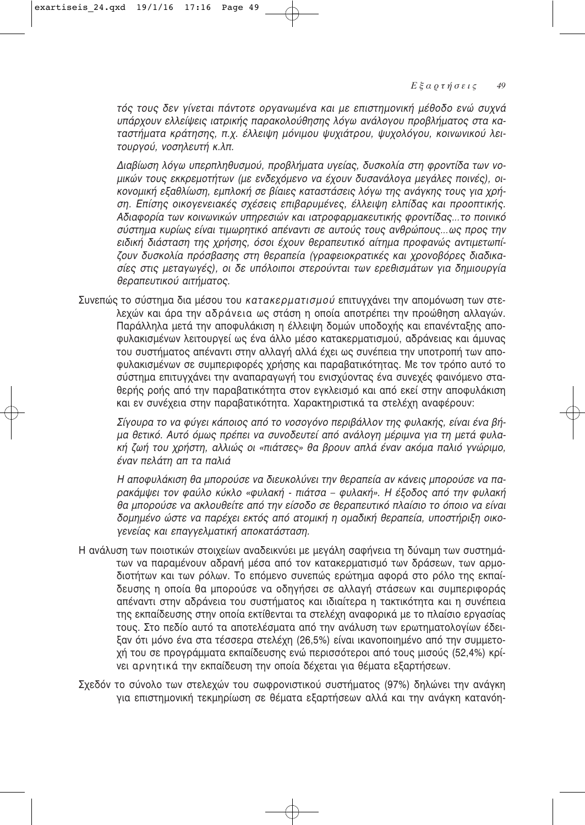τός τους δεν γίνεται πάντοτε οργανωμένα και με επιστημονική μέθοδο ενώ συχνά υπάρχουν ελλείψεις ιατρικής παρακολούθησης λόγω ανάλογου προβλήματος στα καταστήματα κράτησης, π.χ. έλλειψη μόνιμου ψυχιάτρου, ψυχολόγου, κοινωνικού λει*τουργού, νοσηλευτή κ.λπ.* 

Διαβίωση λόγω υπερπληθυσμού, προβλήματα υγείας, δυσκολία στη φροντίδα των νομικών τους εκκρεμοτήτων (με ενδεχόμενο να έχουν δυσανάλογα μεγάλες ποινές), οι-*ΚΟ*ΥΟμική εξαθλίωση, εμπλοκή σε βίαιες καταστάσεις λόγω της ανάγκης τους για χρήση. Επίσης οικογενειακές σχέσεις επιβαρυμένες, έλλειψη ελπίδας και προοπτικής. *Αδιαφορία των κοινωνικών υπηρεσιών και ιατροφαρμακευτικής φροντίδας…το ποινικό*  $\sigma$ ύστημα κυρίως είναι τιμωρητικό απέναντι σε αυτούς τους ανθρώπους...ως προς την ειδική διάσταση της χρήσης, όσοι έχουν θεραπευτικό αίτημα προφανώς αντιμετωπίζουν δυσκολία πρόσβασης στη θεραπεία (γραφειοκρατικές και χρονοβόρες διαδικασίες στις μεταγωγές), οι δε υπόλοιποι στερούνται των ερεθισμάτων για δημιουργία θεραπευτικού αιτήματος.

Συνεπώς το σύστημα δια μέσου του *κατακερματισμού* επιτυγχάνει την απομόνωση των στελεχών και άρα την αδράνεια ως στάση η οποία αποτρέπει την προώθηση αλλαγών. Παράλληλα μετά την αποφυλάκιση η έλλειψη δομών υποδοχής και επανένταξης αποφυλακισμένων λειτουργεί ως ένα άλλο μέσο κατακερματισμού, αδράνειας και άμυνας του συστήματος απέναντι στην αλλαγή αλλά έχει ως συνέπεια την υποτροπή των αποφυλακισμένων σε συμπεριφορές χρήσης και παραβατικότητας. Με τον τρόπο αυτό το σύστημα επιτυγχάνει την αναπαραγωγή του ενισχύοντας ένα συνεχές φαινόμενο σταθερής ροής από την παραβατικότητα στον εγκλεισμό και από εκεί στην αποφυλάκιση και εν συνέχεια στην παραβατικότητα. Χαρακτηριστικά τα στελέχη αναφέρουν:

Σίγουρα το να φύγει κάποιος από το νοσογόνο περιβάλλον της φυλακής, είναι ένα βήμα θετικό. Αυτό όμως πρέπει να συνοδευτεί από ανάλογη μέριμνα για τη μετά φυλακή ζωή του χρήστη, αλλιώς οι «πιάτσες» θα βρουν απλά έναν ακόμα παλιό γνώριμο, έναν πελάτη απ τα παλιά

Η αποφυλάκιση θα μπορούσε να διευκολύνει την θεραπεία αν κάνεις μπορούσε να παρακάμψει τον φαύλο κύκλο «φυλακή - πιάτσα – φυλακή». Η έξοδος από την φυλακή θα μπορούσε να ακλουθείτε από την είσοδο σε θεραπευτικό πλαίσιο το όποιο να είναι δομημένο ώστε να παρέχει εκτός από ατομική η ομαδική θεραπεία, υποστήριξη οικογενείας και επαγγελματική αποκατάσταση.

- Η ανάλυση των ποιοτικών στοιχείων αναδεικνύει με μεγάλη σαφήνεια τη δύναμη των συστημάτων να παραμένουν αδρανή μέσα από τον κατακερματισμό των δράσεων, των αρμοδιοτήτων και των ρόλων. Το επόμενο συνεπώς ερώτημα αφορά στο ρόλο της εκπαίδευσης η οποία θα μπορούσε να οδηγήσει σε αλλαγή στάσεων και συμπεριφοράς απέναντι στην αδράνεια του συστήματος και ιδιαίτερα η τακτικότητα και η συνέπεια της εκπαίδευσης στην οποία εκτίθενται τα στελέχη αναφορικά με το πλαίσιο εργασίας τους. Στο πεδίο αυτό τα αποτελέσματα από την ανάλυση των ερωτηματολογίων έδειξαν ότι μόνο ένα στα τέσσερα στελέχη (26,5%) είναι ικανοποιημένο από την συμμετοχή του σε προγράμματα εκπαίδευσης ενώ περισσότεροι από τους μισούς (52,4%) κρίνει αρνητικά την εκπαίδευση την οποία δέχεται για θέματα εξαρτήσεων.
- Σχεδόν το σύνολο των στελεχών του σωφρονιστικού συστήματος (97%) δηλώνει την ανάγκη για επιστημονική τεκμηρίωση σε θέματα εξαρτήσεων αλλά και την ανάγκη κατανόη-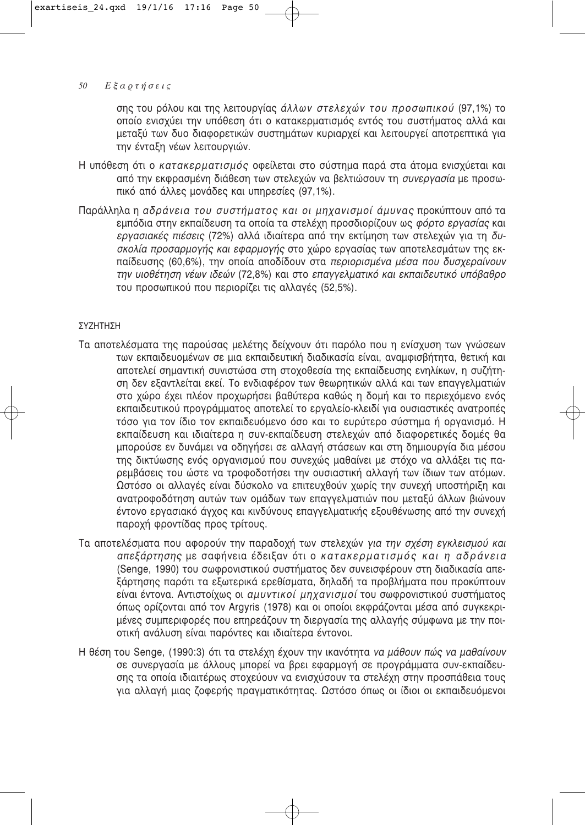σης του ρόλου και της λειτουργίας *άλλων στελεχών του προσωπικού (*97,1%) το οποίο ενισχύει την υπόθεση ότι ο κατακερματισμός εντός του συστήματος αλλά και μεταξύ των δυο διαφορετικών συστημάτων κυριαρχεί και λειτουργεί αποτρεπτικά για την ένταξη νέων λειτουργιών.

- Η υπόθεση ότι ο *κατακερματισμός* οφείλεται στο σύστημα παρά στα άτομα ενισχύεται και από την εκφρασμένη διάθεση των στελεχών να βελτιώσουν τη *συνεργασία* με προσωπικό από άλλες μονάδες και υπηρεσίες (97,1%).
- Παράλληλα η *αδράνεια του συστήματος και οι μηχανισμοί άμυνας* προκύπτουν από τα εμπόδια στην εκπαίδευση τα οποία τα στελέχη προσδιορίζουν ως *φόρτο εργασίας* και εργασιακές πιέσεις (72%) αλλά ιδιαίτερα από την εκτίμηση των στελεχών για τη δυ*σκολία προσαρμονής και εφαρμονής σ*το χώρο εργασίας των αποτελεσμάτων της εκπαίδευσης (60,6%), την οποία αποδίδουν στα περιορισμένα μέσα που δυσχεραίνουν την υιοθέτηση νέων ιδεών (72,8%) και στο επαγγελματικό και εκπαιδευτικό υπόβαθρο του προσωπικού που περιορίζει τις αλλανές (52.5%).

### ΣΥΖΗΤΗΣΗ

- Τα αποτελέσματα της παρούσας μελέτης δείχνουν ότι παρόλο που η ενίσχυση των γνώσεων των εκπαιδευομένων σε μια εκπαιδευτική διαδικασία είναι, αναμφισβήτητα, θετική και αποτελεί σημαντική συνιστώσα στη στοχοθεσία της εκπαίδευσης ενηλίκων, η συζήτηση δεν εξαντλείται εκεί. Το ενδιαφέρον των θεωρητικών αλλά και των επαγγελματιών στο χώρο έχει πλέον προχωρήσει βαθύτερα καθώς η δομή και το περιεχόμενο ενός εκπαιδευτικού προγράμματος αποτελεί το εργαλείο-κλειδί για ουσιαστικές ανατροπές τόσο για τον ίδιο τον εκπαιδευόμενο όσο και το ευρύτερο σύστημα ή οργανισμό. Η εκπαίδευση και ιδιαίτερα η συν-εκπαίδευση στελεχών από διαφορετικές δομές θα μπορούσε εν δυνάμει να οδηγήσει σε αλλαγή στάσεων και στη δημιουργία δια μέσου της δικτύωσης ενός οργανισμού που συνεχώς μαθαίνει με στόχο να αλλάξει τις παρεμβάσεις του ώστε να τροφοδοτήσει την ουσιαστική αλλαγή των ίδιων των ατόμων. Ωστόσο οι αλλαγές είναι δύσκολο να επιτευχθούν χωρίς την συνεχή υποστήριξη και ανατροφοδότηση αυτών των ομάδων των επαγγελματιών που μεταξύ άλλων βιώνουν έντονο εργασιακό άγχος και κινδύνους επαγγελματικής εξουθένωσης από την συνεχή παροχή φροντίδας προς τρίτους.
- Τα αποτελέσματα που αφορούν την παραδοχή των στελεχών γι*α την σχέση εγκλεισμού και απεξάρτησης* με σαφήνεια έδειξαν ότι ο *κατακερματισμός και η αδράνεια* (Senge, 1990) του σωφρονιστικού συστήματος δεν συνεισφέρουν στη διαδικασία απεξάρτησης παρότι τα εξωτερικά ερεθίσματα, δηλαδή τα προβλήματα που προκύπτουν είναι έντονα. Αντιστοίχως οι αμυντικοί μηχανισμοί του σωφρονιστικού συστήματος όπως ορίζονται από τον Argyris (1978) και οι οποίοι εκφράζονται μέσα από συνκεκριμένες συμπεριφορές που επηρεάζουν τη διεργασία της αλλαγής σύμφωνα με την ποιοτική ανάλυση είναι παρόντες και ιδιαίτερα έντονοι.
- Η θέση του Senge, (1990:3) ότι τα στελέχη έχουν την ικανότητα *να μάθουν πώς να μαθαίνουν* σε συνεργασία με άλλους μπορεί να βρει εφαρμογή σε προγράμματα συν-εκπαίδευσης τα οποία ιδιαιτέρως στοχεύουν να ενισχύσουν τα στελέχη στην προσπάθεια τους για αλλαγή μιας ζοφερής πραγματικότητας. Ωστόσο όπως οι ίδιοι οι εκπαιδευόμενοι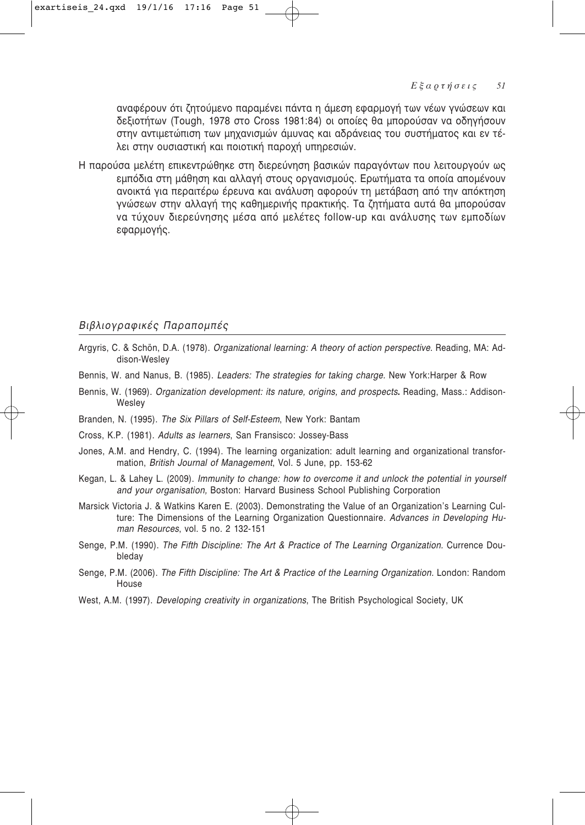αναφέρουν ότι ζητούμενο παραμένει πάντα η άμεση εφαρμογή των νέων γνώσεων και δεξιοτήτων (Tough, 1978 στο Cross 1981:84) οι οποίες θα μπορούσαν να οδηγήσουν στην αντιμετώπιση των μηχανισμών άμυνας και αδράνειας του συστήματος και εν τέλει στην ουσιαστική και ποιοτική παροχή υπηρεσιών.

Η παρούσα μελέτη επικεντρώθηκε στη διερεύνηση βασικών παραγόντων που λειτουργούν ως εμπόδια στη μάθηση και αλλαγή στους οργανισμούς. Ερωτήματα τα οποία απομένουν ανοικτά για περαιτέρω έρευνα και ανάλυση αφορούν τη μετάβαση από την απόκτηση γνώσεων στην αλλαγή της καθημερινής πρακτικής. Τα ζητήματα αυτά θα μπορούσαν να τύχουν διερεύνησης μέσα από μελέτες follow-up και ανάλυσης των εμποδίων εφαρμογής.

## Βιβλιογραφικές Παραπομπές

- Argyris, C. & Schön, D.A. (1978). Organizational learning: A theory of action perspective. Reading, MA: Addison-Wesley
- Bennis, W. and Nanus, B. (1985). Leaders: The strategies for taking charge. New York: Harper & Row
- Bennis, W. (1969). Organization development: its nature, origins, and prospects. Reading, Mass.: Addison-Wesley
- Branden, N. (1995). The Six Pillars of Self-Esteem, New York: Bantam
- Cross, K.P. (1981). Adults as learners, San Fransisco: Jossey-Bass
- Jones, A.M. and Hendry, C. (1994). The learning organization: adult learning and organizational transformation, British Journal of Management, Vol. 5 June, pp. 153-62
- Kegan, L. & Lahey L. (2009). Immunity to change: how to overcome it and unlock the potential in yourself and your organisation, Boston: Harvard Business School Publishing Corporation
- Marsick Victoria J. & Watkins Karen E. (2003). Demonstrating the Value of an Organization's Learning Culture: The Dimensions of the Learning Organization Questionnaire. Advances in Developing Human Resources, vol. 5 no. 2 132-151
- Senge, P.M. (1990). The Fifth Discipline: The Art & Practice of The Learning Organization. Currence Doubleday
- Senge, P.M. (2006). The Fifth Discipline: The Art & Practice of the Learning Organization. London: Random House
- West, A.M. (1997). Developing creativity in organizations, The British Psychological Society, UK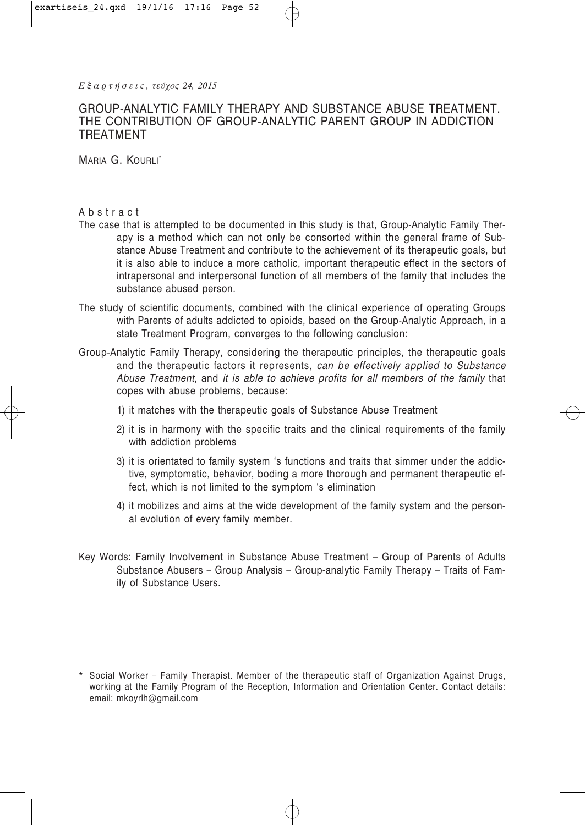*Ε ξ α ρ τ ή σ ε ι ς , τεύχος 24, 2015*

# GROUP-ANALYTIC FAMILY THERAPY AND SUBSTANCE ABUSE TREATMENT. THE CONTRIBUTION OF GROUP-ANALYTIC PARENT GROUP IN ADDICTION TREATMENT

MARIA G. KOURLI\*

Abstract

- The case that is attempted to be documented in this study is that, Group-Analytic Family Therapy is a method which can not only be consorted within the general frame of Substance Abuse Treatment and contribute to the achievement of its therapeutic goals, but it is also able to induce a more catholic, important therapeutic effect in the sectors of intrapersonal and interpersonal function of all members of the family that includes the substance abused person.
- The study of scientific documents, combined with the clinical experience of operating Groups with Parents of adults addicted to opioids, based on the Group-Analytic Approach, in a state Treatment Program, converges to the following conclusion:
- Group-Analytic Family Therapy, considering the therapeutic principles, the therapeutic goals and the therapeutic factors it represents, *can be effectively applied to Substance Abuse Treatment*, and *it is able to achieve profits for all members of the family* that copes with abuse problems, because:
	- 1) it matches with the therapeutic goals of Substance Abuse Treatment
	- 2) it is in harmony with the specific traits and the clinical requirements of the family with addiction problems
	- 3) it is orientated to family system 's functions and traits that simmer under the addictive, symptomatic, behavior, boding a more thorough and permanent therapeutic effect, which is not limited to the symptom 's elimination
	- 4) it mobilizes and aims at the wide development of the family system and the personal evolution of every family member.
- Key Words: Family Involvement in Substance Abuse Treatment Group of Parents of Adults Substance Abusers – Group Analysis – Group-analytic Family Therapy – Traits of Family of Substance Users.

<sup>\*</sup> Social Worker – Family Therapist. Member of the therapeutic staff of Organization Against Drugs, working at the Family Program of the Reception, Information and Orientation Center. Contact details: email: mkoyrlh@gmail.com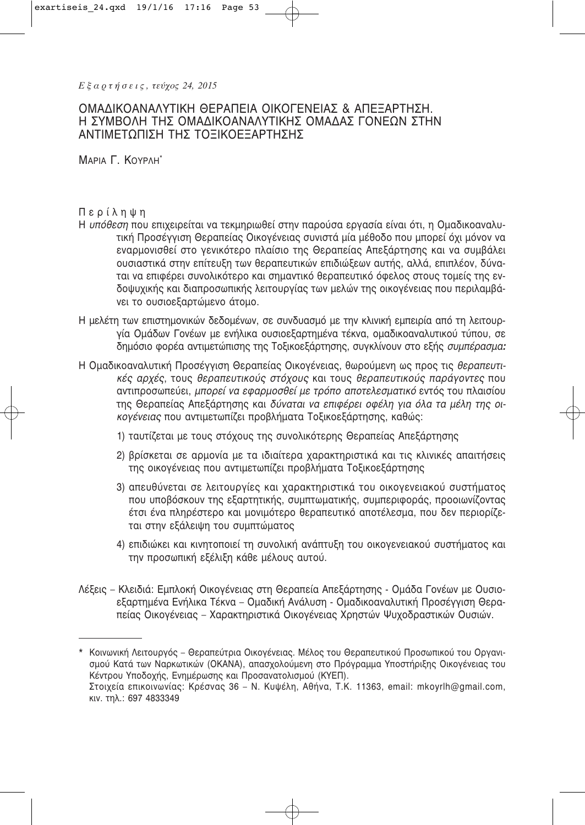*Ε ξ α ρ τ ή σ ε ι ς , τεύχος 24, 2015*

# ΟΜΑΔΙΚΟΑΝΑΛΥΤΙΚΗ ΘΕΡΑΠΕΙΑ ΟΙΚΟΓΕΝΕΙΑΣ & ΑΠΕΞΑΡΤΗΣΗ. Η ΣΥΜΒΟΛΗ ΤΗΣ ΟΜΑΔΙΚΟΑΝΑΛΥΤΙΚΉΣ ΟΜΑΔΑΣ ΓΟΝΕΩΝ ΣΤΗΝ ΑΝΤΙΜΕΤΩΠΙΣΗ ΤΗΣ ΤΟΞΙΚΟΕΞΑΡΤΗΣΗΣ

МАРІА Г. КОУРЛН<sup>\*</sup>

 $\Pi$ ερίληψη

- H *υπόθεση* που επιχειρείται να τεκμηριωθεί στην παρούσα ερνασία είναι ότι, η Ομαδικοαναλυτική Προσέγγιση Θεραπείας Οικογένειας συνιστά μία μέθοδο που μπορεί όχι μόνον να εναρμονισθεί στο γενικότερο πλαίσιο της Θεραπείας Απεξάρτησης και να συμβάλει ουσιαστικά στην επίτευξη των θεραπευτικών επιδιώξεων αυτής, αλλά, επιπλέον, δύναται να επιφέρει συνολικότερο και σημαντικό θεραπευτικό όφελος στους τομείς της ενδοψυχικής και διαπροσωπικής λειτουργίας των μελών της οικογένειας που περιλαμβάνει το ουσιοεξαρτώμενο άτομο.
- Η μελέτη των επιστημονικών δεδομένων, σε συνδυασμό με την κλινική εμπειρία από τη λειτουργία Ομάδων Γονέων με ενήλικα ουσιοεξαρτημένα τέκνα, ομαδικοαναλυτικού τύπου, σε δημόσιο φορέα αντιμετώπισης της Τοξικοεξάρτησης, συγκλίνουν στο εξής συμπέρασμα:
- Η Ομαδικοαναλυτική Προσέγγιση Θεραπείας Οικογένειας, θωρούμενη ως προς τις θεραπευτι-*Κές αρχές, τους θεραπευτικούς στόχους και τους θεραπευτικούς παράγοντες που* αντιπροσωπεύει, μπορεί να εφαρμοσθεί με τρόπο αποτελεσματικό εντός του πλαισίου της Θεραπείας Απεξάρτησης και δύναται να επιφέρει οφέλη για όλα τα μέλη της οι*κογένειας* που αντιμετωπίζει προβλήματα Τοξικοεξάρτησης, καθώς:
	- 1) ταυτίζεται με τους στόχους της συνολικότερης Θεραπείας Απεξάρτησης
	- 2) βρίσκεται σε αρμονία με τα ιδιαίτερα χαρακτηριστικά και τις κλινικές απαιτήσεις της οικογένειας που αντιμετωπίζει προβλήματα Τοξικοεξάρτησης
	- 3) απευθύνεται σε λειτουργίες και χαρακτηριστικά του οικογενειακού συστήματος που υποβόσκουν της εξαρτητικής, συμπτωματικής, συμπεριφοράς, προοιωνίζοντας έτσι ένα πληρέστερο και μονιμότερο θεραπευτικό αποτέλεσμα, που δεν περιορίζεται στην εξάλειψη του συμπτώματος
	- 4) επιδιώκει και κινητοποιεί τη συνολική ανάπτυξη του οικογενειακού συστήματος και την προσωπική εξέλιξη κάθε μέλους αυτού.
- Λέξεις Κλειδιά: Εμπλοκή Οικογένειας στη Θεραπεία Απεξάρτησης Ομάδα Γονέων με Ουσιοεξαρτημένα Ενήλικα Τέκνα – Ομαδική Ανάλυση - Ομαδικοαναλυτική Προσέγγιση Θεραπείας Οικογένειας – Χαρακτηριστικά Οικογένειας Χρηστών Ψυχοδραστικών Ουσιών.

<sup>\*</sup> Κοινωνική Λειτουργός – Θεραπεύτρια Οικογένειας. Μέλος του Θεραπευτικού Προσωπικού του Οργανισμού Κατά των Ναρκωτικών (ΟΚΑΝΑ), απασχολούμενη στο Πρόγραμμα Υποστήριξης Οικογένειας του Κέντρου Υποδοχής, Ενημέρωσης και Προσανατολισμού (ΚΥΕΠ). Στοιχεία επικοινωνίας: Κρέσνας 36 – Ν. Κυψέλη, Αθήνα, Τ.Κ. 11363, email: mkoyrlh@gmail.com, κιν. τηλ.: 697 4833349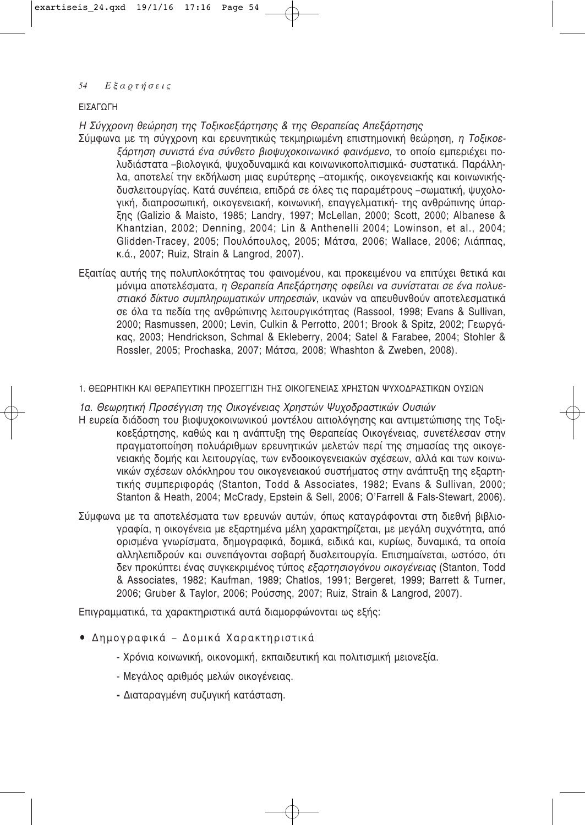## ΕΙΣΑΓΩΓΗ

Η Σύγχρονη θεώρηση της Τοξικοεξάρτησης & της Θεραπείας Απεξάρτησης

- Σύμφωνα με τη σύγχρονη και ερευνητικώς τεκμηριωμένη επιστημονική θεώρηση, η Τοξικοε*ξάρτηση συνιστά ένα σύνθετο βιοψυχοκοινωνικό φαινόμενο, το οποίο εμπεριέχει πο*λυδιάστατα –βιολογικά, ψυχοδυναμικά και κοινωνικοπολιτισμικά- συστατικά. Παράλληλα, αποτελεί την εκδήλωση μιας ευρύτερης -ατομικής, οικογενειακής και κοινωνικήςδυσλειτουργίας. Κατά συνέπεια, επιδρά σε όλες τις παραμέτρους –σωματική, ψυχολογική, διαπροσωπική, οικογενειακή, κοινωνική, επαγγελματική- της ανθρώπινης ύπαρξης (Galizio & Maisto, 1985; Landry, 1997; McLellan, 2000; Scott, 2000; Albanese & Khantzian, 2002; Denning, 2004; Lin & Anthenelli 2004; Lowinson, et al., 2004; Glidden-Tracey, 2005; Πουλόπουλος, 2005; Μάτσα, 2006; Wallace, 2006; Λιάππας, κ.ά., 2007; Ruiz, Strain & Langrod, 2007).
- Εξαιτίας αυτής της πολυπλοκότητας του φαινομένου, και προκειμένου να επιτύχει θετικά και μόνιμα αποτελέσματα, η Θεραπεία Απεξάρτησης οφείλει να συνίσταται σε ένα πολυεστιακό δίκτυο συμπληρωματικών υπηρεσιών, ικανών να απευθυνθούν αποτελεσματικά σε όλα τα πεδία της ανθρώπινης λειτουργικότητας (Rassool, 1998; Evans & Sullivan, 2000; Rasmussen, 2000; Levin, Culkin & Perrotto, 2001; Brook & Spitz, 2002; Γεωργάκας, 2003; Hendrickson, Schmal & Ekleberry, 2004; Satel & Farabee, 2004; Stohler & Rossler, 2005; Prochaska, 2007; Μάτσα, 2008; Whashton & Zweben, 2008).
- 1. ΘΕΩΡΗΤΙΚΗ ΚΑΙ ΘΕΡΑΠΕΥΤΙΚΗ ΠΡΟΣΕΓΓΙΣΗ ΤΗΣ ΟΙΚΟΓΕΝΕΙΑΣ ΧΡΗΣΤΩΝ ΨΥΧΟΔΡΑΣΤΙΚΩΝ ΟΥΣΙΩΝ

1α. Θεωρητική Προσέγγιση της Οικογένειας Χρηστών Ψυχοδραστικών Ουσιών

- Η ευρεία διάδοση του βιοψυχοκοινωνικού μοντέλου αιτιολόγησης και αντιμετώπισης της Τοξικοεξάρτησης, καθώς και η ανάπτυξη της Θεραπείας Οικογένειας, συνετέλεσαν στην πραγματοποίηση πολυάριθμων ερευνητικών μελετών περί της σημασίας της οικογενειακής δομής και λειτουργίας, των ενδοοικογενειακών σχέσεων, αλλά και των κοινωνικών σχέσεων ολόκληρου του οικογενειακού συστήματος στην ανάπτυξη της εξαρτητικής συμπεριφοράς (Stanton, Todd & Associates, 1982; Evans & Sullivan, 2000; Stanton & Heath, 2004; McCrady, Epstein & Sell, 2006; O'Farrell & Fals-Stewart, 2006).
- Σύμφωνα με τα αποτελέσματα των ερευνών αυτών, όπως καταγράφονται στη διεθνή βιβλιογραφία, η οικογένεια με εξαρτημένα μέλη χαρακτηρίζεται, με μεγάλη συχνότητα, από ορισμένα γνωρίσματα, δημογραφικά, δομικά, ειδικά και, κυρίως, δυναμικά, τα οποία αλληλεπιδρούν και συνεπάγονται σοβαρή δυσλειτουργία. Επισημαίνεται, ωστόσο, ότι δεν προκύπτει ένας συγκεκριμένος τύπος εξαρτησιογόνου οικογένειας (Stanton, Todd & Associates, 1982; Kaufman, 1989; Chatlos, 1991; Bergeret, 1999; Barrett & Turner, 2006; Gruber & Taylor, 2006; Ρούσσης, 2007; Ruiz, Strain & Langrod, 2007).

Επιγραμματικά, τα χαρακτηριστικά αυτά διαμορφώνονται ως εξής:

- Δημογραφικά Δομικά Χαρακτηριστικά
	- Χρόνια κοινωνική, οικονομική, εκπαιδευτική και πολιτισμική μειονεξία.
	- Μεγάλος αριθμός μελών οικογένειας.
	- Διαταραγμένη συζυγική κατάσταση.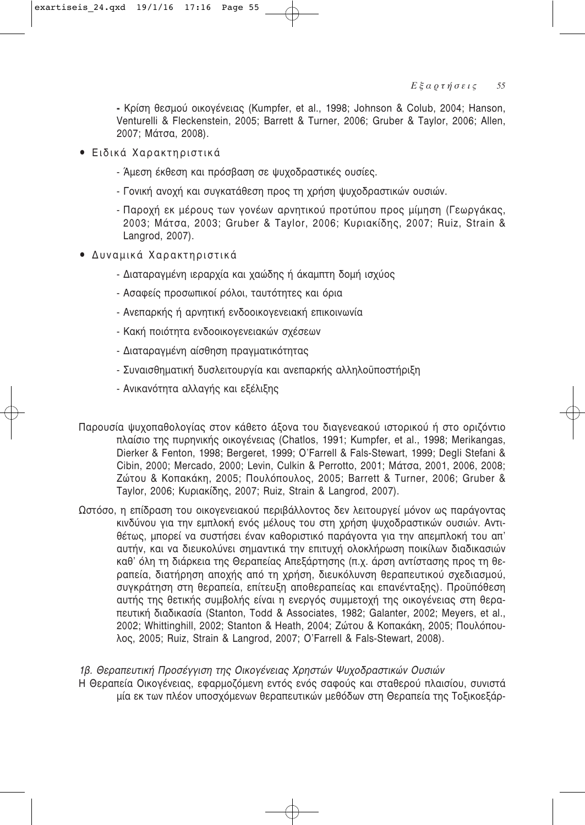- Κρίση θεσμού οικογένειας (Kumpfer, et al., 1998; Johnson & Colub, 2004; Hanson, Venturelli & Fleckenstein, 2005; Barrett & Turner, 2006; Gruber & Taylor, 2006; Allen, 2007; Μάτσα, 2008).

• Ειδικά Χαρακτηριστικά

exartiseis  $24. qxd$  19/1/16

- Άμεση έκθεση και πρόσβαση σε ψυχοδραστικές ουσίες.

 $17:16$  Page 55

- Γονική ανοχή και συγκατάθεση προς τη χρήση ψυχοδραστικών ουσιών.
- Παροχή εκ μέρους των γονέων αρνητικού προτύπου προς μίμηση (Γεωργάκας, 2003; Μάτσα, 2003; Gruber & Taylor, 2006; Κυριακίδης, 2007; Ruiz, Strain & Langrod, 2007).
- Δυναμικά Χαρακτηριστικά
	- Διαταραγμένη ιεραρχία και χαώδης ή άκαμπτη δομή ισχύος
	- Ασαφείς προσωπικοί ρόλοι, ταυτότητες και όρια
	- Ανεπαρκής ή αρνητική ενδοοικογενειακή επικοινωνία
	- Κακή ποιότητα ενδοοικογενειακών σχέσεων
	- Διαταραγμένη αίσθηση πραγματικότητας
	- Συναισθηματική δυσλειτουργία και ανεπαρκής αλληλοϋποστήριξη
	- Ανικανότητα αλλαγής και εξέλιξης
- Παρουσία ψυχοπαθολογίας στον κάθετο άξονα του διαγενεακού ιστορικού ή στο οριζόντιο πλαίσιο της πυρηνικής οικογένειας (Chatlos, 1991; Kumpfer, et al., 1998; Merikangas, Dierker & Fenton, 1998; Bergeret, 1999; O'Farrell & Fals-Stewart, 1999; Degli Stefani & Cibin, 2000; Mercado, 2000; Levin, Culkin & Perrotto, 2001; Μάτσα, 2001, 2006, 2008; Ζώτου & Κοπακάκη, 2005; Πουλόπουλος, 2005; Barrett & Turner, 2006; Gruber & Taylor, 2006; Κυριακίδης, 2007; Ruiz, Strain & Langrod, 2007).
- Ωστόσο, η επίδραση του οικογενειακού περιβάλλοντος δεν λειτουργεί μόνον ως παράγοντας κινδύνου για την εμπλοκή ενός μέλους του στη χρήση ψυχοδραστικών ουσιών. Αντιθέτως, μπορεί να συστήσει έναν καθοριστικό παράγοντα για την απεμπλοκή του απ' αυτήν, και να διευκολύνει σημαντικά την επιτυχή ολοκλήρωση ποικίλων διαδικασιών καθ' όλη τη διάρκεια της Θεραπείας Απεξάρτησης (π.χ. άρση αντίστασης προς τη θεραπεία, διατήρηση αποχής από τη χρήση, διευκόλυνση θεραπευτικού σχεδιασμού, συγκράτηση στη θεραπεία, επίτευξη αποθεραπείας και επανένταξης). Προϋπόθεση αυτής της θετικής συμβολής είναι η ενεργός συμμετοχή της οικογένειας στη θεραπευτική διαδικασία (Stanton, Todd & Associates, 1982; Galanter, 2002; Meyers, et al., 2002: Whittinghill, 2002: Stanton & Heath, 2004: Ζώτου & Κοπακάκη, 2005: Πουλόπουλος, 2005; Ruiz, Strain & Langrod, 2007; Ο'Farrell & Fals-Stewart, 2008).

## 1β. Θεραπευτική Προσέγγιση της Οικογένειας Χρηστών Ψυχοδραστικών Ουσιών

Η Θεραπεία Οικογένειας, εφαρμοζόμενη εντός ενός σαφούς και σταθερού πλαισίου, συνιστά μία εκ των πλέον υποσχόμενων θεραπευτικών μεθόδων στη Θεραπεία της Τοξικοεξάρ-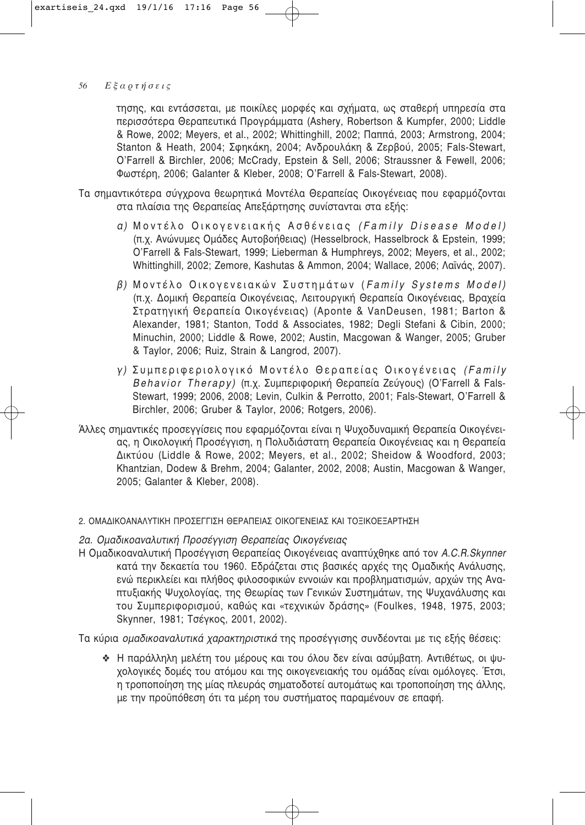> τησης, και εντάσσεται, με ποικίλες μορφές και σχήματα, ως σταθερή υπηρεσία στα περισσότερα Θεραπευτικά Προγράμματα (Ashery, Robertson & Kumpfer, 2000; Liddle & Rowe, 2002; Meyers, et al., 2002; Whittinghill, 2002; Παππά, 2003; Armstrong, 2004; Stanton & Heath, 2004; Σφηκάκη, 2004; Ανδρουλάκη & Ζερβού, 2005; Fals-Stewart, O'Farrell & Birchler, 2006; McCrady, Epstein & Sell, 2006; Straussner & Fewell, 2006; Φωστέρη, 2006; Galanter & Kleber, 2008; O'Farrell & Fals-Stewart, 2008).

- Τα σημαντικότερα σύγχρονα θεωρητικά Μοντέλα Θεραπείας Οικογένειας που εφαρμόζονται στα πλαίσια της Θεραπείας Απεξάρτησης συνίστανται στα εξής:
	- α) Μοντέλο Οικογενειακής Ασθένειας (Family Disease Model) (π.χ. Ανώνυμες Ομάδες Αυτοβοήθειας) (Hesselbrock, Hasselbrock & Epstein, 1999; O'Farrell & Fals-Stewart, 1999; Lieberman & Humphreys, 2002; Meyers, et al., 2002; Whittinghill, 2002; Zemore, Kashutas & Ammon, 2004; Wallace, 2006; Λαϊνάς, 2007).
	- β) Μοντέλο Οικογενειακών Συστημάτων (Family Systems Model) (π.χ. Δομική Θεραπεία Οικογένειας, Λειτουργική Θεραπεία Οικογένειας, Βραχεία Στρατηγική Θεραπεία Οικογένειας) (Aponte & VanDeusen, 1981; Barton & Alexander, 1981; Stanton, Todd & Associates, 1982; Degli Stefani & Cibin, 2000; Minuchin, 2000; Liddle & Rowe, 2002; Austin, Macgowan & Wanger, 2005; Gruber & Taylor, 2006; Ruiz, Strain & Langrod, 2007).
	- γ) Συμπεριφεριολογικό Μοντέλο Θεραπείας Οικογένειας *(Family* Behavior Therapy) (π.χ. Συμπεριφορική Θεραπεία Ζεύγους) (O'Farrell & Fals-Stewart, 1999; 2006, 2008; Levin, Culkin & Perrotto, 2001; Fals-Stewart, O'Farrell & Birchler, 2006; Gruber & Taylor, 2006; Rotgers, 2006).
- Άλλες σημαντικές προσεγγίσεις που εφαρμόζονται είναι η Ψυχοδυναμική Θεραπεία Οικογένειας, η Οικολογική Προσέγγιση, η Πολυδιάστατη Θεραπεία Οικογένειας και η Θεραπεία Δικτύου (Liddle & Rowe, 2002; Meyers, et al., 2002; Sheidow & Woodford, 2003; Khantzian, Dodew & Brehm, 2004; Galanter, 2002, 2008; Austin, Macgowan & Wanger, 2005; Galanter & Kleber, 2008).

2. ΟΜΑΔΙΚΟΑΝΑΛΥΤΙΚΗ ΠΡΟΣΕΓΓΙΣΗ ΘΕΡΑΠΕΙΑΣ ΟΙΚΟΓΕΝΕΙΑΣ ΚΑΙ ΤΟΞΙΚΟΕΞΑΡΤΗΣΗ

2α. Ομαδικοαναλυτική Προσέγγιση Θεραπείας Οικογένειας

Η Ομαδικοαναλυτική Προσέγγιση Θεραπείας Οικογένειας αναπτύχθηκε από τον A.C.R.Skynner κατά την δεκαετία του 1960. Εδράζεται στις βασικές αρχές της Ομαδικής Ανάλυσης, ενώ περικλείει και πλήθος φιλοσοφικών εννοιών και προβληματισμών, αρχών της Αναπτυξιακής Ψυχολογίας, της Θεωρίας των Γενικών Συστημάτων, της Ψυχανάλυσης και του Συμπεριφορισμού, καθώς και «τεχνικών δράσης» (Foulkes, 1948, 1975, 2003; Skynner, 1981; Τσέγκος, 2001, 2002).

Τα κύρια ομαδικοαναλυτικά χαρακτηριστικά της προσέγγισης συνδέονται με τις εξής θέσεις:

• Η παράλληλη μελέτη του μέρους και του όλου δεν είναι ασύμβατη. Αντιθέτως, οι ψυχολογικές δομές του ατόμου και της οικογενειακής του ομάδας είναι ομόλογες. Έτσι, η τροποποίηση της μίας πλευράς σηματοδοτεί αυτομάτως και τροποποίηση της άλλης, με την προϋπόθεση ότι τα μέρη του συστήματος παραμένουν σε επαφή.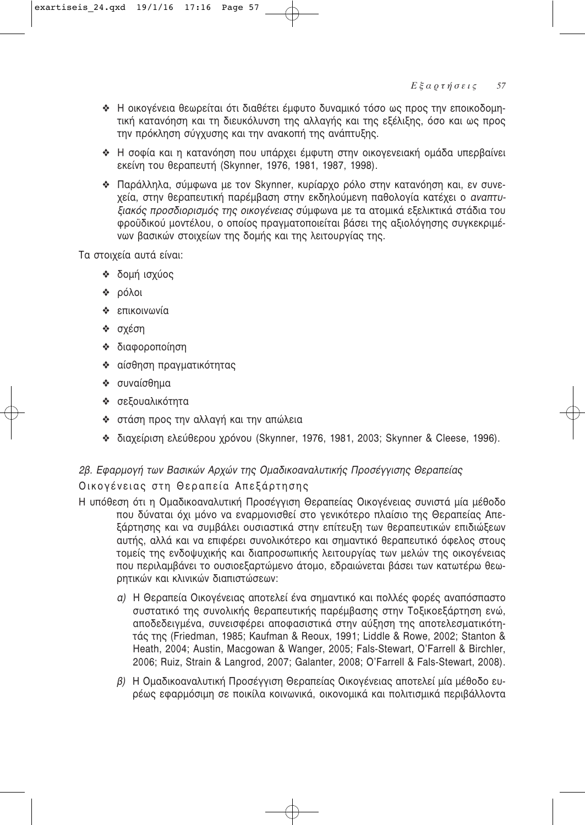exartiseis\_24.qxd 19/1/16 17:16 Page 57

- ❖ Η οικογένεια θεωρείται ότι διαθέτει έμφυτο δυναμικό τόσο ως προς την εποικοδομητική κατανόηση και τη διευκόλυνση της αλλαγής και της εξέλιξης, όσο και ως προς την πρόκληση σύγχυσης και την ανακοπή της ανάπτυξης.
- ❖ Η σοφία και η κατανόηση που υπάρχει έμφυτη στην οικονενειακή ομάδα υπερβαίνει εκείνη του θεραπευτή (Skynner, 1976, 1981, 1987, 1998).
- ◆ Παράλληλα, σύμφωνα με τον Skynner, κυρίαρχο ρόλο στην κατανόηση και, εν συνεχεία, στην θεραπευτική παρέμβαση στην εκδηλούμενη παθολογία κατέχει ο *αναπτυξιακός προσδιορισμός της οικονένειας σύμφωνα με τα ατομικά εξελικτικά στάδια του* φροϋδικού μοντέλου, ο οποίος πραγματοποιείται βάσει της αξιολόγησης συγκεκριμένων βασικών στοιχείων της δομής και της λειτουργίας της.

Τα στοιχεία αυτά είναι:

- ❖ δομή ισχύος
- ❖ ρόλοι
- ❖ επικοινωνία
- ❖ σχέση
- ❖ διαφοροποίηση
- ❖ αίσθηση πραγματικότητας
- ❖ συναίσθημα
- ❖ σεξουαλικότητα
- ❖ στάση προς την αλλαγή και την απώλεια
- $\bullet$  διαχείριση ελεύθερου χρόνου (Skynner, 1976, 1981, 2003; Skynner & Cleese, 1996).

# 2β. Εφαρμογή των Βασικών Αρχών της Ομαδικοαναλυτικής Προσέγγισης Θεραπείας Οικογένειας στη Θεραπεία Απεξάρτησης

- Η υπόθεση ότι η Ομαδικοαναλυτική Προσέγγιση Θεραπείας Οικογένειας συνιστά μία μέθοδο που δύναται όχι μόνο να εναρμονισθεί στο γενικότερο πλαίσιο της Θεραπείας Απεξάρτησης και να συμβάλει ουσιαστικά στην επίτευξη των θεραπευτικών επιδιώξεων αυτής, αλλά και να επιφέρει συνολικότερο και σημαντικό θεραπευτικό όφελος στους τομείς της ενδοψυχικής και διαπροσωπικής λειτουργίας των μελών της οικογένειας που περιλαμβάνει το ουσιοεξαρτώμενο άτομο, εδραιώνεται βάσει των κατωτέρω θεωρητικών και κλινικών διαπιστώσεων:
	- *a*) Η Θεραπεία Οικογένειας αποτελεί ένα σημαντικό και πολλές φορές αναπόσπαστο συστατικό της συνολικής θεραπευτικής παρέμβασης στην Τοξικοεξάρτηση ενώ, αποδεδειγμένα, συνεισφέρει αποφασιστικά στην αύξηση της αποτελεσματικότητάς της (Friedman, 1985; Kaufman & Reoux, 1991; Liddle & Rowe, 2002; Stanton & Heath, 2004; Austin, Macgowan & Wanger, 2005; Fals-Stewart, O'Farrell & Birchler, 2006; Ruiz, Strain & Langrod, 2007; Galanter, 2008; O'Farrell & Fals-Stewart, 2008).
	- β) Η Ομαδικοαναλυτική Προσέγγιση Θεραπείας Οικογένειας αποτελεί μία μέθοδο ευρέως εφαρμόσιμη σε ποικίλα κοινωνικά, οικονομικά και πολιτισμικά περιβάλλοντα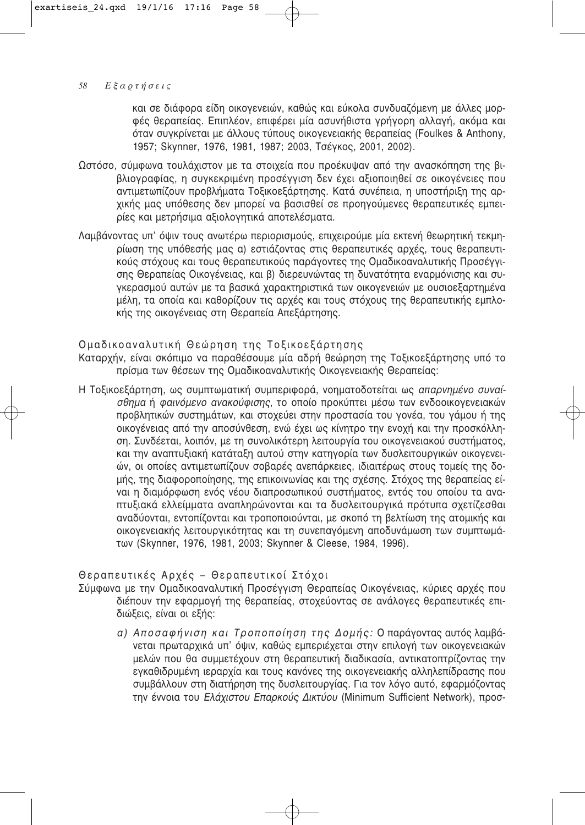και σε διάφορα είδη οικογενειών, καθώς και εύκολα συνδυαζόμενη με άλλες μορφές θεραπείας. Επιπλέον, επιφέρει μία ασυνήθιστα γρήγορη αλλαγή, ακόμα και όταν συγκρίνεται με άλλους τύπους οικογενειακής θεραπείας (Foulkes & Anthony, 1957; Skynner, 1976, 1981, 1987; 2003, Τσέγκος, 2001, 2002).

- Ωστόσο, σύμφωνα τουλάχιστον με τα στοιχεία που προέκυψαν από την ανασκόπηση της βιβλιογραφίας, η συγκεκριμένη προσέγγιση δεν έχει αξιοποιηθεί σε οικογένειες που αντιμετωπίζουν προβλήματα Τοξικοεξάρτησης. Κατά συνέπεια, η υποστήριξη της αρχικής μας υπόθεσης δεν μπορεί να βασισθεί σε προηγούμενες θεραπευτικές εμπειρίες και μετρήσιμα αξιολογητικά αποτελέσματα.
- Λαμβάνοντας υπ' όψιν τους ανωτέρω περιορισμούς, επιχειρούμε μία εκτενή θεωρητική τεκμηρίωση της υπόθεσής μας α) εστιάζοντας στις θεραπευτικές αρχές, τους θεραπευτι-Κούς στόχους και τους θεραπευτικούς παράγοντες της Ομαδικοαναλυτικής Προσέγγισης Θεραπείας Οικογένειας, και β) διερευνώντας τη δυνατότητα εναρμόνισης και συ-ΥΚερασμού αυτών με τα βασικά χαρακτηριστικά των οικονενειών με ουσιοεξαρτημένα μέλη, τα οποία και καθορίζουν τις αρχές και τους στόχους της θεραπευτικής εμπλοκής της οικογένειας στη Θεραπεία Απεξάρτησης.

# Ομαδικοαναλυτική Θεώρηση της Τοξικοεξάρτησης

- Καταρχήν, είναι σκόπιμο να παραθέσουμε μία αδρή θεώρηση της Τοξικοεξάρτησης υπό το πρίσμα των θέσεων της Ομαδικοαναλυτικής Οικογενειακής Θεραπείας:
- Η Τοξικοεξάρτηση, ως συμπτωματική συμπεριφορά, νοηματοδοτείται ως *απαρνημένο συναί*- $\sigma$ θημα ή φαινόμενο ανακούφισης, το οποίο προκύπτει μέσω των ενδοοικογενειακών προβλητικών συστημάτων, και στοχεύει στην προστασία του γονέα, του γάμου ή της οικογένειας από την αποσύνθεση, ενώ έχει ως κίνητρο την ενοχή και την προσκόλληση. Συνδέεται, λοιπόν, με τη συνολικότερη λειτουργία του οικογενειακού συστήματος, και την αναπτυξιακή κατάταξη αυτού στην κατηγορία των δυσλειτουργικών οικογενειών, οι οποίες αντιμετωπίζουν σοβαρές ανεπάρκειες, ιδιαιτέρως στους τομείς της δομής, της διαφοροποίησης, της επικοινωνίας και της σχέσης. Στόχος της θεραπείας είναι η διαμόρφωση ενός νέου διαπροσωπικού συστήματος, εντός του οποίου τα αναπτυξιακά ελλείμματα αναπληρώνονται και τα δυσλειτουργικά πρότυπα σχετίζεσθαι αναδύονται, εντοπίζονται και τροποποιούνται, με σκοπό τη βελτίωση της ατομικής και οικογενειακής λειτουργικότητας και τη συνεπαγόμενη αποδυνάμωση των συμπτωμά-Twv (Skynner, 1976, 1981, 2003; Skynner & Cleese, 1984, 1996).

### Θεραπευτικές Αρχές – Θεραπευτικοί Στόχοι

- Σύμφωνα με την Ομαδικοαναλυτική Προσέγγιση Θεραπείας Οικογένειας, κύριες αρχές που διέπουν την εφαρμογή της θεραπείας, στοχεύοντας σε ανάλογες θεραπευτικές επιδιώξεις, είναι οι εξής:
	- *a) Αποσαφήνιση και Τροποποίηση της Δομής:* Ο παράγοντας αυτός λαμβάνεται πρωταρχικά υπ' όψιν, καθώς εμπεριέχεται στην επιλογή των οικονενειακών μελών που θα συμμετέχουν στη θεραπευτική διαδικασία, αντικατοπτρίζοντας την εγκαθιδρυμένη ιεραρχία και τους κανόνες της οικογενειακής αλληλεπίδρασης που συμβάλλουν στη διατήρηση της δυσλειτουργίας. Για τον λόγο αυτό, εφαρμόζοντας την έννοια του *Ελάχιστου Επαρκούς Δικτύου* (Minimum Sufficient Network), προσ-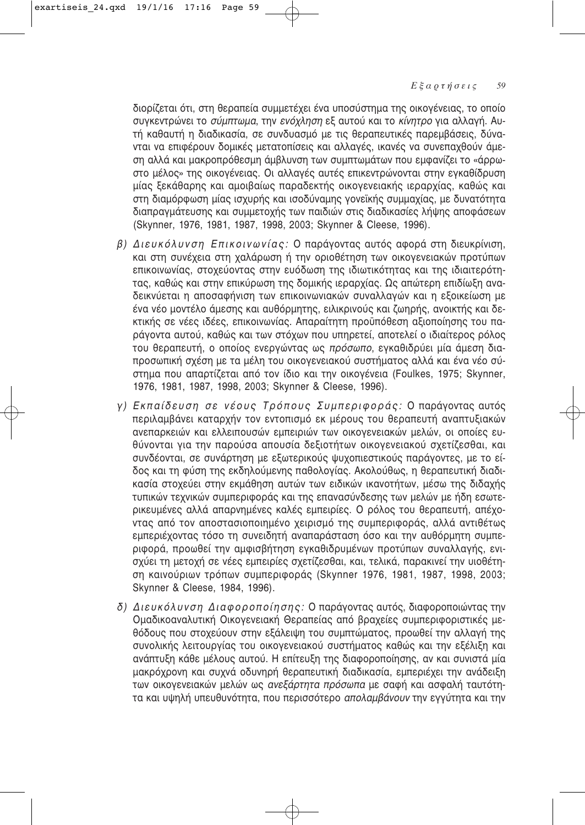exartiseis  $24.$ qxd  $19/1/16$ 

διορίζεται ότι, στη θεραπεία συμμετέχει ένα υποσύστημα της οικογένειας, το οποίο συγκεντρώνει το *σύμπτωμα*, την *ενόχληση* εξ αυτού και το *κίνητρο* για αλλανή. Αυτή καθαυτή η διαδικασία, σε συνδυασμό με τις θεραπευτικές παρεμβάσεις, δύνανται να επιφέρουν δομικές μετατοπίσεις και αλλανές, ικανές να συνεπαχθούν άμεση αλλά και μακροπρόθεσμη άμβλυνση των συμπτωμάτων που εμφανίζει το «άρρωστο μέλος» της οικογένειας. Οι αλλαγές αυτές επικεντρώνονται στην εγκαθίδρυση μίας ξεκάθαρης και αμοιβαίως παραδεκτής οικογενειακής ιεραρχίας, καθώς και στη διαμόρφωση μίας ισχυρής και ισοδύναμης γονεϊκής συμμαχίας, με δυνατότητα διαπραγμάτευσης και συμμετοχής των παιδιών στις διαδικασίες λήψης αποφάσεων (Skynner, 1976, 1981, 1987, 1998, 2003; Skynner & Cleese, 1996).

- β) Διευκόλυνση Επικοινωνίας: Ο παράγοντας αυτός αφορά στη διευκρίνιση, και στη συνέχεια στη χαλάρωση ή την οριοθέτηση των οικογενειακών προτύπων επικοινωνίας, στοχεύοντας στην ευόδωση της ιδιωτικότητας και της ιδιαιτερότητας, καθώς και στην επικύρωση της δομικής ιεραρχίας. Ως απώτερη επιδίωξη αναδεικνύεται η αποσαφήνιση των επικοινωνιακών συναλλαγών και η εξοικείωση με ένα νέο μοντέλο άμεσης και αυθόρμητης, ειλικρινούς και ζωηρής, ανοικτής και δεκτικής σε νέες ιδέες, επικοινωνίας. Απαραίτητη προϋπόθεση αξιοποίησης του παράγοντα αυτού, καθώς και των στόχων που υπηρετεί, αποτελεί ο ιδιαίτερος ρόλος του θεραπευτή, ο οποίος ενεργώντας ως *πρόσωπο*, εγκαθιδρύει μία άμεση διαπροσωπική σχέση με τα μέλη του οικογενειακού συστήματος αλλά και ένα νέο σύστημα που απαρτίζεται από τον ίδιο και την οικογένεια (Foulkes, 1975; Skynner, 1976, 1981, 1987, 1998, 2003; Skynner & Cleese, 1996).
- γ) Εκπαίδευση σε νέους Τρόπους Συμπεριφοράς: Ο παράγοντας αυτός περιλαμβάνει καταρχήν τον εντοπισμό εκ μέρους του θεραπευτή αναπτυξιακών ανεπαρκειών και ελλειπουσών εμπειριών των οικογενειακών μελών, οι οποίες ευθύνονται για την παρούσα απουσία δεξιοτήτων οικογενειακού σχετίζεσθαι, και συνδέονται, σε συνάρτηση με εξωτερικούς ψυχοπιεστικούς παράγοντες, με το είδος και τη φύση της εκδηλούμενης παθολογίας. Ακολούθως, η θεραπευτική διαδικασία στοχεύει στην εκμάθηση αυτών των ειδικών ικανοτήτων, μέσω της διδαχής τυπικών τεχνικών συμπεριφοράς και της επανασύνδεσης των μελών με ήδη εσωτερικευμένες αλλά απαρνημένες καλές εμπειρίες. Ο ρόλος του θεραπευτή, απέχοντας από τον αποστασιοποιημένο χειρισμό της συμπεριφοράς, αλλά αντιθέτως εμπεριέχοντας τόσο τη συνειδητή αναπαράσταση όσο και την αυθόρμητη συμπεριφορά, προωθεί την αμφισβήτηση εγκαθιδρυμένων προτύπων συναλλαγής, ενισχύει τη μετοχή σε νέες εμπειρίες σχετίζεσθαι, και, τελικά, παρακινεί την υιοθέτηση καινούριων τρόπων συμπεριφοράς (Skynner 1976, 1981, 1987, 1998, 2003; Skynner & Cleese, 1984, 1996).
- δ) Διευκόλυνση Διαφοροποίησης: Ο παράγοντας αυτός, διαφοροποιώντας την Ομαδικοαναλυτική Οικογενειακή Θεραπείας από βραχείες συμπεριφοριστικές μεθόδους που στοχεύουν στην εξάλειψη του συμπτώματος, προωθεί την αλλαγή της συνολικής λειτουργίας του οικογενειακού συστήματος καθώς και την εξέλιξη και ανάπτυξη κάθε μέλους αυτού. Η επίτευξη της διαφοροποίησης, αν και συνιστά μία μακρόχρονη και συχνά οδυνηρή θεραπευτική διαδικασία, εμπεριέχει την ανάδειξη των οικογενειακών μελών ως *ανεξάρτητα πρόσωπα* με σαφή και ασφαλή ταυτότητα και υψηλή υπευθυνότητα, που περισσότερο *απολαμβάνουν* την εγγύτητα και την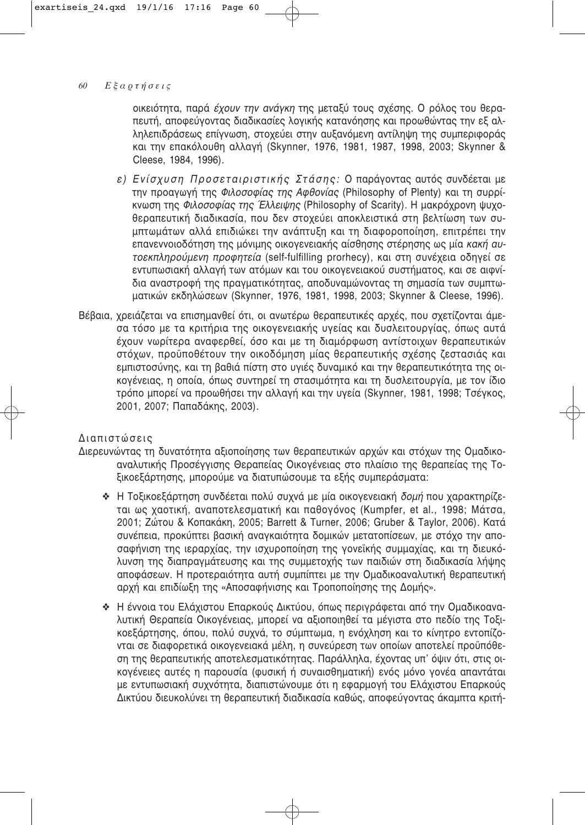οικειότητα, παρά *έχουν την ανάγκη* της μεταξύ τους σχέσης. Ο ρόλος του θεραπευτή, αποφεύγοντας διαδικασίες λογικής κατανόησης και προωθώντας την εξ αλληλεπιδράσεως επίγνωση, στοχεύει στην αυξανόμενη αντίληψη της συμπεριφοράς Kαι την επακόλουθη αλλανή (Skynner, 1976, 1981, 1987, 1998, 2003; Skynner & Cleese, 1984, 1996).

- *ε) Ενίσχυση Προσεταιριστικής Στάσης:* Ο παράγοντας αυτός συνδέεται με την προαγωγή της Φιλοσοφίας της Αφθονίας (Philosophy of Plenty) και τη συρρίκνωση της Φιλοσοφίας της Έλλειψης (Philosophy of Scarity). Η μακρόχρονη ψυχοθεραπευτική διαδικασία, που δεν στοχεύει αποκλειστικά στη βελτίωση των συμπτωμάτων αλλά επιδιώκει την ανάπτυξη και τη διαφοροποίηση, επιτρέπει την επανεννοιοδότηση της μόνιμης οικογενειακής αίσθησης στέρησης ως μία κακή αυ*τοεκπληρούμενη προφητεία* (self-fulfilling prorhecy), και στη συνέχεια οδηγεί σε εντυπωσιακή αλλαγή των ατόμων και του οικογενειακού συστήματος, και σε αιφνίδια αναστροφή της πραγματικότητας, αποδυναμώνοντας τη σημασία των συμπτωματικών εκδηλώσεων (Skynner, 1976, 1981, 1998, 2003; Skynner & Cleese, 1996).
- Βέβαια, χρειάζεται να επισημανθεί ότι, οι ανωτέρω θεραπευτικές αρχές, που σχετίζονται άμεσα τόσο με τα κριτήρια της οικογενειακής υγείας και δυσλειτουργίας, όπως αυτά έχουν νωρίτερα αναφερθεί, όσο και με τη διαμόρφωση αντίστοιχων θεραπευτικών στόχων, προϋποθέτουν την οικοδόμηση μίας θεραπευτικής σχέσης ζεστασιάς και εμπιστοσύνης, και τη βαθιά πίστη στο υγιές δυναμικό και την θεραπευτικότητα της οι-Κογένειας, η οποία, όπως συντηρεί τη στασιμότητα και τη δυσλειτουργία, με τον ίδιο τρόπο μπορεί να προωθήσει την αλλαγή και την υγεία (Skynner, 1981, 1998; Τσέγκος, 2001, 2007; Παπαδάκης, 2003).

#### Διαπιστώσεις

- Διερευνώντας τη δυνατότητα αξιοποίησης των θεραπευτικών αρχών και στόχων της Ομαδικοαναλυτικής Προσέγγισης Θεραπείας Οικογένειας στο πλαίσιο της θεραπείας της Τοξικοεξάρτησης, μπορούμε να διατυπώσουμε τα εξής συμπεράσματα:
	- <sup>◆</sup> Η Τοξικοεξάρτηση συνδέεται πολύ συχνά με μία οικογενειακή δομή που χαρακτηρίζεται ως χαοτική, αναποτελεσματική και παθογόνος (Kumpfer, et al., 1998; Μάτσα, 2001; Ζώτου & Κοπακάκη, 2005; Barrett & Turner, 2006; Gruber & Taylor, 2006). Κατά συνέπεια, προκύπτει βασική αναγκαιότητα δομικών μετατοπίσεων, με στόχο την αποσαφήνιση της ιεραρχίας, την ισχυροποίηση της γονεϊκής συμμαχίας, και τη διευκόλυνση της διαπραγμάτευσης και της συμμετοχής των παιδιών στη διαδικασία λήψης αποφάσεων. Η προτεραιότητα αυτή συμπίπτει με την Ομαδικοαναλυτική θεραπευτική αρχή και επιδίωξη της «Αποσαφήνισης και Τροποποίησης της Δομής».
	- $\diamond$  Η έννοια του Ελάχιστου Επαρκούς Δικτύου, όπως περιγράφεται από την Ομαδικοαναλυτική Θεραπεία Οικογένειας, μπορεί να αξιοποιηθεί τα μέγιστα στο πεδίο της Τοξι-ΚΟεξάρτησης, όπου, πολύ συχνά, το σύμπτωμα, η ενόχληση και το κίνητρο εντοπίζονται σε διαφορετικά οικονενειακά μέλη, η συνεύρεση των οποίων αποτελεί προϋπόθεση της θεραπευτικής αποτελεσματικότητας. Παράλληλα, έχοντας υπ' όψιν ότι, στις οικογένειες αυτές η παρουσία (φυσική ή συναισθηματική) ενός μόνο γονέα απαντάται με εντυπωσιακή συχνότητα, διαπιστώνουμε ότι η εφαρμογή του Ελάχιστου Επαρκούς Δικτύου διευκολύνει τη θεραπευτική διαδικασία καθώς, αποφεύγοντας άκαμπτα κριτή-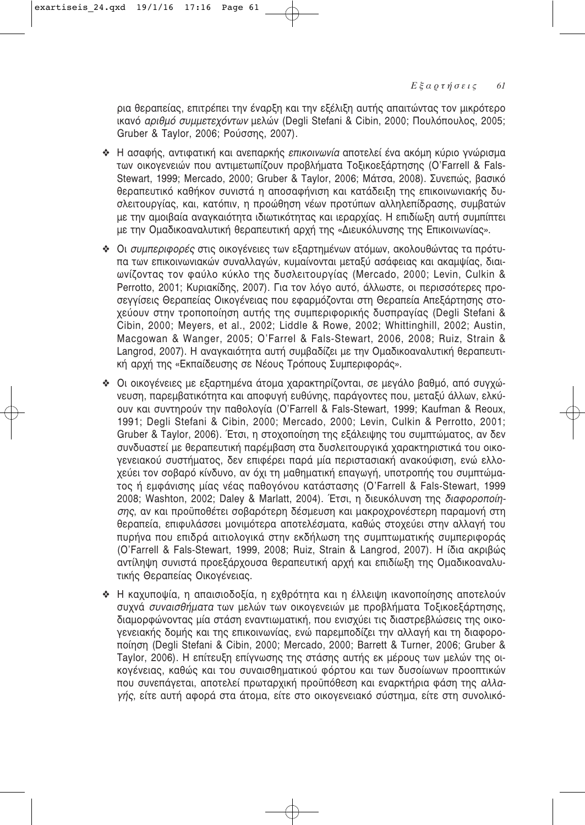exartiseis  $24.$ qxd  $19/1/16$  17:16 Page

ρια θεραπείας, επιτρέπει την έναρξη και την εξέλιξη αυτής απαιτώντας τον μικρότερο ικανό *αριθμό συμμετεχόντων* μελών (Degli Stefani & Cibin, 2000; Πουλόπουλος, 2005; Gruber & Taylor, 2006; Ρούσσης, 2007).

- $\dagger$  Η ασαφής, αντιφατική και ανεπαρκής *επικοινωνία* αποτελεί ένα ακόμη κύριο ννώρισμα των οικογενειών που αντιμετωπίζουν προβλήματα Τοξικοεξάρτησης (O'Farrell & Fals-Stewart, 1999; Mercado, 2000; Gruber & Taylor, 2006; Μάτσα, 2008). Συνεπώς, βασικό θεραπευτικό καθήκον συνιστά η αποσαφήνιση και κατάδειξη της επικοινωνιακής δυσλειτουργίας, και, κατόπιν, η προώθηση νέων προτύπων αλληλεπίδρασης, συμβατών με την αμοιβαία αναγκαιότητα ιδιωτικότητας και ιεραρχίας. Η επιδίωξη αυτή συμπίπτει με την Ομαδικοαναλυτική θεραπευτική αρχή της «Διευκόλυνσης της Επικοινωνίας».
- **❖** Οι συμπεριφορές στις οικονένειες των εξαρτημένων ατόμων, ακολουθώντας τα πρότυπα των επικοινωνιακών συναλλαγών, κυμαίνονται μεταξύ ασάφειας και ακαμψίας, διαιωνίζοντας τον φαύλο κύκλο της δυσλειτουργίας (Mercado, 2000; Levin, Culkin & Perrotto, 2001; Κυριακίδης, 2007). Για τον λόνο αυτό, άλλωστε, οι περισσότερες προσεγγίσεις Θεραπείας Οικογένειας που εφαρμόζονται στη Θεραπεία Απεξάρτησης στοχεύουν στην τροποποίηση αυτής της συμπεριφορικής δυσπραγίας (Degli Stefani & Cibin, 2000; Meyers, et al., 2002; Liddle & Rowe, 2002; Whittinghill, 2002; Austin, Macgowan & Wanger, 2005; O'Farrel & Fals-Stewart, 2006, 2008; Ruiz, Strain & Langrod, 2007). Η αναγκαιότητα αυτή συμβαδίζει με την Ομαδικοαναλυτική θεραπευτική αρχή της «Εκπαίδευσης σε Νέους Τρόπους Συμπεριφοράς».
- ❖ Οι οικογένειες με εξαρτημένα άτομα χαρακτηρίζονται, σε μεγάλο βαθμό, από συγχώνευση, παρεμβατικότητα και αποφυγή ευθύνης, παράγοντες που, μεταξύ άλλων, ελκύουν και συντηρούν την παθολογία (O'Farrell & Fals-Stewart, 1999; Kaufman & Reoux, 1991; Degli Stefani & Cibin, 2000; Mercado, 2000; Levin, Culkin & Perrotto, 2001; Gruber & Taylor, 2006). Έτσι, η στοχοποίηση της εξάλειψης του συμπτώματος, αν δεν συνδυαστεί με θεραπευτική παρέμβαση στα δυσλειτουργικά χαρακτηριστικά του οικογενειακού συστήματος, δεν επιφέρει παρά μία περιστασιακή ανακούφιση, ενώ ελλοχεύει τον σοβαρό κίνδυνο, αν όχι τη μαθηματική επαγωγή, υποτροπής του συμπτώματος ή εμφάνισης μίας νέας παθογόνου κατάστασης (O'Farrell & Fals-Stewart, 1999 2008; Washton, 2002; Daley & Marlatt, 2004). Έτσι, η διευκόλυνση της διαφοροποίησης, αν και προϋποθέτει σοβαρότερη δέσμευση και μακροχρονέστερη παραμονή στη θεραπεία, επιφυλάσσει μονιμότερα αποτελέσματα, καθώς στοχεύει στην αλλαγή του πυρήνα που επιδρά αιτιολογικά στην εκδήλωση της συμπτωματικής συμπεριφοράς (O'Farrell & Fals-Stewart, 1999, 2008; Ruiz, Strain & Langrod, 2007). Η ίδια ακριβώς αντίληψη συνιστά προεξάρχουσα θεραπευτική αρχή και επιδίωξη της Ομαδικοαναλυτικής Θεραπείας Οικογένειας.
- ❖ Η καχυποψία, η απαισιοδοξία, η εχθρότητα και η έλλειψη ικανοποίησης αποτελούν συχνά *συναισθήματα* των μελών των οικογενειών με προβλήματα Τοξικοεξάρτησης, διαμορφώνοντας μία στάση εναντιωματική, που ενισχύει τις διαστρεβλώσεις της οικογενειακής δομής και της επικοινωνίας, ενώ παρεμποδίζει την αλλαγή και τη διαφοροποίηση (Degli Stefani & Cibin, 2000; Mercado, 2000; Barrett & Turner, 2006; Gruber & Taylor, 2006). Η επίτευξη επίγνωσης της στάσης αυτής εκ μέρους των μελών της οι-Κογένειας, καθώς και του συναισθηματικού φόρτου και των δυσοίωνων προοπτικών που συνεπάγεται, αποτελεί πρωταρχική προϋπόθεση και εναρκτήρια φάση της *αλλαγής, είτε αυτή αφορά στα άτομα, είτε στο οικογενειακό σύστημα, είτε στη συνολικό-*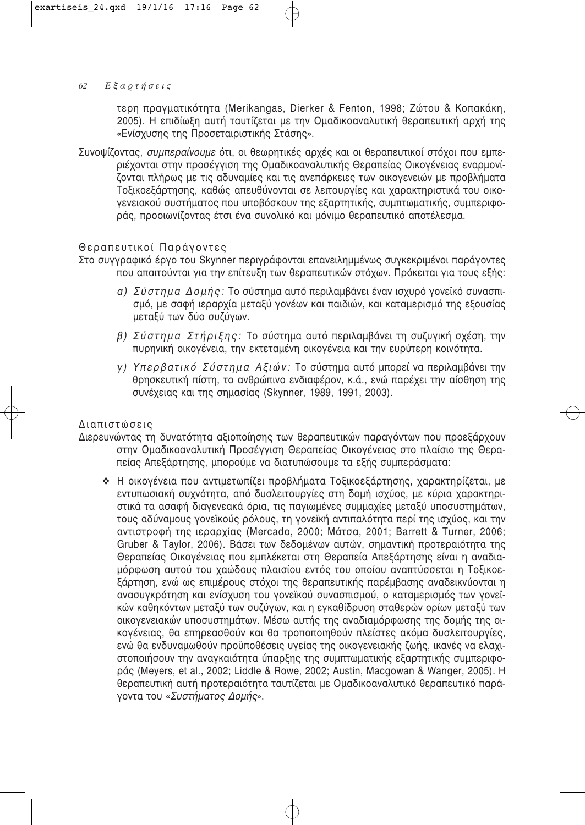τερη πραγματικότητα (Merikangas, Dierker & Fenton, 1998; Ζώτου & Κοπακάκη, 2005). Η επιδίωξη αυτή ταυτίζεται με την Ομαδικοαναλυτική θεραπευτική αρχή της «Ενίσχυσης της Προσεταιριστικής Στάσης».

Συνοψίζοντας, *συμπεραίνουμε* ότι, οι θεωρητικές αρχές και οι θεραπευτικοί στόχοι που εμπεριέχονται στην προσέγγιση της Ομαδικοαναλυτικής Θεραπείας Οικογένειας εναρμονίζονται πλήρως με τις αδυναμίες και τις ανεπάρκειες των οικογενειών με προβλήματα Τοξικοεξάρτησης, καθώς απευθύνονται σε λειτουργίες και χαρακτηριστικά του οικογενειακού συστήματος που υποβόσκουν της εξαρτητικής, συμπτωματικής, συμπεριφοράς, προοιωνίζοντας έτσι ένα συνολικό και μόνιμο θεραπευτικό αποτέλεσμα.

# Θεραπευτικοί Παράνοντες

Στο συννραφικό έρνο του Skynner περινράφονται επανειλημμένως συνκεκριμένοι παράνοντες που απαιτούνται για την επίτευξη των θεραπευτικών στόχων. Πρόκειται για τους εξής:

- *a) Σύστημα Δομής:* Το σύστημα αυτό περιλαμβάνει έναν ισχυρό νονεϊκό συνασπισμό, με σαφή ιεραρχία μεταξύ γονέων και παιδιών, και καταμερισμό της εξουσίας μεταξύ των δύο συζύγων.
- *β) Σύστημα Στήριξης:* Το σύστημα αυτό περιλαμβάνει τη συζυγική σχέση, την πυρηνική οικογένεια, την εκτεταμένη οικογένεια και την ευρύτερη κοινότητα.
- γ) Υπερβατικό Σύστημα Αξιών: Το σύστημα αυτό μπορεί να περιλαμβάνει την θρησκευτική πίστη, το ανθρώπινο ενδιαφέρον, κ.ά., ενώ παρέχει την αίσθηση της συνέχειας και της σημασίας (Skynner, 1989, 1991, 2003).

# $\Delta$ ιαπιστώσεις

- Διερευνώντας τη δυνατότητα αξιοποίησης των θεραπευτικών παραγόντων που προεξάρχουν στην Ομαδικοαναλυτική Προσέγγιση Θεραπείας Οικογένειας στο πλαίσιο της Θεραπείας Απεξάρτησης, μπορούμε να διατυπώσουμε τα εξής συμπεράσματα:
	- ❖ Η οικογένεια που αντιμετωπίζει προβλήματα Τοξικοεξάρτησης, χαρακτηρίζεται, με εντυπωσιακή συχνότητα, από δυσλειτουργίες στη δομή ισχύος, με κύρια χαρακτηριστικά τα ασαφή διαγενεακά όρια, τις παγιωμένες συμμαχίες μεταξύ υποσυστημάτων, τους αδύναμους γονεϊκούς ρόλους, τη γονεϊκή αντιπαλότητα περί της ισχύος, και την αντιστροφή της ιεραρχίας (Mercado, 2000; Μάτσα, 2001; Barrett & Turner, 2006; Gruber & Taylor, 2006). Βάσει των δεδομένων αυτών, σημαντική προτεραιότητα της Θεραπείας Οικογένειας που εμπλέκεται στη Θεραπεία Απεξάρτησης είναι η αναδιαμόρφωση αυτού του χαώδους πλαισίου εντός του οποίου αναπτύσσεται η Τοξικοεξάρτηση, ενώ ως επιμέρους στόχοι της θεραπευτικής παρέμβασης αναδεικνύονται η ανασυγκρότηση και ενίσχυση του γονεϊκού συνασπισμού, ο καταμερισμός των γονεϊκών καθηκόντων μεταξύ των συζύγων, και η εγκαθίδρυση σταθερών ορίων μεταξύ των οικογενειακών υποσυστημάτων. Μέσω αυτής της αναδιαμόρφωσης της δομής της οι-Κογένειας, θα επηρεασθούν και θα τροποποιηθούν πλείστες ακόμα δυσλειτουργίες, ενώ θα ενδυναμωθούν προϋποθέσεις υγείας της οικογενειακής ζωής, ικανές να ελαχιστοποιήσουν την αναγκαιότητα ύπαρξης της συμπτωματικής εξαρτητικής συμπεριφοpác (Meyers, et al., 2002; Liddle & Rowe, 2002; Austin, Macgowan & Wanger, 2005). H θεραπευτική αυτή προτεραιότητα ταυτίζεται με Ομαδικοαναλυτικό θεραπευτικό παράγοντα του «*Συστήματος Δομής»*.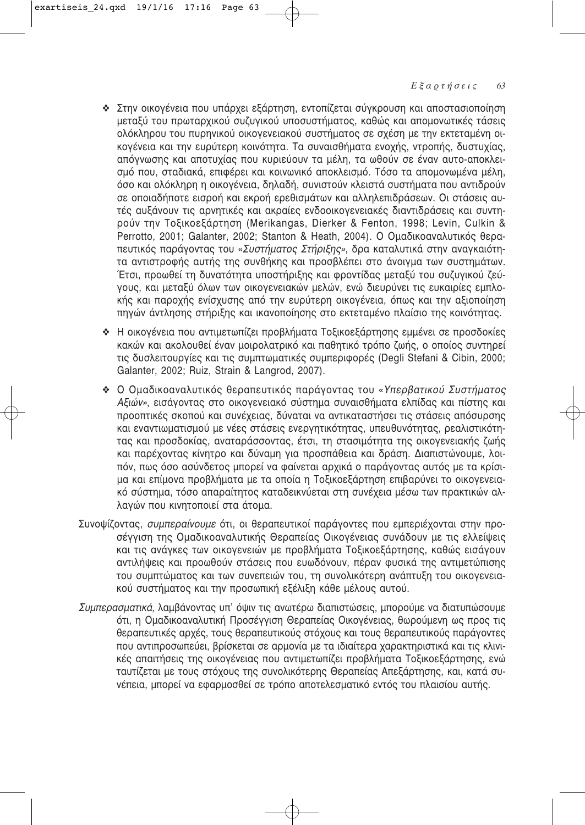❖ Στην οικογένεια που υπάρχει εξάρτηση, εντοπίζεται σύγκρουση και αποστασιοποίηση μεταξύ του πρωταρχικού συζυγικού υποσυστήματος, καθώς και απομονωτικές τάσεις ολόκληρου του πυρηνικού οικογενειακού συστήματος σε σχέση με την εκτεταμένη οικογένεια και την ευρύτερη κοινότητα. Τα συναισθήματα ενοχής, ντροπής, δυστυχίας, απόγνωσης και αποτυχίας που κυριεύουν τα μέλη, τα ωθούν σε έναν αυτο-αποκλεισμό που, σταδιακά, επιφέρει και κοινωνικό αποκλεισμό. Τόσο τα απομονωμένα μέλη, όσο και ολόκληρη η οικογένεια, δηλαδή, συνιστούν κλειστά συστήματα που αντιδρούν σε οποιαδήποτε εισροή και εκροή ερεθισμάτων και αλληλεπιδράσεων. Οι στάσεις αυτές αυξάνουν τις αρνητικές και ακραίες ενδοοικογενειακές διαντιδράσεις και συντηρούν την Τοξικοεξάρτηση (Merikangas, Dierker & Fenton, 1998; Levin, Culkin & Perrotto, 2001; Galanter, 2002; Stanton & Heath, 2004). Ο Ομαδικοαναλυτικός θεραπευτικός παράγοντας του «*Συστήματος Στήριξης»*, δρα καταλυτικά στην αναγκαιότητα αντιστροφής αυτής της συνθήκης και προσβλέπει στο άνοιγμα των συστημάτων. Έτσι, προωθεί τη δυνατότητα υποστήριξης και φροντίδας μεταξύ του συζυγικού ζεύγους, και μεταξύ όλων των οικογενειακών μελών, ενώ διευρύνει τις ευκαιρίες εμπλοκής και παροχής ενίσχυσης από την ευρύτερη οικογένεια, όπως και την αξιοποίηση πηγών άντλησης στήριξης και ικανοποίησης στο εκτεταμένο πλαίσιο της κοινότητας.

exartiseis  $24.$ qxd  $19/1/16$  17:16 Page

- ❖ Η οικογένεια που αντιμετωπίζει προβλήματα Τοξικοεξάρτησης εμμένει σε προσδοκίες κακών και ακολουθεί έναν μοιρολατρικό και παθητικό τρόπο ζωής, ο οποίος συντηρεί τις δυσλειτουργίες και τις συμπτωματικές συμπεριφορές (Degli Stefani & Cibin, 2000; Galanter, 2002; Ruiz, Strain & Langrod, 2007).
- ❖ Ο Ομαδικοαναλυτικός θεραπευτικός παράγοντας του «*Υπερβατικού Συστήματος Aξιών»*, εισάγοντας στο οικογενειακό σύστημα συναισθήματα ελπίδας και πίστης και προοπτικές σκοπού και συνέχειας, δύναται να αντικαταστήσει τις στάσεις απόσυρσης και εναντιωματισμού με νέες στάσεις ενεργητικότητας, υπευθυνότητας, ρεαλιστικότητας και προσδοκίας, αναταράσσοντας, έτσι, τη στασιμότητα της οικογενειακής ζωής και παρέχοντας κίνητρο και δύναμη για προσπάθεια και δράση. Διαπιστώνουμε, λοιπόν, πως όσο ασύνδετος μπορεί να φαίνεται αρχικά ο παράγοντας αυτός με τα κρίσιμα και επίμονα προβλήματα με τα οποία η Τοξικοεξάρτηση επιβαρύνει το οικογενεια-Κό σύστημα, τόσο απαραίτητος καταδεικνύεται στη συνέχεια μέσω των πρακτικών αλλαγών που κινητοποιεί στα άτομα.
- Συνοψίζοντας, *συμπεραίνουμε* ότι, οι θεραπευτικοί παράγοντες που εμπεριέχονται στην προσέγγιση της Ομαδικοαναλυτικής Θεραπείας Οικογένειας συνάδουν με τις ελλείψεις και τις ανάγκες των οικογενειών με προβλήματα Τοξικοεξάρτησης, καθώς εισάγουν αντιλήψεις και προωθούν στάσεις που ευωδόνουν, πέραν φυσικά της αντιμετώπισης του συμπτώματος και των συνεπειών του, τη συνολικότερη ανάπτυξη του οικογενειακού συστήματος και την προσωπική εξέλιξη κάθε μέλους αυτού.
- $\Sigma$ υμπερασματικά, λαμβάνοντας υπ' όψιν τις ανωτέρω διαπιστώσεις, μπορούμε να διατυπώσουμε ότι, η Ομαδικοαναλυτική Προσέγγιση Θεραπείας Οικογένειας, θωρούμενη ως προς τις θεραπευτικές αρχές, τους θεραπευτικούς στόχους και τους θεραπευτικούς παράγοντες που αντιπροσωπεύει. βρίσκεται σε αρμονία με τα ιδιαίτερα χαρακτηριστικά και τις κλινικές απαιτήσεις της οικογένειας που αντιμετωπίζει προβλήματα Τοξικοεξάρτησης, ενώ ταυτίζεται με τους στόχους της συνολικότερης Θεραπείας Απεξάρτησης, και, κατά συνέπεια, μπορεί να εφαρμοσθεί σε τρόπο αποτελεσματικό εντός του πλαισίου αυτής.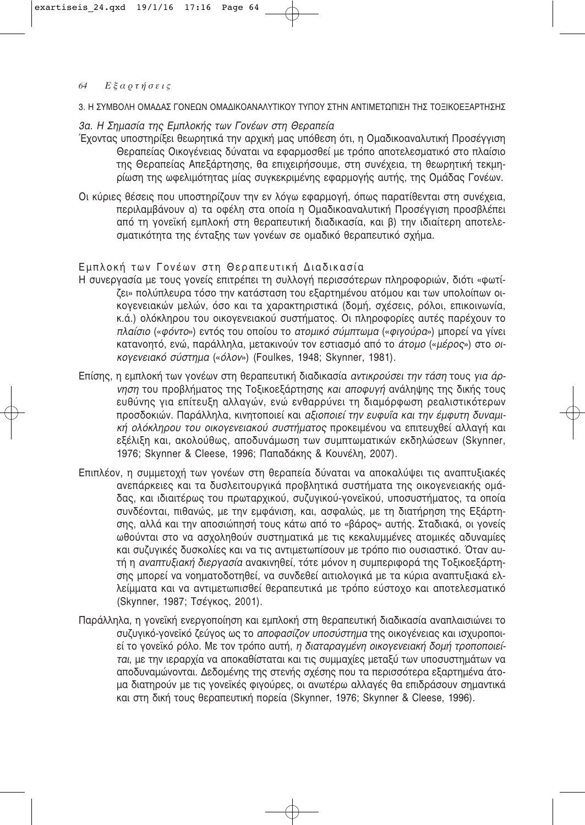3. Η ΣΥΜΒΟΛΗ ΟΜΑΔΑΣ ΓΟΝΕΩΝ ΟΜΑΔΙΚΟΑΝΑΛΥΤΙΚΟΥ ΤΥΠΟΥ ΣΤΗΝ ΑΝΤΙΜΕΤΩΠΙΣΗ ΤΗΣ ΤΟΞΙΚΟΕΞΑΡΤΗΣΗΣ

## 3a. Η Σημασία της Εμπλοκής των Γονέων στη Θεραπεία

- Έχοντας υποστηρίξει θεωρητικά την αρχική μας υπόθεση ότι, η Ομαδικοαναλυτική Προσέγγιση Θεραπείας Οικογένειας δύναται να εφαρμοσθεί με τρόπο αποτελεσματικό στο πλαίσιο της Θεραπείας Απεξάρτησης, θα επιχειρήσουμε, στη συνέχεια, τη θεωρητική τεκμηρίωση της ωφελιμότητας μίας συγκεκριμένης εφαρμογής αυτής, της Ομάδας Γονέων.
- Οι κύριες θέσεις που υποστηρίζουν την εν λόγω εφαρμογή, όπως παρατίθενται στη συνέχεια, περιλαμβάνουν α) τα οφέλη στα οποία η Ομαδικοαναλυτική Προσέγγιση προσβλέπει από τη γονεϊκή εμπλοκή στη θεραπευτική διαδικασία, και β) την ιδιαίτερη αποτελεσματικότητα της ένταξης των γονέων σε ομαδικό θεραπευτικό σχήμα.

# Εμπλοκή των Γονέων στη Θεραπευτική Διαδικασία

- Η συνεργασία με τους γονείς επιτρέπει τη συλλογή περισσότερων πληροφοριών, διότι «φωτίζει» πολύπλευρα τόσο την κατάσταση του εξαρτημένου ατόμου και των υπολοίπων οι-Κογενειακών μελών, όσο και τα χαρακτηριστικά (δομή, σχέσεις, ρόλοι, επικοινωνία, Κ..ά.) Ολόκληρου του οικογενειακού συστήματος. Οι πληροφορίες αυτές παρέχουν το *πλαίσιο («φόντο»*) εντός του οποίου το *ατομικό σύμπτωμα («φιγούρα»*) μπορεί να γίνει κατανοητό, ενώ, παράλληλα, μετακινούν τον εστιασμό από το *άτομο («μέρος»*) στο *οι-ÎÔÁÂÓÂÈ·Îfi Û‡ÛÙËÌ·* («*fiÏÔÓ*») (Foulkes, 1948; Skynner, 1981).
- Επίσης, η εμπλοκή των γονέων στη θεραπευτική διαδικασία *αντικρούσει την τάση* τους για άρ-*Vηση* του προβλήματος της Τοξικοεξάρτησης και αποφυγή ανάληψης της δικής τους ευθύνης για επίτευξη αλλαγών, ενώ ενθαρρύνει τη διαμόρφωση ρεαλιστικότερων προσδοκιών. Παράλληλα, κινητοποιεί και *αξιοποιεί την ευφυΐα και την έμφυτη δυναμική ολόκληρου του οικογενειακού συστήματος πρ*οκειμένου να επιτευχθεί αλλαγή και εξέλιξη και, ακολούθως, αποδυνάμωση των συμπτωματικών εκδηλώσεων (Skynner, 1976; Skynner & Cleese, 1996; Παπαδάκης & Κουνέλη, 2007).
- Επιπλέον, η συμμετοχή των γονέων στη θεραπεία δύναται να αποκαλύψει τις αναπτυξιακές ανεπάρκειες και τα δυσλειτουργικά προβλητικά συστήματα της οικογενειακής ομάδας, και ιδιαιτέρως του πρωταρχικού, συζυγικού-γονεϊκού, υποσυστήματος, τα οποία συνδέονται, πιθανώς, με την εμφάνιση, και, ασφαλώς, με τη διατήρηση της Εξάρτησης, αλλά και την αποσιώπησή τους κάτω από το «βάρος» αυτής. Σταδιακά, οι γονείς ωθούνται στο να ασχοληθούν συστηματικά με τις κεκαλυμμένες ατομικές αδυναμίες και συζυγικές δυσκολίες και να τις αντιμετωπίσουν με τρόπο πιο ουσιαστικό. Όταν αυτή η αναπτυξιακή διεργασία ανακινηθεί, τότε μόνον η συμπεριφορά της Τοξικοεξάρτησης μπορεί να νοηματοδοτηθεί, να συνδεθεί αιτιολογικά με τα κύρια αναπτυξιακά ελλείμματα και να αντιμετωπισθεί θεραπευτικά με τρόπο εύστοχο και αποτελεσματικό (Skynner, 1987; Τσέγκος, 2001).
- Παράλληλα, η γονεϊκή ενεργοποίηση και εμπλοκή στη θεραπευτική διαδικασία αναπλαισιώνει το συζυγικό-γονεϊκό ζεύγος ως το *αποφασίζον υποσύστημα* της οικογένειας και ισχυροποιεί το γονεϊκό ρόλο. Με τον τρόπο αυτή, *η διαταραγμένη οικογενειακή δομή τροποποιείται*, με την ιεραρχία να αποκαθίσταται και τις συμμαχίες μεταξύ των υποσυστημάτων να αποδυναμώνονται. Δεδομένης της στενής σχέσης που τα περισσότερα εξαρτημένα άτομα διατηρούν με τις γονεϊκές φιγούρες, οι ανωτέρω αλλαγές θα επιδράσουν σημαντικά και στη δική τους θεραπευτική πορεία (Skynner, 1976; Skynner & Cleese, 1996).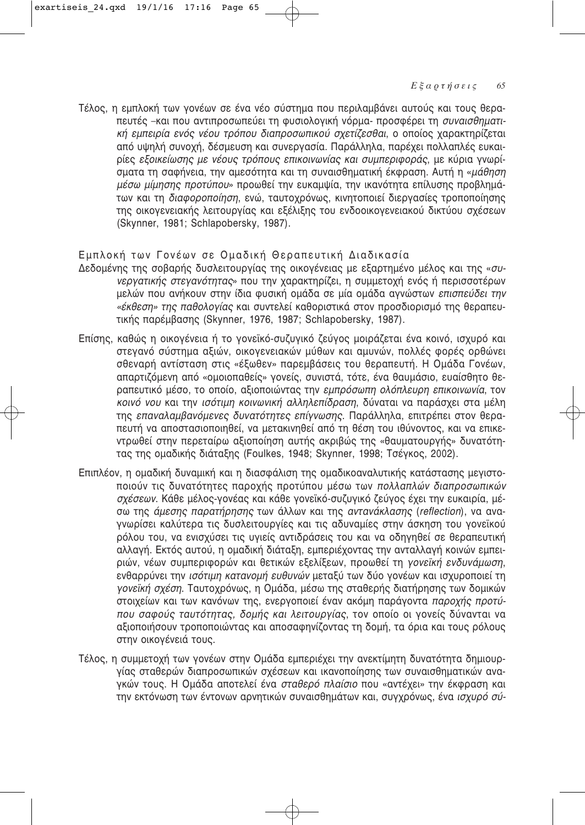Τέλος, η εμπλοκή των γονέων σε ένα νέο σύστημα που περιλαμβάνει αυτούς και τους θεραπευτές –και που αντιπροσωπεύει τη φυσιολογική νόρμα- προσφέρει τη *συναισθηματική εμπειρία ενός νέου τρόπου διαπροσωπικού σχετίζεσθαι, ο οποίος χαρακτηρίζεται* από υψηλή συνοχή, δέσμευση και συνεργασία. Παράλληλα, παρέχει πολλαπλές ευκαιρίες εξοικείωσης με νέους τρόπους επικοινωνίας και συμπεριφοράς, με κύρια γνωρίσματα τη σαφήνεια, την αμεσότητα και τη συναισθηματική έκφραση. Αυτή η «μάθηση *μέσω μίμησης προτύπου»* προωθεί την ευκαμψία, την ικανότητα επίλυσης προβλημάτων και τη *διαφοροποίηση*, ενώ, ταυτοχρόνως, κινητοποιεί διεργασίες τροποποίησης της οικογενειακής λειτουργίας και εξέλιξης του ενδοοικογενειακού δικτύου σχέσεων (Skynner, 1981; Schlapobersky, 1987).

# Εμπλοκή των Γονέων σε Ομαδική Θεραπευτική Διαδικασία

exartiseis\_24.qxd 19/1/16 17:16 Page 65

- Δεδομένης της σοβαρής δυσλειτουργίας της οικογένειας με εξαρτημένο μέλος και της «συ-*Vεργατικής στεγανότητας»* που την χαρακτηρίζει, η συμμετοχή ενός ή περισσοτέρων μελών που ανήκουν στην ίδια φυσική ομάδα σε μία ομάδα αγνώστων *επισπεύδει την «έκθεση» της παθολογίας και συντελεί καθοριστικά στον προσδιορισμό της θεραπευ*τικής παρέμβασης (Skynner, 1976, 1987; Schlapobersky, 1987).
- Επίσης, καθώς η οικογένεια ή το γονεϊκό-συζυγικό ζεύγος μοιράζεται ένα κοινό, ισχυρό και στεγανό σύστημα αξιών, οικογενειακών μύθων και αμυνών, πολλές φορές ορθώνει σθεναρή αντίσταση στις «έξωθεν» παρεμβάσεις του θεραπευτή. Η Ομάδα Γονέων, απαρτιζόμενη από «ομοιοπαθείς» νονείς, συνιστά, τότε, ένα θαυμάσιο, ευαίσθητο θεραπευτικό μέσο, το οποίο, αξιοποιώντας την *εμπρόσωπη ολόπλευρη επικοινωνία*, τον *ΚΟΙΥΟ VOU ΚΟΙ την ισότιμη κοινωνική αλληλεπίδραση*, δύναται να παράσχει στα μέλη της *επαναλαμβανόμενες δυνατότητες επίγνωσης*. Παράλληλα, επιτρέπει στον θεραπευτή να αποστασιοποιηθεί, να μετακινηθεί από τη θέση του ιθύνοντος, και να επικεντρωθεί στην περεταίρω αξιοποίηση αυτής ακριβώς της «θαυματουργής» δυνατότητας της ομαδικής διάταξης (Foulkes, 1948; Skynner, 1998; Τσέγκος, 2002).
- Επιπλέον, η ομαδική δυναμική και η διασφάλιση της ομαδικοαναλυτικής κατάστασης μεγιστοποιούν τις δυνατότητες παροχής προτύπου μέσω των *πολλαπλών διαπροσωπικών σχέσεων.* Κάθε μέλος-γονέας και κάθε γονεϊκό-συζυγικό ζεύγος έχει την ευκαιρία, μέσω της *άμεσης παρατήρησης* των άλλων και της *αντανάκλασης (reflection*), να αναγνωρίσει καλύτερα τις δυσλειτουργίες και τις αδυναμίες στην άσκηση του γονεϊκού ρόλου του, να ενισχύσει τις υγιείς αντιδράσεις του και να οδηγηθεί σε θεραπευτική αλλαγή. Εκτός αυτού, η ομαδική διάταξη, εμπεριέχοντας την ανταλλαγή κοινών εμπειριών, νέων συμπεριφορών και θετικών εξελίξεων, προωθεί τη *γονεϊκή ενδυνάμωση*, ενθαρρύνει την ισότιμη κατανομή ευθυνών μεταξύ των δύο γονέων και ισχυροποιεί τη *γονεϊκή σχέση*. Ταυτοχρόνως, η Ομάδα, μέσω της σταθερής διατήρησης των δομικών στοιχείων και των κανόνων της, ενεργοποιεί έναν ακόμη παράγοντα *παροχής προτύπου σαφούς ταυτότητας, δομής και λειτουργίας*, τον οποίο οι γονείς δύνανται να αξιοποιήσουν τροποποιώντας και αποσαφηνίζοντας τη δομή, τα όρια και τους ρόλους στην οικογένειά τους.
- Τέλος, η συμμετοχή των γονέων στην Ομάδα εμπεριέχει την ανεκτίμητη δυνατότητα δημιουργίας σταθερών διαπροσωπικών σχέσεων και ικανοποίησης των συναισθηματικών αναγκών τους. Η Ομάδα αποτελεί ένα *σταθερό πλαίσιο* που «αντέχει» την έκφραση και την εκτόνωση των έντονων αρνητικών συναισθημάτων και, συγχρόνως, ένα ισχυρό σύ-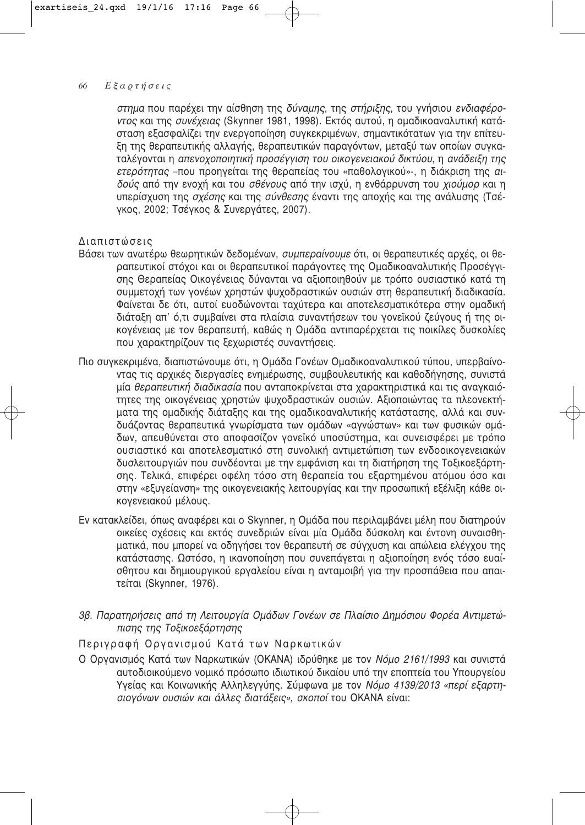$\sigma$ τημα που παρέχει την αίσθηση της δύναμης, της *στήριξης*, του γνήσιου *ενδιαφέρο-VTOC* Και της συνέχειας (Skynner 1981, 1998). Εκτός αυτού, η ομαδικοαναλυτική κατάσταση εξασφαλίζει την ενεργοποίηση συγκεκριμένων, σημαντικότατων για την επίτευξη της θεραπευτικής αλλαγής, θεραπευτικών παραγόντων, μεταξύ των οποίων συγκαταλένονται η *απενοχοποιητική προσέννιση του οικονενειακού δικτύου, η ανάδειξη της ετερότητας* –που προηγείται της θεραπείας του «παθολογικού»-, η διάκριση της *αιδούς* από την ενοχή και του *σθένους* από την ισχύ, η ενθάρρυνση του *χιούμορ* και η υπερίσχυση της *σχέσης* και της σύνθεσης έναντι της αποχής και της ανάλυσης (Τσέγκος, 2002; Τσέγκος & Συνεργάτες, 2007).

### Διαπιστώσεις

- Βάσει των ανωτέρω θεωρητικών δεδομένων, *συμπεραίνουμε* ότι, οι θεραπευτικές αρχές, οι θεραπευτικοί στόχοι και οι θεραπευτικοί παράγοντες της Ομαδικοαναλυτικής Προσέγγισης Θεραπείας Οικογένειας δύνανται να αξιοποιηθούν με τρόπο ουσιαστικό κατά τη συμμετοχή των γονέων χρηστών ψυχοδραστικών ουσιών στη θεραπευτική διαδικασία. Φαίνεται δε ότι, αυτοί ευοδώνονται ταχύτερα και αποτελεσματικότερα στην ομαδική διάταξη απ' ό,τι συμβαίνει στα πλαίσια συναντήσεων του γονεϊκού ζεύγους ή της οικονένειας με τον θεραπευτή, καθώς η Ομάδα αντιπαρέρχεται τις ποικίλες δυσκολίες που χαρακτηρίζουν τις ξεχωριστές συναντήσεις.
- Πιο συγκεκριμένα, διαπιστώνουμε ότι, η Ομάδα Γονέων Ομαδικοαναλυτικού τύπου, υπερβαίνοντας τις αρχικές διεργασίες ενημέρωσης, συμβουλευτικής και καθοδήγησης, συνιστά μία *θεραπευτική διαδικασία* που ανταποκρίνεται στα χαρακτηριστικά και τις αναγκαιότητες της οικογένειας χρηστών ψυχοδραστικών ουσιών. Αξιοποιώντας τα πλεονεκτήματα της ομαδικής διάταξης και της ομαδικοαναλυτικής κατάστασης, αλλά και συνδυάζοντας θεραπευτικά γνωρίσματα των ομάδων «αγνώστων» και των φυσικών ομάδων, απευθύνεται στο αποφασίζον γονεϊκό υποσύστημα, και συνεισφέρει με τρόπο ουσιαστικό και αποτελεσματικό στη συνολική αντιμετώπιση των ενδοοικογενειακών δυσλειτουργιών που συνδέονται με την εμφάνιση και τη διατήρηση της Τοξικοεξάρτησης. Τελικά, επιφέρει οφέλη τόσο στη θεραπεία του εξαρτημένου ατόμου όσο και στην «εξυγείανση» της οικογενειακής λειτουργίας και την προσωπική εξέλιξη κάθε οικογενειακού μέλους.
- Εν κατακλείδει, όπως αναφέρει και ο Skynner, η Ομάδα που περιλαμβάνει μέλη που διατηρούν οικείες σχέσεις και εκτός συνεδριών είναι μία Ομάδα δύσκολη και έντονη συναισθηματικά, που μπορεί να οδηγήσει τον θεραπευτή σε σύγχυση και απώλεια ελέγχου της κατάστασης. Ωστόσο, η ικανοποίηση που συνεπάγεται η αξιοποίηση ενός τόσο ευαίσθητου και δημιουργικού εργαλείου είναι η ανταμοιβή για την προσπάθεια που απαιτείται (Skynner, 1976).
- 3β. Παρατηρήσεις από τη Λειτουργία Ομάδων Γονέων σε Πλαίσιο Δημόσιου Φορέα Αντιμετώπισης της Τοξικοεξάρτησης

# Περιγραφή Οργανισμού Κατά των Ναρκωτικών

Ο Οργανισμός Κατά των Ναρκωτικών (ΟΚΑΝΑ) ιδρύθηκε με τον *Νόμο 2161/1993* και συνιστά αυτοδιοικούμενο νομικό πρόσωπο ιδιωτικού δικαίου υπό την εποπτεία του Υπουργείου Υγείας και Κοινωνικής Αλληλεγγύης. Σύμφωνα με τον *Νόμο 4139/2013 «περί εξαρτη*σιογόνων ουσιών και άλλες διατάξεις», σκοποί του ΟΚΑΝΑ είναι: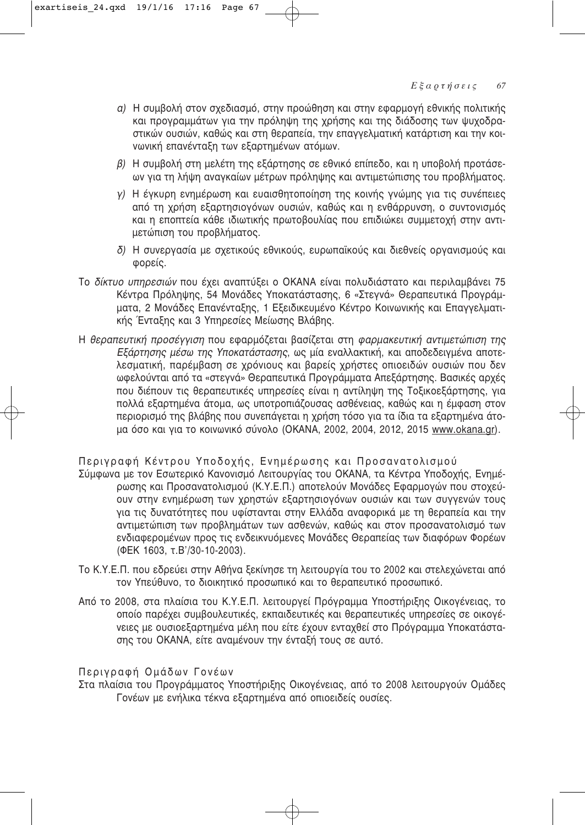- α) Η συμβολή στον σχεδιασμό, στην προώθηση και στην εφαρμογή εθνικής πολιτικής και προγραμμάτων για την πρόληψη της χρήσης και της διάδοσης των ψυχοδραστικών ουσιών, καθώς και στη θεραπεία, την επαγγελματική κατάρτιση και την κοινωνική επανένταξη των εξαρτημένων ατόμων.
- β) Η συμβολή στη μελέτη της εξάρτησης σε εθνικό επίπεδο, και η υποβολή προτάσεων για τη λήψη αναγκαίων μέτρων πρόληψης και αντιμετώπισης του προβλήματος.
- γ) Η έγκυρη ενημέρωση και ευαισθητοποίηση της κοινής γνώμης για τις συνέπειες από τη χρήση εξαρτησιογόνων ουσιών, καθώς και η ενθάρρυνση, ο συντονισμός και η εποπτεία κάθε ιδιωτικής πρωτοβουλίας που επιδιώκει συμμετοχή στην αντιμετώπιση του προβλήματος.
- δ) Η συνεργασία με σχετικούς εθνικούς, ευρωπαϊκούς και διεθνείς οργανισμούς και φορείς.
- Το δίκτυο υπηρεσιών που έχει αναπτύξει ο ΟΚΑΝΑ είναι πολυδιάστατο και περιλαμβάνει 75 Κέντρα Πρόληψης, 54 Μονάδες Υποκατάστασης, 6 «Στεγνά» Θεραπευτικά Προγράμματα, 2 Μονάδες Επανένταξης, 1 Εξειδικευμένο Κέντρο Κοινωνικής και Επαγγελματικής Ένταξης και 3 Υπηρεσίες Μείωσης Βλάβης.
- Η θεραπευτική προσέγγιση που εφαρμόζεται βασίζεται στη φαρμακευτική αντιμετώπιση της Εξάρτησης μέσω της Υποκατάστασης, ως μία εναλλακτική, και αποδεδειγμένα αποτελεσματική, παρέμβαση σε χρόνιους και βαρείς χρήστες οπιοειδών ουσιών που δεν ωφελούνται από τα «στεγνά» Θεραπευτικά Προγράμματα Απεξάρτησης. Βασικές αρχές που διέπουν τις θεραπευτικές υπηρεσίες είναι η αντίληψη της Τοξικοεξάρτησης, για πολλά εξαρτημένα άτομα, ως υποτροπιάζουσας ασθένειας, καθώς και η έμφαση στον περιορισμό της βλάβης που συνεπάγεται η χρήση τόσο για τα ίδια τα εξαρτημένα άτομα όσο και για το κοινωνικό σύνολο (ΟΚΑΝΑ, 2002, 2004, 2012, 2015 www.okana.gr).

# Περιγραφή Κέντρου Υποδοχής, Ενημέρωσης και Προσανατολισμού

Σύμφωνα με τον Εσωτερικό Κανονισμό Λειτουργίας του ΟΚΑΝΑ, τα Κέντρα Υποδοχής, Ενημέρωσης και Προσανατολισμού (Κ.Υ.Ε.Π.) αποτελούν Μονάδες Εφαρμογών που στοχεύουν στην ενημέρωση των χρηστών εξαρτησιογόνων ουσιών και των συγγενών τους για τις δυνατότητες που υφίστανται στην Ελλάδα αναφορικά με τη θεραπεία και την αντιμετώπιση των προβλημάτων των ασθενών, καθώς και στον προσανατολισμό των ενδιαφερομένων προς τις ενδεικνυόμενες Μονάδες Θεραπείας των διαφόρων Φορέων (ФЕК 1603, т.В'/30-10-2003).

- Το Κ.Υ.Ε.Π. που εδρεύει στην Αθήνα ξεκίνησε τη λειτουργία του το 2002 και στελεχώνεται από τον Υπεύθυνο, το διοικητικό προσωπικό και το θεραπευτικό προσωπικό.
- Από το 2008, στα πλαίσια του Κ.Υ.Ε.Π. λειτουργεί Πρόγραμμα Υποστήριξης Οικογένειας, το οποίο παρέχει συμβουλευτικές, εκπαιδευτικές και θεραπευτικές υπηρεσίες σε οικογένειες με ουσιοεξαρτημένα μέλη που είτε έχουν ενταχθεί στο Πρόγραμμα Υποκατάστασης του ΟΚΑΝΑ, είτε αναμένουν την ένταξή τους σε αυτό.

# Περιγραφή Ομάδων Γονέων

Στα πλαίσια του Προγράμματος Υποστήριξης Οικογένειας, από το 2008 λειτουργούν Ομάδες Γονέων με ενήλικα τέκνα εξαρτημένα από οπιοειδείς ουσίες.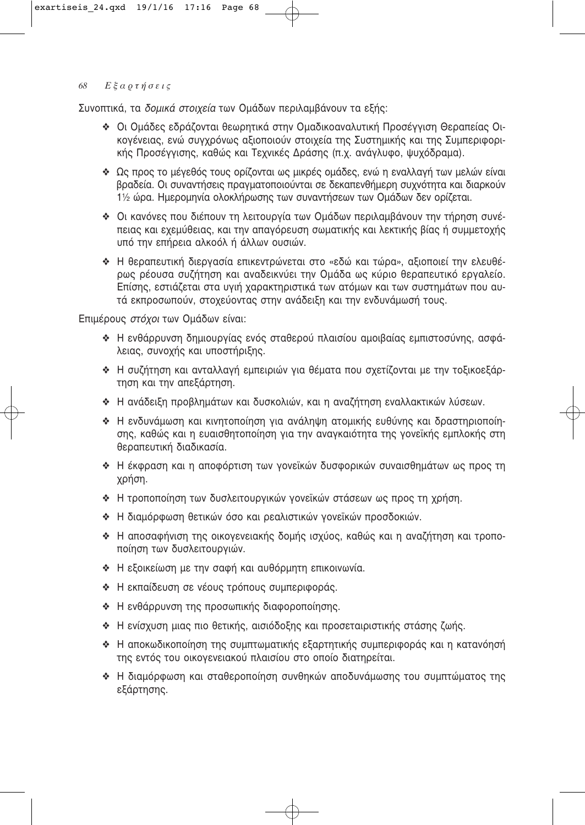Συνοπτικά, τα δομικά στοιχεία των Ομάδων περιλαμβάνουν τα εξής:

- ❖ Οι Ομάδες εδράζονται θεωρητικά στην Ομαδικοαναλυτική Προσέγγιση Θεραπείας Οικογένειας, ενώ συγχρόνως αξιοποιούν στοιχεία της Συστημικής και της Συμπεριφορικής Προσέννισης, καθώς και Τεχνικές Δράσης (π.χ. ανάνλυφο, ψυχόδραμα).
- Ως προς το μέγεθός τους ορίζονται ως μικρές ομάδες, ενώ η εναλλαγή των μελών είναι βραδεία. Οι συναντήσεις πραγματοποιούνται σε δεκαπενθήμερη συχνότητα και διαρκούν 1½ ώρα. Ημερομηνία ολοκλήρωσης των συναντήσεων των Ομάδων δεν ορίζεται.
- Οι κανόνες που διέπουν τη λειτουργία των Ομάδων περιλαμβάνουν την τήρηση συνέπειας και εχεμύθειας, και την απαγόρευση σωματικής και λεκτικής βίας ή συμμετοχής υπό την επήρεια αλκοόλ ή άλλων ουσιών.
- Η θεραπευτική διεργασία επικεντρώνεται στο «εδώ και τώρα», αξιοποιεί την ελευθέρως ρέουσα συζήτηση και αναδεικνύει την Ομάδα ως κύριο θεραπευτικό εργαλείο. Επίσης, εστιάζεται στα υγιή χαρακτηριστικά των ατόμων και των συστημάτων που αυτά εκπροσωπούν, στοχεύοντας στην ανάδειξη και την ενδυνάμωσή τους.

Επιμέρους στόχοι των Ομάδων είναι:

- ❖ Η ενθάρρυνση δημιουργίας ενός σταθερού πλαισίου αμοιβαίας εμπιστοσύνης, ασφάλειας, συνοχής και υποστήριξης.
- Η συζήτηση και ανταλλαγή εμπειριών για θέματα που σχετίζονται με την τοξικοεξάρτηση και την απεξάρτηση.
- ❖ Η ανάδειξη προβλημάτων και δυσκολιών, και η αναζήτηση εναλλακτικών λύσεων.
- Η ενδυνάμωση και κινητοποίηση για ανάληψη ατομικής ευθύνης και δραστηριοποίησης, καθώς και η ευαισθητοποίηση για την αναγκαιότητα της γονεϊκής εμπλοκής στη θεραπευτική διαδικασία.
- ♦ Η έκφραση και η αποφόρτιση των γονεϊκών δυσφορικών συναισθημάτων ως προς τη χρήση.
- ◆ Η τροποποίηση των δυσλειτουργικών γονεϊκών στάσεων ως προς τη χρήση.
- Η διαμόρφωση θετικών όσο και ρεαλιστικών γονεϊκών προσδοκιών.
- ♦ Η αποσαφήνιση της οικογενειακής δομής ισχύος, καθώς και η αναζήτηση και τροποποίηση των δυσλειτουργιών.
- Η εξοικείωση με την σαφή και αυθόρμητη επικοινωνία.
- Η εκπαίδευση σε νέους τρόπους συμπεριφοράς.
- Η ενθάρρυνση της προσωπικής διαφοροποίησης.
- Η ενίσχυση μιας πιο θετικής, αισιόδοξης και προσεταιριστικής στάσης ζωής.
- Η αποκωδικοποίηση της συμπτωματικής εξαρτητικής συμπεριφοράς και η κατανόησή της εντός του οικογενειακού πλαισίου στο οποίο διατηρείται.
- ❖ Η διαμόρφωση και σταθεροποίηση συνθηκών αποδυνάμωσης του συμπτώματος της εξάρτησης.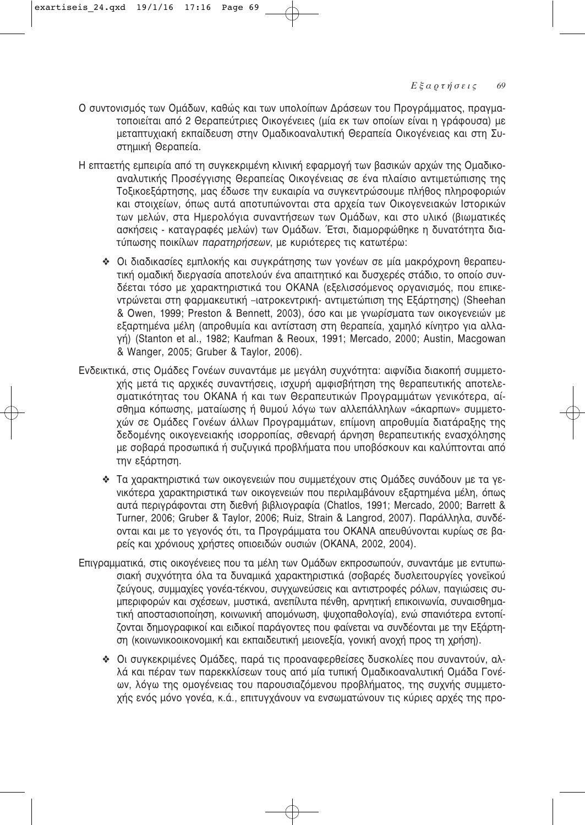- Ο συντονισμός των Ομάδων, καθώς και των υπολοίπων Δράσεων του Προγράμματος, πραγματοποιείται από 2 Θεραπεύτριες Οικογένειες (μία εκ των οποίων είναι η γράφουσα) με μεταπτυχιακή εκπαίδευση στην Ομαδικοαναλυτική Θεραπεία Οικογένειας και στη Συστημική Θεραπεία.
- Η επταετής εμπειρία από τη συγκεκριμένη κλινική εφαρμογή των βασικών αρχών της Ομαδικοαναλυτικής Προσέγγισης Θεραπείας Οικογένειας σε ένα πλαίσιο αντιμετώπισης της Τοξικοεξάρτησης, μας έδωσε την ευκαιρία να συγκεντρώσουμε πλήθος πληροφοριών και στοιχείων, όπως αυτά αποτυπώνονται στα αρχεία των Οικογενειακών Ιστορικών των μελών, στα Ημερολόγια συναντήσεων των Ομάδων, και στο υλικό (βιωματικές ασκήσεις - καταγραφές μελών) των Ομάδων. Έτσι, διαμορφώθηκε η δυνατότητα διατύπωσης ποικίλων *παρατηρήσεων*, με κυριότερες τις κατωτέρω:
	- ❖ Οι διαδικασίες εμπλοκής και συγκράτησης των γονέων σε μία μακρόχρονη θεραπευτική ομαδική διεργασία αποτελούν ένα απαιτητικό και δυσχερές στάδιο, το οποίο συνδέεται τόσο με χαρακτηριστικά του ΟΚΑΝΑ (εξελισσόμενος οργανισμός, που επικεντρώνεται στη φαρμακευτική –ιατροκεντρική- αντιμετώπιση της Εξάρτησης) (Sheehan & Owen, 1999; Preston & Bennett, 2003), όσο και με γνωρίσματα των οικογενειών με εξαρτημένα μέλη (απροθυμία και αντίσταση στη θεραπεία, χαμηλό κίνητρο για αλλαyn) (Stanton et al., 1982; Kaufman & Reoux, 1991; Mercado, 2000; Austin, Macgowan & Wanger, 2005; Gruber & Taylor, 2006).
- Ενδεικτικά, στις Ομάδες Γονέων συναντάμε με μεγάλη συχνότητα: αιφνίδια διακοπή συμμετοχής μετά τις αρχικές συναντήσεις, ισχυρή αμφισβήτηση της θεραπευτικής αποτελεσματικότητας του ΟΚΑΝΑ ή και των Θεραπευτικών Προγραμμάτων γενικότερα, αίσθημα κόπωσης, ματαίωσης ή θυμού λόγω των αλλεπάλληλων «άκαρπων» συμμετοχών σε Ομάδες Γονέων άλλων Προγραμμάτων, επίμονη απροθυμία διατάραξης της δεδομένης οικογενειακής ισορροπίας, σθεναρή άρνηση θεραπευτικής ενασχόλησης με σοβαρά προσωπικά ή συζυγικά προβλήματα που υποβόσκουν και καλύπτονται από την εξάρτηση.
	- ◆ Τα χαρακτηριστικά των οικογενειών που συμμετέχουν στις Ομάδες συνάδουν με τα γε-VΙΚότερα χαρακτηριστικά των οικογενειών που περιλαμβάνουν εξαρτημένα μέλη, όπως αυτά περινράφονται στη διεθνή βιβλιονραφία (Chatlos, 1991; Mercado, 2000; Barrett & Turner, 2006; Gruber & Taylor, 2006; Ruiz, Strain & Langrod, 2007). Παράλληλα, συνδέονται και με το γεγονός ότι, τα Προγράμματα του ΟΚΑΝΑ απευθύνονται κυρίως σε βαρείς και χρόνιους χρήστες οπιοειδών ουσιών (OKANA, 2002, 2004).
- Επιγραμματικά, στις οικογένειες που τα μέλη των Ομάδων εκπροσωπούν, συναντάμε με εντυπωσιακή συχνότητα όλα τα δυναμικά χαρακτηριστικά (σοβαρές δυσλειτουργίες γονεϊκού ζεύγους, συμμαχίες γονέα-τέκνου, συγχωνεύσεις και αντιστροφές ρόλων, παγιώσεις συμπεριφορών και σχέσεων, μυστικά, ανεπίλυτα πένθη, αρνητική επικοινωνία, συναισθηματική αποστασιοποίηση, κοινωνική απομόνωση, ψυχοπαθολογία), ενώ σπανιότερα εντοπίζονται δημογραφικοί και ειδικοί παράγοντες που φαίνεται να συνδέονται με την Εξάρτηση (κοινωνικοοικονομική και εκπαιδευτική μειονεξία, γονική ανοχή προς τη χρήση).
	- ❖ Οι συγκεκριμένες Ομάδες, παρά τις προαναφερθείσες δυσκολίες που συναντούν, αλλά και πέραν των παρεκκλίσεων τους από μία τυπική Ομαδικοαναλυτική Ομάδα Γονέων, λόγω της ομογένειας του παρουσιαζόμενου προβλήματος, της συχνής συμμετοχής ενός μόνο γονέα, κ.ά., επιτυγχάνουν να ενσωματώνουν τις κύριες αρχές της προ-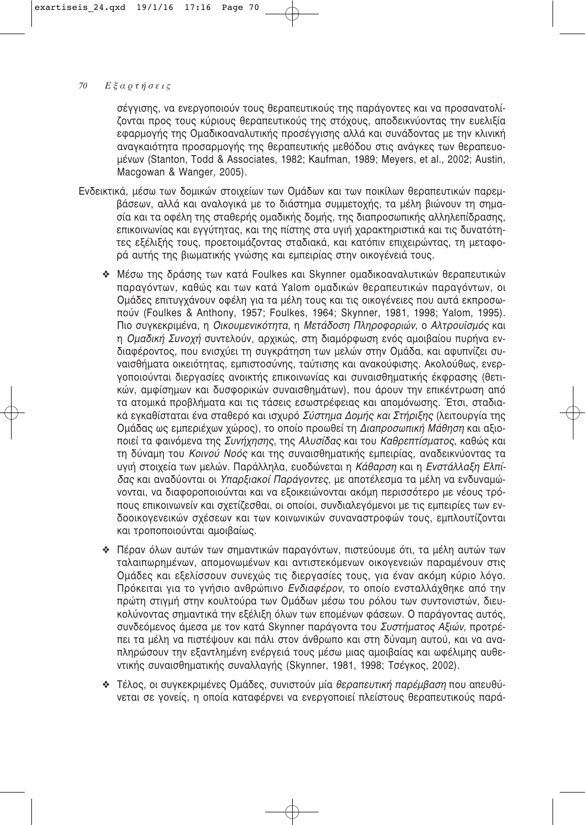σέγγισης, να ενεργοποιούν τους θεραπευτικούς της παράγοντες και να προσανατολίζονται προς τους κύριους θεραπευτικούς της στόχους, αποδεικνύοντας την ευελιξία εφαρμογής της Ομαδικοαναλυτικής προσέγγισης αλλά και συνάδοντας με την κλινική αναγκαιότητα προσαρμογής της θεραπευτικής μεθόδου στις ανάγκες των θεραπευομένων (Stanton, Todd & Associates, 1982; Kaufman, 1989; Meyers, et al., 2002; Austin, Macgowan & Wanger, 2005).

- Ενδεικτικά, μέσω των δομικών στοιχείων των Ομάδων και των ποικίλων θεραπευτικών παρεμβάσεων, αλλά και αναλογικά με το διάστημα συμμετοχής, τα μέλη βιώνουν τη σημασία και τα οφέλη της σταθερής ομαδικής δομής, της διαπροσωπικής αλληλεπίδρασης, επικοινωνίας και εγγύτητας, και της πίστης στα υγιή χαρακτηριστικά και τις δυνατότητες εξέλιξής τους, προετοιμάζοντας σταδιακά, και κατόπιν επιχειρώντας, τη μεταφορά αυτής της βιωματικής γνώσης και εμπειρίας στην οικογένειά τους.
	- ❖ Μέσω της δράσης των κατά Foulkes και Skynner ομαδικοαναλυτικών θεραπευτικών παρανόντων, καθώς και των κατά Yalom ομαδικών θεραπευτικών παρανόντων, οι Ομάδες επιτυγχάνουν οφέλη για τα μέλη τους και τις οικογένειες που αυτά εκπροσωπούν (Foulkes & Anthony, 1957; Foulkes, 1964; Skynner, 1981, 1998; Yalom, 1995). Πιο συγκεκριμένα, η *Οικουμενικότητα, η Μετάδοση Πληροφοριών,* ο *Αλτρουϊσμός και* η *Ομαδική Συνοχή* συντελούν, αρχικώς, στη διαμόρφωση ενός αμοιβαίου πυρήνα ενδιαφέροντος, που ενισχύει τη συγκράτηση των μελών στην Ομάδα, και αφυπνίζει συναισθήματα οικειότητας, εμπιστοσύνης, ταύτισης και ανακούφισης. Ακολούθως, ενεργοποιούνται διεργασίες ανοικτής επικοινωνίας και συναισθηματικής έκφρασης (θετι-Κών, αμφίσημων και δυσφορικών συναισθημάτων), που άρουν την επικέντρωση από τα ατομικά προβλήματα και τις τάσεις εσωστρέφειας και απομόνωσης. Έτσι, σταδιακά εγκαθίσταται ένα σταθερό και ισχυρό *Σύστημα Δομής και Στήριξης (*λειτουργία της Ομάδας ως εμπεριέχων χώρος), το οποίο προωθεί τη Διαπροσωπική Μάθηση και αξιοποιεί τα φαινόμενα της *Συνήχησης*, της Αλυσίδας και του Καθρεπτίσματος, καθώς και τη δύναμη του *Κοινού Νοός* και της συναισθηματικής εμπειρίας, αναδεικνύοντας τα υγιή στοιχεία των μελών. Παράλληλα, ευοδώνεται η *Κάθαρση* και η *Ενστάλλαξη Ελπί*δας και αναδύονται οι Υπαρξιακοί Παράγοντες, με αποτέλεσμα τα μέλη να ενδυναμώvονται, να διαφοροποιούνται και να εξοικειώνονται ακόμη περισσότερο με νέους τρόπους επικοινωνείν και σχετίζεσθαι, οι οποίοι, συνδιαλεγόμενοι με τις εμπειρίες των ενδοοικογενεικών σχέσεων και των κοινωνικών συναναστροφών τους, εμπλουτίζονται και τροποποιούνται αμοιβαίως.
	- ❖ Πέραν όλων αυτών των σημαντικών παραγόντων, πιστεύουμε ότι, τα μέλη αυτών των ταλαιπωρημένων, απομονωμένων και αντιστεκόμενων οικογενειών παραμένουν στις Ομάδες και εξελίσσουν συνεχώς τις διεργασίες τους, για έναν ακόμη κύριο λόγο. Πρόκειται για το γνήσιο ανθρώπινο *Ενδιαφέρον*, το οποίο ενσταλλάχθηκε από την πρώτη στιγμή στην κουλτούρα των Ομάδων μέσω του ρόλου των συντονιστών, διευκολύνοντας σημαντικά την εξέλιξη όλων των επομένων φάσεων. Ο παράγοντας αυτός, συνδεόμενος άμεσα με τον κατά Skynner παράνοντα του *Συστήματος Αξιών*, προτρέπει τα μέλη να πιστέψουν και πάλι στον άνθρωπο και στη δύναμη αυτού, και να αναπληρώσουν την εξαντλημένη ενέργειά τους μέσω μιας αμοιβαίας και ωφέλιμης αυθεντικής συναισθηματικής συναλλαγής (Skynner, 1981, 1998; Τσέγκος, 2002).
	- ❖ Τέλος, οι συνκεκριμένες Ομάδες, συνιστούν μία *θεραπευτική παρέμβαση* που απευθύνεται σε γονείς, η οποία καταφέρνει να ενεργοποιεί πλείστους θεραπευτικούς παρά-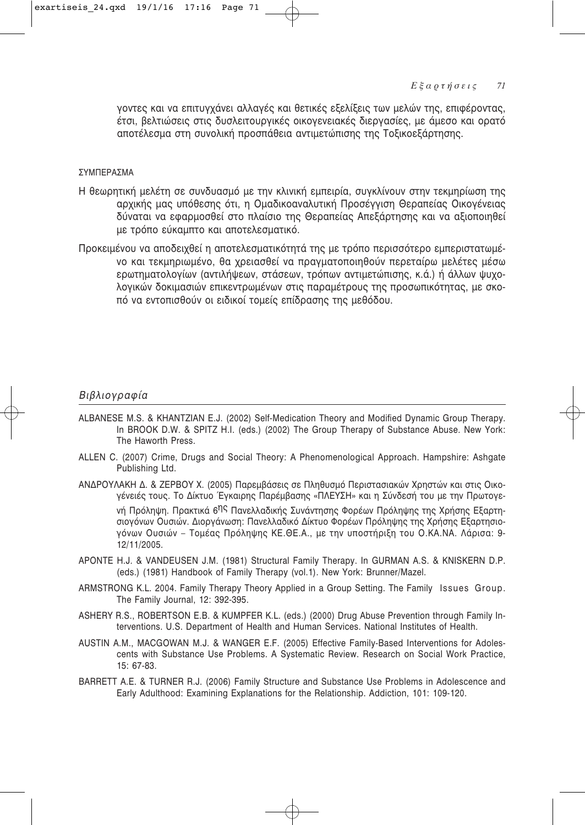γοντες και να επιτυγχάνει αλλαγές και θετικές εξελίξεις των μελών της, επιφέροντας, έτσι, βελτιώσεις στις δυσλειτουργικές οικογενειακές διεργασίες, με άμεσο και ορατό αποτέλεσμα στη συνολική προσπάθεια αντιμετώπισης της Τοξικοεξάρτησης.

## ∑ҮМПЕРА∑МА

exartiseis 24.qxd 19/1/16 17:16 Page

- Η θεωρητική μελέτη σε συνδυασμό με την κλινική εμπειρία, συγκλίνουν στην τεκμηρίωση της αρχικής μας υπόθεσης ότι, η Ομαδικοαναλυτική Προσέγγιση Θεραπείας Οικογένειας δύναται να εφαρμοσθεί στο πλαίσιο της Θεραπείας Απεξάρτησης και να αξιοποιηθεί με τρόπο εύκαμπτο και αποτελεσματικό.
- Προκειμένου να αποδειχθεί η αποτελεσματικότητά της με τρόπο περισσότερο εμπεριστατωμένο και τεκμηριωμένο, θα χρειασθεί να πραγματοποιηθούν περεταίρω μελέτες μέσω ερωτηματολογίων (αντιλήψεων, στάσεων, τρόπων αντιμετώπισης, κ.ά.) ή άλλων ψυχολογικών δοκιμασιών επικεντρωμένων στις παραμέτρους της προσωπικότητας, με σκοπό να εντοπισθούν οι ειδικοί τομείς επίδρασης της μεθόδου.

### *Βιβλιο*γραφία

- ALBANESE M.S. & KHANTZIAN E.J. (2002) Self-Medication Theory and Modified Dynamic Group Therapy. In BROOK D.W. & SPITZ H.I. (eds.) (2002) The Group Therapy of Substance Abuse. New York: The Haworth Press.
- ALLEN C. (2007) Crime, Drugs and Social Theory: A Phenomenological Approach. Hampshire: Ashgate Publishing Ltd.
- ΑΝΔΡΟΥΛΑΚΗ Δ. & ΖΕΡΒΟΥ Χ. (2005) Παρεμβάσεις σε Πληθυσμό Περιστασιακών Χρηστών και στις Οικογένειές τους. Το Δίκτυο Έγκαιρης Παρέμβασης «ΠΛΕΥΣΗ» και η Σύνδεσή του με την Πρωτογενή Πρόληψη. Πρακτικά 6<sup>ης</sup> Πανελλαδικής Συνάντησης Φορέων Πρόληψης της Χρήσης Εξαρτησιογόνων Ουσιών. Διοργάνωση: Πανελλαδικό Δίκτυο Φορέων Πρόληψης της Χρήσης Εξαρτησιογόνων Ουσιών – Τομέας Πρόληψης ΚΕ.ΘΕ.Α., με την υποστήριξη του Ο.ΚΑ.ΝΑ. Λάρισα: 9-12/11/2005.
- APONTE H.J. & VANDEUSEN J.M. (1981) Structural Family Therapy. In GURMAN A.S. & KNISKERN D.P. (eds.) (1981) Handbook of Family Therapy (vol.1). New York: Brunner/Mazel.
- ARMSTRONG K.L. 2004. Family Therapy Theory Applied in a Group Setting. The Family Issues Group. The Family Journal, 12: 392-395.
- ASHERY R.S., ROBERTSON E.B. & KUMPFER K.L. (eds.) (2000) Drug Abuse Prevention through Family Interventions. U.S. Department of Health and Human Services. National Institutes of Health.
- AUSTIN A.M., MACGOWAN M.J. & WANGER E.F. (2005) Effective Family-Based Interventions for Adolescents with Substance Use Problems. A Systematic Review. Research on Social Work Practice, 15: 67-83.
- BARRETT A.E. & TURNER R.J. (2006) Family Structure and Substance Use Problems in Adolescence and Early Adulthood: Examining Explanations for the Relationship. Addiction, 101: 109-120.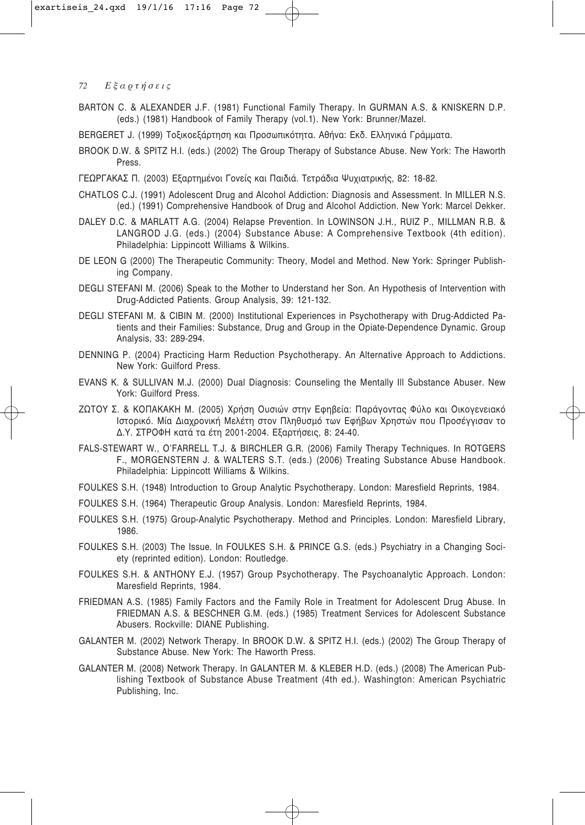- 72 Εξαρτήσεις
- BARTON C. & ALEXANDER J.F. (1981) Functional Family Therapy. In GURMAN A.S. & KNISKERN D.P. (eds.) (1981) Handbook of Family Therapy (vol.1). New York: Brunner/Mazel.

BERGERET J. (1999) Τοξικοεξάρτηση και Προσωπικότητα. Αθήνα: Εκδ. Ελληνικά Γράμματα.

- BROOK D.W. & SPITZ H.I. (eds.) (2002) The Group Therapy of Substance Abuse. New York: The Haworth Press.
- ΓΕΩΡΓΑΚΑΣ Π. (2003) Εξαρτημένοι Γονείς και Παιδιά. Τετράδια Ψυχιατρικής, 82: 18-82.
- CHATLOS C.J. (1991) Adolescent Drug and Alcohol Addiction: Diagnosis and Assessment. In MILLER N.S. (ed.) (1991) Comprehensive Handbook of Drug and Alcohol Addiction. New York: Marcel Dekker.
- DALEY D.C. & MARLATT A.G. (2004) Relapse Prevention. In LOWINSON J.H., RUIZ P., MILLMAN R.B. & LANGROD J.G. (eds.) (2004) Substance Abuse: A Comprehensive Textbook (4th edition). Philadelphia: Lippincott Williams & Wilkins.
- DE LEON G (2000) The Therapeutic Community: Theory, Model and Method. New York: Springer Publishing Company.
- DEGLI STEFANI M. (2006) Speak to the Mother to Understand her Son. An Hypothesis of Intervention with Drug-Addicted Patients. Group Analysis, 39: 121-132.
- DEGLI STEFANI M. & CIBIN M. (2000) Institutional Experiences in Psychotherapy with Drug-Addicted Patients and their Families: Substance, Drug and Group in the Opiate-Dependence Dynamic. Group Analysis, 33: 289-294.
- DENNING P. (2004) Practicing Harm Reduction Psychotherapy. An Alternative Approach to Addictions. New York: Guilford Press.
- EVANS K. & SULLIVAN M.J. (2000) Dual Diagnosis: Counseling the Mentally III Substance Abuser. New York: Guilford Press.
- ΖΩΤΟΥ Σ. & ΚΟΠΑΚΑΚΗ Μ. (2005) Χρήση Ουσιών στην Εφηβεία: Παράγοντας Φύλο και Οικογενειακό Ιστορικό. Μία Διαχρονική Μελέτη στον Πληθυσμό των Εφήβων Χρηστών που Προσέγγισαν το Δ.Υ. ΣΤΡΟΦΗ κατά τα έτη 2001-2004. Εξαρτήσεις, 8: 24-40.
- FALS-STEWART W., O'FARRELL T.J. & BIRCHLER G.R. (2006) Family Therapy Techniques. In ROTGERS F., MORGENSTERN J. & WALTERS S.T. (eds.) (2006) Treating Substance Abuse Handbook. Philadelphia: Lippincott Williams & Wilkins.
- FOULKES S.H. (1948) Introduction to Group Analytic Psychotherapy. London: Maresfield Reprints, 1984.
- FOULKES S.H. (1964) Therapeutic Group Analysis. London: Maresfield Reprints, 1984.
- FOULKES S.H. (1975) Group-Analytic Psychotherapy. Method and Principles. London: Maresfield Library. 1986.
- FOULKES S.H. (2003) The Issue. In FOULKES S.H. & PRINCE G.S. (eds.) Psychiatry in a Changing Society (reprinted edition). London: Routledge.
- FOULKES S.H. & ANTHONY E.J. (1957) Group Psychotherapy. The Psychoanalytic Approach. London: Maresfield Reprints, 1984.
- FRIEDMAN A.S. (1985) Family Factors and the Family Role in Treatment for Adolescent Drug Abuse. In FRIEDMAN A.S. & BESCHNER G.M. (eds.) (1985) Treatment Services for Adolescent Substance Abusers. Rockville: DIANE Publishing.
- GALANTER M. (2002) Network Therapy. In BROOK D.W. & SPITZ H.I. (eds.) (2002) The Group Therapy of Substance Abuse. New York: The Haworth Press.
- GALANTER M. (2008) Network Therapy. In GALANTER M. & KLEBER H.D. (eds.) (2008) The American Publishing Textbook of Substance Abuse Treatment (4th ed.). Washington: American Psychiatric Publishing, Inc.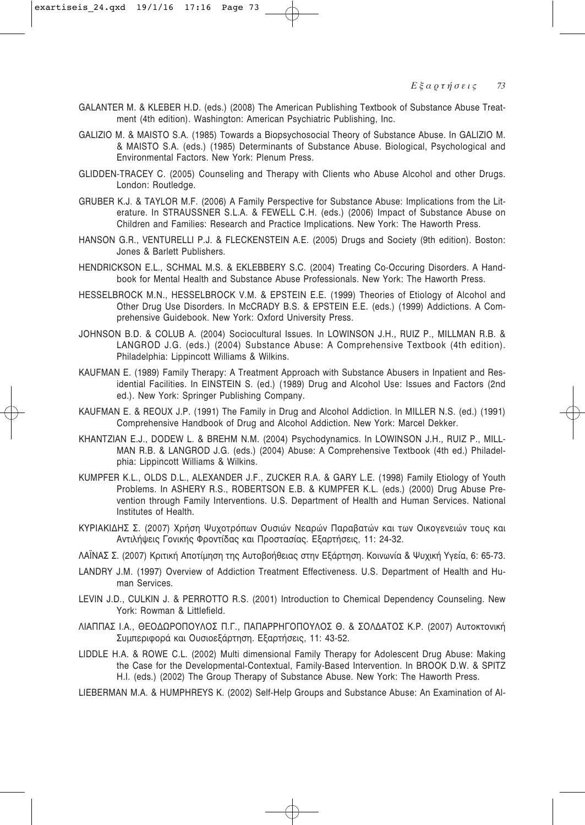- GALANTER M. & KLEBER H.D. (eds.) (2008) The American Publishing Textbook of Substance Abuse Treatment (4th edition). Washington: American Psychiatric Publishing, Inc.
- GALIZIO M. & MAISTO S.A. (1985) Towards a Biopsychosocial Theory of Substance Abuse. In GALIZIO M. & MAISTO S.A. (eds.) (1985) Determinants of Substance Abuse. Biological, Psychological and Environmental Factors. New York: Plenum Press.
- GLIDDEN-TRACEY C. (2005) Counseling and Therapy with Clients who Abuse Alcohol and other Drugs. London: Routledge.
- GRUBER K.J. & TAYLOR M.F. (2006) A Family Perspective for Substance Abuse: Implications from the Literature. In STRAUSSNER S.L.A. & FEWELL C.H. (eds.) (2006) Impact of Substance Abuse on Children and Families: Research and Practice Implications. New York: The Haworth Press.
- HANSON G.R., VENTURELLI P.J. & FLECKENSTEIN A.E. (2005) Drugs and Society (9th edition). Boston: Jones & Barlett Publishers.
- HENDRICKSON E.L., SCHMAL M.S. & EKLEBBERY S.C. (2004) Treating Co-Occuring Disorders. A Handbook for Mental Health and Substance Abuse Professionals. New York: The Haworth Press.
- HESSELBROCK M.N., HESSELBROCK V.M. & EPSTEIN E.E. (1999) Theories of Etiology of Alcohol and Other Drug Use Disorders. In McCRADY B.S. & EPSTEIN E.E. (eds.) (1999) Addictions. A Comprehensive Guidebook. New York: Oxford University Press.
- JOHNSON B.D. & COLUB A. (2004) Sociocultural Issues. In LOWINSON J.H., RUIZ P., MILLMAN R.B. & LANGROD J.G. (eds.) (2004) Substance Abuse: A Comprehensive Textbook (4th edition). Philadelphia: Lippincott Williams & Wilkins.
- KAUFMAN E. (1989) Family Therapy: A Treatment Approach with Substance Abusers in Inpatient and Residential Facilities. In EINSTEIN S. (ed.) (1989) Drug and Alcohol Use: Issues and Factors (2nd ed.). New York: Springer Publishing Company.
- KAUFMAN E. & REOUX J.P. (1991) The Family in Drug and Alcohol Addiction. In MILLER N.S. (ed.) (1991) Comprehensive Handbook of Drug and Alcohol Addiction. New York: Marcel Dekker.
- KHANTZIAN E.J., DODEW L. & BREHM N.M. (2004) Psychodynamics. In LOWINSON J.H., RUIZ P., MILL-MAN R.B. & LANGROD J.G. (eds.) (2004) Abuse: A Comprehensive Textbook (4th ed.) Philadelphia: Lippincott Williams & Wilkins.
- KUMPFER K.L., OLDS D.L., ALEXANDER J.F., ZUCKER R.A. & GARY L.E. (1998) Family Etiology of Youth Problems. In ASHERY R.S., ROBERTSON E.B. & KUMPFER K.L. (eds.) (2000) Drug Abuse Prevention through Family Interventions. U.S. Department of Health and Human Services. National Institutes of Health.
- ΚΥΡΙΑΚΙΔΗΣ Σ. (2007) Χρήση Ψυχοτρόπων Ουσιών Νεαρών Παραβατών και των Οικογενειών τους και Αντιλήψεις Γονικής Φροντίδας και Προστασίας. Εξαρτήσεις, 11: 24-32.
- ΛΑΪΝΑΣ Σ. (2007) Κριτική Αποτίμηση της Αυτοβοήθειας στην Εξάρτηση. Κοινωνία & Ψυχική Υγεία, 6: 65-73.
- LANDRY J.M. (1997) Overview of Addiction Treatment Effectiveness. U.S. Department of Health and Human Services.
- LEVIN J.D., CULKIN J. & PERROTTO R.S. (2001) Introduction to Chemical Dependency Counseling. New York: Rowman & Littlefield.
- ΛΙΑΠΠΑΣ Ι.Α., ΘΕΟΔΩΡΟΠΟΥΛΟΣ Π.Γ., ΠΑΠΑΡΡΗΓΟΠΟΥΛΟΣ Θ. & ΣΟΛΔΑΤΟΣ Κ.Ρ. (2007) Αυτοκτονική Συμπεριφορά και Ουσιοεξάρτηση. Εξαρτήσεις, 11: 43-52.
- LIDDLE H.A. & ROWE C.L. (2002) Multi dimensional Family Therapy for Adolescent Drug Abuse: Making the Case for the Developmental-Contextual, Family-Based Intervention. In BROOK D.W. & SPITZ H.I. (eds.) (2002) The Group Therapy of Substance Abuse. New York: The Haworth Press.
- LIEBERMAN M.A. & HUMPHREYS K. (2002) Self-Help Groups and Substance Abuse: An Examination of Al-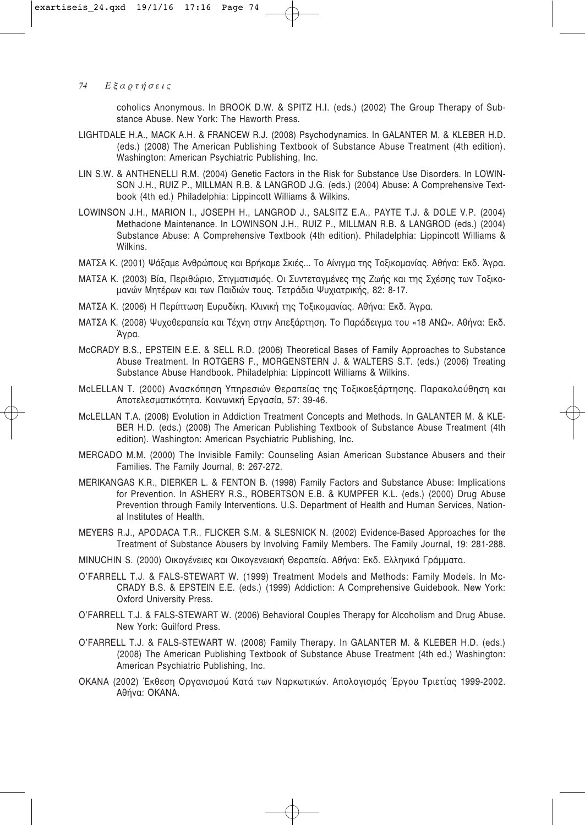coholics Anonymous. In BROOK D.W. & SPITZ H.I. (eds.) (2002) The Group Therapy of Substance Abuse. New York: The Haworth Press.

- LIGHTDALE H.A., MACK A.H. & FRANCEW R.J. (2008) Psychodynamics. In GALANTER M. & KLEBER H.D. (eds.) (2008) The American Publishing Textbook of Substance Abuse Treatment (4th edition). Washington: American Psychiatric Publishing, Inc.
- LIN S.W. & ANTHENELLI R.M. (2004) Genetic Factors in the Risk for Substance Use Disorders. In LOWIN-SON J.H., RUIZ P., MILLMAN R.B. & LANGROD J.G. (eds.) (2004) Abuse: A Comprehensive Textbook (4th ed.) Philadelphia: Lippincott Williams & Wilkins.
- LOWINSON J.H., MARION I., JOSEPH H., LANGROD J., SALSITZ E.A., PAYTE T.J. & DOLE V.P. (2004) Methadone Maintenance. In LOWINSON J.H., RUIZ P., MILLMAN R.B. & LANGROD (eds.) (2004) Substance Abuse: A Comprehensive Textbook (4th edition). Philadelphia: Lippincott Williams & Wilkins.
- ΜΑΤΣΑ Κ. (2001) Ψάξαμε Ανθρώπους και Βρήκαμε Σκιές... Το Αίνιγμα της Τοξικομανίας. Αθήνα: Εκδ. Άγρα.
- ΜΑΤΣΑ Κ. (2003) Βία, Περιθώριο, Στιγματισμός. Οι Συντεταγμένες της Ζωής και της Σχέσης των Τοξικομανών Μητέρων και των Παιδιών τους. Τετράδια Ψυχιατρικής, 82: 8-17.
- ΜΑΤΣΑ Κ. (2006) Η Περίπτωση Ευρυδίκη. Κλινική της Τοξικομανίας. Αθήνα: Εκδ. Άγρα.
- ΜΑΤΣΑ Κ. (2008) Ψυχοθεραπεία και Τέχνη στην Απεξάρτηση. Το Παράδειγμα του «18 ΑΝΩ». Αθήνα: Εκδ. Άγρα.
- McCRADY B.S., EPSTEIN E.E. & SELL R.D. (2006) Theoretical Bases of Family Approaches to Substance Abuse Treatment. In ROTGERS F., MORGENSTERN J. & WALTERS S.T. (eds.) (2006) Treating Substance Abuse Handbook. Philadelphia: Lippincott Williams & Wilkins.
- McLELLAN T. (2000) Ανασκόπηση Υπηρεσιών Θεραπείας της Τοξικοεξάρτησης. Παρακολούθηση και Αποτελεσματικότητα. Κοινωνική Εργασία, 57: 39-46.
- McLELLAN T.A. (2008) Evolution in Addiction Treatment Concepts and Methods. In GALANTER M. & KLE-BER H.D. (eds.) (2008) The American Publishing Textbook of Substance Abuse Treatment (4th edition). Washington: American Psychiatric Publishing, Inc.
- MERCADO M.M. (2000) The Invisible Family: Counseling Asian American Substance Abusers and their Families. The Family Journal, 8: 267-272.
- MERIKANGAS K.R., DIERKER L. & FENTON B. (1998) Family Factors and Substance Abuse: Implications for Prevention. In ASHERY R.S., ROBERTSON E.B. & KUMPFER K.L. (eds.) (2000) Drug Abuse Prevention through Family Interventions. U.S. Department of Health and Human Services, National Institutes of Health.
- MEYERS R.J., APODACA T.R., FLICKER S.M. & SLESNICK N. (2002) Evidence-Based Approaches for the Treatment of Substance Abusers by Involving Family Members. The Family Journal, 19: 281-288.
- MINUCHIN S. (2000) Οικογένειες και Οικογενειακή Θεραπεία. Αθήνα: Εκδ. Ελληνικά Γράμματα.
- O'FARRELL T.J. & FALS-STEWART W. (1999) Treatment Models and Methods: Family Models. In Mc-CRADY B.S. & EPSTEIN E.E. (eds.) (1999) Addiction: A Comprehensive Guidebook. New York: Oxford University Press.
- O'FARRELL T.J. & FALS-STEWART W. (2006) Behavioral Couples Therapy for Alcoholism and Drug Abuse. New York: Guilford Press.
- O'FARRELL T.J. & FALS-STEWART W. (2008) Family Therapy. In GALANTER M. & KLEBER H.D. (eds.) (2008) The American Publishing Textbook of Substance Abuse Treatment (4th ed.) Washington: American Psychiatric Publishing, Inc.
- ΟΚΑΝΑ (2002) Έκθεση Οργανισμού Κατά των Ναρκωτικών. Απολογισμός Έργου Τριετίας 1999-2002. Aθήνα: OKANA.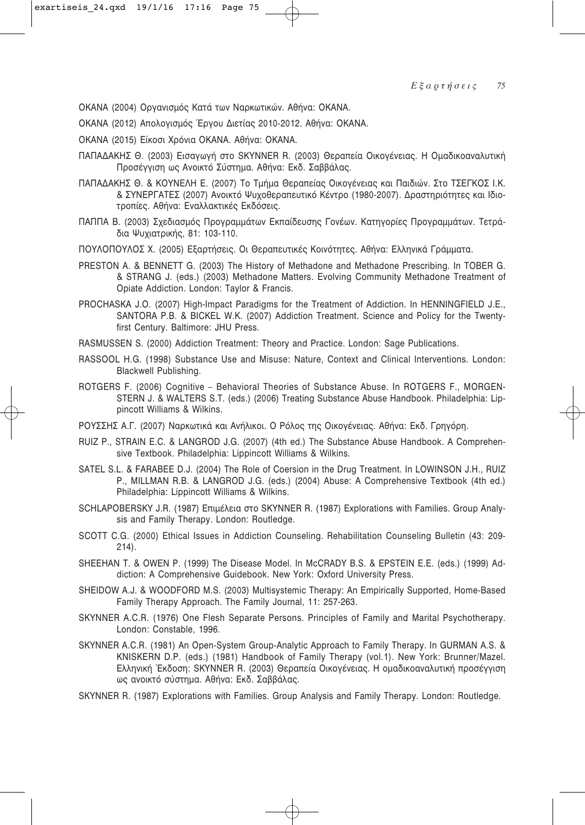ΟΚΑΝΑ (2004) Οργανισμός Κατά των Ναρκωτικών. Αθήνα: ΟΚΑΝΑ.

ΟΚΑΝΑ (2012) Απολογισμός Έργου Διετίας 2010-2012. Αθήνα: ΟΚΑΝΑ.

OKANA (2015) Είκοσι Χρόνια ΟΚΑΝΑ. Αθήνα: ΟΚΑΝΑ.

- ΠΑΠΑΔΑΚΗΣ Θ. (2003) Εισαγωγή στο SKYNNER R. (2003) Θεραπεία Οικογένειας. Η Ομαδικοαναλυτική Προσέγγιση ως Ανοικτό Σύστημα. Αθήνα: Εκδ. Σαββάλας.
- ΠΑΠΑΔΑΚΗΣ Θ. & ΚΟΥΝΕΛΗ Ε. (2007) Το Τμήμα Θεραπείας Οικογένειας και Παιδιών. Στο ΤΣΕΓΚΟΣ Ι.Κ. & ΣΥΝΕΡΓΑΤΕΣ (2007) Ανοικτό Ψυχοθεραπευτικό Κέντρο (1980-2007). Δραστηριότητες και Ιδιοτροπίες. Αθήνα: Εναλλακτικές Εκδόσεις.
- ΠΑΠΠΑ Β. (2003) Σχεδιασμός Προγραμμάτων Εκπαίδευσης Γονέων. Κατηγορίες Προγραμμάτων. Τετράδια Ψυχιατρικής, 81: 103-110.

ΠΟΥΛΟΠΟΥΛΟΣ Χ. (2005) Εξαρτήσεις. Οι Θεραπευτικές Κοινότητες. Αθήνα: Ελληνικά Γράμματα.

- PRESTON A. & BENNETT G. (2003) The History of Methadone and Methadone Prescribing. In TOBER G. & STRANG J. (eds.) (2003) Methadone Matters. Evolving Community Methadone Treatment of Opiate Addiction. London: Taylor & Francis.
- PROCHASKA J.O. (2007) High-Impact Paradigms for the Treatment of Addiction. In HENNINGFIELD J.E., SANTORA P.B. & BICKEL W.K. (2007) Addiction Treatment. Science and Policy for the Twentyfirst Century. Baltimore: JHU Press.

RASMUSSEN S. (2000) Addiction Treatment: Theory and Practice. London: Sage Publications.

- RASSOOL H.G. (1998) Substance Use and Misuse: Nature, Context and Clinical Interventions. London: Blackwell Publishing.
- ROTGERS F. (2006) Cognitive Behavioral Theories of Substance Abuse. In ROTGERS F., MORGEN-STERN J. & WALTERS S.T. (eds.) (2006) Treating Substance Abuse Handbook. Philadelphia: Lippincott Williams & Wilkins.
- ΡΟΥΣΣΗΣ Α.Γ. (2007) Ναρκωτικά και Ανήλικοι. Ο Ρόλος της Οικογένειας. Αθήνα: Εκδ. Γρηγόρη.
- RUIZ P., STRAIN E.C. & LANGROD J.G. (2007) (4th ed.) The Substance Abuse Handbook. A Comprehensive Textbook. Philadelphia: Lippincott Williams & Wilkins.
- SATEL S.L. & FARABEE D.J. (2004) The Role of Coersion in the Drug Treatment. In LOWINSON J.H., RUIZ P., MILLMAN R.B. & LANGROD J.G. (eds.) (2004) Abuse: A Comprehensive Textbook (4th ed.) Philadelphia: Lippincott Williams & Wilkins.
- SCHLAPOBERSKY J.R. (1987) Επιμέλεια στο SKYNNER R. (1987) Explorations with Families. Group Analysis and Family Therapy. London: Routledge.
- SCOTT C.G. (2000) Ethical Issues in Addiction Counseling. Rehabilitation Counseling Bulletin (43: 209- 214).
- SHEEHAN T. & OWEN P. (1999) The Disease Model. In McCRADY B.S. & EPSTEIN E.E. (eds.) (1999) Addiction: A Comprehensive Guidebook. New York: Oxford University Press.
- SHEIDOW A.J. & WOODFORD M.S. (2003) Multisystemic Therapy: An Empirically Supported, Home-Based Family Therapy Approach. The Family Journal, 11: 257-263.
- SKYNNER A.C.R. (1976) One Flesh Separate Persons. Principles of Family and Marital Psychotherapy. London: Constable, 1996.
- SKYNNER A.C.R. (1981) An Open-System Group-Analytic Approach to Family Therapy. In GURMAN A.S. & KNISKERN D.P. (eds.) (1981) Handbook of Family Therapy (vol.1). New York: Brunner/Mazel. Ελληνική Έκδοση: SKYNNER R. (2003) Θεραπεία Οικογένειας. Η ομαδικοαναλυτική προσέγγιση ως ανοικτό σύστημα. Αθήνα: Εκδ. Σαββάλας.

SKYNNER R. (1987) Explorations with Families. Group Analysis and Family Therapy. London: Routledge.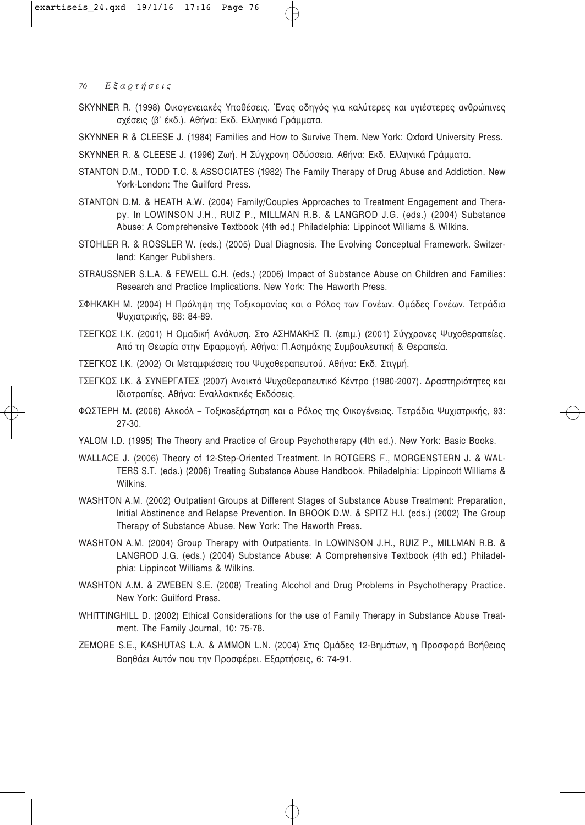SKYNNER R. (1998) Οικογενειακές Υποθέσεις. Ένας οδηγός για καλύτερες και υγιέστερες ανθρώπινες σχέσεις (β' έκδ.). Αθήνα: Εκδ. Ελληνικά Γράμματα.

SKYNNER R & CLEESE J. (1984) Families and How to Survive Them. New York: Oxford University Press.

- SKYNNER R. & CLEESE J. (1996) Ζωή. Η Σύγχρονη Οδύσσεια. Αθήνα: Εκδ. Ελληνικά Γράμματα.
- STANTON D.M., TODD T.C. & ASSOCIATES (1982) The Family Therapy of Drug Abuse and Addiction. New York-London: The Guilford Press.
- STANTON D.M. & HEATH A.W. (2004) Family/Couples Approaches to Treatment Engagement and Therapy. In LOWINSON J.H., RUIZ P., MILLMAN R.B. & LANGROD J.G. (eds.) (2004) Substance Abuse: A Comprehensive Textbook (4th ed.) Philadelphia: Lippincot Williams & Wilkins.
- STOHLER R. & ROSSLER W. (eds.) (2005) Dual Diagnosis. The Evolving Conceptual Framework. Switzerland: Kanger Publishers.
- STRAUSSNER S.L.A. & FEWELL C.H. (eds.) (2006) Impact of Substance Abuse on Children and Families: Research and Practice Implications. New York: The Haworth Press.
- ΣΦΗΚΑΚΗ Μ. (2004) Η Πρόληψη της Τοξικομανίας και ο Ρόλος των Γονέων. Ομάδες Γονέων. Τετράδια Ψυχιατρικής, 88: 84-89.
- ΤΣΕΓΚΟΣ Ι.Κ. (2001) Η Ομαδική Ανάλυση. Στο ΑΣΗΜΑΚΗΣ Π. (επιμ.) (2001) Σύγχρονες Ψυχοθεραπείες. Από τη Θεωρία στην Εφαρμογή. Αθήνα: Π.Ασημάκης Συμβουλευτική & Θεραπεία.

ΤΣΕΓΚΟΣ Ι.Κ. (2002) Οι Μεταμφιέσεις του Ψυχοθεραπευτού. Αθήνα: Εκδ. Στιγμή.

- ΤΣΕΓΚΟΣ Ι.Κ. & ΣΥΝΕΡΓΑΤΕΣ (2007) Ανοικτό Ψυχοθεραπευτικό Κέντρο (1980-2007). Δραστηριότητες και Ιδιοτροπίες. Αθήνα: Εναλλακτικές Εκδόσεις.
- ΦΩΣΤΕΡΗ Μ. (2006) Αλκοόλ Τοξικοεξάρτηση και ο Ρόλος της Οικογένειας. Τετράδια Ψυχιατρικής, 93:  $27 - 30.$
- YALOM I.D. (1995) The Theory and Practice of Group Psychotherapy (4th ed.). New York: Basic Books.
- WALLACE J. (2006) Theory of 12-Step-Oriented Treatment. In ROTGERS F., MORGENSTERN J. & WAL-TERS S.T. (eds.) (2006) Treating Substance Abuse Handbook. Philadelphia: Lippincott Williams & Wilkins.
- WASHTON A.M. (2002) Outpatient Groups at Different Stages of Substance Abuse Treatment: Preparation, Initial Abstinence and Relapse Prevention. In BROOK D.W. & SPITZ H.I. (eds.) (2002) The Group Therapy of Substance Abuse. New York: The Haworth Press.
- WASHTON A.M. (2004) Group Therapy with Outpatients. In LOWINSON J.H., RUIZ P., MILLMAN R.B. & LANGROD J.G. (eds.) (2004) Substance Abuse: A Comprehensive Textbook (4th ed.) Philadelphia: Lippincot Williams & Wilkins.
- WASHTON A.M. & ZWEBEN S.E. (2008) Treating Alcohol and Drug Problems in Psychotherapy Practice. New York: Guilford Press.
- WHITTINGHILL D. (2002) Ethical Considerations for the use of Family Therapy in Substance Abuse Treatment. The Family Journal, 10: 75-78.
- ZEMORE S.E., KASHUTAS L.A. & AMMON L.N. (2004) Στις Ομάδες 12-Βημάτων, η Προσφορά Βοήθειας Βοηθάει Αυτόν που την Προσφέρει. Εξαρτήσεις, 6: 74-91.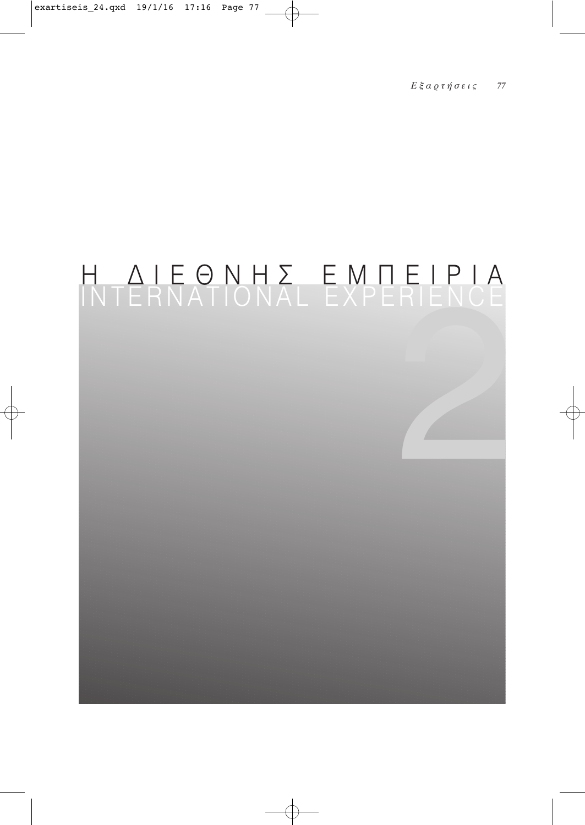$E \xi a \varrho \tau \eta \sigma \varepsilon \iota$ ς 77

# H AIEONH E EMNEIPIA<br>INTERNATIONAL EXPERIENCE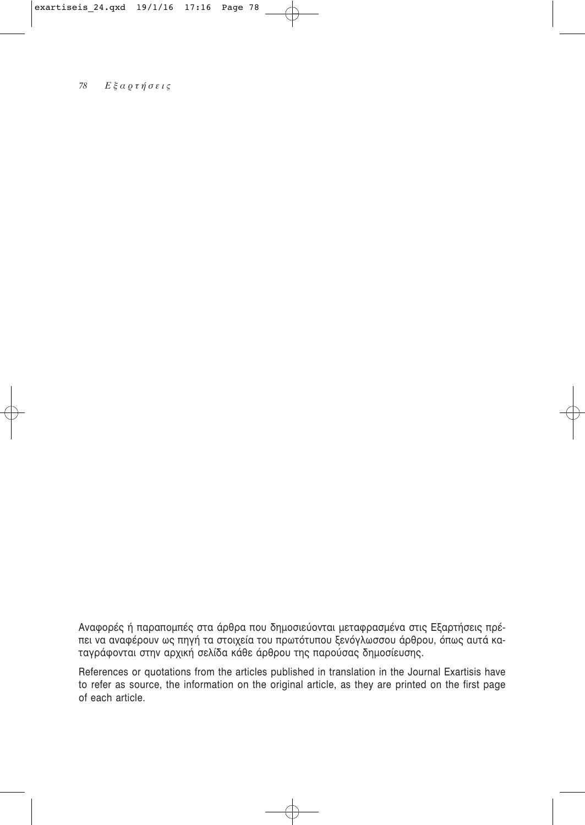Αναφορές ή παραπομπές στα άρθρα που δημοσιεύονται μεταφρασμένα στις Εξαρτήσεις πρέπει να αναφέρουν ως πηγή τα στοιχεία του πρωτότυπου ξενόγλωσσου άρθρου, όπως αυτά καταγράφονται στην αρχική σελίδα κάθε άρθρου της παρούσας δημοσίευσης.

References or quotations from the articles published in translation in the Journal Exartisis have to refer as source, the information on the original article, as they are printed on the first page of each article.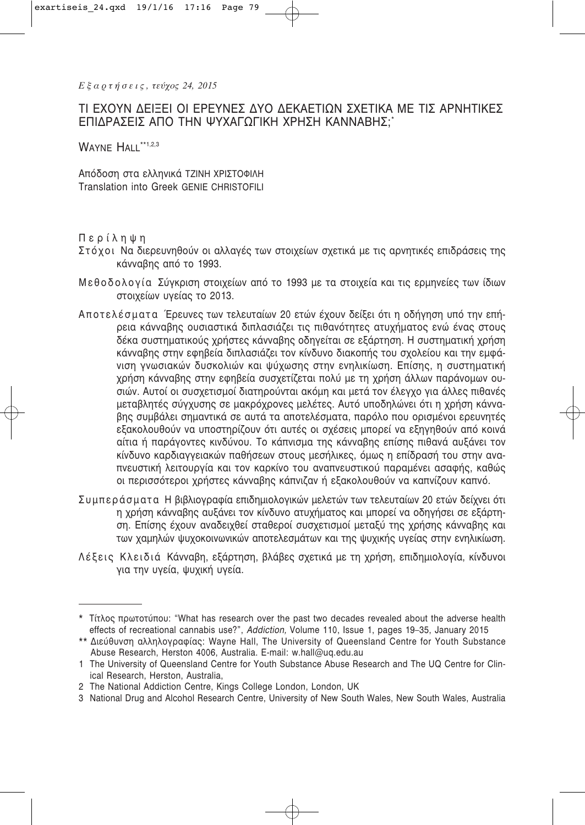*Ε ξ α ρ τ ή σ ε ι ς , τεύχος 24, 2015*

# ΤΙ ΕΧΟΥΝ ΔΕΙΞΕΙ ΟΙ ΕΡΕΥΝΕΣ ΔΥΟ ΔΕΚΑΕΤΙΩΝ ΣΧΕΤΙΚΑ ΜΕ ΤΙΣ ΑΡΝΗΤΙΚΕΣ ΕΠΙΔΡΑΣΕΙΣ ΑΠΟ ΤΗΝ ΨΥΧΑΓΩΓΙΚΗ ΧΡΗΣΗ ΚΑΝΝΑΒΗΣ:<sup>\*</sup>

WAYNE  $H$ ALL $**$ <sup>1,2,3</sup>

Απόδοση στα ελληνικά ΤΖΙΝΗ ΧΡΙΣΤΟΦΙΛΗ Translation into Greek GENIE CHRISTOFILI

Περίληψη

- Στόχοι Να διερευνηθούν οι αλλαγές των στοιχείων σχετικά με τις αρνητικές επιδράσεις της κάνναβης από το 1993.
- Μεθοδολογία Σύγκριση στοιχείων από το 1993 με τα στοιχεία και τις ερμηνείες των ίδιων στοιχείων υγείας το 2013.
- Αποτελέσματα Έρευνες των τελευταίων 20 ετών έχουν δείξει ότι η οδήγηση υπό την επήρεια κάνναβης ουσιαστικά διπλασιάζει τις πιθανότητες ατυχήματος ενώ ένας στους δέκα συστηματικούς χρήστες κάνναβης οδηγείται σε εξάρτηση. Η συστηματική χρήση κάνναβης στην εφηβεία διπλασιάζει τον κίνδυνο διακοπής του σχολείου και την εμφάνιση γνωσιακών δυσκολιών και ψύχωσης στην ενηλικίωση. Επίσης, η συστηματική χρήση κάνναβης στην εφηβεία συσχετίζεται πολύ με τη χρήση άλλων παράνομων ουσιών. Αυτοί οι συσχετισμοί διατηρούνται ακόμη και μετά τον έλεγχο για άλλες πιθανές μεταβλητές σύγχυσης σε μακρόχρονες μελέτες. Αυτό υποδηλώνει ότι η χρήση κάνναβης συμβάλει σημαντικά σε αυτά τα αποτελέσματα, παρόλο που ορισμένοι ερευνητές εξακολουθούν να υποστηρίζουν ότι αυτές οι σχέσεις μπορεί να εξηγηθούν από κοινά αίτια ή παράγοντες κινδύνου. Το κάπνισμα της κάνναβης επίσης πιθανά αυξάνει τον κίνδυνο καρδιαγγειακών παθήσεων στους μεσήλικες, όμως η επίδρασή του στην αναπνευστική λειτουργία και τον καρκίνο του αναπνευστικού παραμένει ασαφής, καθώς οι περισσότεροι χρήστες κάνναβης κάπνιζαν ή εξακολουθούν να καπνίζουν καπνό.
- Συμπεράσματα Η βιβλιογραφία επιδημιολογικών μελετών των τελευταίων 20 ετών δείχνει ότι η χρήση κάνναβης αυξάνει τον κίνδυνο ατυχήματος και μπορεί να οδηγήσει σε εξάρτηση. Επίσης έχουν αναδειχθεί σταθεροί συσχετισμοί μεταξύ της χρήσης κάνναβης και των χαμηλών ψυχοκοινωνικών αποτελεσμάτων και της ψυχικής υγείας στην ενηλικίωση.
- Λέξεις Κλειδιά Κάνναβη, εξάρτηση, βλάβες σχετικά με τη χρήση, επιδημιολογία, κίνδυνοι για την υγεία, ψυχική υγεία.

<sup>\*</sup> Τίτλος πρωτοτύπου: "What has research over the past two decades revealed about the adverse health effects of recreational cannabis use?", *Addiction*, Volume 110, Issue 1, pages 19–35, January 2015

<sup>\*\*</sup> Διεύθυνση αλληλογραφίας: Wayne Hall, The University of Queensland Centre for Youth Substance Abuse Research, Herston 4006, Australia. E-mail: w.hall@uq.edu.au

<sup>1</sup> The University of Queensland Centre for Youth Substance Abuse Research and The UQ Centre for Clinical Research, Herston, Australia,

<sup>2</sup> The National Addiction Centre, Kings College London, London, UK

<sup>3</sup> National Drug and Alcohol Research Centre, University of New South Wales, New South Wales, Australia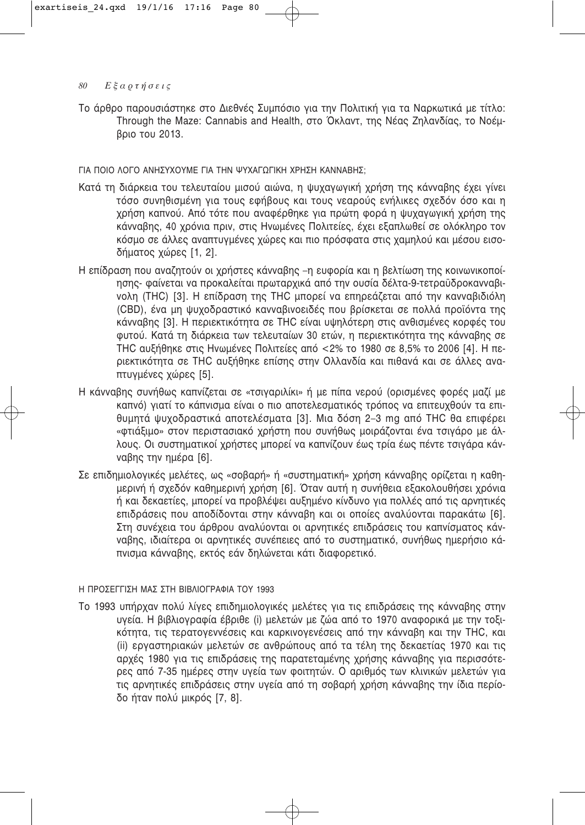Το άρθρο παρουσιάστηκε στο Διεθνές Συμπόσιο για την Πολιτική για τα Ναρκωτικά με τίτλο: Through the Maze: Cannabis and Health, στο Όκλαντ, της Νέας Ζηλανδίας, το Νοέμβριο του 2013.

ΓΙΑ ΠΟΙΟ ΛΟΓΟ ΑΝΗΣΥΧΟΥΜΕ ΓΙΑ ΤΗΝ ΨΥΧΑΓΩΓΙΚΗ ΧΡΗΣΗ ΚΑΝΝΑΒΗΣ:

- Κατά τη διάρκεια του τελευταίου μισού αιώνα, η ψυχαγωγική χρήση της κάνναβης έχει γίνει τόσο συνηθισμένη για τους εφήβους και τους νεαρούς ενήλικες σχεδόν όσο και η χρήση καπνού. Από τότε που αναφέρθηκε για πρώτη φορά η ψυχαγωγική χρήση της κάνναβης, 40 χρόνια πριν, στις Ηνωμένες Πολιτείες, έχει εξαπλωθεί σε ολόκληρο τον κόσμο σε άλλες αναπτυγμένες χώρες και πιο πρόσφατα στις χαμηλού και μέσου εισοδήματος χώρες [1, 2].
- Η επίδραση που αναζητούν οι χρήστες κάνναβης -η ευφορία και η βελτίωση της κοινωνικοποίησης- φαίνεται να προκαλείται πρωταρχικά από την ουσία δέλτα-9-τετραϋδροκανναβινολη (THC) [3]. Η επίδραση της THC μπορεί να επηρεάζεται από την κανναβιδιόλη (CBD), ένα μη ψυχοδραστικό κανναβινοειδές που βρίσκεται σε πολλά προϊόντα της κάνναβης [3]. Η περιεκτικότητα σε THC είναι υψηλότερη στις ανθισμένες κορφές του φυτού. Κατά τη διάρκεια των τελευταίων 30 ετών, η περιεκτικότητα της κάνναβης σε THC αυξήθηκε στις Ηνωμένες Πολιτείες από <2% το 1980 σε 8,5% το 2006 [4]. Η περιεκτικότητα σε THC αυξήθηκε επίσης στην Ολλανδία και πιθανά και σε άλλες αναπτυγμένες χώρες [5].
- Η κάνναβης συνήθως καπνίζεται σε «τσιγαριλίκι» ή με πίπα νερού (ορισμένες φορές μαζί με καπνό) γιατί το κάπνισμα είναι ο πιο αποτελεσματικός τρόπος να επιτευχθούν τα επιθυμητά ψυχοδραστικά αποτελέσματα [3]. Μια δόση 2-3 mg από THC θα επιφέρει «Φτιάξιμο» στον περιστασιακό χρήστη που συνήθως μοιράζονται ένα τσινάρο με άλλους. Οι συστηματικοί χρήστες μπορεί να καπνίζουν έως τρία έως πέντε τσιγάρα κάνναβης την ημέρα [6].
- Σε επιδημιολογικές μελέτες, ως «σοβαρή» ή «συστηματική» χρήση κάνναβης ορίζεται η καθημερινή ή σχεδόν καθημερινή χρήση [6]. Όταν αυτή η συνήθεια εξακολουθήσει χρόνια ή και δεκαετίες, μπορεί να προβλέψει αυξημένο κίνδυνο για πολλές από τις αρνητικές επιδράσεις που αποδίδονται στην κάνναβη και οι οποίες αναλύονται παρακάτω [6]. Στη συνέχεια του άρθρου αναλύονται οι αρνητικές επιδράσεις του καπνίσματος κάνναβης, ιδιαίτερα οι αρνητικές συνέπειες από το συστηματικό, συνήθως ημερήσιο κάπνισμα κάνναβης, εκτός εάν δηλώνεται κάτι διαφορετικό.

## Η ΠΡΟΣΕΓΓΙΣΗ ΜΑΣ ΣΤΗ ΒΙΒΛΙΟΓΡΑΦΙΑ ΤΟΥ 1993

Το 1993 υπήρχαν πολύ λίγες επιδημιολογικές μελέτες για τις επιδράσεις της κάνναβης στην υγεία. Η βιβλιογραφία έβριθε (i) μελετών με ζώα από το 1970 αναφορικά με την τοξικότητα, τις τερατογεννέσεις και καρκινογενέσεις από την κάνναβη και την THC, και (ii) εργαστηριακών μελετών σε ανθρώπους από τα τέλη της δεκαετίας 1970 και τις αρχές 1980 για τις επιδράσεις της παρατεταμένης χρήσης κάνναβης για περισσότερες από 7-35 ημέρες στην υγεία των φοιτητών. Ο αριθμός των κλινικών μελετών για τις αρνητικές επιδράσεις στην υγεία από τη σοβαρή χρήση κάνναβης την ίδια περίοδο ήταν πολύ μικρός [7, 8].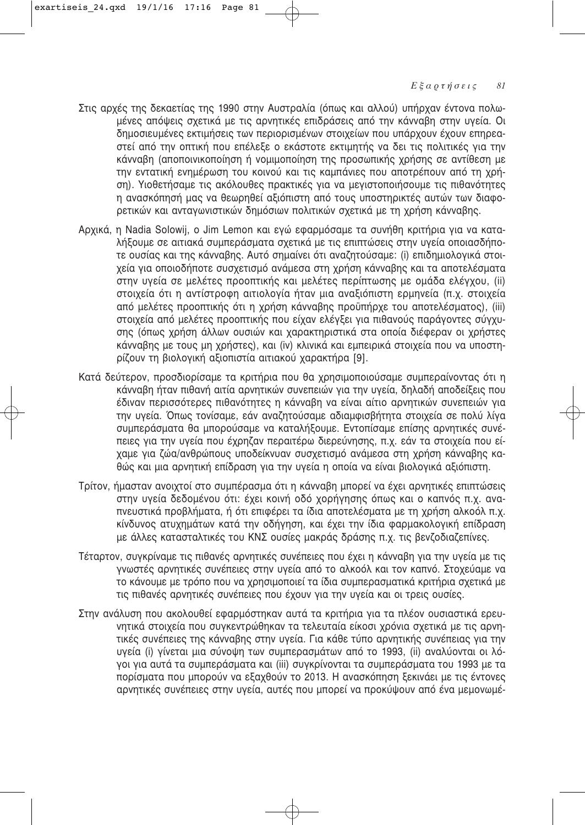Στις αρχές της δεκαετίας της 1990 στην Αυστραλία (όπως και αλλού) υπήρχαν έντονα πολωμένες απόψεις σχετικά με τις αρνητικές επιδράσεις από την κάνναβη στην υγεία. Οι δημοσιευμένες εκτιμήσεις των περιορισμένων στοιχείων που υπάρχουν έχουν επηρεαστεί από την οπτική που επέλεξε ο εκάστοτε εκτιμητής να δει τις πολιτικές για την κάνναβη (αποποινικοποίηση ή νομιμοποίηση της προσωπικής χρήσης σε αντίθεση με την εντατική ενημέρωση του κοινού και τις καμπάνιες που αποτρέπουν από τη χρήση). Υιοθετήσαμε τις ακόλουθες πρακτικές για να μεγιστοποιήσουμε τις πιθανότητες η ανασκόπησή μας να θεωρηθεί αξιόπιστη από τους υποστηρικτές αυτών των διαφορετικών και ανταγωνιστικών δημόσιων πολιτικών σχετικά με τη χρήση κάνναβης.

exartiseis\_24.qxd 19/1/16 17:16 Page 81

- Αρχικά, η Nadia Solowij, ο Jim Lemon και εγώ εφαρμόσαμε τα συνήθη κριτήρια για να καταλήξουμε σε αιτιακά συμπεράσματα σχετικά με τις επιπτώσεις στην υγεία οποιασδήποτε ουσίας και της κάνναβης. Αυτό σημαίνει ότι αναζητούσαμε: (i) επιδημιολογικά στοιχεία για οποιοδήποτε συσχετισμό ανάμεσα στη χρήση κάνναβης και τα αποτελέσματα στην υγεία σε μελέτες προοπτικής και μελέτες περίπτωσης με ομάδα ελέγχου, (ii) στοιχεία ότι η αντίστροφη αιτιολογία ήταν μια αναξιόπιστη ερμηνεία (π.χ. στοιχεία από μελέτες προοπτικής ότι η χρήση κάνναβης προϋπήρχε του αποτελέσματος), (iii) στοιχεία από μελέτες προοπτικής που είχαν ελέγξει για πιθανούς παράγοντες σύγχυσης (όπως χρήση άλλων ουσιών και χαρακτηριστικά στα οποία διέφεραν οι χρήστες κάνναβης με τους μη χρήστες), και (iv) κλινικά και εμπειρικά στοιχεία που να υποστηρίζουν τη βιολογική αξιοπιστία αιτιακού χαρακτήρα [9].
- Κατά δεύτερον, προσδιορίσαμε τα κριτήρια που θα χρησιμοποιούσαμε συμπεραίνοντας ότι η κάνναβη ήταν πιθανή αιτία αρνητικών συνεπειών για την υγεία, δηλαδή αποδείξεις που έδιναν περισσότερες πιθανότητες η κάνναβη να είναι αίτιο αρνητικών συνεπειών για την υγεία. Όπως τονίσαμε, εάν αναζητούσαμε αδιαμφισβήτητα στοιχεία σε πολύ λίγα συμπεράσματα θα μπορούσαμε να καταλήξουμε. Εντοπίσαμε επίσης αρνητικές συνέπειες για την υγεία που έχρηζαν περαιτέρω διερεύνησης, π.χ. εάν τα στοιχεία που είχαμε για ζώα/ανθρώπους υποδείκνυαν συσχετισμό ανάμεσα στη χρήση κάνναβης καθώς και μια αρνητική επίδραση για την υγεία η οποία να είναι βιολογικά αξιόπιστη.
- Τρίτον, ήμασταν ανοιχτοί στο συμπέρασμα ότι η κάνναβη μπορεί να έχει αρνητικές επιπτώσεις στην υγεία δεδομένου ότι: έχει κοινή οδό χορήγησης όπως και ο καπνός π.χ. αναπνευστικά προβλήματα, ή ότι επιφέρει τα ίδια αποτελέσματα με τη χρήση αλκοόλ π.χ. κίνδυνος ατυχημάτων κατά την οδήγηση, και έχει την ίδια φαρμακολογική επίδραση με άλλες κατασταλτικές του ΚΝΣ ουσίες μακράς δράσης π.χ. τις βενζοδιαζεπίνες.
- Τέταρτον, συγκρίναμε τις πιθανές αρνητικές συνέπειες που έχει η κάνναβη για την υγεία με τις γνωστές αρνητικές συνέπειες στην υγεία από το αλκοόλ και τον καπνό. Στοχεύαμε να το κάνουμε με τρόπο που να χρησιμοποιεί τα ίδια συμπερασματικά κριτήρια σχετικά με τις πιθανές αρνητικές συνέπειες που έχουν για την υγεία και οι τρεις ουσίες.
- Στην ανάλυση που ακολουθεί εφαρμόστηκαν αυτά τα κριτήρια για τα πλέον ουσιαστικά ερευνητικά στοιχεία που συγκεντρώθηκαν τα τελευταία είκοσι χρόνια σχετικά με τις αρνητικές συνέπειες της κάνναβης στην υγεία. Για κάθε τύπο αρνητικής συνέπειας για την υγεία (i) γίνεται μια σύνοψη των συμπερασμάτων από το 1993, (ii) αναλύονται οι λόγοι για αυτά τα συμπεράσματα και (iii) συγκρίνονται τα συμπεράσματα του 1993 με τα πορίσματα που μπορούν να εξαχθούν το 2013. Η ανασκόπηση ξεκινάει με τις έντονες αρνητικές συνέπειες στην υγεία, αυτές που μπορεί να προκύψουν από ένα μεμονωμέ-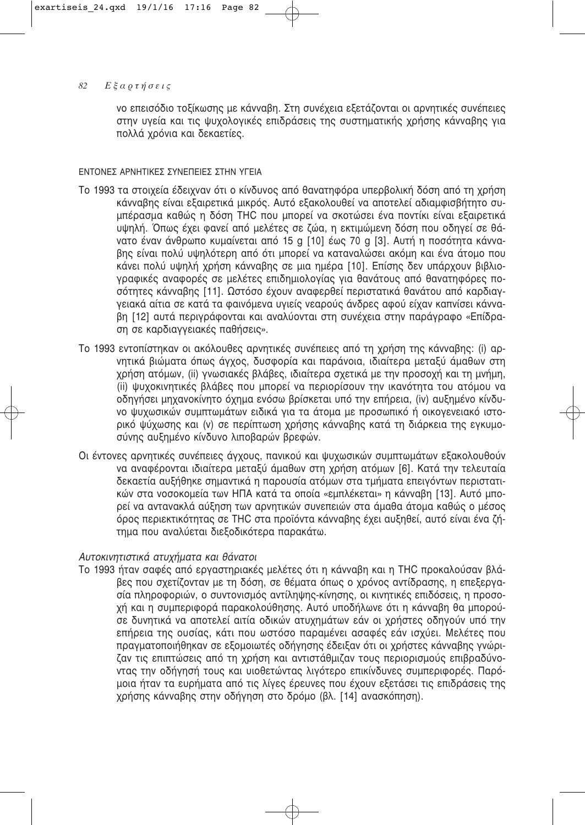νο επεισόδιο τοξίκωσης με κάνναβη. Στη συνέχεια εξετάζονται οι αρνητικές συνέπειες στην υγεία και τις ψυχολογικές επιδράσεις της συστηματικής χρήσης κάνναβης για πολλά χρόνια και δεκαετίες.

## ΕΝΤΟΝΕΣ ΑΡΝΗΤΙΚΕΣ ΣΥΝΕΠΕΙΕΣ ΣΤΗΝ ΥΓΕΙΑ

- Το 1993 τα στοιχεία έδειχναν ότι ο κίνδυνος από θανατηφόρα υπερβολική δόση από τη χρήση κάνναβης είναι εξαιρετικά μικρός. Αυτό εξακολουθεί να αποτελεί αδιαμφισβήτητο συμπέρασμα καθώς η δόση THC που μπορεί να σκοτώσει ένα ποντίκι είναι εξαιρετικά υψηλή. Όπως έχει φανεί από μελέτες σε ζώα, η εκτιμώμενη δόση που οδηγεί σε θάνατο έναν άνθρωπο κυμαίνεται από 15 g [10] έως 70 g [3]. Αυτή η ποσότητα κάνναβης είναι πολύ υψηλότερη από ότι μπορεί να καταναλώσει ακόμη και ένα άτομο που κάνει πολύ υψηλή χρήση κάνναβης σε μια ημέρα [10]. Επίσης δεν υπάρχουν βιβλιογραφικές αναφορές σε μελέτες επιδημιολογίας για θανάτους από θανατηφόρες ποσότητες κάνναβης [11]. Ωστόσο έχουν αναφερθεί περιστατικά θανάτου από καρδιανγειακά αίτια σε κατά τα φαινόμενα υγιείς νεαρούς άνδρες αφού είχαν καπνίσει κάνναβη [12] αυτά περιγράφονται και αναλύονται στη συνέχεια στην παράγραφο «Επίδραση σε καρδιαγγειακές παθήσεις».
- Το 1993 εντοπίστηκαν οι ακόλουθες αρνητικές συνέπειες από τη χρήση της κάνναβης: (i) αρνητικά βιώματα όπως άγχος, δυσφορία και παράνοια, ιδιαίτερα μεταξύ άμαθων στη χρήση ατόμων, (ii) γνωσιακές βλάβες, ιδιαίτερα σχετικά με την προσοχή και τη μνήμη, (ii) ψυχοκινητικές βλάβες που μπορεί να περιορίσουν την ικανότητα του ατόμου να οδηγήσει μηχανοκίνητο όχημα ενόσω βρίσκεται υπό την επήρεια, (iv) αυξημένο κίνδυνο ψυχωσικών συμπτωμάτων ειδικά για τα άτομα με προσωπικό ή οικογενειακό ιστορικό ψύχωσης και (ν) σε περίπτωση χρήσης κάνναβης κατά τη διάρκεια της εγκυμοσύνης αυξημένο κίνδυνο λιποβαρών βρεφών.
- Οι έντονες αρνητικές συνέπειες άγχους, πανικού και ψυχωσικών συμπτωμάτων εξακολουθούν να αναφέρονται ιδιαίτερα μεταξύ άμαθων στη χρήση ατόμων [6]. Κατά την τελευταία δεκαετία αυξήθηκε σημαντικά η παρουσία ατόμων στα τμήματα επειγόντων περιστατικών στα νοσοκομεία των ΗΠΑ κατά τα οποία «εμπλέκεται» η κάνναβη [13]. Αυτό μπορεί να αντανακλά αύξηση των αρνητικών συνεπειών στα άμαθα άτομα καθώς ο μέσος όρος περιεκτικότητας σε THC στα προϊόντα κάνναβης έχει αυξηθεί, αυτό είναι ένα ζήτημα που αναλύεται διεξοδικότερα παρακάτω.

## Αυτοκινητιστικά ατυχήματα και θάνατοι

Το 1993 ήταν σαφές από εργαστηριακές μελέτες ότι η κάνναβη και η ΤΗΟ προκαλούσαν βλάβες που σχετίζονταν με τη δόση, σε θέματα όπως ο χρόνος αντίδρασης, η επεξεργασία πληροφοριών, ο συντονισμός αντίληψης-κίνησης, οι κινητικές επιδόσεις, η προσοχή και η συμπεριφορά παρακολούθησης. Αυτό υποδήλωνε ότι η κάνναβη θα μπορούσε δυνητικά να αποτελεί αιτία οδικών ατυχημάτων εάν οι χρήστες οδηγούν υπό την επήρεια της ουσίας, κάτι που ωστόσο παραμένει ασαφές εάν ισχύει. Μελέτες που πραγματοποιήθηκαν σε εξομοιωτές οδήγησης έδειξαν ότι οι χρήστες κάνναβης γνώριζαν τις επιπτώσεις από τη χρήση και αντιστάθμιζαν τους περιορισμούς επιβραδύνοντας την οδήγησή τους και υιοθετώντας λιγότερο επικίνδυνες συμπεριφορές. Παρόμοια ήταν τα ευρήματα από τις λίγες έρευνες που έχουν εξετάσει τις επιδράσεις της χρήσης κάνναβης στην οδήγηση στο δρόμο (βλ. [14] ανασκόπηση).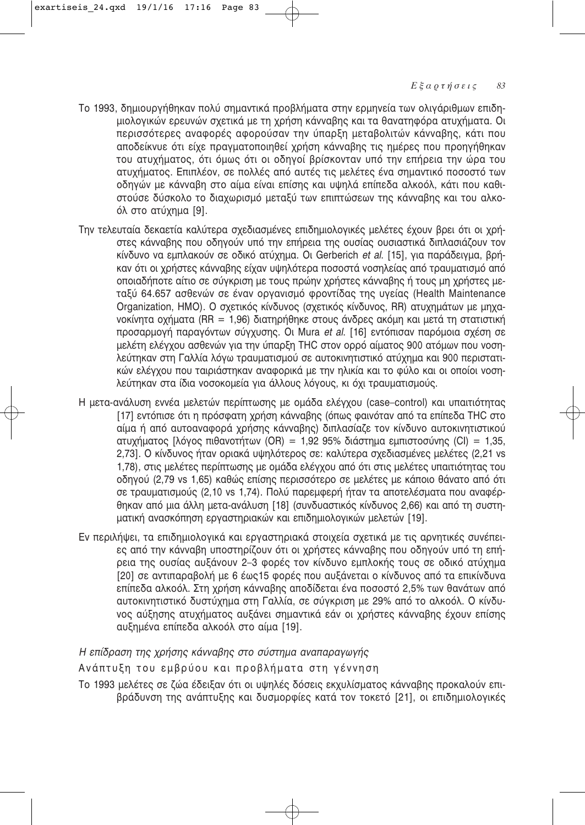Το 1993, δημιουργήθηκαν πολύ σημαντικά προβλήματα στην ερμηνεία των ολιγάριθμων επιδημιολογικών ερευνών σχετικά με τη χρήση κάνναβης και τα θανατηφόρα ατυχήματα. Οι περισσότερες αναφορές αφορούσαν την ύπαρξη μεταβολιτών κάνναβης, κάτι που αποδείκνυε ότι είχε πραγματοποιηθεί χρήση κάνναβης τις ημέρες που προηγήθηκαν του ατυχήματος, ότι όμως ότι οι οδηγοί βρίσκονταν υπό την επήρεια την ώρα του ατυχήματος. Επιπλέον, σε πολλές από αυτές τις μελέτες ένα σημαντικό ποσοστό των οδηγών με κάνναβη στο αίμα είναι επίσης και υψηλά επίπεδα αλκοόλ, κάτι που καθιστούσε δύσκολο το διαχωρισμό μεταξύ των επιπτώσεων της κάνναβης και του αλκοόλ στο ατύχημα [9].

exartiseis 24.qxd 19/1/16 17:16 Page 83

- Tην τελευταία δεκαετία καλύτερα σχεδιασμένες επιδημιολογικές μελέτες έχουν βρει ότι οι χρήστες κάνναβης που οδηγούν υπό την επήρεια της ουσίας ουσιαστικά διπλασιάζουν τον κίνδυνο να εμπλακούν σε οδικό ατύχημα. Οι Gerberich *et al.* [15], για παράδειγμα, βρήκαν ότι οι χρήστες κάνναβης είχαν υψηλότερα ποσοστά νοσηλείας από τραυματισμό από οποιαδήποτε αίτιο σε σύγκριση με τους πρώην χρήστες κάνναβης ή τους μη χρήστες μεταξύ 64.657 ασθενών σε έναν οργανισμό φροντίδας της υγείας (Health Maintenance Organization, HMO). Ο σχετικός κίνδυνος (σχετικός κίνδυνος, RR) ατυχημάτων με μηχαvοκίνητα οχήματα (RR = 1,96) διατηρήθηκε στους άνδρες ακόμη και μετά τη στατιστική προσαρμογή παραγόντων σύγχυσης. Οι Mura *et al.* [16] εντόπισαν παρόμοια σχέση σε μελέτη ελέγχου ασθενών για την ύπαρξη THC στον ορρό αίματος 900 ατόμων που νοσηλεύτηκαν στη Γαλλία λόγω τραυματισμού σε αυτοκινητιστικό ατύχημα και 900 περιστατι-Κών ελέγχου που ταιριάστηκαν αναφορικά με την ηλικία και το φύλο και οι οποίοι νοσηλεύτηκαν στα ίδια νοσοκομεία για άλλους λόγους, κι όχι τραυματισμούς.
- Η μετα-ανάλυση εννέα μελετών περίπτωσης με ομάδα ελέγχου (case-control) και υπαιτιότητας [17] εντόπισε ότι η πρόσφατη χρήση κάνναβης (όπως φαινόταν από τα επίπεδα THC στο αίμα ή από αυτοαναφορά χρήσης κάνναβης) διπλασίαζε τον κίνδυνο αυτοκινητιστικού ατυχήματος [λόγος πιθανοτήτων (OR) = 1,92 95% διάστημα εμπιστοσύνης (CI) = 1,35, 2,73]. Ο κίνδυνος ήταν οριακά υψηλότερος σε: καλύτερα σχεδιασμένες μελέτες (2,21 vs 1,78), στις μελέτες περίπτωσης με ομάδα ελέγχου από ότι στις μελέτες υπαιτιότητας του οδηγού (2,79 vs 1,65) καθώς επίσης περισσότερο σε μελέτες με κάποιο θάνατο από ότι σε τραυματισμούς (2,10 vs 1,74). Πολύ παρεμφερή ήταν τα αποτελέσματα που αναφέρθηκαν από μια άλλη μετα-ανάλυση [18] (συνδυαστικός κίνδυνος 2,66) και από τη συστηματική ανασκόπηση εργαστηριακών και επιδημιολογικών μελετών [19].
- Εν περιλήψει, τα επιδημιολογικά και εργαστηριακά στοιχεία σχετικά με τις αρνητικές συνέπειες από την κάνναβη υποστηρίζουν ότι οι χρήστες κάνναβης που οδηγούν υπό τη επήρεια της ουσίας αυξάνουν 2–3 φορές τον κίνδυνο εμπλοκής τους σε οδικό ατύχημα [20] σε αντιπαραβολή με 6 έως 15 φορές που αυξάνεται ο κίνδυνος από τα επικίνδυνα επίπεδα αλκοόλ. Στη χρήση κάνναβης αποδίδεται ένα ποσοστό 2,5% των θανάτων από αυτοκινητιστικό δυστύχημα στη Γαλλία, σε σύγκριση με 29% από το αλκοόλ. Ο κίνδυνος αύξησης ατυχήματος αυξάνει σημαντικά εάν οι χρήστες κάνναβης έχουν επίσης αυξημένα επίπεδα αλκοόλ στο αίμα [19].

*Η επίδραση της χρήσης κάνναβης στο σύστημα αναπαραγωγής* 

Ανάπτυξη του εμβρύου και προβλήματα στη γέννηση

Το 1993 μελέτες σε ζώα έδειξαν ότι οι υψηλές δόσεις εκχυλίσματος κάνναβης προκαλούν επιβράδυνση της ανάπτυξης και δυσμορφίες κατά τον τοκετό [21], οι επιδημιολογικές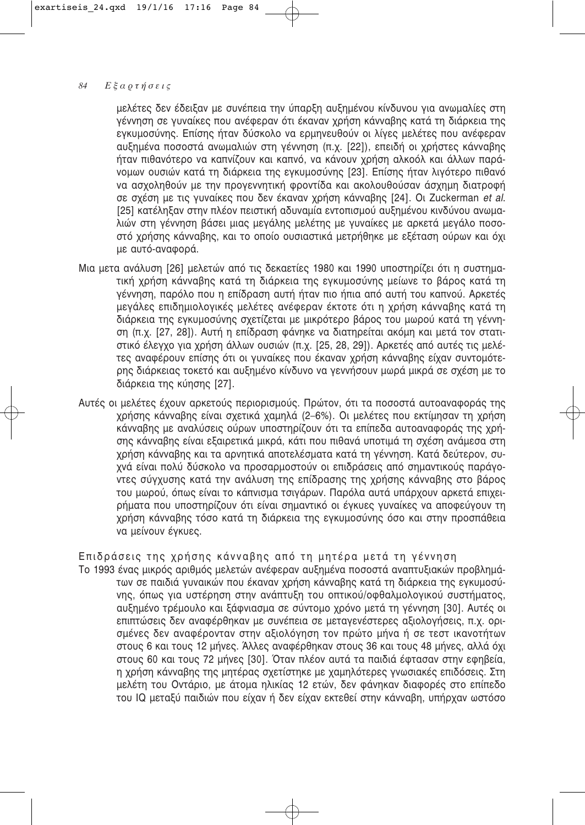μελέτες δεν έδειξαν με συνέπεια την ύπαρξη αυξημένου κίνδυνου για ανωμαλίες στη γέννηση σε γυναίκες που ανέφεραν ότι έκαναν χρήση κάνναβης κατά τη διάρκεια της εγκυμοσύνης. Επίσης ήταν δύσκολο να ερμηνευθούν οι λίγες μελέτες που ανέφεραν αυξημένα ποσοστά ανωμαλιών στη γέννηση (π.χ. [22]), επειδή οι χρήστες κάνναβης ήταν πιθανότερο να καπνίζουν και καπνό, να κάνουν χρήση αλκοόλ και άλλων παράνομων ουσιών κατά τη διάρκεια της εγκυμοσύνης [23]. Επίσης ήταν λιγότερο πιθανό να ασχοληθούν με την προγεννητική φροντίδα και ακολουθούσαν άσχημη διατροφή σε σχέση με τις γυναίκες που δεν έκαναν χρήση κάνναβης [24]. Οι Zuckerman *et al.* [25] κατέληξαν στην πλέον πειστική αδυναμία εντοπισμού αυξημένου κινδύνου ανωμαλιών στη γέννηση βάσει μιας μεγάλης μελέτης με γυναίκες με αρκετά μεγάλο ποσοστό χρήσης κάνναβης, και το οποίο ουσιαστικά μετρήθηκε με εξέταση ούρων και όχι με αυτό-αναφορά.

- Μια μετα ανάλυση [26] μελετών από τις δεκαετίες 1980 και 1990 υποστηρίζει ότι η συστηματική χρήση κάνναβης κατά τη διάρκεια της εγκυμοσύνης μείωνε το βάρος κατά τη γέννηση, παρόλο που η επίδραση αυτή ήταν πιο ήπια από αυτή του καπνού. Αρκετές μεγάλες επιδημιολογικές μελέτες ανέφεραν έκτοτε ότι η χρήση κάνναβης κατά τη διάρκεια της εγκυμοσύνης σχετίζεται με μικρότερο βάρος του μωρού κατά τη γέννηση (π.χ. [27, 28]). Αυτή η επίδραση φάνηκε να διατηρείται ακόμη και μετά τον στατιστικό έλεγχο για χρήση άλλων ουσιών (π.χ. [25, 28, 29]). Αρκετές από αυτές τις μελέτες αναφέρουν επίσης ότι οι γυναίκες που έκαναν χρήση κάνναβης είχαν συντομότεonς διάρκειας τοκετό και αυξημένο κίνδυνο να γεννήσουν μωρά μικρά σε σχέση με το διάρκεια της κύησης [27].
- Aυτές οι μελέτες έχουν αρκετούς περιορισμούς. Πρώτον, ότι τα ποσοστά αυτοαναφοράς της χρήσης κάνναβης είναι σχετικά χαμηλά (2–6%). Οι μελέτες που εκτίμησαν τη χρήση κάνναβης με αναλύσεις ούρων υποστηρίζουν ότι τα επίπεδα αυτοαναφοράς της χρήσης κάνναβης είναι εξαιρετικά μικρά, κάτι που πιθανά υποτιμά τη σχέση ανάμεσα στη χρήση κάνναβης και τα αρνητικά αποτελέσματα κατά τη γέννηση. Κατά δεύτερον, συχνά είναι πολύ δύσκολο να προσαρμοστούν οι επιδράσεις από σημαντικούς παράνοντες σύγχυσης κατά την ανάλυση της επίδρασης της χρήσης κάνναβης στο βάρος του μωρού, όπως είναι το κάπνισμα τσιγάρων. Παρόλα αυτά υπάρχουν αρκετά επιχειoήματα που υποστηρίζουν ότι είναι σημαντικό οι ένκυες γυναίκες να αποφεύνουν τη χρήση κάνναβης τόσο κατά τη διάρκεια της εγκυμοσύνης όσο και στην προσπάθεια να μείνουν έγκυες.

# Επιδράσεις της χρήσης κάνναβης από τη μητέρα μετά τη γέννηση

Το 1993 ένας μικρός αριθμός μελετών ανέφεραν αυξημένα ποσοστά αναπτυξιακών προβλημάτων σε παιδιά γυναικών που έκαναν χρήση κάνναβης κατά τη διάρκεια της εγκυμοσύνης, όπως για υστέρηση στην ανάπτυξη του οπτικού/οφθαλμολογικού συστήματος, αυξημένο τρέμουλο και ξάφνιασμα σε σύντομο χρόνο μετά τη γέννηση [30]. Αυτές οι επιπτώσεις δεν αναφέρθηκαν με συνέπεια σε μεταγενέστερες αξιολογήσεις, π.χ. ορισμένες δεν αναφέρονταν στην αξιολόγηση τον πρώτο μήνα ή σε τεστ ικανοτήτων στους 6 και τους 12 μήνες. Άλλες αναφέρθηκαν στους 36 και τους 48 μήνες, αλλά όχι στους 60 και τους 72 μήνες [30]. Όταν πλέον αυτά τα παιδιά έφτασαν στην εφηβεία, η χρήση κάνναβης της μητέρας σχετίστηκε με χαμηλότερες γνωσιακές επιδόσεις. Στη μελέτη του Οντάριο, με άτομα ηλικίας 12 ετών, δεν φάνηκαν διαφορές στο επίπεδο του IQ μεταξύ παιδιών που είχαν ή δεν είχαν εκτεθεί στην κάνναβη, υπήρχαν ωστόσο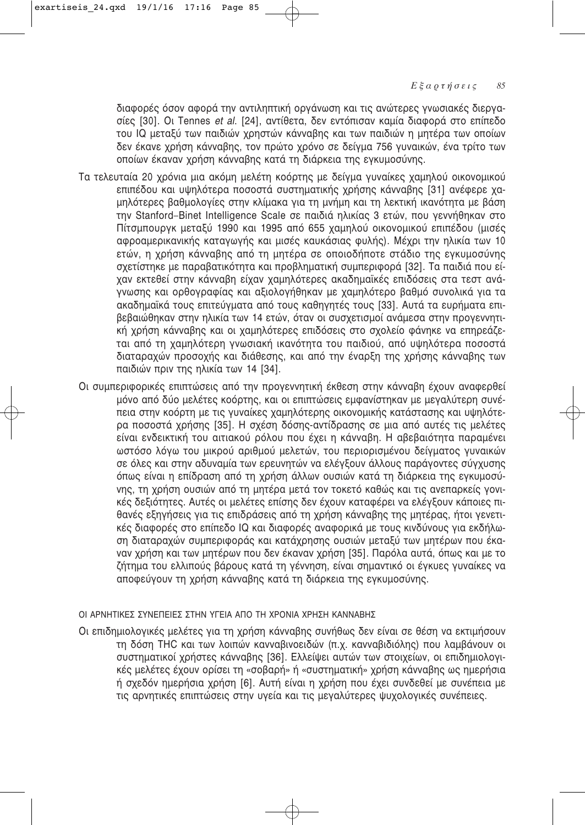exartiseis 24.qxd 19/1/16 17:16 Page 85

διαφορές όσον αφορά την αντιληπτική οργάνωση και τις ανώτερες γνωσιακές διεργασίες [30]. Oι Tennes *et al.* [24], αντίθετα, δεν εντόπισαν καμία διαφορά στο επίπεδο του IQ μεταξύ των παιδιών χρηστών κάνναβης και των παιδιών η μητέρα των οποίων δεν έκανε χρήση κάνναβης, τον πρώτο χρόνο σε δείγμα 756 γυναικών, ένα τρίτο των οποίων έκαναν χρήση κάνναβης κατά τη διάρκεια της ενκυμοσύνης.

- Τα τελευταία 20 χρόνια μια ακόμη μελέτη κοόρτης με δείγμα γυναίκες χαμηλού οικονομικού επιπέδου και υψηλότερα ποσοστά συστηματικής χρήσης κάνναβης [31] ανέφερε χαμηλότερες βαθμολογίες στην κλίμακα για τη μνήμη και τη λεκτική ικανότητα με βάση την Stanford–Binet Intelligence Scale σε παιδιά ηλικίας 3 ετών, που γεννήθηκαν στο Πίτσμπουργκ μεταξύ 1990 και 1995 από 655 χαμηλού οικονομικού επιπέδου (μισές αφροαμερικανικής καταγωγής και μισές καυκάσιας φυλής). Μέχρι την ηλικία των 10 ετών, η χρήση κάνναβης από τη μητέρα σε οποιοδήποτε στάδιο της εγκυμοσύνης σχετίστηκε με παραβατικότητα και προβληματική συμπεριφορά [32]. Τα παιδιά που είχαν εκτεθεί στην κάνναβη είχαν χαμηλότερες ακαδημαϊκές επιδόσεις στα τεστ ανάγνωσης και ορθογραφίας και αξιολογήθηκαν με χαμηλότερο βαθμό συνολικά για τα ακαδημαϊκά τους επιτεύγματα από τους καθηγητές τους [33]. Αυτά τα ευρήματα επιβεβαιώθηκαν στην ηλικία των 14 ετών, όταν οι συσχετισμοί ανάμεσα στην προγεννητική χρήση κάνναβης και οι χαμηλότερες επιδόσεις στο σχολείο φάνηκε να επηρεάζεται από τη χαμηλότερη γνωσιακή ικανότητα του παιδιού, από υψηλότερα ποσοστά διαταραχών προσοχής και διάθεσης, και από την έναρξη της χρήσης κάνναβης των παιδιών πριν της ηλικία των 14 [34].
- Οι συμπεριφορικές επιπτώσεις από την προγεννητική έκθεση στην κάνναβη έχουν αναφερθεί μόνο από δύο μελέτες κοόρτης, και οι επιπτώσεις εμφανίστηκαν με μεγαλύτερη συνέπεια στην κοόρτη με τις γυναίκες χαμηλότερης οικονομικής κατάστασης και υψηλότερα ποσοστά χρήσης [35]. Η σχέση δόσης-αντίδρασης σε μια από αυτές τις μελέτες είναι ενδεικτική του αιτιακού ρόλου που έχει η κάνναβη. Η αβεβαιότητα παραμένει ωστόσο λόγω του μικρού αριθμού μελετών, του περιορισμένου δείγματος γυναικών σε όλες και στην αδυναμία των ερευνητών να ελέγξουν άλλους παράγοντες σύγχυσης όπως είναι η επίδραση από τη χρήση άλλων ουσιών κατά τη διάρκεια της εγκυμοσύνης, τη χρήση ουσιών από τη μητέρα μετά τον τοκετό καθώς και τις ανεπαρκείς γονικές δεξιότητες. Αυτές οι μελέτες επίσης δεν έχουν καταφέρει να ελέγξουν κάποιες πιθανές εξηγήσεις για τις επιδράσεις από τη χρήση κάνναβης της μητέρας, ήτοι γενετικές διαφορές στο επίπεδο IQ και διαφορές αναφορικά με τους κινδύνους για εκδήλωση διαταραχών συμπεριφοράς και κατάχρησης ουσιών μεταξύ των μητέρων που έκαvαν χρήση και των μητέρων που δεν έκαναν χρήση [35]. Παρόλα αυτά, όπως και με το ζήτημα του ελλιπούς βάρους κατά τη γέννηση, είναι σημαντικό οι έγκυες γυναίκες να αποφεύγουν τη χρήση κάνναβης κατά τη διάρκεια της εγκυμοσύνης.

## ΟΙ ΑΡΝΗΤΙΚΕΣ ΣΥΝΕΠΕΙΕΣ ΣΤΗΝ ΥΓΕΙΑ ΑΠΟ ΤΗ ΧΡΟΝΙΑ ΧΡΗΣΗ ΚΑΝΝΑΒΗΣ

Οι επιδημιολογικές μελέτες για τη χρήση κάνναβης συνήθως δεν είναι σε θέση να εκτιμήσουν τη δόση THC και των λοιπών κανναβινοειδών (π.χ. κανναβιδιόλης) που λαμβάνουν οι συστηματικοί χρήστες κάνναβης [36]. Ελλείψει αυτών των στοιχείων, οι επιδημιολογικές μελέτες έχουν ορίσει τη «σοβαρή» ή «συστηματική» χρήση κάνναβης ως ημερήσια ή σχεδόν ημερήσια χρήση [6]. Αυτή είναι η χρήση που έχει συνδεθεί με συνέπεια με τις αρνητικές επιπτώσεις στην υγεία και τις μεγαλύτερες ψυχολογικές συνέπειες.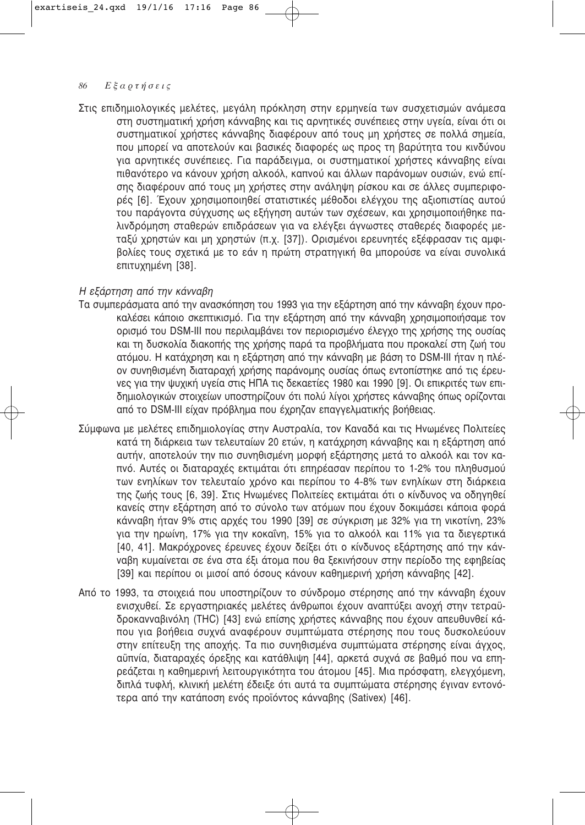Στις επιδημιολογικές μελέτες, μεγάλη πρόκληση στην ερμηνεία των συσχετισμών ανάμεσα στη συστηματική χρήση κάνναβης και τις αρνητικές συνέπειες στην υγεία, είναι ότι οι συστηματικοί χρήστες κάνναβης διαφέρουν από τους μη χρήστες σε πολλά σημεία. που μπορεί να αποτελούν και βασικές διαφορές ως προς τη βαρύτητα του κινδύνου για αρνητικές συνέπειες. Για παράδειγμα, οι συστηματικοί χρήστες κάνναβης είναι πιθανότερο να κάνουν χρήση αλκοόλ, καπνού και άλλων παράνομων ουσιών, ενώ επίσης διαφέρουν από τους μη χρήστες στην ανάληψη ρίσκου και σε άλλες συμπεριφορές [6]. Έχουν χρησιμοποιηθεί στατιστικές μέθοδοι ελέγχου της αξιοπιστίας αυτού του παράγοντα σύγχυσης ως εξήγηση αυτών των σχέσεων, και χρησιμοποιήθηκε παλινδρόμηση σταθερών επιδράσεων για να ελέγξει άγνωστες σταθερές διαφορές μεταξύ χρηστών και μη χρηστών (π.χ. [37]). Ορισμένοι ερευνητές εξέφρασαν τις αμφιβολίες τους σχετικά με το εάν η πρώτη στρατηνική θα μπορούσε να είναι συνολικά επιτυχημένη [38].

## Η εξάρτηση από την κάνναβη

- Τα συμπεράσματα από την ανασκόπηση του 1993 για την εξάρτηση από την κάνναβη έχουν προκαλέσει κάποιο σκεπτικισμό. Για την εξάρτηση από την κάνναβη χρησιμοποιήσαμε τον ορισμό του DSM-III που περιλαμβάνει τον περιορισμένο έλεγχο της χρήσης της ουσίας και τη δυσκολία διακοπής της χρήσης παρά τα προβλήματα που προκαλεί στη ζωή του ατόμου. Η κατάχρηση και η εξάρτηση από την κάνναβη με βάση το DSM-III ήταν η πλέον συνηθισμένη διαταραχή χρήσης παράνομης ουσίας όπως εντοπίστηκε από τις έρευνες για την ψυχική υγεία στις ΗΠΑ τις δεκαετίες 1980 και 1990 [9]. Οι επικριτές των επιδημιολογικών στοιχείων υποστηρίζουν ότι πολύ λίγοι χρήστες κάνναβης όπως ορίζονται από το DSM-III είχαν πρόβλημα που έχρηζαν επαγγελματικής βοήθειας.
- Σύμφωνα με μελέτες επιδημιολογίας στην Αυστραλία, τον Καναδά και τις Ηνωμένες Πολιτείες κατά τη διάρκεια των τελευταίων 20 ετών, η κατάχρηση κάνναβης και η εξάρτηση από αυτήν, αποτελούν την πιο συνηθισμένη μορφή εξάρτησης μετά το αλκοόλ και τον καπνό. Αυτές οι διαταραχές εκτιμάται ότι επηρέασαν περίπου το 1-2% του πληθυσμού των ενηλίκων τον τελευταίο χρόνο και περίπου το 4-8% των ενηλίκων στη διάρκεια της ζωής τους [6, 39]. Στις Ηνωμένες Πολιτείες εκτιμάται ότι ο κίνδυνος να οδηνηθεί κανείς στην εξάρτηση από το σύνολο των ατόμων που έχουν δοκιμάσει κάποια φορά κάνναβη ήταν 9% στις αρχές του 1990 [39] σε σύγκριση με 32% για τη νικοτίνη, 23% για την ηρωίνη, 17% για την κοκαΐνη, 15% για το αλκοόλ και 11% για τα διεγερτικά [40, 41]. Μακρόχρονες έρευνες έχουν δείξει ότι ο κίνδυνος εξάρτησης από την κάνναβη κυμαίνεται σε ένα στα έξι άτομα που θα ξεκινήσουν στην περίοδο της εφηβείας [39] και περίπου οι μισοί από όσους κάνουν καθημερινή χρήση κάνναβης [42].
- Από το 1993, τα στοιχειά που υποστηρίζουν το σύνδρομο στέρησης από την κάνναβη έχουν ενισχυθεί. Σε εργαστηριακές μελέτες άνθρωποι έχουν αναπτύξει ανοχή στην τετραϋδροκανναβινόλη (THC) [43] ενώ επίσης χρήστες κάνναβης που έχουν απευθυνθεί κάπου για βοήθεια συχνά αναφέρουν συμπτώματα στέρησης που τους δυσκολεύουν στην επίτευξη της αποχής. Τα πιο συνηθισμένα συμπτώματα στέρησης είναι άγχος, αϋπνία, διαταραχές όρεξης και κατάθλιψη [44], αρκετά συχνά σε βαθμό που να επηρεάζεται η καθημερινή λειτουργικότητα του άτομου [45]. Μια πρόσφατη, ελεγχόμενη, διπλά τυφλή, κλινική μελέτη έδειξε ότι αυτά τα συμπτώματα στέρησης έγιναν εντονότερα από την κατάποση ενός προϊόντος κάνναβης (Sativex) [46].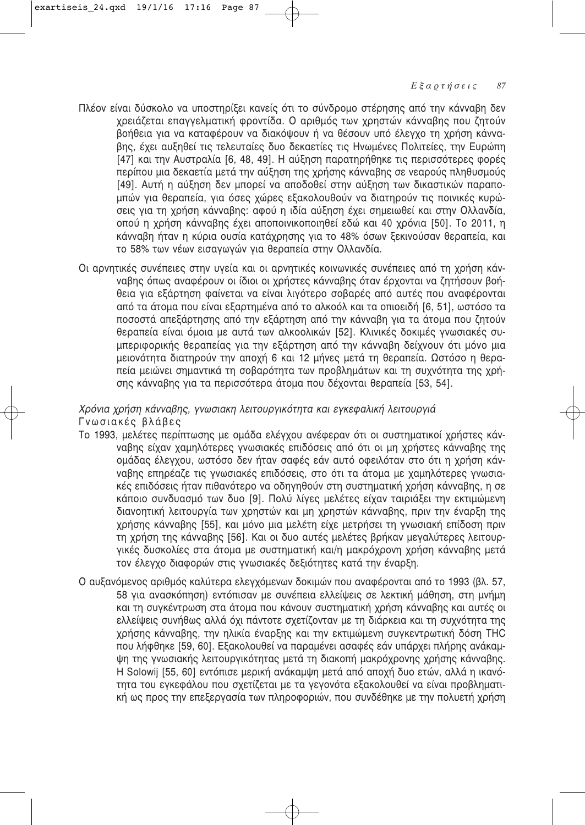Πλέον είναι δύσκολο να υποστηρίξει κανείς ότι το σύνδρομο στέρησης από την κάνναβη δεν χρειάζεται επαγγελματική φροντίδα. Ο αριθμός των χρηστών κάνναβης που ζητούν βοήθεια για να καταφέρουν να διακόψουν ή να θέσουν υπό έλεγχο τη χρήση κάνναβης, έχει αυξηθεί τις τελευταίες δυο δεκαετίες τις Ηνωμένες Πολιτείες, την Ευρώπη [47] και την Αυστραλία [6, 48, 49]. Η αύξηση παρατηρήθηκε τις περισσότερες φορές περίπου μια δεκαετία μετά την αύξηση της χρήσης κάνναβης σε νεαρούς πληθυσμούς [49]. Αυτή η αύξηση δεν μπορεί να αποδοθεί στην αύξηση των δικαστικών παραπομπών για θεραπεία, για όσες χώρες εξακολουθούν να διατηρούν τις ποινικές κυρώσεις για τη χρήση κάνναβης: αφού η ιδία αύξηση έχει σημειωθεί και στην Ολλανδία, οπού η χρήση κάνναβης έχει αποποινικοποιηθεί εδώ και 40 χρόνια [50]. Το 2011, η κάνναβη ήταν η κύρια ουσία κατάχρησης για το 48% όσων ξεκινούσαν θεραπεία, και το 58% των νέων εισαγωγών για θεραπεία στην Ολλανδία.

exartiseis  $24.$ qxd  $19/1/16$  17:16 Page

Οι αρνητικές συνέπειες στην υγεία και οι αρνητικές κοινωνικές συνέπειες από τη χρήση κάνvαβης όπως αναφέρουν οι ίδιοι οι χρήστες κάνναβης όταν έρχονται να ζητήσουν βοήθεια για εξάρτηση φαίνεται να είναι λιγότερο σοβαρές από αυτές που αναφέρονται από τα άτομα που είναι εξαρτημένα από το αλκοόλ και τα οπιοειδή [6, 51], ωστόσο τα ποσοστά απεξάρτησης από την εξάρτηση από την κάνναβη για τα άτομα που ζητούν θεραπεία είναι όμοια με αυτά των αλκοολικών [52]. Κλινικές δοκιμές γνωσιακές συμπεριφορικής θεραπείας για την εξάρτηση από την κάνναβη δείχνουν ότι μόνο μια μειονότητα διατηρούν την αποχή 6 και 12 μήνες μετά τη θεραπεία. Ωστόσο η θεραπεία μειώνει σημαντικά τη σοβαρότητα των προβλημάτων και τη συχνότητα της χρήσης κάνναβης για τα περισσότερα άτομα που δέχονται θεραπεία [53, 54].

*Χρόνια χρήση κάνναβης, γνωσιακη λειτουργικότητα και εγκεφαλική λειτουργιά* Γνωσιακές βλάβες

- Το 1993, μελέτες περίπτωσης με ομάδα ελέγχου ανέφεραν ότι οι συστηματικοί χρήστες κάνvαβης είχαν χαμηλότερες γνωσιακές επιδόσεις από ότι οι μη χρήστες κάνναβης της ομάδας έλεγχου, ωστόσο δεν ήταν σαφές εάν αυτό οφειλόταν στο ότι η χρήση κάνναβης επηρέαζε τις γνωσιακές επιδόσεις, στο ότι τα άτομα με χαμηλότερες γνωσιακές επιδόσεις ήταν πιθανότερο να οδηγηθούν στη συστηματική χρήση κάνναβης, η σε κάποιο συνδυασμό των δυο [9]. Πολύ λίγες μελέτες είχαν ταιριάξει την εκτιμώμενη διανοητική λειτουργία των χρηστών και μη χρηστών κάνναβης, πριν την έναρξη της χρήσης κάνναβης [55], και μόνο μια μελέτη είχε μετρήσει τη γνωσιακή επίδοση πριν τη χρήση της κάνναβης [56]. Και οι δυο αυτές μελέτες βρήκαν μεγαλύτερες λειτουργικές δυσκολίες στα άτομα με συστηματική και/η μακρόχρονη χρήση κάνναβης μετά τον έλεγχο διαφορών στις γνωσιακές δεξιότητες κατά την έναρξη.
- Ο αυξανόμενος αριθμός καλύτερα ελεγχόμενων δοκιμών που αναφέρονται από το 1993 (βλ. 57, 58 για ανασκόπηση) εντόπισαν με συνέπεια ελλείψεις σε λεκτική μάθηση, στη μνήμη και τη συνκέντρωση στα άτουα που κάνουν συστηματική χρήση κάνναβης και αυτές οι ελλείψεις συνήθως αλλά όχι πάντοτε σχετίζονταν με τη διάρκεια και τη συχνότητα της χρήσης κάνναβης, την ηλικία έναρξης και την εκτιμώμενη συγκεντρωτική δόση THC που λήφθηκε [59, 60]. Εξακολουθεί να παραμένει ασαφές εάν υπάρχει πλήρης ανάκαμψη της γνωσιακής λειτουργικότητας μετά τη διακοπή μακρόχρονης χρήσης κάνναβης. Η Solowij [55, 60] εντόπισε μερική ανάκαμψη μετά από αποχή δυο ετών, αλλά η ικανότητα του εγκεφάλου που σχετίζεται με τα γεγονότα εξακολουθεί να είναι προβληματική ως προς την επεξεργασία των πληροφοριών, που συνδέθηκε με την πολυετή χρήση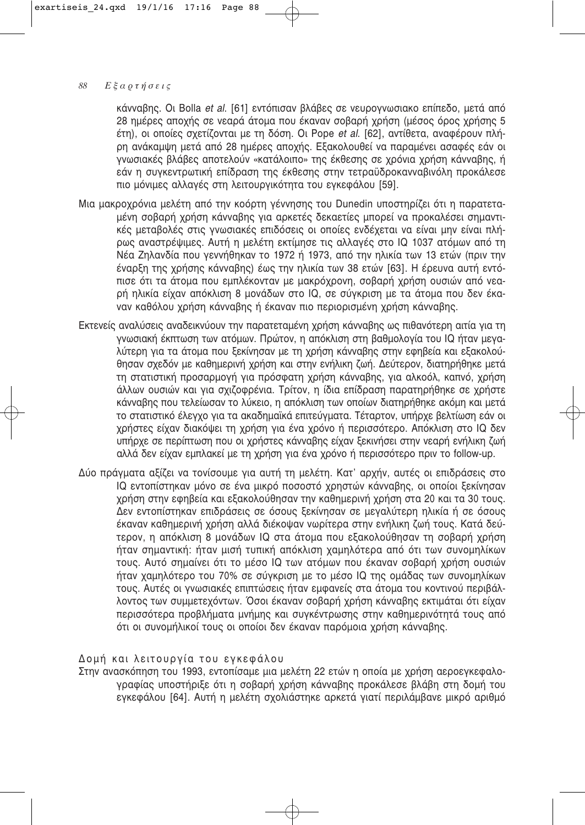κάνναβης. Οι Bolla *et al.* [61] εντόπισαν βλάβες σε νευρογνωσιακο επίπεδο, μετά από 28 ημέρες αποχής σε νεαρά άτομα που έκαναν σοβαρή χρήση (μέσος όρος χρήσης 5 έτη), οι οποίες σχετίζονται με τη δόση. Οι Pope *et al.* [62], αντίθετα, αναφέρουν πλήρη ανάκαμψη μετά από 28 ημέρες αποχής. Εξακολουθεί να παραμένει ασαφές εάν οι γνωσιακές βλάβες αποτελούν «κατάλοιπο» της έκθεσης σε χρόνια χρήση κάνναβης, ή εάν η συγκεντρωτική επίδραση της έκθεσης στην τετραϋδροκανναβινόλη προκάλεσε πιο μόνιμες αλλαγές στη λειτουργικότητα του εγκεφάλου [59].

- Μια μακροχρόνια μελέτη από την κοόρτη γέννησης του Dunedin υποστηρίζει ότι η παρατεταμένη σοβαρή χρήση κάνναβης για αρκετές δεκαετίες μπορεί να προκαλέσει σημαντι-Κές μεταβολές στις γνωσιακές επιδόσεις οι οποίες ενδέχεται να είναι μην είναι πλήρως αναστρέψιμες. Αυτή η μελέτη εκτίμησε τις αλλαγές στο IQ 1037 ατόμων από τη Νέα Ζηλανδία που γεννήθηκαν το 1972 ή 1973, από την ηλικία των 13 ετών (πριν την έναρξη της χρήσης κάνναβης) έως την ηλικία των 38 ετών [63]. Η έρευνα αυτή εντόπισε ότι τα άτομα που εμπλέκονταν με μακρόχρονη, σοβαρή χρήση ουσιών από νεαρή ηλικία είχαν απόκλιση 8 μονάδων στο IQ, σε σύγκριση με τα άτομα που δεν έκαναν καθόλου χρήση κάνναβης ή έκαναν πιο περιορισμένη χρήση κάνναβης.
- Εκτενείς αναλύσεις αναδεικνύουν την παρατεταμένη χρήση κάνναβης ως πιθανότερη αιτία για τη γνωσιακή έκπτωση των ατόμων. Πρώτον, η απόκλιση στη βαθμολογία του IQ ήταν μεγαλύτερη για τα άτομα που ξεκίνησαν με τη χρήση κάνναβης στην εφηβεία και εξακολούθησαν σχεδόν με καθημερινή χρήση και στην ενήλικη ζωή. Δεύτερον, διατηρήθηκε μετά τη στατιστική προσαρμογή για πρόσφατη χρήση κάνναβης, για αλκοόλ, καπνό, χρήση άλλων ουσιών και για σχιζοφρένια. Τρίτον, η ίδια επίδραση παρατηρήθηκε σε χρήστε κάνναβης που τελείωσαν το λύκειο, η απόκλιση των οποίων διατηρήθηκε ακόμη και μετά το στατιστικό έλεγχο για τα ακαδημαϊκά επιτεύγματα. Τέταρτον, υπήρχε βελτίωση εάν οι γρήστες είχαν διακόψει τη χρήση για ένα χρόνο ή περισσότερο. Απόκλιση στο IQ δεν υπήρχε σε περίπτωση που οι χρήστες κάνναβης είχαν ξεκινήσει στην νεαρή ενήλικη ζωή αλλά δεν είχαν εμπλακεί με τη χρήση για ένα χρόνο ή περισσότερο πριν το follow-up.
- Δύο πράγματα αξίζει να τονίσουμε για αυτή τη μελέτη. Κατ' αρχήν, αυτές οι επιδράσεις στο IQ εντοπίστηκαν μόνο σε ένα μικρό ποσοστό χρηστών κάνναβης, οι οποίοι ξεκίνησαν χρήση στην εφηβεία και εξακολούθησαν την καθημερινή χρήση στα 20 και τα 30 τους. Δεν εντοπίστηκαν επιδράσεις σε όσους ξεκίνησαν σε μεγαλύτερη ηλικία ή σε όσους έκαναν καθημερινή χρήση αλλά διέκοψαν νωρίτερα στην ενήλικη ζωή τους. Κατά δεύτερον, η απόκλιση 8 μονάδων IQ στα άτομα που εξακολούθησαν τη σοβαρή χρήση ήταν σημαντική: ήταν μισή τυπική απόκλιση χαμηλότερα από ότι των συνομηλίκων τους. Αυτό σημαίνει ότι το μέσο IQ των ατόμων που έκαναν σοβαρή χρήση ουσιών ήταν χαμηλότερο του 70% σε σύγκριση με το μέσο IQ της ομάδας των συνομηλίκων τους. Αυτές οι γνωσιακές επιπτώσεις ήταν εμφανείς στα άτομα του κοντινού περιβάλλοντος των συμμετεχόντων. Όσοι έκαναν σοβαρή χρήση κάνναβης εκτιμάται ότι είχαν περισσότερα προβλήματα μνήμης και συγκέντρωσης στην καθημερινότητά τους από ότι οι συνομήλικοί τους οι οποίοι δεν έκαναν παρόμοια χρήση κάνναβης.

# Δομή και λειτουργία του εγκεφάλου

Στην ανασκόπηση του 1993, εντοπίσαμε μια μελέτη 22 ετών η οποία με χρήση αεροεγκεφαλογραφίας υποστήριξε ότι η σοβαρή χρήση κάνναβης προκάλεσε βλάβη στη δομή του εγκεφάλου [64]. Αυτή η μελέτη σχολιάστηκε αρκετά γιατί περιλάμβανε μικρό αριθμό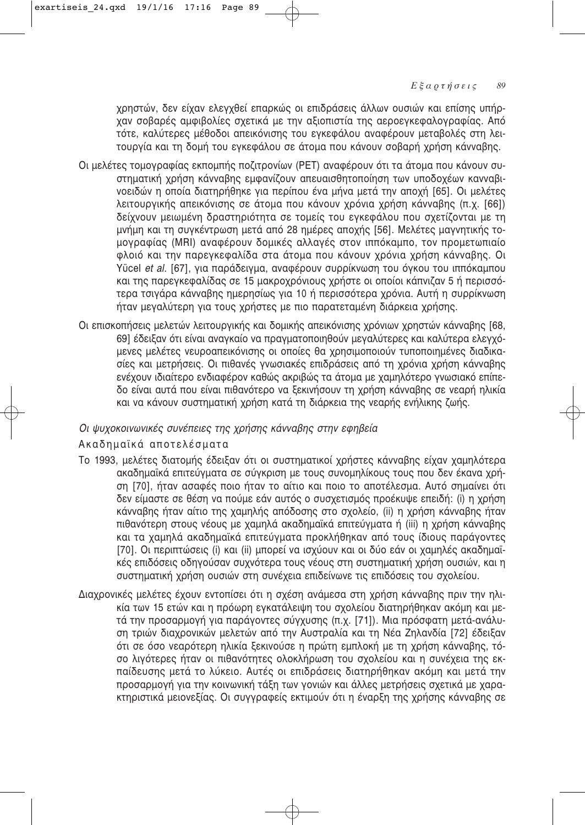χρηστών, δεν είχαν ελεγχθεί επαρκώς οι επιδράσεις άλλων ουσιών και επίσης υπήργαν σοβαρές αμφιβολίες σχετικά με την αξιοπιστία της αεροεγκεφαλογραφίας. Από τότε, καλύτερες μέθοδοι απεικόνισης του εγκεφάλου αναφέρουν μεταβολές στη λειτουργία και τη δομή του εγκεφάλου σε άτομα που κάνουν σοβαρή χρήση κάνναβης.

- Οι μελέτες τομογραφίας εκπομπής ποζιτρονίων (PET) αναφέρουν ότι τα άτομα που κάνουν συστηματική χρήση κάνναβης εμφανίζουν απευαισθητοποίηση των υποδοχέων κανναβινοειδών η οποία διατηρήθηκε για περίπου ένα μήνα μετά την αποχή [65]. Οι μελέτες λειτουργικής απεικόνισης σε άτομα που κάνουν χρόνια χρήση κάνναβης (π.χ. [66]) δείχνουν μειωμένη δραστηριότητα σε τομείς του εγκεφάλου που σχετίζονται με τη μνήμη και τη συγκέντρωση μετά από 28 ημέρες αποχής [56]. Μελέτες μαγνητικής τομογραφίας (MRI) αναφέρουν δομικές αλλαγές στον ιππόκαμπο, τον προμετωπιαίο φλοιό και την παρεγκεφαλίδα στα άτομα που κάνουν χρόνια χρήση κάνναβης. Οι Yücel *et al.* [67], για παράδειγμα, αναφέρουν συρρίκνωση του όγκου του ιππόκαμπου και της παρεγκεφαλίδας σε 15 μακροχρόνιους χρήστε οι οποίοι κάπνιζαν 5 ή περισσότερα τσιγάρα κάνναβης ημερησίως για 10 ή περισσότερα χρόνια. Αυτή η συρρίκνωση ήταν μεγαλύτερη για τους χρήστες με πιο παρατεταμένη διάρκεια χρήσης.
- Οι επισκοπήσεις μελετών λειτουργικής και δομικής απεικόνισης χρόνιων χρηστών κάνναβης [68, 69] έδειξαν ότι είναι αναγκαίο να πραγματοποιηθούν μεγαλύτερες και καλύτερα ελεγχόμενες μελέτες νευροαπεικόνισης οι οποίες θα χρησιμοποιούν τυποποιημένες διαδικασίες και μετρήσεις. Οι πιθανές γνωσιακές επιδράσεις από τη χρόνια χρήση κάνναβης ενέχουν ιδιαίτερο ενδιαφέρον καθώς ακριβώς τα άτομα με χαμηλότερο γνωσιακό επίπεδο είναι αυτά που είναι πιθανότερο να ξεκινήσουν τη χρήση κάνναβης σε νεαρή ηλικία και να κάνουν συστηματική χρήση κατά τη διάρκεια της νεαρής ενήλικης ζωής.

## Οι ψυχοκοινωνικές συνέπειες της χρήσης κάνναβης στην εφηβεία

# Ακαδημαϊκά αποτελέσματα

exartiseis\_24.qxd 19/1/16 17:16 Page 89

- Το 1993, μελέτες διατομής έδειξαν ότι οι συστηματικοί χρήστες κάνναβης είχαν χαμηλότερα ακαδημαϊκά επιτεύγματα σε σύγκριση με τους συνομηλίκους τους που δεν έκανα χρήση [70], ήταν ασαφές ποιο ήταν το αίτιο και ποιο το αποτέλεσμα. Αυτό σημαίνει ότι δεν είμαστε σε θέση να πούμε εάν αυτός ο συσχετισμός προέκυψε επειδή: (i) η χρήση κάνναβης ήταν αίτιο της χαμηλής απόδοσης στο σχολείο, (ii) η χρήση κάνναβης ήταν πιθανότερη στους νέους με χαμηλά ακαδημαϊκά επιτεύγματα ή (iii) η χρήση κάνναβης και τα χαμηλά ακαδημαϊκά επιτεύγματα προκλήθηκαν από τους ίδιους παράγοντες [70]. Οι περιπτώσεις (i) και (ii) μπορεί να ισχύουν και οι δύο εάν οι χαμηλές ακαδημαϊκές επιδόσεις οδηγούσαν συχνότερα τους νέους στη συστηματική χρήση ουσιών, και η συστηματική χρήση ουσιών στη συνέχεια επιδείνωνε τις επιδόσεις του σχολείου.
- Διαχρονικές μελέτες έχουν εντοπίσει ότι η σχέση ανάμεσα στη χρήση κάνναβης πριν την ηλικία των 15 ετών και η πρόωρη εγκατάλειψη του σχολείου διατηρήθηκαν ακόμη και μετά την προσαρμογή για παράγοντες σύγχυσης (π.χ. [71]). Μια πρόσφατη μετά-ανάλυση τριών διαχρονικών μελετών από την Αυστραλία και τη Νέα Ζηλανδία [72] έδειξαν ότι σε όσο νεαρότερη ηλικία ξεκινούσε η πρώτη εμπλοκή με τη χρήση κάνναβης, τόσο λιγότερες ήταν οι πιθανότητες ολοκλήρωση του σχολείου και η συνέχεια της εκπαίδευσης μετά το λύκειο. Αυτές οι επιδράσεις διατηρήθηκαν ακόμη και μετά την προσαρμονή για την κοινωνική τάξη των νονιών και άλλες μετρήσεις σχετικά με χαρα-Κτηριστικά μειονεξίας. Οι συγγραφείς εκτιμούν ότι η έναρξη της χρήσης κάνναβης σε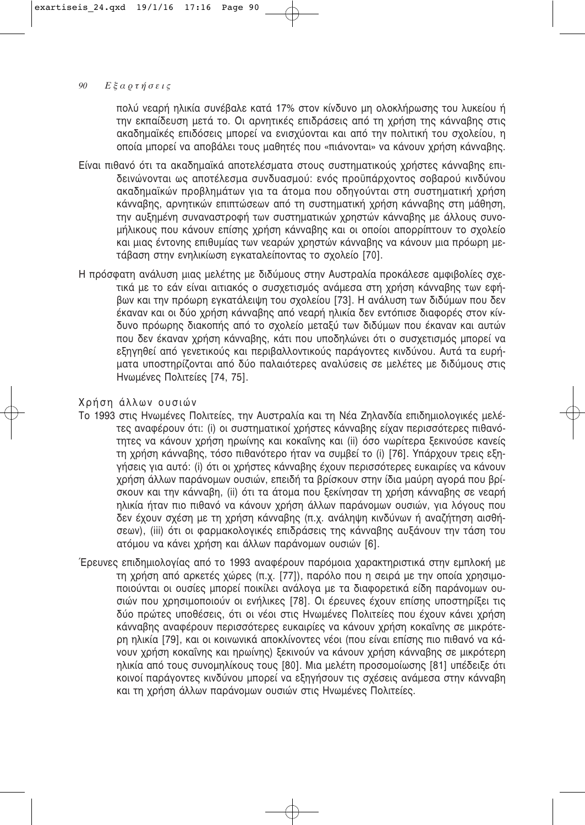#### $90^{\circ}$ Εξαρτήσεις

πολύ νεαρή ηλικία συνέβαλε κατά 17% στον κίνδυνο μη ολοκλήρωσης του λυκείου ή την εκπαίδευση μετά το. Οι αρνητικές επιδράσεις από τη χρήση της κάνναβης στις ακαδημαϊκές επιδόσεις μπορεί να ενισχύονται και από την πολιτική του σχολείου, η οποία μπορεί να αποβάλει τους μαθητές που «πιάνονται» να κάνουν χρήση κάνναβης.

- Είναι πιθανό ότι τα ακαδημαϊκά αποτελέσματα στους συστηματικούς χρήστες κάνναβης επιδεινώνονται ως αποτέλεσμα συνδυασμού: ενός προϋπάρχοντος σοβαρού κινδύνου ακαδημαϊκών προβλημάτων για τα άτομα που οδηγούνται στη συστηματική χρήση κάνναβης, αρνητικών επιπτώσεων από τη συστηματική χρήση κάνναβης στη μάθηση, την αυξημένη συναναστροφή των συστηματικών χρηστών κάνναβης με άλλους συνομήλικους που κάνουν επίσης χρήση κάνναβης και οι οποίοι απορρίπτουν το σχολείο και μιας έντονης επιθυμίας των νεαρών χρηστών κάνναβης να κάνουν μια πρόωρη μετάβαση στην ενηλικίωση εγκαταλείποντας το σχολείο [70].
- Η πρόσφατη ανάλυση μιας μελέτης με διδύμους στην Αυστραλία προκάλεσε αμφιβολίες σχετικά με το εάν είναι αιτιακός ο συσχετισμός ανάμεσα στη χρήση κάνναβης των εφήβων και την πρόωρη ενκατάλειψη του σχολείου [73]. Η ανάλυση των διδύμων που δεν έκαναν και οι δύο χρήση κάνναβης από νεαρή ηλικία δεν εντόπισε διαφορές στον κίνδυνο πρόωρης διακοπής από το σχολείο μεταξύ των διδύμων που έκαναν και αυτών που δεν έκαναν χρήση κάνναβης, κάτι που υποδηλώνει ότι ο συσχετισμός μπορεί να εξηγηθεί από γενετικούς και περιβαλλοντικούς παράγοντες κινδύνου. Αυτά τα ευρήματα υποστηρίζονται από δύο παλαιότερες αναλύσεις σε μελέτες με διδύμους στις Ηνωμένες Πολιτείες [74, 75].

# Χρήση άλλων ουσιών

- Το 1993 στις Ηνωμένες Πολιτείες, την Αυστραλία και τη Νέα Ζηλανδία επιδημιολογικές μελέτες αναφέρουν ότι: (i) οι συστηματικοί χρήστες κάνναβης είχαν περισσότερες πιθανότητες να κάνουν χρήση ηρωίνης και κοκαΐνης και (ii) όσο νωρίτερα ξεκινούσε κανείς τη χρήση κάνναβης, τόσο πιθανότερο ήταν να συμβεί το (i) [76]. Υπάρχουν τρεις εξηγήσεις για αυτό: (i) ότι οι χρήστες κάνναβης έχουν περισσότερες ευκαιρίες να κάνουν χρήση άλλων παράνομων ουσιών, επειδή τα βρίσκουν στην ίδια μαύρη αγορά που βρίσκουν και την κάνναβη, (ii) ότι τα άτομα που ξεκίνησαν τη χρήση κάνναβης σε νεαρή ηλικία ήταν πιο πιθανό να κάνουν χρήση άλλων παράνομων ουσιών, για λόγους που δεν έχουν σχέση με τη χρήση κάνναβης (π.χ. ανάληψη κινδύνων ή αναζήτηση αισθήσεων), (iii) ότι οι φαρμακολογικές επιδράσεις της κάνναβης αυξάνουν την τάση του ατόμου να κάνει χρήση και άλλων παράνομων ουσιών [6].
- Έρευνες επιδημιολογίας από το 1993 αναφέρουν παρόμοια χαρακτηριστικά στην εμπλοκή με τη χρήση από αρκετές χώρες (π.χ. [77]), παρόλο που η σειρά με την οποία χρησιμοποιούνται οι ουσίες μπορεί ποικίλει ανάλογα με τα διαφορετικά είδη παράνομων ουσιών που χρησιμοποιούν οι ενήλικες [78]. Οι έρευνες έχουν επίσης υποστηρίξει τις δύο πρώτες υποθέσεις, ότι οι νέοι στις Ηνωμένες Πολιτείες που έχουν κάνει χρήση κάνναβης αναφέρουν περισσότερες ευκαιρίες να κάνουν χρήση κοκαΐνης σε μικρότερη ηλικία [79], και οι κοινωνικά αποκλίνοντες νέοι (που είναι επίσης πιο πιθανό να κάνουν χρήση κοκαΐνης και ηρωίνης) ξεκινούν να κάνουν χρήση κάνναβης σε μικρότερη ηλικία από τους συνομηλίκους τους [80]. Μια μελέτη προσομοίωσης [81] υπέδειξε ότι κοινοί παράγοντες κινδύνου μπορεί να εξηγήσουν τις σχέσεις ανάμεσα στην κάνναβη και τη χρήση άλλων παράνομων ουσιών στις Ηνωμένες Πολιτείες.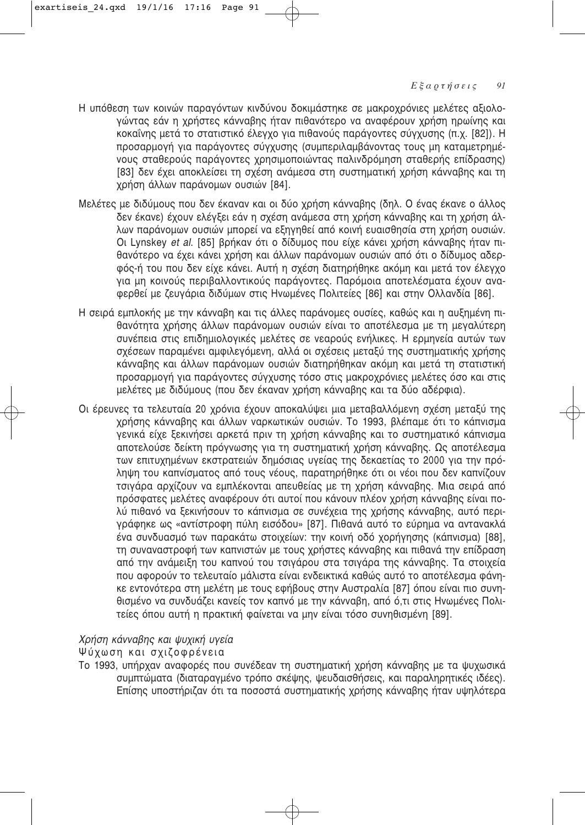Η υπόθεση των κοινών παραγόντων κινδύνου δοκιμάστηκε σε μακροχρόνιες μελέτες αξιολογώντας εάν η χρήστες κάνναβης ήταν πιθανότερο να αναφέρουν χρήση ηρωίνης και κοκαΐνης μετά το στατιστικό έλεγχο για πιθανούς παράγοντες σύγχυσης (π.χ. [82]). Η προσαρμογή για παράγοντες σύγχυσης (συμπεριλαμβάνοντας τους μη καταμετρημένους σταθερούς παράγοντες χρησιμοποιώντας παλινδρόμηση σταθερής επίδρασης) [83] δεν έχει αποκλείσει τη σχέση ανάμεσα στη συστηματική χρήση κάνναβης και τη χρήση άλλων παράνομων ουσιών [84].

Page 91

 $17:16$ 

- Μελέτες με διδύμους που δεν έκαναν και οι δύο χρήση κάνναβης (δηλ. Ο ένας έκανε ο άλλος δεν έκανε) έχουν ελέγξει εάν η σχέση ανάμεσα στη χρήση κάνναβης και τη χρήση άλλων παράνομων ουσιών μπορεί να εξηγηθεί από κοινή ευαισθησία στη χρήση ουσιών. Οι Lynskey et al. [85] βρήκαν ότι ο δίδυμος που είχε κάνει χρήση κάνναβης ήταν πιθανότερο να έχει κάνει χρήση και άλλων παράνομων ουσιών από ότι ο δίδυμος αδερφός-ή του που δεν είχε κάνει. Αυτή η σχέση διατηρήθηκε ακόμη και μετά τον έλεγχο για μη κοινούς περιβαλλοντικούς παράγοντες. Παρόμοια αποτελέσματα έχουν αναφερθεί με ζευγάρια διδύμων στις Ηνωμένες Πολιτείες [86] και στην Ολλανδία [86].
- Η σειρά εμπλοκής με την κάνναβη και τις άλλες παράνομες ουσίες, καθώς και η αυξημένη πιθανότητα χρήσης άλλων παράνομων ουσιών είναι το αποτέλεσμα με τη μεγαλύτερη συνέπεια στις επιδημιολογικές μελέτες σε νεαρούς ενήλικες. Η ερμηνεία αυτών των σχέσεων παραμένει αμφιλεγόμενη, αλλά οι σχέσεις μεταξύ της συστηματικής χρήσης κάνναβης και άλλων παράνομων ουσιών διατηρήθηκαν ακόμη και μετά τη στατιστική προσαρμογή για παράγοντες σύγχυσης τόσο στις μακροχρόνιες μελέτες όσο και στις μελέτες με διδύμους (που δεν έκαναν χρήση κάνναβης και τα δύο αδέρφια).
- Οι έρευνες τα τελευταία 20 χρόνια έχουν αποκαλύψει μια μεταβαλλόμενη σχέση μεταξύ της χρήσης κάνναβης και άλλων ναρκωτικών ουσιών. Το 1993, βλέπαμε ότι το κάπνισμα γενικά είχε ξεκινήσει αρκετά πριν τη χρήση κάνναβης και το συστηματικό κάπνισμα αποτελούσε δείκτη πρόγνωσης για τη συστηματική χρήση κάνναβης. Ως αποτέλεσμα των επιτυχημένων εκστρατειών δημόσιας υγείας της δεκαετίας το 2000 για την πρόληψη του καπνίσματος από τους νέους, παρατηρήθηκε ότι οι νέοι που δεν καπνίζουν τσιγάρα αρχίζουν να εμπλέκονται απευθείας με τη χρήση κάνναβης. Μια σειρά από πρόσφατες μελέτες αναφέρουν ότι αυτοί που κάνουν πλέον χρήση κάνναβης είναι πολύ πιθανό να ξεκινήσουν το κάπνισμα σε συνέχεια της χρήσης κάνναβης, αυτό περιγράφηκε ως «αντίστροφη πύλη εισόδου» [87]. Πιθανά αυτό το εύρημα να αντανακλά ένα συνδυασμό των παρακάτω στοιχείων: την κοινή οδό χορήγησης (κάπνισμα) [88], τη συναναστροφή των καπνιστών με τους χρήστες κάνναβης και πιθανά την επίδραση από την ανάμειξη του καπνού του τσιγάρου στα τσιγάρα της κάνναβης. Τα στοιχεία που αφορούν το τελευταίο μάλιστα είναι ενδεικτικά καθώς αυτό το αποτέλεσμα φάνηκε εντονότερα στη μελέτη με τους εφήβους στην Αυστραλία [87] όπου είναι πιο συνηθισμένο να συνδυάζει κανείς τον καπνό με την κάνναβη, από ό,τι στις Ηνωμένες Πολιτείες όπου αυτή η πρακτική φαίνεται να μην είναι τόσο συνηθισμένη [89].

# Χρήση κάνναβης και ψυχική υγεία Ψύχωση και σχιζοφρένεια

exartiseis  $24.9xd$   $19/1/16$ 

Το 1993, υπήρχαν αναφορές που συνέδεαν τη συστηματική χρήση κάνναβης με τα ψυχωσικά συμπτώματα (διαταραγμένο τρόπο σκέψης, ψευδαισθήσεις, και παραληρητικές ιδέες). Επίσης υποστήριζαν ότι τα ποσοστά συστηματικής χρήσης κάνναβης ήταν υψηλότερα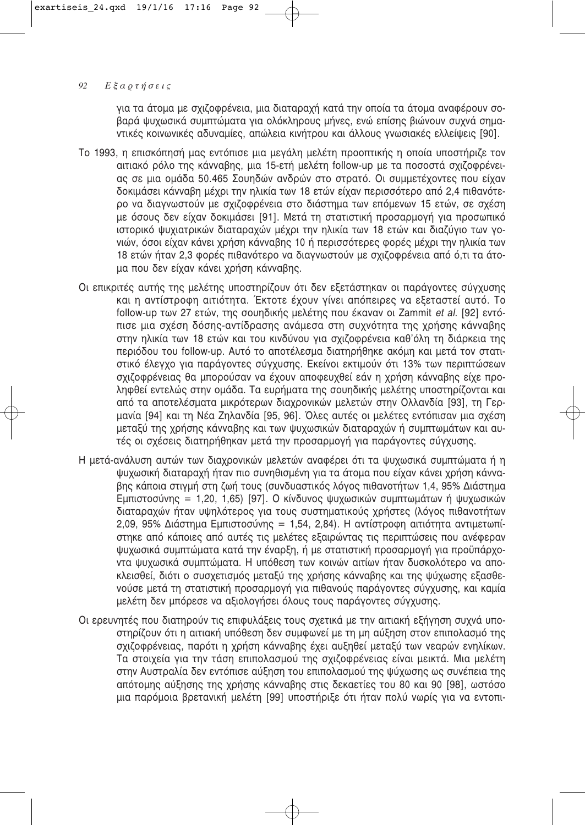για τα άτομα με σχιζοφρένεια, μια διαταραχή κατά την οποία τα άτομα αναφέρουν σοβαρά ψυχωσικά συμπτώματα για ολόκληρους μήνες, ενώ επίσης βιώνουν συχνά σημα-VΤΙΚές ΚΟΙνωνικές αδυναμίες, απώλεια κινήτρου και άλλους γνωσιακές ελλείψεις [90].

- <u>Το 1993, η επισκόπησή μας εντόπισε μια μενάλη μελέτη προοπτικής η οποία υποστήριζε τον</u> αιτιακό ρόλο της κάνναβης, μια 15-ετή μελέτη follow-up με τα ποσοστά σχιζοφρένειας σε μια ομάδα 50.465 Σουηδών ανδρών στο στρατό. Οι συμμετέχοντες που είχαν δοκιμάσει κάνναβη μέχρι την ηλικία των 18 ετών είχαν περισσότερο από 2,4 πιθανότερο να διαγνωστούν με σχιζοφρένεια στο διάστημα των επόμενων 15 ετών, σε σχέση με όσους δεν είχαν δοκιμάσει [91]. Μετά τη στατιστική προσαρμογή για προσωπικό ιστορικό ψυχιατρικών διαταραχών μέχρι την ηλικία των 18 ετών και διαζύγιο των γονιών, όσοι είχαν κάνει χρήση κάνναβης 10 ή περισσότερες φορές μέχρι την ηλικία των 18 ετών ήταν 2,3 φορές πιθανότερο να διαγνωστούν με σχιζοφρένεια από ό,τι τα άτομα που δεν είχαν κάνει χρήση κάνναβης.
- Οι επικριτές αυτής της μελέτης υποστηρίζουν ότι δεν εξετάστηκαν οι παράνοντες σύνχυσης και η αντίστροφη αιτιότητα. Έκτοτε έχουν γίνει απόπειρες να εξεταστεί αυτό. Το follow-up των 27 ετών, της σουηδικής μελέτης που έκαναν οι Zammit et al. [92] εντόπισε μια σχέση δόσης-αντίδρασης ανάμεσα στη συχνότητα της χρήσης κάνναβης στην ηλικία των 18 ετών και του κινδύνου για σχιζοφρένεια καθ'όλη τη διάρκεια της περιόδου του follow-up. Αυτό το αποτέλεσμα διατηρήθηκε ακόμη και μετά τον στατιστικό έλεγχο για παράγοντες σύγχυσης. Εκείνοι εκτιμούν ότι 13% των περιπτώσεων σχιζοφρένειας θα μπορούσαν να έχουν αποφευχθεί εάν η χρήση κάνναβης είχε προληφθεί εντελώς στην ομάδα. Τα ευρήματα της σουηδικής μελέτης υποστηρίζονται και από τα αποτελέσματα μικρότερων διαχρονικών μελετών στην Ολλανδία [93], τη Γερμανία [94] και τη Νέα Ζηλανδία [95, 96]. Όλες αυτές οι μελέτες εντόπισαν μια σχέση μεταξύ της χρήσης κάνναβης και των ψυχωσικών διαταραχών ή συμπτωμάτων και αυτές οι σχέσεις διατηρήθηκαν μετά την προσαρμογή για παράγοντες σύγχυσης.
- Η μετά-ανάλυση αυτών των διαχρονικών μελετών αναφέρει ότι τα ψυχωσικά συμπτώματα ή η ψυχωσική διαταραχή ήταν πιο συνηθισμένη για τα άτομα που είχαν κάνει χρήση κάνναβης κάποια στιγμή στη ζωή τους (συνδυαστικός λόγος πιθανοτήτων 1,4, 95% Διάστημα Εμπιστοσύνης = 1,20, 1,65) [97]. Ο κίνδυνος ψυχωσικών συμπτωμάτων ή ψυχωσικών διαταραχών ήταν υψηλότερος για τους συστηματικούς χρήστες (λόγος πιθανοτήτων 2,09, 95% Διάστημα Εμπιστοσύνης = 1,54, 2,84). Η αντίστροφη αιτιότητα αντιμετωπίστηκε από κάποιες από αυτές τις μελέτες εξαιρώντας τις περιπτώσεις που ανέφεραν ψυχωσικά συμπτώματα κατά την έναρξη, ή με στατιστική προσαρμογή για προϋπάρχοντα ψυχωσικά συμπτώματα. Η υπόθεση των κοινών αιτίων ήταν δυσκολότερο να απο-Kλεισθεί, διότι ο συσχετισμός μεταξύ της χρήσης κάνναβης και της ψύχωσης εξασθενούσε μετά τη στατιστική προσαρμογή για πιθανούς παράγοντες σύγχυσης, και καμία μελέτη δεν μπόρεσε να αξιολογήσει όλους τους παράγοντες σύγχυσης.
- Οι ερευνητές που διατηρούν τις επιφυλάξεις τους σχετικά με την αιτιακή εξήγηση συχνά υποστηρίζουν ότι η αιτιακή υπόθεση δεν συμφωνεί με τη μη αύξηση στον επιπολασμό της σχιζοφρένειας, παρότι η χρήση κάνναβης έχει αυξηθεί μεταξύ των νεαρών ενηλίκων. Τα στοιχεία για την τάση επιπολασμού της σχιζοφρένειας είναι μεικτά. Μια μελέτη στην Αυστραλία δεν εντόπισε αύξηση του επιπολασμού της ψύχωσης ως συνέπεια της απότομης αύξησης της χρήσης κάνναβης στις δεκαετίες του 80 και 90 [98], ωστόσο μια παρόμοια βρετανική μελέτη [99] υποστήριξε ότι ήταν πολύ νωρίς για να εντοπι-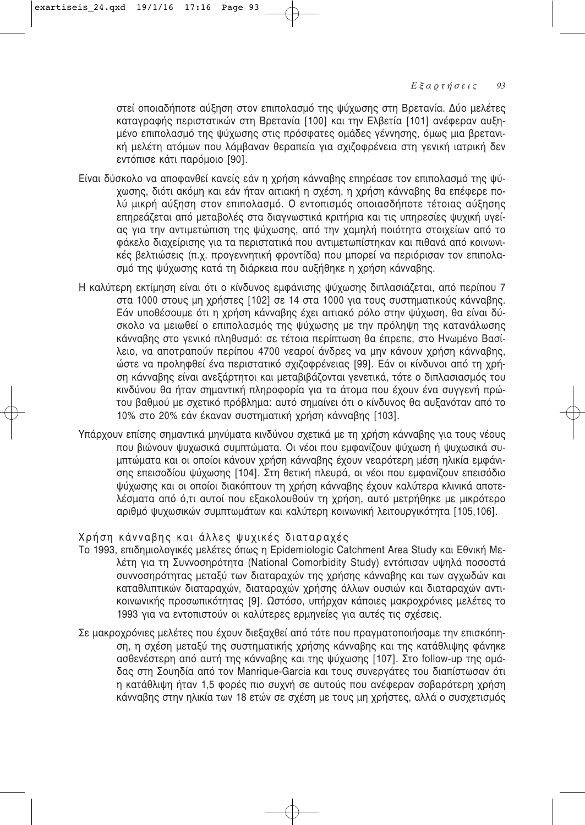στεί οποιαδήποτε αύξηση στον επιπολασμό της ψύχωσης στη Βρετανία. Δύο μελέτες καταγραφής περιστατικών στη Βρετανία [100] και την Ελβετία [101] ανέφεραν αυξημένο επιπολασμό της ψύχωσης στις πρόσφατες ομάδες γέννησης, όμως μια βρετανική μελέτη ατόμων που λάμβαναν θεραπεία για σχιζοφρένεια στη γενική ιατρική δεν εντόπισε κάτι παρόμοιο [90].

- Είναι δύσκολο να αποφανθεί κανείς εάν η χρήση κάνναβης επηρέασε τον επιπολασμό της ψύχωσης, διότι ακόμη και εάν ήταν αιτιακή η σχέση, η χρήση κάνναβης θα επέφερε πολύ μικρή αύξηση στον επιπολασμό. Ο εντοπισμός οποιασδήποτε τέτοιας αύξησης επηρεάζεται από μεταβολές στα διαγνωστικά κριτήρια και τις υπηρεσίες ψυχική υγείας για την αντιμετώπιση της ψύχωσης, από την χαμηλή ποιότητα στοιχείων από το φάκελο διαχείρισης για τα περιστατικά που αντιμετωπίστηκαν και πιθανά από κοινωνικές βελτιώσεις (π.χ. προγεννητική φροντίδα) που μπορεί να περιόρισαν τον επιπολασμό της ψύχωσης κατά τη διάρκεια που αυξήθηκε η χρήση κάνναβης.
- Η καλύτερη εκτίμηση είναι ότι ο κίνδυνος εμφάνισης ψύχωσης διπλασιάζεται, από περίπου 7 στα 1000 στους μη χρήστες [102] σε 14 στα 1000 για τους συστηματικούς κάνναβης. Εάν υποθέσουμε ότι η χρήση κάνναβης έχει αιτιακό ρόλο στην ψύχωση, θα είναι δύσκολο να μειωθεί ο επιπολασμός της ψύχωσης με την πρόληψη της κατανάλωσης κάνναβης στο νενικό πληθυσμό: σε τέτοια περίπτωση θα έπρεπε, στο Ηνωμένο Βασίλειο, να αποτραπούν περίπου 4700 νεαροί άνδρες να μην κάνουν χρήση κάνναβης, ώστε να προληφθεί ένα περιστατικό σχιζοφρένειας [99]. Εάν οι κίνδυνοι από τη χρήση κάνναβης είναι ανεξάρτητοι και μεταβιβάζονται γενετικά, τότε ο διπλασιασμός του κινδύνου θα ήταν σημαντική πληροφορία για τα άτομα που έχουν ένα συγγενή πρώτου βαθμού με σχετικό πρόβλημα: αυτό σημαίνει ότι ο κίνδυνος θα αυξανόταν από το 10% στο 20% εάν έκαναν συστηματική χρήση κάνναβης [103].
- Υπάρχουν επίσης σημαντικά μηνύματα κινδύνου σχετικά με τη χρήση κάνναβης για τους νέους που βιώνουν ψυχωσικά συμπτώματα. Οι νέοι που εμφανίζουν ψύχωση ή ψυχωσικά συμπτώματα και οι οποίοι κάνουν χρήση κάνναβης έχουν νεαρότερη μέση ηλικία εμφάνισης επεισοδίου ψύχωσης [104]. Στη θετική πλευρά, οι νέοι που εμφανίζουν επεισόδιο ψύχωσης και οι οποίοι διακόπτουν τη χρήση κάνναβης έχουν καλύτερα κλινικά αποτελέσματα από ό,τι αυτοί που εξακολουθούν τη χρήση, αυτό μετρήθηκε με μικρότερο αριθμό ψυχωσικών συμπτωμάτων και καλύτερη κοινωνική λειτουργικότητα [105,106].

# Χρήση κάνναβης και άλλες ψυχικές διαταραχές

- Το 1993, επιδημιολογικές μελέτες όπως η Epidemiologic Catchment Area Study και Εθνική Μελέτη για τη Συννοσηρότητα (National Comorbidity Study) εντόπισαν υψηλά ποσοστά συννοσηρότητας μεταξύ των διαταραχών της χρήσης κάνναβης και των αγχωδών και καταθλιπτικών διαταραχών, διαταραχών χρήσης άλλων ουσιών και διαταραχών αντικοινωνικής προσωπικότητας [9]. Ωστόσο, υπήρχαν κάποιες μακροχρόνιες μελέτες το 1993 για να εντοπιστούν οι καλύτερες ερμηνείες για αυτές τις σχέσεις.
- Σε μακροχρόνιες μελέτες που έχουν διεξαχθεί από τότε που πραγματοποιήσαμε την επισκόπηση, η σχέση μεταξύ της συστηματικής χρήσης κάνναβης και της κατάθλιψης φάνηκε ασθενέστερη από αυτή της κάνναβης και της ψύχωσης [107]. Στο follow-up της ομάδας στη Σουηδία από τον Manrique-Garcia και τους συνεργάτες του διαπίστωσαν ότι η κατάθλιψη ήταν 1,5 φορές πιο συχνή σε αυτούς που ανέφεραν σοβαρότερη χρήση κάνναβης στην ηλικία των 18 ετών σε σχέση με τους μη χρήστες, αλλά ο συσχετισμός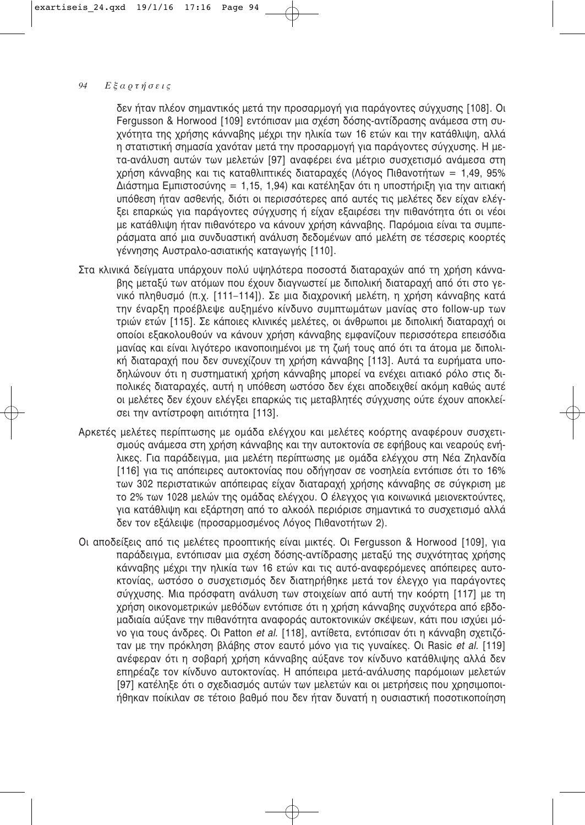δεν ήταν πλέον σημαντικός μετά την προσαρμογή για παράγοντες σύγχυσης [108]. Οι Fergusson & Horwood [109] εντόπισαν μια σχέση δόσης-αντίδρασης ανάμεσα στη συγνότητα της χρήσης κάνναβης μέχρι την ηλικία των 16 ετών και την κατάθλιψη, αλλά η στατιστική σημασία χανόταν μετά την προσαρμονή νια παράνοντες σύνχυσης. Η μετα-ανάλυση αυτών των μελετών [97] αναφέρει ένα μέτριο συσχετισμό ανάμεσα στη χρήση κάνναβης και τις καταθλιπτικές διαταραχές (Λόγος Πιθανοτήτων = 1,49, 95% Διάστημα Εμπιστοσύνης = 1,15, 1,94) και κατέληξαν ότι η υποστήριξη για την αιτιακή υπόθεση ήταν ασθενής, διότι οι περισσότερες από αυτές τις μελέτες δεν είχαν ελέγξει επαρκώς για παράγοντες σύγχυσης ή είχαν εξαιρέσει την πιθανότητα ότι οι νέοι με κατάθλιψη ήταν πιθανότερο να κάνουν χρήση κάνναβης. Παρόμοια είναι τα συμπεράσματα από μια συνδυαστική ανάλυση δεδομένων από μελέτη σε τέσσερις κοορτές γέννησης Αυστραλο-ασιατικής καταγωγής [110].

- Στα κλινικά δείγματα υπάρχουν πολύ υψηλότερα ποσοστά διαταραχών από τη χρήση κάνναβης μεταξύ των ατόμων που έχουν διαγνωστεί με διπολική διαταραχή από ότι στο γενικό πληθυσμό (π.χ. [111-114]). Σε μια διαχρονική μελέτη, η χρήση κάνναβης κατά την έναρξη προέβλεψε αυξημένο κίνδυνο συμπτωμάτων μανίας στο follow-up των τριών ετών [115]. Σε κάποιες κλινικές μελέτες, οι άνθρωποι με διπολική διαταραχή οι οποίοι εξακολουθούν να κάνουν χρήση κάνναβης εμφανίζουν περισσότερα επεισόδια μανίας και είναι λιγότερο ικανοποιημένοι με τη ζωή τους από ότι τα άτομα με διπολική διαταραχή που δεν συνεχίζουν τη χρήση κάνναβης [113]. Αυτά τα ευρήματα υποδηλώνουν ότι η συστηματική χρήση κάνναβης μπορεί να ενέχει αιτιακό ρόλο στις διπολικές διαταραχές, αυτή η υπόθεση ωστόσο δεν έχει αποδειχθεί ακόμη καθώς αυτέ οι μελέτες δεν έχουν ελέγξει επαρκώς τις μεταβλητές σύγχυσης ούτε έχουν αποκλείσει την αντίστροφη αιτιότητα [113].
- Αρκετές μελέτες περίπτωσης με ομάδα ελέγχου και μελέτες κοόρτης αναφέρουν συσχετισμούς ανάμεσα στη χρήση κάνναβης και την αυτοκτονία σε εφήβους και νεαρούς ενήλικες. Για παράδειγμα, μια μελέτη περίπτωσης με ομάδα ελέγχου στη Νέα Ζηλανδία [116] για τις απόπειρες αυτοκτονίας που οδήγησαν σε νοσηλεία εντόπισε ότι το 16% των 302 περιστατικών απόπειρας είχαν διαταραχή χρήσης κάνναβης σε σύγκριση με το 2% των 1028 μελών της ομάδας ελέγχου. Ο έλεγχος για κοινωνικά μειονεκτούντες, για κατάθλιψη και εξάρτηση από το αλκοόλ περιόρισε σημαντικά το συσχετισμό αλλά δεν τον εξάλειψε (προσαρμοσμένος Λόγος Πιθανοτήτων 2).
- Οι αποδείξεις από τις μελέτες προοπτικής είναι μικτές. Οι Fergusson & Horwood [109], για παράδειγμα, εντόπισαν μια σχέση δόσης-αντίδρασης μεταξύ της συχνότητας χρήσης κάνναβης μέχρι την ηλικία των 16 ετών και τις αυτό-αναφερόμενες απόπειρες αυτοκτονίας, ωστόσο ο συσχετισμός δεν διατηρήθηκε μετά τον έλεγχο για παράγοντες σύγχυσης. Μια πρόσφατη ανάλυση των στοιχείων από αυτή την κοόρτη [117] με τη γρήση οικονομετρικών μεθόδων εντόπισε ότι η χρήση κάνναβης συχνότερα από εβδομαδιαία αύξανε την πιθανότητα αναφοράς αυτοκτονικών σκέψεων, κάτι που ισχύει μόνο για τους άνδρες. Οι Patton et al. [118], αντίθετα, εντόπισαν ότι η κάνναβη σχετιζόταν με την πρόκληση βλάβης στον εαυτό μόνο για τις γυναίκες. Οι Rasic et al. [119] ανέφεραν ότι η σοβαρή χρήση κάνναβης αύξανε τον κίνδυνο κατάθλιψης αλλά δεν επηρέαζε τον κίνδυνο αυτοκτονίας. Η απόπειρα μετά-ανάλυσης παρόμοιων μελετών [97] κατέληξε ότι ο σχεδιασμός αυτών των μελετών και οι μετρήσεις που χρησιμοποιήθηκαν ποίκιλαν σε τέτοιο βαθμό που δεν ήταν δυνατή η ουσιαστική ποσοτικοποίηση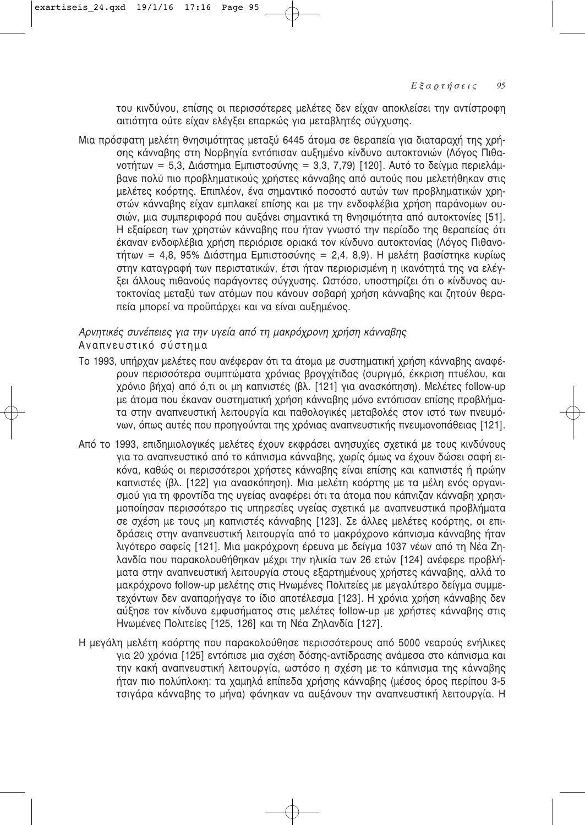του κινδύνου, επίσης οι περισσότερες μελέτες δεν είχαν αποκλείσει την αντίστροφη αιτιότητα ούτε είχαν ελέγξει επαρκώς για μεταβλητές σύγχυσης.

<u>Μια πρόσφατη μελέτη θνησιμότητας μεταξύ 6445 άτομα σε θεραπεία νια διαταραγή της γρή-</u> σης κάνναβης στη Νορβηνία εντόπισαν αυξημένο κίνδυνο αυτοκτονιών (Λόνος Πιθα-VΟΤήτων = 5,3, Διάστημα Εμπιστοσύνης = 3,3, 7,79) [120]. Αυτό το δείγμα περιελάμβανε πολύ πιο προβληματικούς χρήστες κάνναβης από αυτούς που μελετήθηκαν στις μελέτες κοόρτης, Επιπλέον, ένα σημαντικό ποσοστό αυτών των προβληματικών χρηστών κάνναβης είχαν εμπλακεί επίσης και με την ενδοφλέβια χρήση παράνομων ουσιών, μια συμπεριφορά που αυξάνει σημαντικά τη θνησιμότητα από αυτοκτονίες [51]. Η εξαίρεση των χρηστών κάνναβης που ήταν γνωστό την περίοδο της θεραπείας ότι έκαναν ενδοφλέβια χρήση περιόρισε οριακά τον κίνδυνο αυτοκτονίας (Λόγος Πιθανοτήτων = 4,8, 95% Διάστημα Εμπιστοσύνης = 2,4, 8,9). Η μελέτη βασίστηκε κυρίως στην κατανραφή των περιστατικών, έτσι ήταν περιορισμένη η ικανότητά της να ελένξει άλλους πιθανούς παράγοντες σύγχυσης. Ωστόσο, υποστηρίζει ότι ο κίνδυνος αυτοκτονίας μεταξύ των ατόμων που κάνουν σοβαρή χρήση κάνναβης και ζητούν θεραπεία μπορεί να προϋπάρχει και να είναι αυξημένος.

*Aρνητικές συνέπειες για την υγεία από τη μακρόχρονη χρήση κάνναβης* Αναπνευστικό σύστημα

- Το 1993, υπήρχαν μελέτες που ανέφεραν ότι τα άτομα με συστηματική χρήση κάνναβης αναφέρουν περισσότερα συμπτώματα χρόνιας βρογχίτιδας (συριγμό, έκκριση πτυέλου, και χρόνιο βήχα) από ό,τι οι μη καπνιστές (βλ. [121] για ανασκόπηση). Μελέτες follow-up με άτομα που έκαναν συστηματική χρήση κάνναβης μόνο εντόπισαν επίσης προβλήματα στην αναπνευστική λειτουργία και παθολογικές μεταβολές στον ιστό των πνευμόνων, όπως αυτές που προηγούνται της χρόνιας αναπνευστικής πνευμονοπάθειας [121].
- Aπό το 1993, επιδημιολογικές μελέτες έχουν εκφράσει ανησυχίες σχετικά με τους κινδύνους για το αναπνευστικό από το κάπνισμα κάνναβης, χωρίς όμως να έχουν δώσει σαφή εικόνα, καθώς οι περισσότεροι χρήστες κάνναβης είναι επίσης και καπνιστές ή πρώην καπνιστές (βλ. [122] για ανασκόπηση). Μια μελέτη κοόρτης με τα μέλη ενός οργανισμού για τη φροντίδα της υγείας αναφέρει ότι τα άτομα που κάπνιζαν κάνναβη χρησιμοποίησαν περισσότερο τις υπηρεσίες υγείας σχετικά με αναπνευστικά προβλήματα σε σχέση με τους μη καπνιστές κάνναβης [123]. Σε άλλες μελέτες κοόρτης, οι επιδράσεις στην αναπνευστική λειτουργία από το μακρόχρονο κάπνισμα κάνναβης ήταν λιγότερο σαφείς [121]. Μια μακρόχρονη έρευνα με δείγμα 1037 νέων από τη Νέα Ζηλανδία που παρακολουθήθηκαν μέχρι την ηλικία των 26 ετών [124] ανέφερε προβλήματα στην αναπνευστική λειτουργία στους εξαρτημένους χρήστες κάνναβης, αλλά το μακρόχρονο follow-up μελέτης στις Ηνωμένες Πολιτείες με μεγαλύτερο δείγμα συμμετεχόντων δεν αναπαρήγαγε το ίδιο αποτέλεσμα [123]. Η χρόνια χρήση κάνναβης δεν αύξησε τον κίνδυνο εμφυσήματος στις μελέτες follow-up με χρήστες κάνναβης στις Ηνωμένες Πολιτείες [125, 126] και τη Νέα Ζηλανδία [127].
- Η μεγάλη μελέτη κοόρτης που παρακολούθησε περισσότερους από 5000 νεαρούς ενήλικες για 20 χρόνια [125] εντόπισε μια σχέση δόσης-αντίδρασης ανάμεσα στο κάπνισμα και την κακή αναπνευστική λειτουργία, ωστόσο η σχέση με το κάπνισμα της κάνναβης ήταν πιο πολύπλοκη: τα χαμηλά επίπεδα χρήσης κάνναβης (μέσος όρος περίπου 3-5 τσιγάρα κάνναβης το μήνα) φάνηκαν να αυξάνουν την αναπνευστική λειτουργία. Η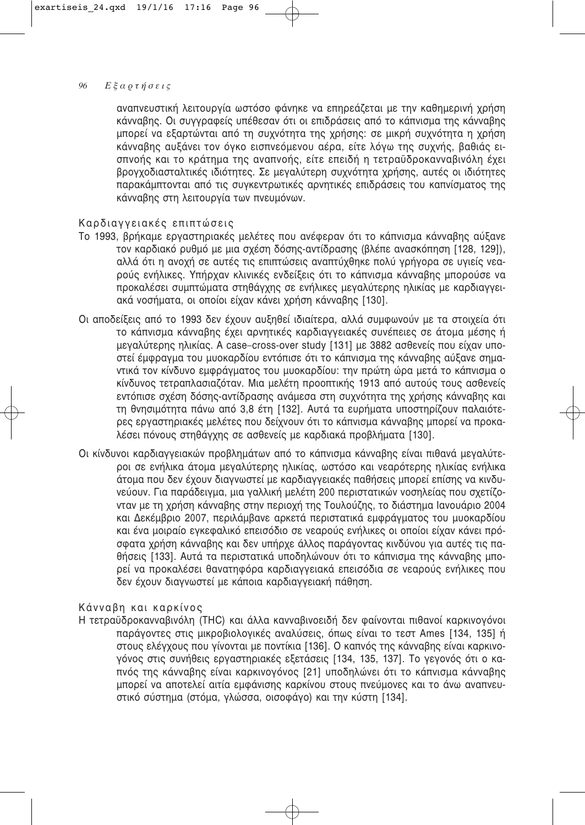αναπνευστική λειτουργία ωστόσο φάνηκε να επηρεάζεται με την καθημερινή χρήση κάνναβης. Οι συγγραφείς υπέθεσαν ότι οι επιδράσεις από το κάπνισμα της κάνναβης μπορεί να εξαρτώνται από τη συχνότητα της χρήσης: σε μικρή συχνότητα η χρήση κάνναβης αυξάνει τον όγκο εισπνεόμενου αέρα, είτε λόγω της συχνής, βαθιάς εισπνοής και το κράτημα της αναπνοής, είτε επειδή η τετραϋδροκανναβινόλη έχει βρογχοδιασταλτικές ιδιότητες. Σε μεγαλύτερη συχνότητα χρήσης, αυτές οι ιδιότητες παρακάμπτονται από τις συγκεντρωτικές αρνητικές επιδράσεις του καπνίσματος της κάνναβης στη λειτουργία των πνευμόνων.

# Καρδιαγγειακές επιπτώσεις

- Το 1993, βρήκαμε εργαστηριακές μελέτες που ανέφεραν ότι το κάπνισμα κάνναβης αύξανε τον καρδιακό ρυθμό με μια σχέση δόσης-αντίδρασης (βλέπε ανασκόπηση [128, 129]), αλλά ότι η ανοχή σε αυτές τις επιπτώσεις αναπτύχθηκε πολύ γρήγορα σε υγιείς νεαρούς ενήλικες. Υπήρχαν κλινικές ενδείξεις ότι το κάπνισμα κάνναβης μπορούσε να προκαλέσει συμπτώματα στηθάγχης σε ενήλικες μεγαλύτερης ηλικίας με καρδιαγγειακά νοσήματα, οι οποίοι είχαν κάνει χρήση κάνναβης [130].
- Οι αποδείξεις από το 1993 δεν έχουν αυξηθεί ιδιαίτερα, αλλά συμφωνούν με τα στοιχεία ότι το κάπνισμα κάνναβης έχει αρνητικές καρδιαγγειακές συνέπειες σε άτομα μέσης ή μεγαλύτερης ηλικίας. A case-cross-over study [131] με 3882 ασθενείς που είχαν υποστεί έμφρανμα του μυρκαρδίου εντόπισε ότι το κάπνισμα της κάνναβης αύξανε σημαντικά τον κίνδυνο εμφράγματος του μυοκαρδίου: την πρώτη ώρα μετά το κάπνισμα ο κίνδυνος τετραπλασιαζόταν. Μια μελέτη προοπτικής 1913 από αυτούς τους ασθενείς εντόπισε σχέση δόσης-αντίδρασης ανάμεσα στη συχνότητα της χρήσης κάνναβης και τη θνησιμότητα πάνω από 3,8 έτη [132]. Αυτά τα ευρήματα υποστηρίζουν παλαιότερες εργαστηριακές μελέτες που δείχνουν ότι το κάπνισμα κάνναβης μπορεί να προκαλέσει πόνους στηθάνχης σε ασθενείς με καρδιακά προβλήματα [130].
- Οι κίνδυνοι καρδιαγγειακών προβλημάτων από το κάπνισμα κάνναβης είναι πιθανά μεγαλύτεροι σε ενήλικα άτομα μεγαλύτερης ηλικίας, ωστόσο και νεαρότερης ηλικίας ενήλικα άτομα που δεν έχουν διαγνωστεί με καρδιαγγειακές παθήσεις μπορεί επίσης να κινδυνεύουν. Για παράδειγμα, μια γαλλική μελέτη 200 περιστατικών νοσηλείας που σχετίζονταν με τη χρήση κάνναβης στην περιοχή της Τουλούζης, το διάστημα Ιανουάριο 2004 και Δεκέμβριο 2007, περιλάμβανε αρκετά περιστατικά εμφράγματος του μυοκαρδίου και ένα μοιραίο εγκεφαλικό επεισόδιο σε νεαρούς ενήλικες οι οποίοι είχαν κάνει πρόσφατα χρήση κάνναβης και δεν υπήρχε άλλος παράγοντας κινδύνου για αυτές τις παθήσεις [133]. Αυτά τα περιστατικά υποδηλώνουν ότι το κάπνισμα της κάνναβης μπορεί να προκαλέσει θανατηφόρα καρδιαγγειακά επεισόδια σε νεαρούς ενήλικες που δεν έχουν διαγνωστεί με κάποια καρδιαγγειακή πάθηση.

## Κάνναβη και καρκίνος

Η τετραϋδροκανναβινόλη (THC) και άλλα κανναβινοειδή δεν φαίνονται πιθανοί καρκινογόνοι παράγοντες στις μικροβιολογικές αναλύσεις, όπως είναι το τεστ Ames [134, 135] ή στους ελέγχους που γίνονται με ποντίκια [136]. Ο καπνός της κάνναβης είναι καρκινογόνος στις συνήθεις εργαστηριακές εξετάσεις [134, 135, 137]. Το γεγονός ότι ο καπνός της κάνναβης είναι καρκινογόνος [21] υποδηλώνει ότι το κάπνισμα κάνναβης μπορεί να αποτελεί αιτία εμφάνισης καρκίνου στους πνεύμονες και το άνω αναπνευστικό σύστημα (στόμα, γλώσσα, οισοφάγο) και την κύστη [134].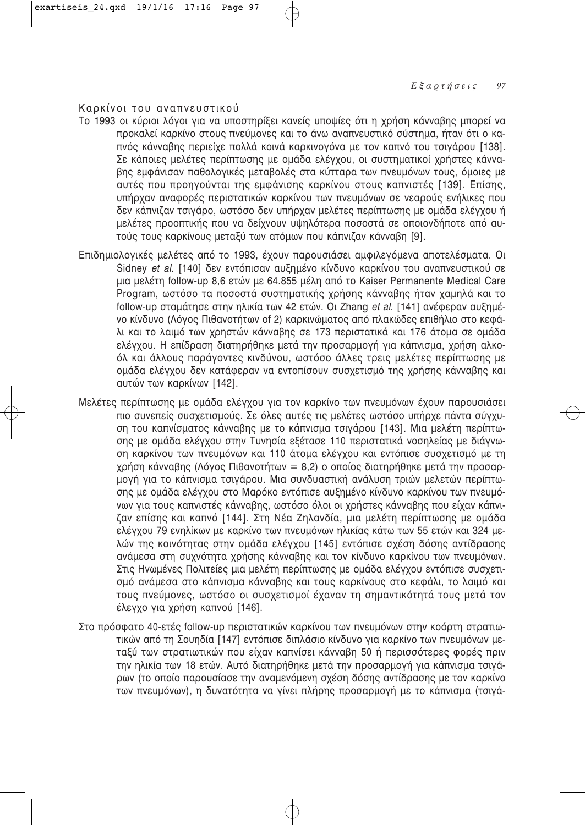## Καρκίνοι του αναπνευστικού

- Το 1993 οι κύριοι λόγοι για να υποστηρίξει κανείς υποψίες ότι η χρήση κάνναβης μπορεί να προκαλεί καρκίνο στους πνεύμονες και το άνω αναπνευστικό σύστημα, ήταν ότι ο καπνός κάνναβης περιείχε πολλά κοινά καρκινογόνα με τον καπνό του τσιγάρου [138]. Σε κάποιες μελέτες περίπτωσης με ομάδα ελέγχου, οι συστηματικοί χρήστες κάνναβης εμφάνισαν παθολογικές μεταβολές στα κύτταρα των πνευμόνων τους, όμοιες με αυτές που προηγούνται της εμφάνισης καρκίνου στους καπνιστές [139]. Επίσης, υπήρχαν αναφορές περιστατικών καρκίνου των πνευμόνων σε νεαρούς ενήλικες που δεν κάπνιζαν τσιγάρο, ωστόσο δεν υπήρχαν μελέτες περίπτωσης με ομάδα ελέγχου ή μελέτες προοπτικής που να δείχνουν υψηλότερα ποσοστά σε οποιονδήποτε από αυτούς τους καρκίνους μεταξύ των ατόμων που κάπνιζαν κάνναβη [9].
- Επιδημιολογικές μελέτες από το 1993, έχουν παρουσιάσει αμφιλεγόμενα αποτελέσματα. Οι Sidney *et al.* [140] δεν εντόπισαν αυξημένο κίνδυνο καρκίνου του αναπνευστικού σε μια μελέτη follow-up 8,6 ετών με 64.855 μέλη από το Kaiser Permanente Medical Care Program, ωστόσο τα ποσοστά συστηματικής χρήσης κάνναβης ήταν χαμηλά και το follow-up σταμάτησε στην ηλικία των 42 ετών. Οι Zhang *et al.* [141] ανέφεραν αυξημένο κίνδυνο (Λόγος Πιθανοτήτων of 2) καρκινώματος από πλακώδες επιθήλιο στο κεφάλι και το λαιμό των χρηστών κάνναβης σε 173 περιστατικά και 176 άτομα σε ομάδα ελέγχου. Η επίδραση διατηρήθηκε μετά την προσαρμογή για κάπνισμα, χρήση αλκοόλ και άλλους παράγοντες κινδύνου, ωστόσο άλλες τρεις μελέτες περίπτωσης με ομάδα ελέγχου δεν κατάφεραν να εντοπίσουν συσχετισμό της χρήσης κάνναβης και αυτών των καρκίνων [142].
- Μελέτες περίπτωσης με ομάδα ελέγχου για τον καρκίνο των πνευμόνων έχουν παρουσιάσει πιο συνεπείς συσχετισμούς. Σε όλες αυτές τις μελέτες ωστόσο υπήρχε πάντα σύγχυση του καπνίσματος κάνναβης με το κάπνισμα τσιγάρου [143]. Μια μελέτη περίπτωσης με ομάδα ελέγχου στην Τυνησία εξέτασε 110 περιστατικά νοσηλείας με διάγνωση καρκίνου των πνευμόνων και 110 άτομα ελέγχου και εντόπισε συσχετισμό με τη χρήση κάνναβης (Λόγος Πιθανοτήτων = 8,2) ο οποίος διατηρήθηκε μετά την προσαρμογή για το κάπνισμα τσιγάρου. Μια συνδυαστική ανάλυση τριών μελετών περίπτωσης με ομάδα ελέγχου στο Μαρόκο εντόπισε αυξημένο κίνδυνο καρκίνου των πνευμόνων για τους καπνιστές κάνναβης, ωστόσο όλοι οι χρήστες κάνναβης που είχαν κάπνιζαν επίσης και καπνό [144]. Στη Νέα Ζηλανδία, μια μελέτη περίπτωσης με ομάδα ελέγχου 79 ενηλίκων με καρκίνο των πνευμόνων ηλικίας κάτω των 55 ετών και 324 μελών της κοινότητας στην ομάδα ελέγχου [145] εντόπισε σχέση δόσης αντίδρασης ανάμεσα στη συχνότητα χρήσης κάνναβης και τον κίνδυνο καρκίνου των πνευμόνων. Στις Ηνωμένες Πολιτείες μια μελέτη περίπτωσης με ομάδα ελέγχου εντόπισε συσχετισμό ανάμεσα στο κάπνισμα κάνναβης και τους καρκίνους στο κεφάλι, το λαιμό και τους πνεύμονες, ωστόσο οι συσχετισμοί έχαναν τη σημαντικότητά τους μετά τον έλεγχο για χρήση καπνού [146].
- Στο πρόσφατο 40-ετές follow-up περιστατικών καρκίνου των πνευμόνων στην κοόρτη στρατιωτικών από τη Σουηδία [147] εντόπισε διπλάσιο κίνδυνο για καρκίνο των πνευμόνων μεταξύ των στρατιωτικών που είχαν καπνίσει κάνναβη 50 ή περισσότερες φορές πριν την ηλικία των 18 ετών. Αυτό διατηρήθηκε μετά την προσαρμονή για κάπνισμα τσινάρων (το οποίο παρουσίασε την αναμενόμενη σχέση δόσης αντίδρασης με τον καρκίνο των πνευμόνων), η δυνατότητα να γίνει πλήρης προσαρμογή με το κάπνισμα (τσιγά-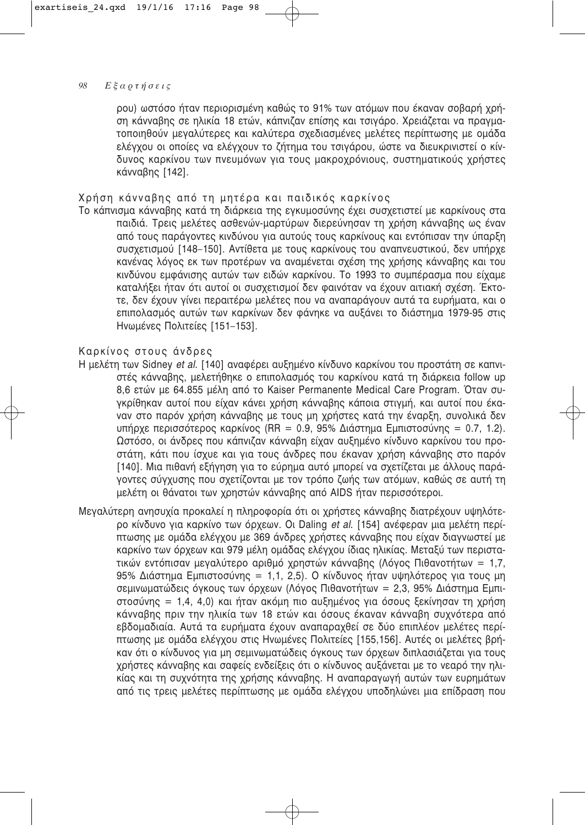ρου) ωστόσο ήταν περιορισμένη καθώς το 91% των ατόμων που έκαναν σοβαρή χρήση κάνναβης σε ηλικία 18 ετών, κάπνιζαν επίσης και τσιγάρο. Χρειάζεται να πραγματοποιηθούν μεγαλύτερες και καλύτερα σχεδιασμένες μελέτες περίπτωσης με ομάδα ελέγχου οι οποίες να ελέγχουν το ζήτημα του τσιγάρου, ώστε να διευκρινιστεί ο κίνδυνος καρκίνου των πνευμόνων για τους μακροχρόνιους, συστηματικούς χρήστες κάνναβης [142].

## Χρήση κάνναβης από τη μητέρα και παιδικός καρκίνος

Το κάπνισμα κάνναβης κατά τη διάρκεια της εγκυμοσύνης έχει συσχετιστεί με καρκίνους στα παιδιά. Τρεις μελέτες ασθενών-μαρτύρων διερεύνησαν τη χρήση κάνναβης ως έναν από τους παράγοντες κινδύνου για αυτούς τους καρκίνους και εντόπισαν την ύπαρξη συσχετισμού [148–150]. Αντίθετα με τους καρκίνους του αναπνευστικού, δεν υπήρχε κανένας λόγος εκ των προτέρων να αναμένεται σχέση της χρήσης κάνναβης και του κινδύνου εμφάνισης αυτών των ειδών καρκίνου. Το 1993 το συμπέρασμα που είχαμε καταλήξει ήταν ότι αυτοί οι συσχετισμοί δεν φαινόταν να έχουν αιτιακή σχέση. Έκτοτε, δεν έχουν γίνει περαιτέρω μελέτες που να αναπαράγουν αυτά τα ευρήματα, και ο επιπολασμός αυτών των καρκίνων δεν φάνηκε να αυξάνει το διάστημα 1979-95 στις Ηνωμένες Πολιτείες [151-153].

# Καρκίνος στους άνδρες

Η μελέτη των Sidney *et al.* [140] αναφέρει αυξημένο κίνδυνο καρκίνου του προστάτη σε καπνιστές κάνναβης, μελετήθηκε ο επιπολασμός του καρκίνου κατά τη διάρκεια follow up 8,6 ετών με 64.855 μέλη από το Kaiser Permanente Medical Care Program. Όταν συγκρίθηκαν αυτοί που είχαν κάνει χρήση κάνναβης κάποια στιγμή, και αυτοί που έκαναν στο παρόν χρήση κάνναβης με τους μη χρήστες κατά την έναρξη, συνολικά δεν υπήρχε περισσότερος καρκίνος (RR = 0.9, 95% Διάστημα Εμπιστοσύνης = 0.7, 1.2). Ωστόσο, οι άνδρες που κάπνιζαν κάνναβη είχαν αυξημένο κίνδυνο καρκίνου του προστάτη, κάτι που ίσχυε και για τους άνδρες που έκαναν χρήση κάνναβης στο παρόν [140]. Μια πιθανή εξήνηση για το εύρημα αυτό μπορεί να σχετίζεται με άλλους παράγοντες σύγχυσης που σχετίζονται με τον τρόπο ζωής των ατόμων, καθώς σε αυτή τη μελέτη οι θάνατοι των χρηστών κάνναβης από AIDS ήταν περισσότεροι.

Μεγαλύτερη ανησυχία προκαλεί η πληροφορία ότι οι χρήστες κάνναβης διατρέχουν υψηλότερο κίνδυνο για καρκίνο των όρχεων. Οι Daling *et al.* [154] ανέφεραν μια μελέτη περίπτωσης με ομάδα ελέγχου με 369 άνδρες χρήστες κάνναβης που είχαν διαγνωστεί με καρκίνο των όρχεων και 979 μέλη ομάδας ελέγχου ίδιας ηλικίας. Μεταξύ των περιστατικών εντόπισαν μεγαλύτερο αριθμό χρηστών κάνναβης (Λόγος Πιθανοτήτων = 1,7, 95% Διάστημα Εμπιστοσύνης = 1,1, 2,5). Ο κίνδυνος ήταν υψηλότερος για τους μη σεμινωματώδεις όγκους των όρχεων (Λόγος Πιθανοτήτων = 2,3, 95% Διάστημα Εμπιστοσύνης = 1,4, 4,0) και ήταν ακόμη πιο αυξημένος για όσους ξεκίνησαν τη χρήση κάνναβης πριν την ηλικία των 18 ετών και όσους έκαναν κάνναβη συχνότερα από εβδομαδιαία. Αυτά τα ευρήματα έχουν αναπαραχθεί σε δύο επιπλέον μελέτες περίπτωσης με ομάδα ελέγχου στις Ηνωμένες Πολιτείες [155,156]. Αυτές οι μελέτες βρήκαν ότι ο κίνδυνος για μη σεμινωματώδεις όγκους των όρχεων διπλασιάζεται για τους χρήστες κάνναβης και σαφείς ενδείξεις ότι ο κίνδυνος αυξάνεται με το νεαρό την ηλικίας και τη συχνότητα της χρήσης κάνναβης. Η αναπαραγωγή αυτών των ευρημάτων από τις τρεις μελέτες περίπτωσης με ομάδα ελέγχου υποδηλώνει μια επίδραση που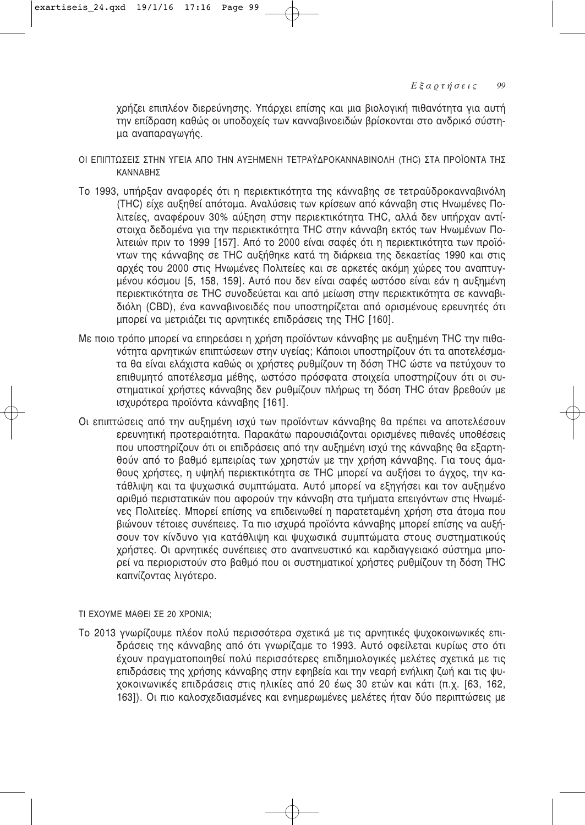exartiseis 24.qxd 19/1/16 17:16 Page 99

χρήζει επιπλέον διερεύνησης. Υπάρχει επίσης και μια βιολογική πιθανότητα για αυτή την επίδραση καθώς οι υποδοχείς των κανναβινοειδών βρίσκονται στο ανδρικό σύστημα αναπαραγωγής.

- ΟΙ ΕΠΙΠΤΩΣΕΙΣ ΣΤΗΝ ΥΓΕΙΑ ΑΠΟ ΤΗΝ ΑΥΞΗΜΕΝΗ ΤΕΤΡΑΫ́ΔΡΟΚΑΝΝΑΒΙΝΟΛΗ (ΤΗC) ΣΤΑ ΠΡΟΪ́ΟΝΤΑ ΤΗΣ ΚΑΝΝΑΒΗΣ
- Το 1993, υπήρξαν αναφορές ότι η περιεκτικότητα της κάνναβης σε τετραϋδροκανναβινόλη (THC) είχε αυξηθεί απότομα. Αναλύσεις των κρίσεων από κάνναβη στις Ηνωμένες Πολιτείες, αναφέρουν 30% αύξηση στην περιεκτικότητα THC, αλλά δεν υπήρχαν αντίστοιχα δεδομένα για την περιεκτικότητα THC στην κάνναβη εκτός των Ηνωμένων Πολιτειών πριν το 1999 [157]. Από το 2000 είναι σαφές ότι η περιεκτικότητα των προϊόντων της κάνναβης σε THC αυξήθηκε κατά τη διάρκεια της δεκαετίας 1990 και στις αρχές του 2000 στις Ηνωμένες Πολιτείες και σε αρκετές ακόμη χώρες του αναπτυνµένου κόσμου [5, 158, 159]. Αυτό που δεν είναι σαφές ωστόσο είναι εάν η αυξημένη περιεκτικότητα σε THC συνοδεύεται και από μείωση στην περιεκτικότητα σε κανναβιδιόλη (CBD), ένα κανναβινοειδές που υποστηρίζεται από ορισμένους ερευνητές ότι μπορεί να μετριάζει τις αρνητικές επιδράσεις της THC [160].
- Με ποιο τρόπο μπορεί να επηρεάσει η χρήση προϊόντων κάνναβης με αυξημένη THC την πιθανότητα αρνητικών επιπτώσεων στην υγείας; Κάποιοι υποστηρίζουν ότι τα αποτελέσματα θα είναι ελάχιστα καθώς οι χρήστες ρυθμίζουν τη δόση THC ώστε να πετύχουν το επιθυμητό αποτέλεσμα μέθης, ωστόσο πρόσφατα στοιχεία υποστηρίζουν ότι οι συστηματικοί χρήστες κάνναβης δεν ρυθμίζουν πλήρως τη δόση THC όταν βρεθούν με ισχυρότερα προϊόντα κάνναβης [161].
- Οι επιπτώσεις από την αυξημένη ισχύ των προϊόντων κάνναβης θα πρέπει να αποτελέσουν ερευνητική προτεραιότητα. Παρακάτω παρουσιάζονται ορισμένες πιθανές υποθέσεις που υποστηρίζουν ότι οι επιδράσεις από την αυξημένη ισχύ της κάνναβης θα εξαρτηθούν από το βαθμό εμπειρίας των χρηστών με την χρήση κάνναβης. Για τους άμαθους χρήστες, η υψηλή περιεκτικότητα σε THC μπορεί να αυξήσει το άγχος, την κατάθλιψη και τα ψυχωσικά συμπτώματα. Αυτό μπορεί να εξηγήσει και τον αυξημένο αριθμό περιστατικών που αφορούν την κάνναβη στα τμήματα επειγόντων στις Ηνωμένες Πολιτείες. Μπορεί επίσης να επιδεινωθεί η παρατεταμένη χρήση στα άτομα που βιώνουν τέτοιες συνέπειες. Τα πιο ισχυρά προϊόντα κάνναβης μπορεί επίσης να αυξήσουν τον κίνδυνο για κατάθλιψη και ψυχωσικά συμπτώματα στους συστηματικούς χρήστες. Οι αρνητικές συνέπειες στο αναπνευστικό και καρδιαγγειακό σύστημα μπορεί να περιοριστούν στο βαθμό που οι συστηματικοί χρήστες ρυθμίζουν τη δόση THC καπνίζοντας λινότερο.

## ΤΙ ΕΧΟΥΜΕ ΜΑΘΕΙ ΣΕ 20 ΧΡΟΝΙΑ;

Το 2013 γνωρίζουμε πλέον πολύ περισσότερα σχετικά με τις αρνητικές ψυχοκοινωνικές επιδράσεις της κάνναβης από ότι γνωρίζαμε το 1993. Αυτό οφείλεται κυρίως στο ότι έχουν πραγματοποιηθεί πολύ περισσότερες επιδημιολογικές μελέτες σχετικά με τις επιδράσεις της χρήσης κάνναβης στην εφηβεία και την νεαρή ενήλικη ζωή και τις ψυχοκοινωνικές επιδράσεις στις ηλικίες από 20 έως 30 ετών και κάτι (π.χ. [63, 162, 163]). Οι πιο καλοσχεδιασμένες και ενημερωμένες μελέτες ήταν δύο περιπτώσεις με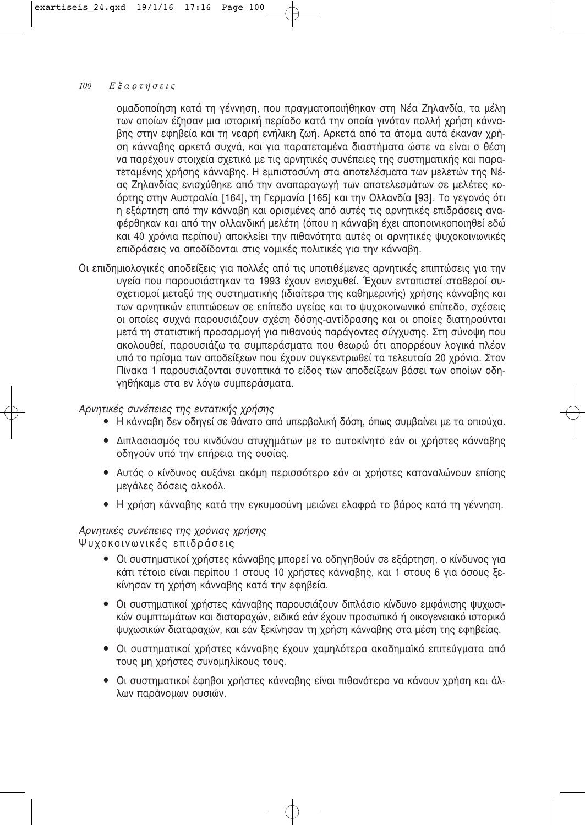ομαδοποίηση κατά τη γέννηση, που πραγματοποιήθηκαν στη Νέα Ζηλανδία, τα μέλη των οποίων έζησαν μια ιστορική περίοδο κατά την οποία γινόταν πολλή χρήση κάνναβης στην εφηβεία και τη νεαρή ενήλικη ζωή. Αρκετά από τα άτομα αυτά έκαναν χρήση κάνναβης αρκετά συχνά, και για παρατεταμένα διαστήματα ώστε να είναι σ θέση να παρέχουν στοιχεία σχετικά με τις αρνητικές συνέπειες της συστηματικής και παρατεταμένης χρήσης κάνναβης. Η εμπιστοσύνη στα αποτελέσματα των μελετών της Νέας Ζηλανδίας ενισχύθηκε από την αναπαραγωγή των αποτελεσμάτων σε μελέτες κοόρτης στην Αυστραλία [164], τη Γερμανία [165] και την Ολλανδία [93]. Το γεγονός ότι η εξάρτηση από την κάνναβη και ορισμένες από αυτές τις αρνητικές επιδράσεις αναφέρθηκαν και από την ολλανδική μελέτη (όπου η κάνναβη έχει αποποινικοποιηθεί εδώ και 40 χρόνια περίπου) αποκλείει την πιθανότητα αυτές οι αρνητικές ψυχοκοινωνικές επιδράσεις να αποδίδονται στις νομικές πολιτικές για την κάνναβη.

Οι επιδημιολογικές αποδείξεις για πολλές από τις υποτιθέμενες αρνητικές επιπτώσεις για την υγεία που παρουσιάστηκαν το 1993 έχουν ενισχυθεί. Έχουν εντοπιστεί σταθεροί συσχετισμοί μεταξύ της συστηματικής (ιδιαίτερα της καθημερινής) χρήσης κάνναβης και των αρνητικών επιπτώσεων σε επίπεδο υνείας και το ψυχοκοινωνικό επίπεδο, σχέσεις οι οποίες συχνά παρουσιάζουν σχέση δόσης-αντίδρασης και οι οποίες διατηρούνται μετά τη στατιστική προσαρμογή για πιθανούς παράγοντες σύγχυσης. Στη σύνοψη που ακολουθεί, παρουσιάζω τα συμπεράσματα που θεωρώ ότι απορρέουν λογικά πλέον υπό το πρίσμα των αποδείξεων που έχουν συγκεντρωθεί τα τελευταία 20 χρόνια. Στον Πίνακα 1 παρουσιάζονται συνοπτικά το είδος των αποδείξεων βάσει των οποίων οδηγηθήκαμε στα εν λόγω συμπεράσματα.

## *Aρνητικές συνέπειες της εντατικής χρήσης*

- Η κάνναβη δεν οδηγεί σε θάνατο από υπερβολική δόση, όπως συμβαίνει με τα οπιούχα.
- Διπλασιασμός του κινδύνου ατυχημάτων με το αυτοκίνητο εάν οι χρήστες κάνναβης οδηγούν υπό την επήρεια της ουσίας.
- Αυτός ο κίνδυνος αυξάνει ακόμη περισσότερο εάν οι χρήστες καταναλώνουν επίσης μεγάλες δόσεις αλκοόλ.
- $\bullet$  Η χρήση κάνναβης κατά την εγκυμοσύνη μειώνει ελαφρά το βάρος κατά τη γέννηση.

*Aρνητικές συνέπειες της χρόνιας χρήσης* Ψυχοκοινωνικές επιδράσεις

- Οι συστηματικοί χρήστες κάνναβης μπορεί να οδηγηθούν σε εξάρτηση, ο κίνδυνος για κάτι τέτοιο είναι περίπου 1 στους 10 χρήστες κάνναβης, και 1 στους 6 για όσους ξεκίνησαν τη χρήση κάνναβης κατά την εφηβεία.
- Οι συστηματικοί χρήστες κάνναβης παρουσιάζουν διπλάσιο κίνδυνο εμφάνισης ψυχωσικών συμπτωμάτων και διαταραχών, ειδικά εάν έχουν προσωπικό ή οικογενειακό ιστορικό ψυχωσικών διαταραχών, και εάν ξεκίνησαν τη χρήση κάνναβης στα μέση της εφηβείας.
- Οι συστηματικοί χρήστες κάνναβης έχουν χαμηλότερα ακαδημαϊκά επιτεύγματα από τους μη χρήστες συνομηλίκους τους.
- Οι συστηματικοί έφηβοι χρήστες κάνναβης είναι πιθανότερο να κάνουν χρήση και άλλων παράνομων ουσιών.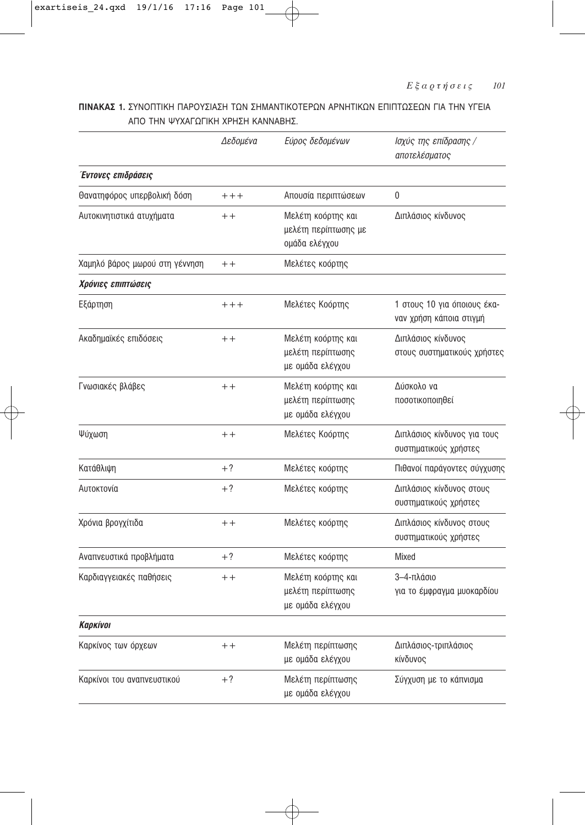# ΠΙΝΑΚΑΣ 1. ΣΥΝΟΠΤΙΚΗ ΠΑΡΟΥΣΙΑΣΗ ΤΩΝ ΣΗΜΑΝΤΙΚΟΤΕΡΩΝ ΑΡΝΗΤΙΚΩΝ ΕΠΙΠΤΩΣΕΩΝ ΓΙΑ ΤΗΝ ΥΓΕΙΑ ΑΠΟ ΤΗΝ ΨΥΧΑΓΩΓΙΚΗ ΧΡΗΣΗ ΚΑΝΝΑΒΗΣ.

exartiseis\_24.qxd 19/1/16 17:16 Page 101

|                                | Δεδομένα | Εύρος δεδομένων                                             | Ισχύς της επίδρασης /<br>αποτελέσματος                 |
|--------------------------------|----------|-------------------------------------------------------------|--------------------------------------------------------|
| Έντονες επιδράσεις             |          |                                                             |                                                        |
| Θανατηφόρος υπερβολική δόση    | $+++$    | Απουσία περιπτώσεων                                         | 0                                                      |
| Αυτοκινητιστικά ατυχήματα      | $+ +$    | Μελέτη κοόρτης και<br>μελέτη περίπτωσης με<br>ομάδα ελέγχου | Διπλάσιος κίνδυνος                                     |
| Χαμηλό βάρος μωρού στη γέννηση | $+ +$    | Μελέτες κοόρτης                                             |                                                        |
| Χρόνιες επιπτώσεις             |          |                                                             |                                                        |
| Εξάρτηση                       | $++++$   | Μελέτες Κοόρτης                                             | 1 στους 10 για όποιους έκα-<br>ναν χρήση κάποια στιγμή |
| Ακαδημαϊκές επιδόσεις          | $+ +$    | Μελέτη κοόρτης και<br>μελέτη περίπτωσης<br>με ομάδα ελέγχου | Διπλάσιος κίνδυνος<br>στους συστηματικούς χρήστες      |
| Γνωσιακές βλάβες               | $+ +$    | Μελέτη κοόρτης και<br>μελέτη περίπτωσης<br>με ομάδα ελέγχου | Δύσκολο να<br>ποσοτικοποιηθεί                          |
| Ψύχωση                         | $+ +$    | Μελέτες Κοόρτης                                             | Διπλάσιος κίνδυνος για τους<br>συστηματικούς χρήστες   |
| Κατάθλιψη                      | $+?$     | Μελέτες κοόρτης                                             | Πιθανοί παράγοντες σύγχυσης                            |
| Αυτοκτονία                     | $+?$     | Μελέτες κοόρτης                                             | Διπλάσιος κίνδυνος στους<br>συστηματικούς χρήστες      |
| Χρόνια βρογχίτιδα              | $+ +$    | Μελέτες κοόρτης                                             | Διπλάσιος κίνδυνος στους<br>συστηματικούς χρήστες      |
| Αναπνευστικά προβλήματα        | $+?$     | Μελέτες κοόρτης                                             | Mixed                                                  |
| Καρδιαγγειακές παθήσεις        | $+ +$    | Μελέτη κοόρτης και<br>μελέτη περίπτωσης<br>με ομάδα ελέγχου | 3-4-πλάσιο<br>για το έμφραγμα μυοκαρδίου               |
| Καρκίνοι                       |          |                                                             |                                                        |
| Καρκίνος των όρχεων            | $+ +$    | Μελέτη περίπτωσης<br>με ομάδα ελέγχου                       | Διπλάσιος-τριπλάσιος<br>κίνδυνος                       |
| Καρκίνοι του αναπνευστικού     | $+?$     | Μελέτη περίπτωσης<br>με ομάδα ελέγχου                       | Σύγχυση με το κάπνισμα                                 |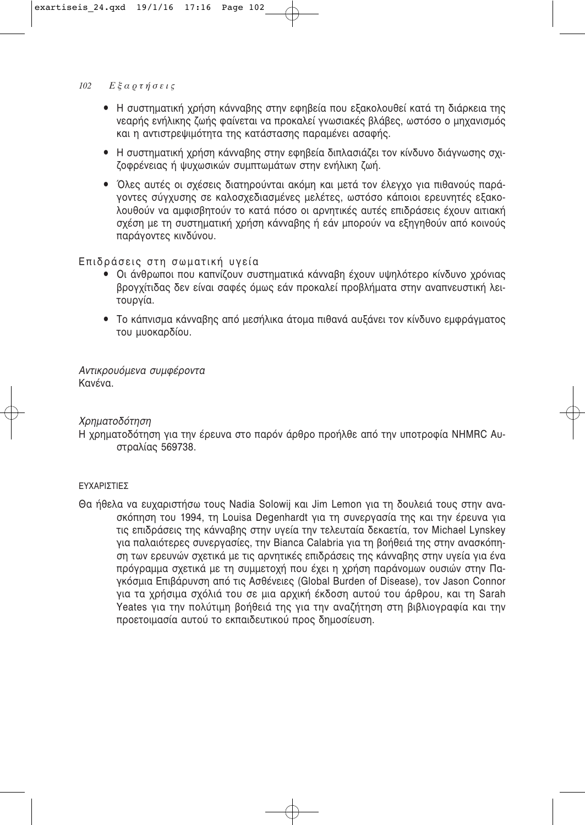- Η συστηματική χρήση κάνναβης στην εφηβεία που εξακολουθεί κατά τη διάρκεια της νεαρής ενήλικης ζωής φαίνεται να προκαλεί γνωσιακές βλάβες, ωστόσο ο μηχανισμός και η αντιστρεψιμότητα της κατάστασης παραμένει ασαφής.
- Η συστηματική χρήση κάνναβης στην εφηβεία διπλασιάζει τον κίνδυνο διάννωσης σχιζοφρένειας ή ψυχωσικών συμπτωμάτων στην ενήλικη ζωή.
- Όλες αυτές οι σχέσεις διατηρούνται ακόμη και μετά τον έλεγχο για πιθανούς παράγοντες σύγχυσης σε καλοσχεδιασμένες μελέτες, ωστόσο κάποιοι ερευνητές εξακολουθούν να αμφισβητούν το κατά πόσο οι αρνητικές αυτές επιδράσεις έχουν αιτιακή σχέση με τη συστηματική χρήση κάνναβης ή εάν μπορούν να εξηγηθούν από κοινούς παράγοντες κινδύνου.

# Επιδράσεις στη σωματική υγεία

- Οι άνθρωποι που καπνίζουν συστηματικά κάνναβη έχουν υψηλότερο κίνδυνο χρόνιας βρονχίτιδας δεν είναι σαφές όμως εάν προκαλεί προβλήματα στην αναπνευστική λειτουρνία.
- Το κάπνισμα κάνναβης από μεσήλικα άτομα πιθανά αυξάνει τον κίνδυνο εμφράγματος του μυοκαρδίου.

Αντικρουόμενα συμφέροντα Κανένα

# Χρηματοδότηση

Η χρηματοδότηση για την έρευνα στο παρόν άρθρο προήλθε από την υποτροφία ΝΗΜRC Αυστραλίας 569738.

# ΕΥΧΑΡΙΣΤΙΕΣ

Θα ήθελα να ευχαριστήσω τους Nadia Solowij και Jim Lemon για τη δουλειά τους στην ανασκόπηση του 1994, τη Louisa Degenhardt για τη συνεργασία της και την έρευνα για τις επιδράσεις της κάνναβης στην υγεία την τελευταία δεκαετία, τον Michael Lynskey για παλαιότερες συνεργασίες, την Bianca Calabria για τη βοήθειά της στην ανασκόπηση των ερευνών σχετικά με τις αρνητικές επιδράσεις της κάνναβης στην υγεία για ένα πρόγραμμα σχετικά με τη συμμετοχή που έχει η χρήση παράνομων ουσιών στην Παγκόσμια Επιβάρυνση από τις Ασθένειες (Global Burden of Disease), τον Jason Connor για τα χρήσιμα σχόλιά του σε μια αρχική έκδοση αυτού του άρθρου, και τη Sarah Yeates για την πολύτιμη βοήθειά της για την αναζήτηση στη βιβλιογραφία και την προετοιμασία αυτού το εκπαιδευτικού προς δημοσίευση.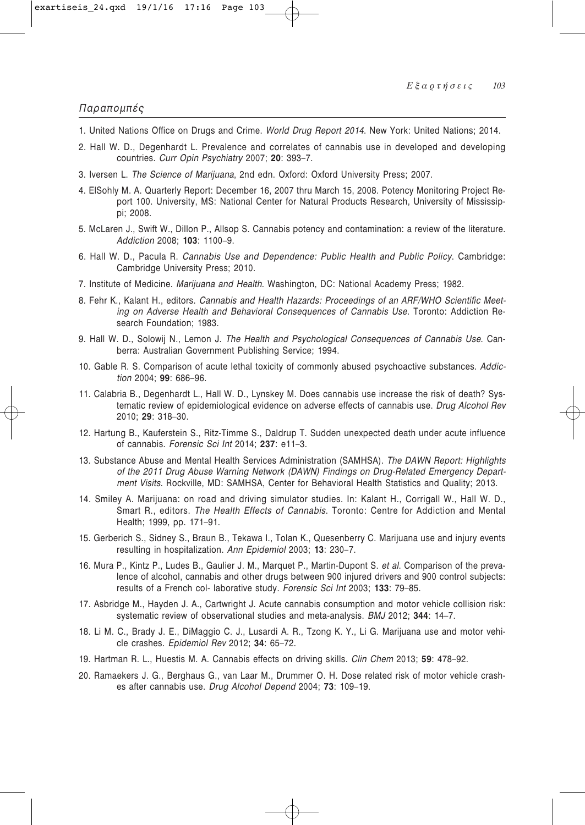## Παραπομπές

1. United Nations Office on Drugs and Crime. World Drug Report 2014. New York: United Nations; 2014.

- 2. Hall W. D., Degenhardt L. Prevalence and correlates of cannabis use in developed and developing countries. Curr Opin Psychiatry 2007; 20: 393-7.
- 3. Iversen L. The Science of Marijuana, 2nd edn. Oxford: Oxford University Press; 2007.
- 4. ElSohly M. A. Quarterly Report: December 16, 2007 thru March 15, 2008. Potency Monitoring Project Report 100. University, MS: National Center for Natural Products Research, University of Mississippi; 2008.
- 5. McLaren J., Swift W., Dillon P., Allsop S. Cannabis potency and contamination: a review of the literature. Addiction 2008; 103: 1100-9.
- 6. Hall W. D., Pacula R. Cannabis Use and Dependence: Public Health and Public Policy. Cambridge: Cambridge University Press; 2010.
- 7. Institute of Medicine. Marijuana and Health. Washington, DC: National Academy Press; 1982.
- 8. Fehr K., Kalant H., editors. Cannabis and Health Hazards: Proceedings of an ARF/WHO Scientific Meeting on Adverse Health and Behavioral Consequences of Cannabis Use. Toronto: Addiction Research Foundation; 1983.
- 9. Hall W. D., Solowij N., Lemon J. The Health and Psychological Consequences of Cannabis Use. Canberra: Australian Government Publishing Service; 1994.
- 10. Gable R. S. Comparison of acute lethal toxicity of commonly abused psychoactive substances. Addiction 2004; 99: 686-96.
- 11. Calabria B., Degenhardt L., Hall W. D., Lynskey M. Does cannabis use increase the risk of death? Systematic review of epidemiological evidence on adverse effects of cannabis use. Drug Alcohol Rev 2010; 29: 318-30.
- 12. Hartung B., Kauferstein S., Ritz-Timme S., Daldrup T. Sudden unexpected death under acute influence of cannabis. Forensic Sci Int 2014; 237: e11-3.
- 13. Substance Abuse and Mental Health Services Administration (SAMHSA). The DAWN Report: Highlights of the 2011 Drug Abuse Warning Network (DAWN) Findings on Drug-Related Emergency Department Visits. Rockville, MD: SAMHSA, Center for Behavioral Health Statistics and Quality; 2013.
- 14. Smiley A. Marijuana: on road and driving simulator studies. In: Kalant H., Corrigall W., Hall W. D., Smart R., editors. The Health Effects of Cannabis. Toronto: Centre for Addiction and Mental Health; 1999, pp. 171-91.
- 15. Gerberich S., Sidney S., Braun B., Tekawa I., Tolan K., Quesenberry C. Marijuana use and injury events resulting in hospitalization. Ann Epidemiol 2003; 13: 230-7.
- 16. Mura P., Kintz P., Ludes B., Gaulier J. M., Marquet P., Martin-Dupont S. et al. Comparison of the prevalence of alcohol, cannabis and other drugs between 900 injured drivers and 900 control subjects: results of a French col- laborative study. Forensic Sci Int 2003; 133: 79-85.
- 17. Asbridge M., Hayden J. A., Cartwright J. Acute cannabis consumption and motor vehicle collision risk: systematic review of observational studies and meta-analysis. BMJ 2012; 344: 14-7.
- 18. Li M. C., Brady J. E., DiMaggio C. J., Lusardi A. R., Tzong K. Y., Li G. Marijuana use and motor vehicle crashes. Epidemiol Rev 2012; 34: 65-72.
- 19. Hartman R. L., Huestis M. A. Cannabis effects on driving skills. Clin Chem 2013; 59: 478-92.
- 20. Ramaekers J. G., Berghaus G., van Laar M., Drummer O. H. Dose related risk of motor vehicle crashes after cannabis use. Drug Alcohol Depend 2004; 73: 109-19.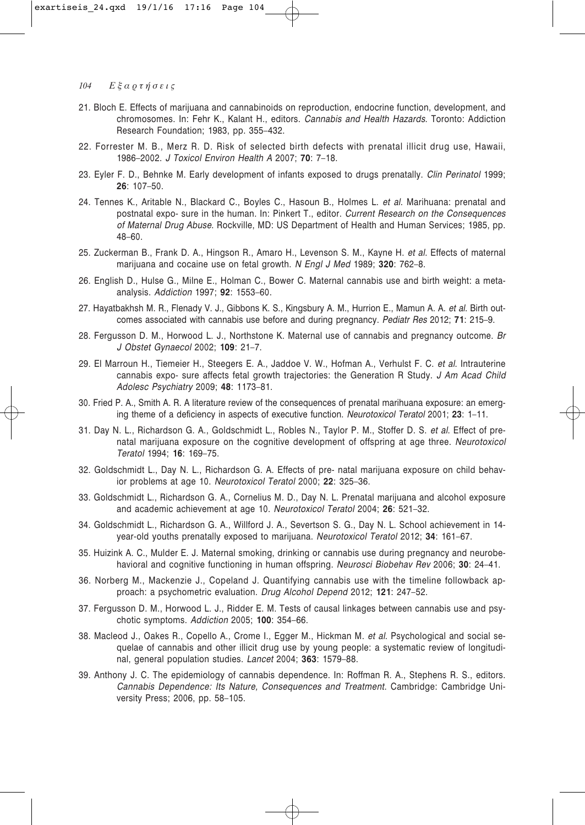- 21. Bloch E. Effects of marijuana and cannabinoids on reproduction, endocrine function, development, and chromosomes. In: Fehr K., Kalant H., editors. *Cannabis and Health Hazards*. Toronto: Addiction Research Foundation; 1983, pp. 355–432.
- 22. Forrester M. B., Merz R. D. Risk of selected birth defects with prenatal illicit drug use, Hawaii, 1986–2002. *J Toxicol Environ Health A* 2007; **70**: 7–18.
- 23. Eyler F. D., Behnke M. Early development of infants exposed to drugs prenatally. *Clin Perinatol* 1999; **26**: 107–50.
- 24. Tennes K., Aritable N., Blackard C., Boyles C., Hasoun B., Holmes L. *et al*. Marihuana: prenatal and postnatal expo- sure in the human. In: Pinkert T., editor. *Current Research on the Consequences of Maternal Drug Abuse*. Rockville, MD: US Department of Health and Human Services; 1985, pp. 48–60.
- 25. Zuckerman B., Frank D. A., Hingson R., Amaro H., Levenson S. M., Kayne H. *et al*. Effects of maternal marijuana and cocaine use on fetal growth. *N Engl J Med* 1989; **320**: 762–8.
- 26. English D., Hulse G., Milne E., Holman C., Bower C. Maternal cannabis use and birth weight: a metaanalysis. *Addiction* 1997; **92**: 1553–60.
- 27. Hayatbakhsh M. R., Flenady V. J., Gibbons K. S., Kingsbury A. M., Hurrion E., Mamun A. A. *et al*. Birth outcomes associated with cannabis use before and during pregnancy. *Pediatr Res* 2012; **71**: 215–9.
- 28. Fergusson D. M., Horwood L. J., Northstone K. Maternal use of cannabis and pregnancy outcome. *Br J Obstet Gynaecol* 2002; **109**: 21–7.
- 29. El Marroun H., Tiemeier H., Steegers E. A., Jaddoe V. W., Hofman A., Verhulst F. C. *et al*. Intrauterine cannabis expo- sure affects fetal growth trajectories: the Generation R Study. *J Am Acad Child Adolesc Psychiatry* 2009; **48**: 1173–81.
- 30. Fried P. A., Smith A. R. A literature review of the consequences of prenatal marihuana exposure: an emerging theme of a deficiency in aspects of executive function. *Neurotoxicol Teratol* 2001; **23**: 1–11.
- 31. Day N. L., Richardson G. A., Goldschmidt L., Robles N., Taylor P. M., Stoffer D. S. *et al*. Effect of prenatal marijuana exposure on the cognitive development of offspring at age three. *Neurotoxicol Teratol* 1994; **16**: 169–75.
- 32. Goldschmidt L., Day N. L., Richardson G. A. Effects of pre- natal marijuana exposure on child behavior problems at age 10. *Neurotoxicol Teratol* 2000; **22**: 325–36.
- 33. Goldschmidt L., Richardson G. A., Cornelius M. D., Day N. L. Prenatal marijuana and alcohol exposure and academic achievement at age 10. *Neurotoxicol Teratol* 2004; **26**: 521–32.
- 34. Goldschmidt L., Richardson G. A., Willford J. A., Severtson S. G., Day N. L. School achievement in 14 year-old youths prenatally exposed to marijuana. *Neurotoxicol Teratol* 2012; **34**: 161–67.
- 35. Huizink A. C., Mulder E. J. Maternal smoking, drinking or cannabis use during pregnancy and neurobehavioral and cognitive functioning in human offspring. *Neurosci Biobehav Rev* 2006; **30**: 24–41.
- 36. Norberg M., Mackenzie J., Copeland J. Quantifying cannabis use with the timeline followback approach: a psychometric evaluation. *Drug Alcohol Depend* 2012; **121**: 247–52.
- 37. Fergusson D. M., Horwood L. J., Ridder E. M. Tests of causal linkages between cannabis use and psychotic symptoms. *Addiction* 2005; **100**: 354–66.
- 38. Macleod J., Oakes R., Copello A., Crome I., Egger M., Hickman M. *et al*. Psychological and social sequelae of cannabis and other illicit drug use by young people: a systematic review of longitudinal, general population studies. *Lancet* 2004; **363**: 1579–88.
- 39. Anthony J. C. The epidemiology of cannabis dependence. In: Roffman R. A., Stephens R. S., editors. *Cannabis Dependence: Its Nature, Consequences and Treatment*. Cambridge: Cambridge University Press; 2006, pp. 58–105.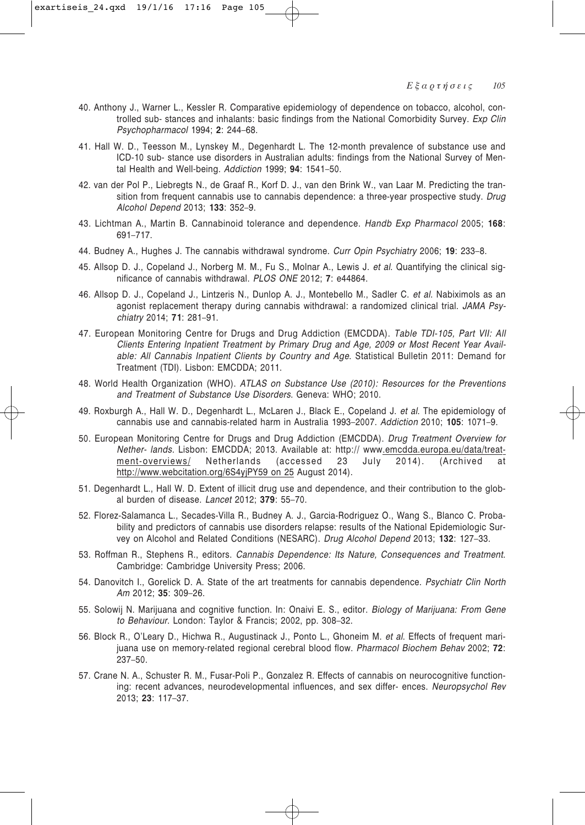exartiseis\_24.qxd 19/1/16 17:16 Page 105

- 40. Anthony J., Warner L., Kessler R. Comparative epidemiology of dependence on tobacco, alcohol, controlled sub- stances and inhalants: basic findings from the National Comorbidity Survey. *Exp Clin Psychopharmacol* 1994; **2**: 244–68.
- 41. Hall W. D., Teesson M., Lynskey M., Degenhardt L. The 12-month prevalence of substance use and ICD-10 sub- stance use disorders in Australian adults: findings from the National Survey of Mental Health and Well-being. *Addiction* 1999; **94**: 1541–50.
- 42. van der Pol P., Liebregts N., de Graaf R., Korf D. J., van den Brink W., van Laar M. Predicting the transition from frequent cannabis use to cannabis dependence: a three-year prospective study. *Drug Alcohol Depend* 2013; **133**: 352–9.
- 43. Lichtman A., Martin B. Cannabinoid tolerance and dependence. *Handb Exp Pharmacol* 2005; **168**: 691–717.
- 44. Budney A., Hughes J. The cannabis withdrawal syndrome. *Curr Opin Psychiatry* 2006; **19**: 233–8.
- 45. Allsop D. J., Copeland J., Norberg M. M., Fu S., Molnar A., Lewis J. *et al*. Quantifying the clinical significance of cannabis withdrawal. *PLOS ONE* 2012; **7**: e44864.
- 46. Allsop D. J., Copeland J., Lintzeris N., Dunlop A. J., Montebello M., Sadler C. *et al*. Nabiximols as an agonist replacement therapy during cannabis withdrawal: a randomized clinical trial. *JAMA Psychiatry* 2014; **71**: 281–91.
- 47. European Monitoring Centre for Drugs and Drug Addiction (EMCDDA). *Table TDI-105, Part VII: All Clients Entering Inpatient Treatment by Primary Drug and Age, 2009 or Most Recent Year Available: All Cannabis Inpatient Clients by Country and Age*. Statistical Bulletin 2011: Demand for Treatment (TDI). Lisbon: EMCDDA; 2011.
- 48. World Health Organization (WHO). *ATLAS on Substance Use (2010): Resources for the Preventions and Treatment of Substance Use Disorders*. Geneva: WHO; 2010.
- 49. Roxburgh A., Hall W. D., Degenhardt L., McLaren J., Black E., Copeland J. *et al*. The epidemiology of cannabis use and cannabis-related harm in Australia 1993–2007. *Addiction* 2010; **105**: 1071–9.
- 50. European Monitoring Centre for Drugs and Drug Addiction (EMCDDA). *Drug Treatment Overview for Nether- lands*. Lisbon: EMCDDA; 2013. Available at: http:// www.emcdda.europa.eu/data/treatment-overviews/ Netherlands (accessed 23 July 2014). (Archived at http://www.webcitation.org/6S4yjPY59 on 25 August 2014).
- 51. Degenhardt L., Hall W. D. Extent of illicit drug use and dependence, and their contribution to the global burden of disease. *Lancet* 2012; **379**: 55–70.
- 52. Florez-Salamanca L., Secades-Villa R., Budney A. J., Garcia-Rodriguez O., Wang S., Blanco C. Probability and predictors of cannabis use disorders relapse: results of the National Epidemiologic Survey on Alcohol and Related Conditions (NESARC). *Drug Alcohol Depend* 2013; **132**: 127–33.
- 53. Roffman R., Stephens R., editors. *Cannabis Dependence: Its Nature, Consequences and Treatment*. Cambridge: Cambridge University Press; 2006.
- 54. Danovitch I., Gorelick D. A. State of the art treatments for cannabis dependence. *Psychiatr Clin North Am* 2012; **35**: 309–26.
- 55. Solowij N. Marijuana and cognitive function. In: Onaivi E. S., editor. *Biology of Marijuana: From Gene to Behaviour*. London: Taylor & Francis; 2002, pp. 308–32.
- 56. Block R., O'Leary D., Hichwa R., Augustinack J., Ponto L., Ghoneim M. *et al*. Effects of frequent marijuana use on memory-related regional cerebral blood flow. *Pharmacol Biochem Behav* 2002; **72**: 237–50.
- 57. Crane N. A., Schuster R. M., Fusar-Poli P., Gonzalez R. Effects of cannabis on neurocognitive functioning: recent advances, neurodevelopmental influences, and sex differ- ences. *Neuropsychol Rev* 2013; **23**: 117–37.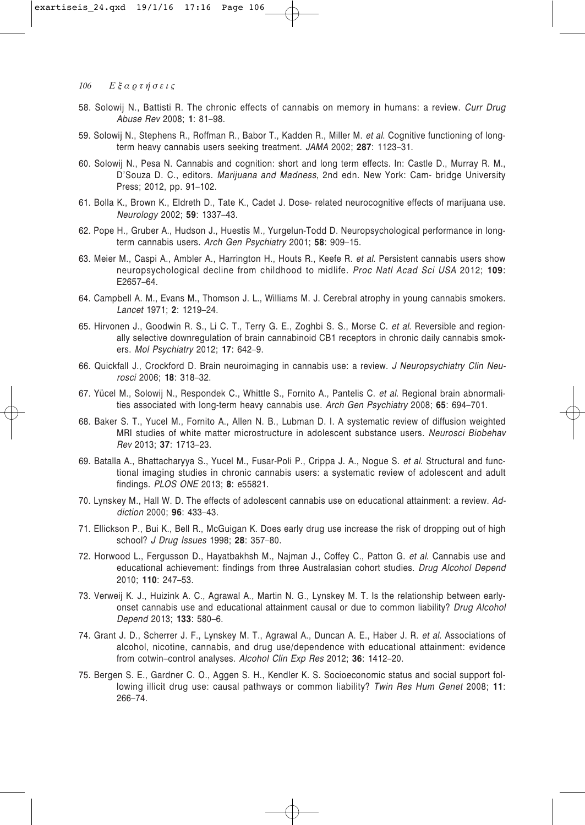- 58. Solowij N., Battisti R. The chronic effects of cannabis on memory in humans: a review. *Curr Drug Abuse Rev* 2008; **1**: 81–98.
- 59. Solowij N., Stephens R., Roffman R., Babor T., Kadden R., Miller M. *et al*. Cognitive functioning of longterm heavy cannabis users seeking treatment. *JAMA* 2002; **287**: 1123–31.
- 60. Solowij N., Pesa N. Cannabis and cognition: short and long term effects. In: Castle D., Murray R. M., D'Souza D. C., editors. *Marijuana and Madness*, 2nd edn. New York: Cam- bridge University Press; 2012, pp. 91–102.
- 61. Bolla K., Brown K., Eldreth D., Tate K., Cadet J. Dose- related neurocognitive effects of marijuana use. *Neurology* 2002; **59**: 1337–43.
- 62. Pope H., Gruber A., Hudson J., Huestis M., Yurgelun-Todd D. Neuropsychological performance in longterm cannabis users. *Arch Gen Psychiatry* 2001; **58**: 909–15.
- 63. Meier M., Caspi A., Ambler A., Harrington H., Houts R., Keefe R. *et al*. Persistent cannabis users show neuropsychological decline from childhood to midlife. *Proc Natl Acad Sci USA* 2012; **109**: E2657–64.
- 64. Campbell A. M., Evans M., Thomson J. L., Williams M. J. Cerebral atrophy in young cannabis smokers. *Lancet* 1971; **2**: 1219–24.
- 65. Hirvonen J., Goodwin R. S., Li C. T., Terry G. E., Zoghbi S. S., Morse C. *et al*. Reversible and regionally selective downregulation of brain cannabinoid CB1 receptors in chronic daily cannabis smokers. *Mol Psychiatry* 2012; **17**: 642–9.
- 66. Quickfall J., Crockford D. Brain neuroimaging in cannabis use: a review. *J Neuropsychiatry Clin Neurosci* 2006; **18**: 318–32.
- 67. Yücel M., Solowij N., Respondek C., Whittle S., Fornito A., Pantelis C. *et al*. Regional brain abnormalities associated with long-term heavy cannabis use. *Arch Gen Psychiatry* 2008; **65**: 694–701.
- 68. Baker S. T., Yucel M., Fornito A., Allen N. B., Lubman D. I. A systematic review of diffusion weighted MRI studies of white matter microstructure in adolescent substance users. *Neurosci Biobehav Rev* 2013; **37**: 1713–23.
- 69. Batalla A., Bhattacharyya S., Yucel M., Fusar-Poli P., Crippa J. A., Nogue S. *et al*. Structural and functional imaging studies in chronic cannabis users: a systematic review of adolescent and adult findings. *PLOS ONE* 2013; **8**: e55821.
- 70. Lynskey M., Hall W. D. The effects of adolescent cannabis use on educational attainment: a review. *Addiction* 2000; **96**: 433–43.
- 71. Ellickson P., Bui K., Bell R., McGuigan K. Does early drug use increase the risk of dropping out of high school? *J Drug Issues* 1998; **28**: 357–80.
- 72. Horwood L., Fergusson D., Hayatbakhsh M., Najman J., Coffey C., Patton G. *et al*. Cannabis use and educational achievement: findings from three Australasian cohort studies. *Drug Alcohol Depend* 2010; **110**: 247–53.
- 73. Verweij K. J., Huizink A. C., Agrawal A., Martin N. G., Lynskey M. T. Is the relationship between earlyonset cannabis use and educational attainment causal or due to common liability? *Drug Alcohol Depend* 2013; **133**: 580–6.
- 74. Grant J. D., Scherrer J. F., Lynskey M. T., Agrawal A., Duncan A. E., Haber J. R. *et al*. Associations of alcohol, nicotine, cannabis, and drug use/dependence with educational attainment: evidence from cotwin–control analyses. *Alcohol Clin Exp Res* 2012; **36**: 1412–20.
- 75. Bergen S. E., Gardner C. O., Aggen S. H., Kendler K. S. Socioeconomic status and social support following illicit drug use: causal pathways or common liability? *Twin Res Hum Genet* 2008; **11**: 266–74.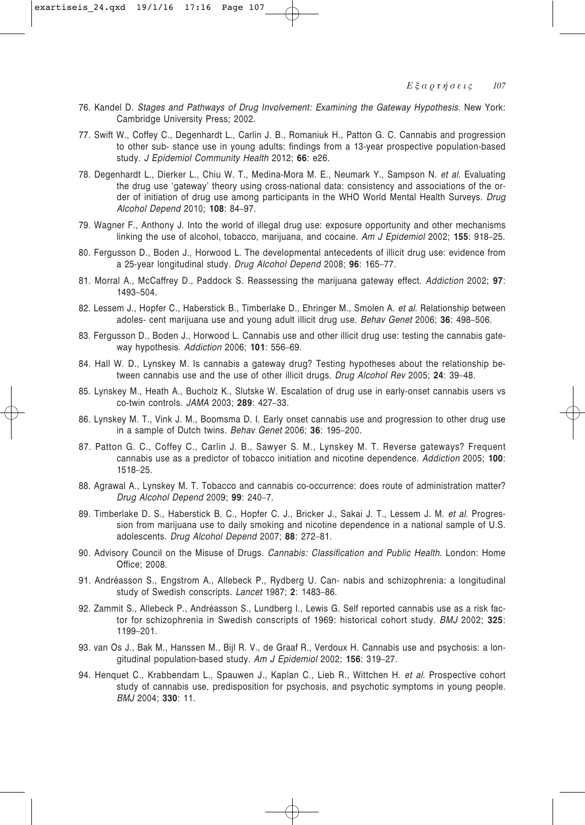exartiseis\_24.qxd 19/1/16 17:16 Page 107

- 76. Kandel D. *Stages and Pathways of Drug Involvement: Examining the Gateway Hypothesis*. New York: Cambridge University Press; 2002.
- 77. Swift W., Coffey C., Degenhardt L., Carlin J. B., Romaniuk H., Patton G. C. Cannabis and progression to other sub- stance use in young adults: findings from a 13-year prospective population-based study. *J Epidemiol Community Health* 2012; **66**: e26.
- 78. Degenhardt L., Dierker L., Chiu W. T., Medina-Mora M. E., Neumark Y., Sampson N. *et al*. Evaluating the drug use 'gateway' theory using cross-national data: consistency and associations of the order of initiation of drug use among participants in the WHO World Mental Health Surveys. *Drug Alcohol Depend* 2010; **108**: 84–97.
- 79. Wagner F., Anthony J. Into the world of illegal drug use: exposure opportunity and other mechanisms linking the use of alcohol, tobacco, marijuana, and cocaine. *Am J Epidemiol* 2002; **155**: 918–25.
- 80. Fergusson D., Boden J., Horwood L. The developmental antecedents of illicit drug use: evidence from a 25-year longitudinal study. *Drug Alcohol Depend* 2008; **96**: 165–77.
- 81. Morral A., McCaffrey D., Paddock S. Reassessing the marijuana gateway effect. *Addiction* 2002; **97**: 1493–504.
- 82. Lessem J., Hopfer C., Haberstick B., Timberlake D., Ehringer M., Smolen A. *et al*. Relationship between adoles- cent marijuana use and young adult illicit drug use. *Behav Genet* 2006; **36**: 498–506.
- 83. Fergusson D., Boden J., Horwood L. Cannabis use and other illicit drug use: testing the cannabis gateway hypothesis. *Addiction* 2006; **101**: 556–69.
- 84. Hall W. D., Lynskey M. Is cannabis a gateway drug? Testing hypotheses about the relationship between cannabis use and the use of other illicit drugs. *Drug Alcohol Rev* 2005; **24**: 39–48.
- 85. Lynskey M., Heath A., Bucholz K., Slutske W. Escalation of drug use in early-onset cannabis users vs co-twin controls. *JAMA* 2003; **289**: 427–33.
- 86. Lynskey M. T., Vink J. M., Boomsma D. I. Early onset cannabis use and progression to other drug use in a sample of Dutch twins. *Behav Genet* 2006; **36**: 195–200.
- 87. Patton G. C., Coffey C., Carlin J. B., Sawyer S. M., Lynskey M. T. Reverse gateways? Frequent cannabis use as a predictor of tobacco initiation and nicotine dependence. *Addiction* 2005; **100**: 1518–25.
- 88. Agrawal A., Lynskey M. T. Tobacco and cannabis co-occurrence: does route of administration matter? *Drug Alcohol Depend* 2009; **99**: 240–7.
- 89. Timberlake D. S., Haberstick B. C., Hopfer C. J., Bricker J., Sakai J. T., Lessem J. M. *et al*. Progression from marijuana use to daily smoking and nicotine dependence in a national sample of U.S. adolescents. *Drug Alcohol Depend* 2007; **88**: 272–81.
- 90. Advisory Council on the Misuse of Drugs. *Cannabis: Classification and Public Health*. London: Home Office; 2008.
- 91. Andréasson S., Engstrom A., Allebeck P., Rydberg U. Can- nabis and schizophrenia: a longitudinal study of Swedish conscripts. *Lancet* 1987; **2**: 1483–86.
- 92. Zammit S., Allebeck P., Andréasson S., Lundberg I., Lewis G. Self reported cannabis use as a risk factor for schizophrenia in Swedish conscripts of 1969: historical cohort study. *BMJ* 2002; **325**: 1199–201.
- 93. van Os J., Bak M., Hanssen M., Bijl R. V., de Graaf R., Verdoux H. Cannabis use and psychosis: a longitudinal population-based study. *Am J Epidemiol* 2002; **156**: 319–27.
- 94. Henquet C., Krabbendam L., Spauwen J., Kaplan C., Lieb R., Wittchen H. *et al*. Prospective cohort study of cannabis use, predisposition for psychosis, and psychotic symptoms in young people. *BMJ* 2004; **330**: 11.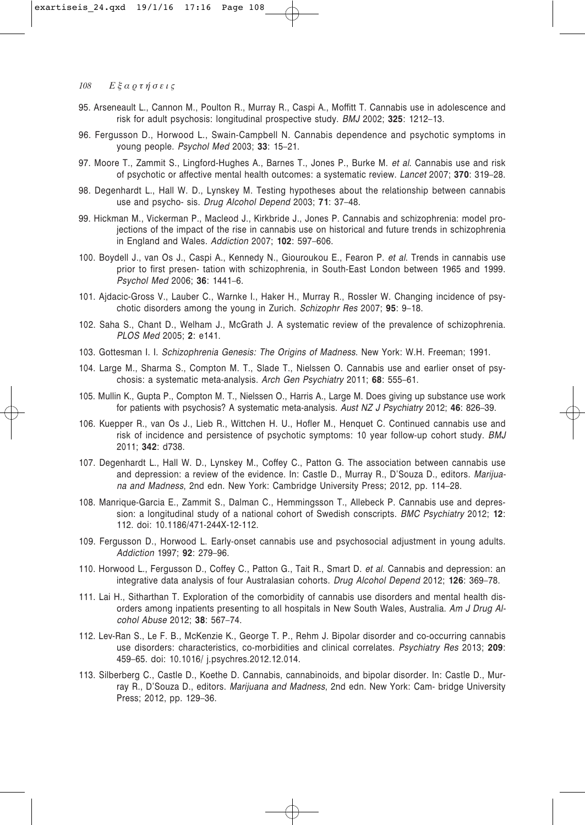- 95. Arseneault L., Cannon M., Poulton R., Murray R., Caspi A., Moffitt T. Cannabis use in adolescence and risk for adult psychosis: longitudinal prospective study. *BMJ* 2002; **325**: 1212–13.
- 96. Fergusson D., Horwood L., Swain-Campbell N. Cannabis dependence and psychotic symptoms in young people. *Psychol Med* 2003; **33**: 15–21.
- 97. Moore T., Zammit S., Lingford-Hughes A., Barnes T., Jones P., Burke M. *et al*. Cannabis use and risk of psychotic or affective mental health outcomes: a systematic review. *Lancet* 2007; **370**: 319–28.
- 98. Degenhardt L., Hall W. D., Lynskey M. Testing hypotheses about the relationship between cannabis use and psycho- sis. *Drug Alcohol Depend* 2003; **71**: 37–48.
- 99. Hickman M., Vickerman P., Macleod J., Kirkbride J., Jones P. Cannabis and schizophrenia: model projections of the impact of the rise in cannabis use on historical and future trends in schizophrenia in England and Wales. *Addiction* 2007; **102**: 597–606.
- 100. Boydell J., van Os J., Caspi A., Kennedy N., Giouroukou E., Fearon P. *et al*. Trends in cannabis use prior to first presen- tation with schizophrenia, in South-East London between 1965 and 1999. *Psychol Med* 2006; **36**: 1441–6.
- 101. Ajdacic-Gross V., Lauber C., Warnke I., Haker H., Murray R., Rossler W. Changing incidence of psychotic disorders among the young in Zurich. *Schizophr Res* 2007; **95**: 9–18.
- 102. Saha S., Chant D., Welham J., McGrath J. A systematic review of the prevalence of schizophrenia. *PLOS Med* 2005; **2**: e141.
- 103. Gottesman I. I. *Schizophrenia Genesis: The Origins of Madness*. New York: W.H. Freeman; 1991.
- 104. Large M., Sharma S., Compton M. T., Slade T., Nielssen O. Cannabis use and earlier onset of psychosis: a systematic meta-analysis. *Arch Gen Psychiatry* 2011; **68**: 555–61.
- 105. Mullin K., Gupta P., Compton M. T., Nielssen O., Harris A., Large M. Does giving up substance use work for patients with psychosis? A systematic meta-analysis. *Aust NZ J Psychiatry* 2012; **46**: 826–39.
- 106. Kuepper R., van Os J., Lieb R., Wittchen H. U., Hofler M., Henquet C. Continued cannabis use and risk of incidence and persistence of psychotic symptoms: 10 year follow-up cohort study. *BMJ* 2011; **342**: d738.
- 107. Degenhardt L., Hall W. D., Lynskey M., Coffey C., Patton G. The association between cannabis use and depression: a review of the evidence. In: Castle D., Murray R., D'Souza D., editors. *Marijuana and Madness*, 2nd edn. New York: Cambridge University Press; 2012, pp. 114–28.
- 108. Manrique-Garcia E., Zammit S., Dalman C., Hemmingsson T., Allebeck P. Cannabis use and depression: a longitudinal study of a national cohort of Swedish conscripts. *BMC Psychiatry* 2012; **12**: 112. doi: 10.1186/471-244X-12-112.
- 109. Fergusson D., Horwood L. Early-onset cannabis use and psychosocial adjustment in young adults. *Addiction* 1997; **92**: 279–96.
- 110. Horwood L., Fergusson D., Coffey C., Patton G., Tait R., Smart D. *et al*. Cannabis and depression: an integrative data analysis of four Australasian cohorts. *Drug Alcohol Depend* 2012; **126**: 369–78.
- 111. Lai H., Sitharthan T. Exploration of the comorbidity of cannabis use disorders and mental health disorders among inpatients presenting to all hospitals in New South Wales, Australia. *Am J Drug Alcohol Abuse* 2012; **38**: 567–74.
- 112. Lev-Ran S., Le F. B., McKenzie K., George T. P., Rehm J. Bipolar disorder and co-occurring cannabis use disorders: characteristics, co-morbidities and clinical correlates. *Psychiatry Res* 2013; **209**: 459–65. doi: 10.1016/ j.psychres.2012.12.014.
- 113. Silberberg C., Castle D., Koethe D. Cannabis, cannabinoids, and bipolar disorder. In: Castle D., Murray R., D'Souza D., editors. *Marijuana and Madness*, 2nd edn. New York: Cam- bridge University Press; 2012, pp. 129–36.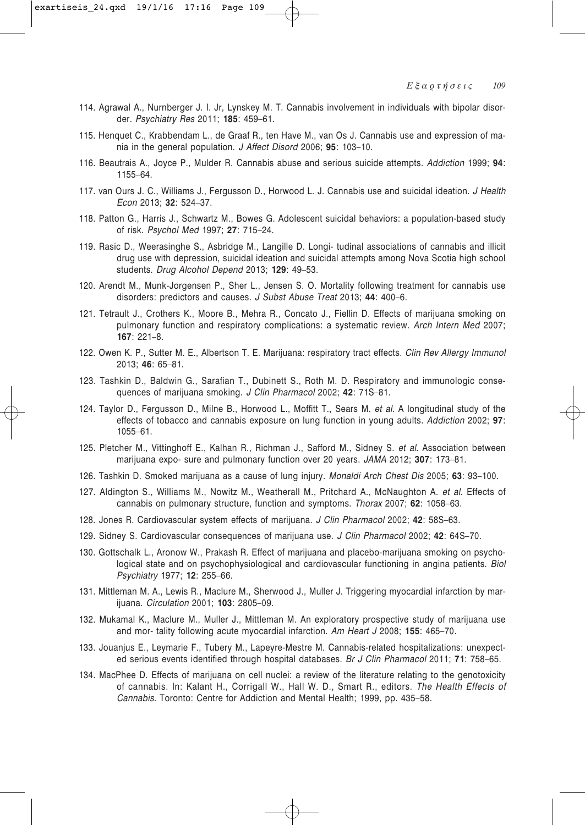exartiseis\_24.qxd 19/1/16 17:16 Page 109

- 114. Agrawal A., Nurnberger J. I. Jr, Lynskey M. T. Cannabis involvement in individuals with bipolar disorder. *Psychiatry Res* 2011; **185**: 459–61.
- 115. Henquet C., Krabbendam L., de Graaf R., ten Have M., van Os J. Cannabis use and expression of mania in the general population. *J Affect Disord* 2006; **95**: 103–10.
- 116. Beautrais A., Joyce P., Mulder R. Cannabis abuse and serious suicide attempts. *Addiction* 1999; **94**: 1155–64.
- 117. van Ours J. C., Williams J., Fergusson D., Horwood L. J. Cannabis use and suicidal ideation. *J Health Econ* 2013; **32**: 524–37.
- 118. Patton G., Harris J., Schwartz M., Bowes G. Adolescent suicidal behaviors: a population-based study of risk. *Psychol Med* 1997; **27**: 715–24.
- 119. Rasic D., Weerasinghe S., Asbridge M., Langille D. Longi- tudinal associations of cannabis and illicit drug use with depression, suicidal ideation and suicidal attempts among Nova Scotia high school students. *Drug Alcohol Depend* 2013; **129**: 49–53.
- 120. Arendt M., Munk-Jorgensen P., Sher L., Jensen S. O. Mortality following treatment for cannabis use disorders: predictors and causes. *J Subst Abuse Treat* 2013; **44**: 400–6.
- 121. Tetrault J., Crothers K., Moore B., Mehra R., Concato J., Fiellin D. Effects of marijuana smoking on pulmonary function and respiratory complications: a systematic review. *Arch Intern Med* 2007; **167**: 221–8.
- 122. Owen K. P., Sutter M. E., Albertson T. E. Marijuana: respiratory tract effects. *Clin Rev Allergy Immunol* 2013; **46**: 65–81.
- 123. Tashkin D., Baldwin G., Sarafian T., Dubinett S., Roth M. D. Respiratory and immunologic consequences of marijuana smoking. *J Clin Pharmacol* 2002; **42**: 71S–81.
- 124. Taylor D., Fergusson D., Milne B., Horwood L., Moffitt T., Sears M. *et al*. A longitudinal study of the effects of tobacco and cannabis exposure on lung function in young adults. *Addiction* 2002; **97**: 1055–61.
- 125. Pletcher M., Vittinghoff E., Kalhan R., Richman J., Safford M., Sidney S. *et al*. Association between marijuana expo- sure and pulmonary function over 20 years. *JAMA* 2012; **307**: 173–81.
- 126. Tashkin D. Smoked marijuana as a cause of lung injury. *Monaldi Arch Chest Dis* 2005; **63**: 93–100.
- 127. Aldington S., Williams M., Nowitz M., Weatherall M., Pritchard A., McNaughton A. *et al*. Effects of cannabis on pulmonary structure, function and symptoms. *Thorax* 2007; **62**: 1058–63.
- 128. Jones R. Cardiovascular system effects of marijuana. *J Clin Pharmacol* 2002; **42**: 58S–63.
- 129. Sidney S. Cardiovascular consequences of marijuana use. *J Clin Pharmacol* 2002; **42**: 64S–70.
- 130. Gottschalk L., Aronow W., Prakash R. Effect of marijuana and placebo-marijuana smoking on psychological state and on psychophysiological and cardiovascular functioning in angina patients. *Biol Psychiatry* 1977; **12**: 255–66.
- 131. Mittleman M. A., Lewis R., Maclure M., Sherwood J., Muller J. Triggering myocardial infarction by marijuana. *Circulation* 2001; **103**: 2805–09.
- 132. Mukamal K., Maclure M., Muller J., Mittleman M. An exploratory prospective study of marijuana use and mor- tality following acute myocardial infarction. *Am Heart J* 2008; **155**: 465–70.
- 133. Jouanjus E., Leymarie F., Tubery M., Lapeyre-Mestre M. Cannabis-related hospitalizations: unexpected serious events identified through hospital databases. *Br J Clin Pharmacol* 2011; **71**: 758–65.
- 134. MacPhee D. Effects of marijuana on cell nuclei: a review of the literature relating to the genotoxicity of cannabis. In: Kalant H., Corrigall W., Hall W. D., Smart R., editors. *The Health Effects of Cannabis*. Toronto: Centre for Addiction and Mental Health; 1999, pp. 435–58.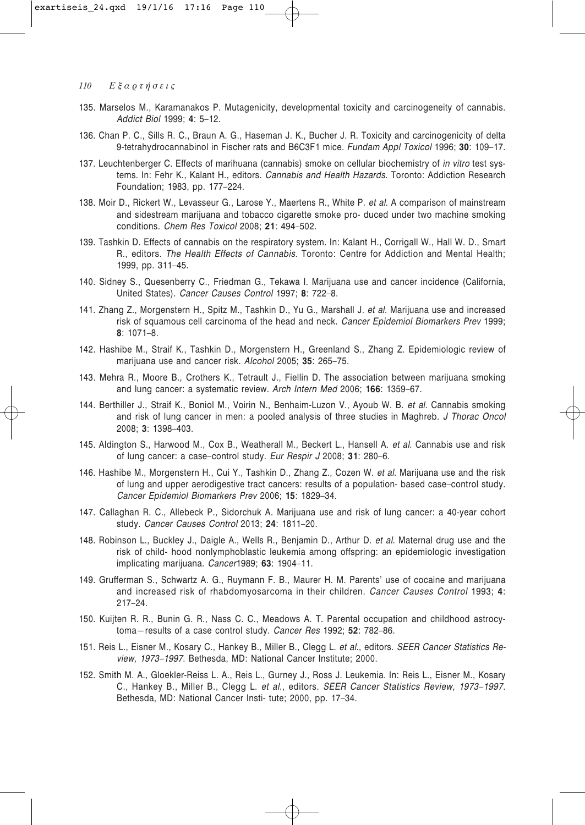- 135. Marselos M., Karamanakos P. Mutagenicity, developmental toxicity and carcinogeneity of cannabis. *Addict Biol* 1999; **4**: 5–12.
- 136. Chan P. C., Sills R. C., Braun A. G., Haseman J. K., Bucher J. R. Toxicity and carcinogenicity of delta 9-tetrahydrocannabinol in Fischer rats and B6C3F1 mice. *Fundam Appl Toxicol* 1996; **30**: 109–17.
- 137. Leuchtenberger C. Effects of marihuana (cannabis) smoke on cellular biochemistry of *in vitro* test systems. In: Fehr K., Kalant H., editors. *Cannabis and Health Hazards*. Toronto: Addiction Research Foundation; 1983, pp. 177–224.
- 138. Moir D., Rickert W., Levasseur G., Larose Y., Maertens R., White P. *et al*. A comparison of mainstream and sidestream marijuana and tobacco cigarette smoke pro- duced under two machine smoking conditions. *Chem Res Toxicol* 2008; **21**: 494–502.
- 139. Tashkin D. Effects of cannabis on the respiratory system. In: Kalant H., Corrigall W., Hall W. D., Smart R., editors. *The Health Effects of Cannabis*. Toronto: Centre for Addiction and Mental Health; 1999, pp. 311–45.
- 140. Sidney S., Quesenberry C., Friedman G., Tekawa I. Marijuana use and cancer incidence (California, United States). *Cancer Causes Control* 1997; **8**: 722–8.
- 141. Zhang Z., Morgenstern H., Spitz M., Tashkin D., Yu G., Marshall J. *et al*. Marijuana use and increased risk of squamous cell carcinoma of the head and neck. *Cancer Epidemiol Biomarkers Prev* 1999; **8**: 1071–8.
- 142. Hashibe M., Straif K., Tashkin D., Morgenstern H., Greenland S., Zhang Z. Epidemiologic review of marijuana use and cancer risk. *Alcohol* 2005; **35**: 265–75.
- 143. Mehra R., Moore B., Crothers K., Tetrault J., Fiellin D. The association between marijuana smoking and lung cancer: a systematic review. *Arch Intern Med* 2006; **166**: 1359–67.
- 144. Berthiller J., Straif K., Boniol M., Voirin N., Benhaim-Luzon V., Ayoub W. B. *et al*. Cannabis smoking and risk of lung cancer in men: a pooled analysis of three studies in Maghreb. *J Thorac Oncol* 2008; **3**: 1398–403.
- 145. Aldington S., Harwood M., Cox B., Weatherall M., Beckert L., Hansell A. *et al*. Cannabis use and risk of lung cancer: a case–control study. *Eur Respir J* 2008; **31**: 280–6.
- 146. Hashibe M., Morgenstern H., Cui Y., Tashkin D., Zhang Z., Cozen W. *et al*. Marijuana use and the risk of lung and upper aerodigestive tract cancers: results of a population- based case–control study. *Cancer Epidemiol Biomarkers Prev* 2006; **15**: 1829–34.
- 147. Callaghan R. C., Allebeck P., Sidorchuk A. Marijuana use and risk of lung cancer: a 40-year cohort study. *Cancer Causes Control* 2013; **24**: 1811–20.
- 148. Robinson L., Buckley J., Daigle A., Wells R., Benjamin D., Arthur D. *et al*. Maternal drug use and the risk of child- hood nonlymphoblastic leukemia among offspring: an epidemiologic investigation implicating marijuana. *Cancer*1989; **63**: 1904–11.
- 149. Grufferman S., Schwartz A. G., Ruymann F. B., Maurer H. M. Parents' use of cocaine and marijuana and increased risk of rhabdomyosarcoma in their children. *Cancer Causes Control* 1993; **4**: 217–24.
- 150. Kuijten R. R., Bunin G. R., Nass C. C., Meadows A. T. Parental occupation and childhood astrocytoma—results of a case control study. *Cancer Res* 1992; **52**: 782–86.
- 151. Reis L., Eisner M., Kosary C., Hankey B., Miller B., Clegg L. *et al*., editors. *SEER Cancer Statistics Review, 1973–1997*. Bethesda, MD: National Cancer Institute; 2000.
- 152. Smith M. A., Gloekler-Reiss L. A., Reis L., Gurney J., Ross J. Leukemia. In: Reis L., Eisner M., Kosary C., Hankey B., Miller B., Clegg L. *et al*., editors. *SEER Cancer Statistics Review, 1973–1997*. Bethesda, MD: National Cancer Insti- tute; 2000, pp. 17–34.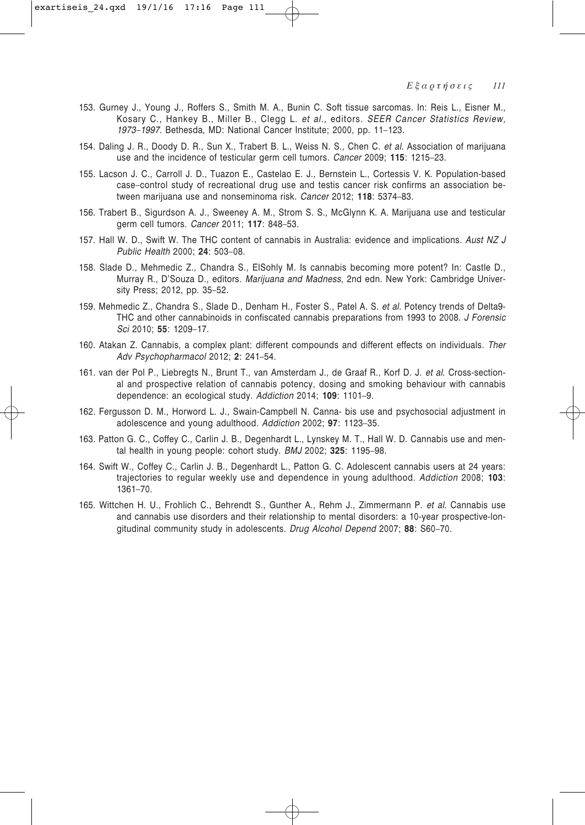exartiseis\_24.qxd 19/1/16 17:16 Page 111

- 153. Gurney J., Young J., Roffers S., Smith M. A., Bunin C. Soft tissue sarcomas. In: Reis L., Eisner M., Kosary C., Hankey B., Miller B., Clegg L. *et al*., editors. *SEER Cancer Statistics Review, 1973–1997*. Bethesda, MD: National Cancer Institute; 2000, pp. 11–123.
- 154. Daling J. R., Doody D. R., Sun X., Trabert B. L., Weiss N. S., Chen C. *et al*. Association of marijuana use and the incidence of testicular germ cell tumors. *Cancer* 2009; **115**: 1215–23.
- 155. Lacson J. C., Carroll J. D., Tuazon E., Castelao E. J., Bernstein L., Cortessis V. K. Population-based case–control study of recreational drug use and testis cancer risk confirms an association between marijuana use and nonseminoma risk. *Cancer* 2012; **118**: 5374–83.
- 156. Trabert B., Sigurdson A. J., Sweeney A. M., Strom S. S., McGlynn K. A. Marijuana use and testicular germ cell tumors. *Cancer* 2011; **117**: 848–53.
- 157. Hall W. D., Swift W. The THC content of cannabis in Australia: evidence and implications. *Aust NZ J Public Health* 2000; **24**: 503–08.
- 158. Slade D., Mehmedic Z., Chandra S., ElSohly M. Is cannabis becoming more potent? In: Castle D., Murray R., D'Souza D., editors. *Marijuana and Madness*, 2nd edn. New York: Cambridge University Press; 2012, pp. 35–52.
- 159. Mehmedic Z., Chandra S., Slade D., Denham H., Foster S., Patel A. S. *et al*. Potency trends of Delta9- THC and other cannabinoids in confiscated cannabis preparations from 1993 to 2008. *J Forensic Sci* 2010; **55**: 1209–17.
- 160. Atakan Z. Cannabis, a complex plant: different compounds and different effects on individuals. *Ther Adv Psychopharmacol* 2012; **2**: 241–54.
- 161. van der Pol P., Liebregts N., Brunt T., van Amsterdam J., de Graaf R., Korf D. J. *et al*. Cross-sectional and prospective relation of cannabis potency, dosing and smoking behaviour with cannabis dependence: an ecological study. *Addiction* 2014; **109**: 1101–9.
- 162. Fergusson D. M., Horword L. J., Swain-Campbell N. Canna- bis use and psychosocial adjustment in adolescence and young adulthood. *Addiction* 2002; **97**: 1123–35.
- 163. Patton G. C., Coffey C., Carlin J. B., Degenhardt L., Lynskey M. T., Hall W. D. Cannabis use and mental health in young people: cohort study. *BMJ* 2002; **325**: 1195–98.
- 164. Swift W., Coffey C., Carlin J. B., Degenhardt L., Patton G. C. Adolescent cannabis users at 24 years: trajectories to regular weekly use and dependence in young adulthood. *Addiction* 2008; **103**: 1361–70.
- 165. Wittchen H. U., Frohlich C., Behrendt S., Gunther A., Rehm J., Zimmermann P. *et al*. Cannabis use and cannabis use disorders and their relationship to mental disorders: a 10-year prospective-longitudinal community study in adolescents. *Drug Alcohol Depend* 2007; **88**: S60–70.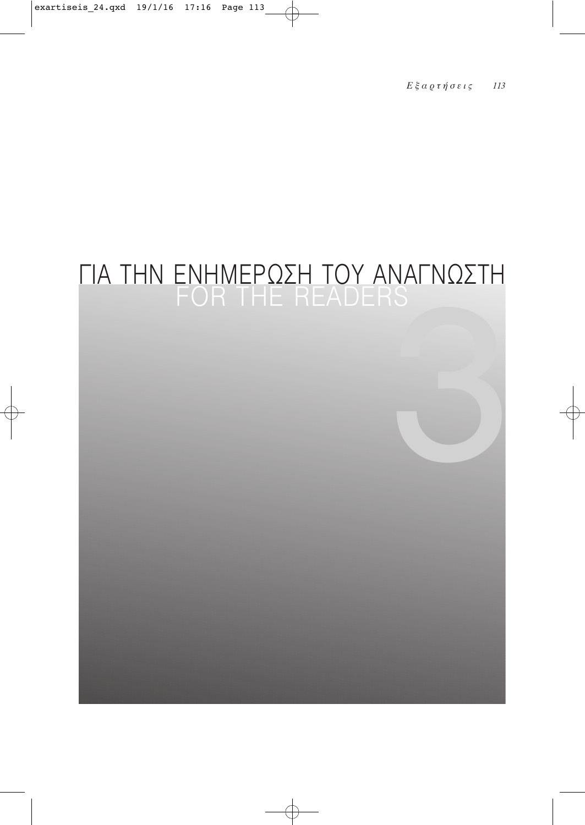$E$ ξαρτήσεις 113

# ΓΙΑ ΤΗΝ ΕΝΗΜΕΡΩΣΗ ΤΟΥ ΑΝΑΓΝΩΣΤΗ<br>FOR THE READERS

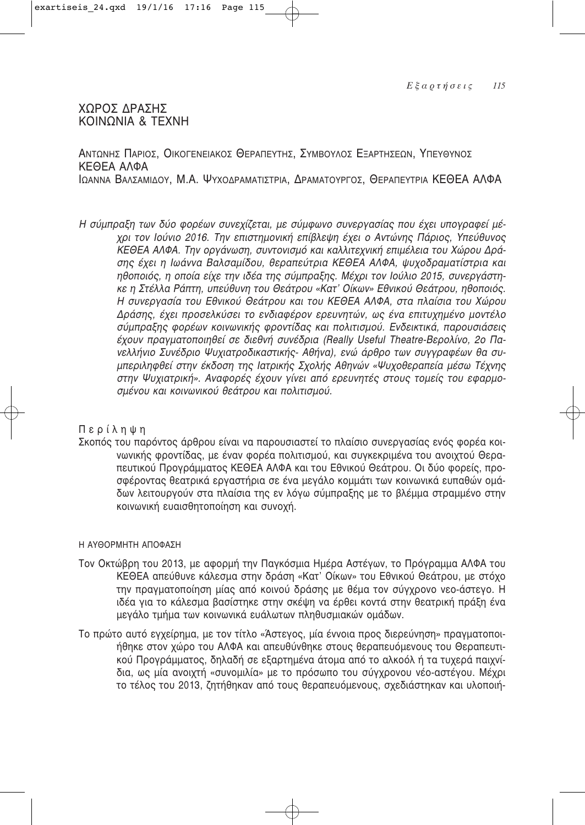exartiseis\_24.qxd 19/1/16 17:16 Page 115

# ΧΩΡΟΣ ΔΡΑΣΗΣ ΚΟΙΝΩΝΙΑ & ΤΕΧΝΗ

ΑΝΤΩΝΗΣ ΠΑΡΙΟΣ, ΟΙΚΟΓΕΝΕΙΑΚΟΣ ΘΕΡΑΠΕΥΤΗΣ, ΣΥΜΒΟΥΛΟΣ ΕΞΑΡΤΗΣΕΩΝ, ΥΠΕΥΘΥΝΟΣ KEΘEA AΛΦA

ΙΩΑΝΝΑ ΒΑΛΣΑΜΙΔΟΥ, Μ.Α. ΨΥΧΟΔΡΑΜΑΤΙΣΤΡΙΑ, ΔΡΑΜΑΤΟΥΡΓΟΣ, ΘΕΡΑΠΕΥΤΡΙΑ ΚΕΘΕΑ ΑΛΦΑ

*Η σύμπραξη των δύο φορέων συνεχίζεται, με σύμφωνο συνεργασίας που έχει υπογραφεί μέ*χρι τον Ιούνιο 2016. Την επιστημονική επίβλεψη έχει ο Αντώνης Πάριος, Υπεύθυνος *KEΘΕΑ ΑΛΦΑ. Την οργάνωση, συντονισμό και καλλιτεχνική επιμέλεια του Χώρου Δρά*σης έχει η Ιωάννα Βαλσαμίδου, θεραπεύτρια ΚΕΘΕΑ ΑΛΦΑ, ψυχοδραματίστρια και ηθοποιός, η οποία είχε την ιδέα της σύμπραξης. Μέχρι τον Ιούλιο 2015, συνεργάστη-*Κε η Στέλλα Ράπτη, υπεύθυνη του Θεάτρου «Κατ' Οίκων» Εθνικού Θεάτρου, ηθοποιός.* Η συνεργασία του Εθνικού Θεάτρου και του ΚΕΘΕΑ ΑΛΦΑ, στα πλαίσια του Χώρου *Δράσης, έχει προσελκύσει το ενδιαφέρον ερευνητών, ως ένα επιτυχημένο μοντέλο* σύμπραξης φορέων κοινωνικής φροντίδας και πολιτισμού. Ενδεικτικά, παρουσιάσεις έχουν πραγματοποιηθεί σε διεθνή συνέδρια (Really Useful Theatre-Βερολίνο, 2ο Πανελλήνιο Συνέδριο Ψυχιατροδικαστικής- Αθήνα), ενώ άρθρο των συγγραφέων θα συμπεριληφθεί στην έκδοση της Ιατρικής Σχολής Αθηνών «Ψυχοθεραπεία μέσω Τέχνης στην Ψυχιατρική». Αναφορές έχουν γίνει από ερευνητές στους τομείς του εφαρμοσμένου και κοινωνικού θεάτρου και πολιτισμού.

# Περίληψη

Σκοπός του παρόντος άρθρου είναι να παρουσιαστεί το πλαίσιο συνεργασίας ενός φορέα κοινωνικής φροντίδας, με έναν φορέα πολιτισμού, και συγκεκριμένα του ανοιχτού Θεραπευτικού Προγράμματος ΚΕΘΕΑ ΑΛΦΑ και του Εθνικού Θεάτρου. Οι δύο φορείς, προσφέροντας θεατρικά εργαστήρια σε ένα μεγάλο κομμάτι των κοινωνικά ευπαθών ομάδων λειτουργούν στα πλαίσια της εν λόγω σύμπραξης με το βλέμμα στραμμένο στην κοινωνική ευαισθητοποίηση και συνοχή.

#### Η ΑΥΘΟΡΜΗΤΗ ΑΠΟΦΑΣΗ

- Τον Οκτώβρη του 2013, με αφορμή την Παγκόσμια Ημέρα Αστέγων, το Πρόγραμμα ΑΛΦΑ του ΚΕΘΕΑ απεύθυνε κάλεσμα στην δράση «Κατ' Οίκων» του Εθνικού Θεάτρου, με στόχο την πραγματοποίηση μίας από κοινού δράσης με θέμα τον σύγχρονο νεο-άστεγο. Η ιδέα για το κάλεσμα βασίστηκε στην σκέψη να έρθει κοντά στην θεατρική πράξη ένα μεγάλο τμήμα των κοινωνικά ευάλωτων πληθυσμιακών ομάδων.
- Το πρώτο αυτό εγχείρημα, με τον τίτλο «Άστεγος, μία έννοια προς διερεύνηση» πραγματοποιήθηκε στον χώρο του ΑΛΦΑ και απευθύνθηκε στους θεραπευόμενους του Θεραπευτικού Προγράμματος, δηλαδή σε εξαρτημένα άτομα από το αλκοόλ ή τα τυχερά παιχνίδια, ως μία ανοιχτή «συνομιλία» με το πρόσωπο του σύγχρονου νέο-αστέγου. Μέχρι το τέλος του 2013, ζητήθηκαν από τους θεραπευόμενους, σχεδιάστηκαν και υλοποιή-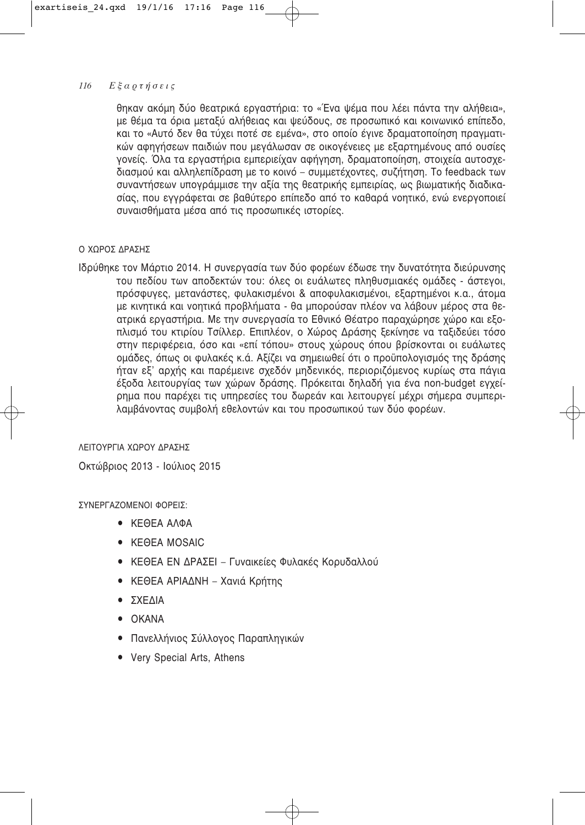θηκαν ακόμη δύο θεατρικά εργαστήρια: το «Ένα ψέμα που λέει πάντα την αλήθεια», με θέμα τα όρια μεταξύ αλήθειας και ψεύδους, σε προσωπικό και κοινωνικό επίπεδο, και το «Αυτό δεν θα τύχει ποτέ σε εμένα», στο οποίο έγινε δραματοποίηση πραγματικών αφηγήσεων παιδιών που μεγάλωσαν σε οικογένειες με εξαρτημένους από ουσίες γονείς. Όλα τα εργαστήρια εμπεριείχαν αφήγηση, δραματοποίηση, στοιχεία αυτοσχεδιασμού και αλληλεπίδραση με το κοινό – συμμετέχοντες, συζήτηση. Το feedback των συναντήσεων υπογράμμισε την αξία της θεατρικής εμπειρίας, ως βιωματικής διαδικασίας, που εγγράφεται σε βαθύτερο επίπεδο από το καθαρά νοητικό, ενώ ενεργοποιεί συναισθήματα μέσα από τις προσωπικές ιστορίες.

#### $O$  XOPOΣ  $AP$  APASHS

Ιδρύθηκε τον Μάρτιο 2014. Η συνεργασία των δύο φορέων έδωσε την δυνατότητα διεύρυνσης του πεδίου των αποδεκτών του: όλες οι ευάλωτες πληθυσμιακές ομάδες - άστεγοι, πρόσφυγες, μετανάστες, φυλακισμένοι & αποφυλακισμένοι, εξαρτημένοι κ.α., άτομα με κινητικά και νοητικά προβλήματα - θα μπορούσαν πλέον να λάβουν μέρος στα θεατρικά εργαστήρια. Με την συνεργασία το Εθνικό Θέατρο παραχώρησε χώρο και εξοπλισμό του κτιρίου Τσίλλερ. Επιπλέον, ο Χώρος Δράσης ξεκίνησε να ταξιδεύει τόσο στην περιφέρεια, όσο και «επί τόπου» στους χώρους όπου βρίσκονται οι ευάλωτες ομάδες, όπως οι φυλακές κ.ά. Αξίζει να σημειωθεί ότι ο προϋπολογισμός της δράσης ήταν εξ' αρχής και παρέμεινε σχεδόν μηδενικός, περιοριζόμενος κυρίως στα πάγια έξοδα λειτουργίας των χώρων δράσης. Πρόκειται δηλαδή για ένα non-budget εγχείρημα που παρέχει τις υπηρεσίες του δωρεάν και λειτουργεί μέχρι σήμερα συμπεριλαμβάνοντας συμβολή εθελοντών και του προσωπικού των δύο φορέων.

ΛΕΙΤΟΥΡΓΙΑ ΧΩΡΟΥ ΔΡΑΣΗΣ

Οκτώβριος 2013 - Ιούλιος 2015

ΣΥΝΕΡΓΑΖΟΜΕΝΟΙ ΦΟΡΕΙΣ:

- KEΘEA AΛΦA
- KEΘEA MOSAIC
- ΚΕΘΕΑ ΕΝ ΔΡΑΣΕΙ Γυναικείες Φυλακές Κορυδαλλού
- KEΘEA ΑΡΙΑΔΝΗ Χανιά Κρήτης
- ∑XFAIA
- ñ OKANA
- Πανελλήνιος Σύλλογος Παραπληγικών
- Very Special Arts, Athens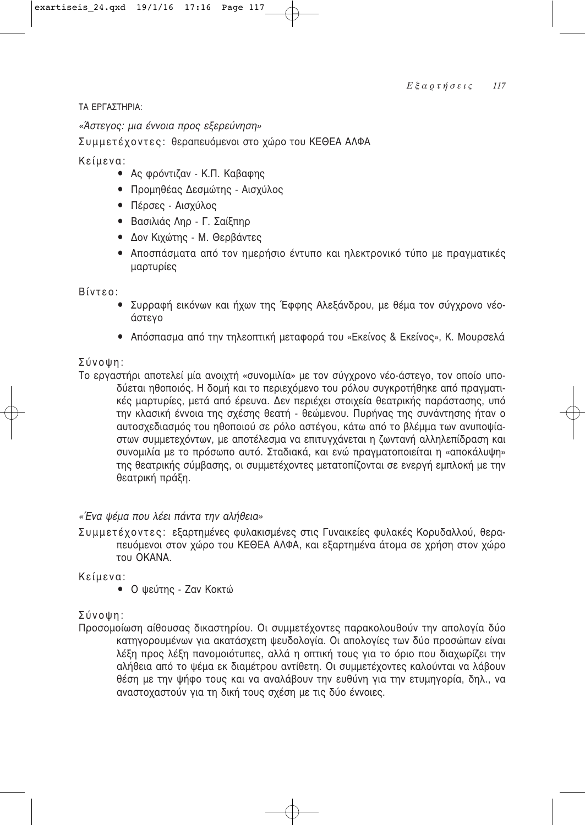ΤΑ ΕΡΓΑΣΤΗΡΙΑ:

«Άστεγος: μια έννοια προς εξερεύνηση»

Συμμετέχοντες: θεραπευόμενοι στο χώρο του ΚΕΘΕΑ ΑΛΦΑ

Κείμενα:

- Ας φρόντιζαν Κ.Π. Καβαφης
- Προμηθέας Δεσμώτης Αισχύλος
- Πέρσες Αισχύλος
- Βασιλιάς Ληρ Γ. Σαίξπηρ
- Δον Κιχώτης Μ. Θερβάντες
- Αποσπάσματα από τον ημερήσιο έντυπο και ηλεκτρονικό τύπο με πραγματικές μαρτυρίες

Βίντεο:

- · Συρραφή εικόνων και ήχων της Έφφης Αλεξάνδρου, με θέμα τον σύγχρονο νέοάστεγο
- Απόσπασμα από την τηλεοπτική μεταφορά του «Εκείνος & Εκείνος», Κ. Μουρσελά

Σύνοψη:

Το εργαστήρι αποτελεί μία ανοιχτή «συνομιλία» με τον σύγχρονο νέο-άστεγο, τον οποίο υποδύεται ηθοποιός. Η δομή και το περιεχόμενο του ρόλου συγκροτήθηκε από πραγματικές μαρτυρίες, μετά από έρευνα. Δεν περιέχει στοιχεία θεατρικής παράστασης, υπό την κλασική έννοια της σχέσης θεατή - θεώμενου. Πυρήνας της συνάντησης ήταν ο αυτοσχεδιασμός του ηθοποιού σε ρόλο αστέγου, κάτω από το βλέμμα των ανυποψίαστων συμμετεχόντων, με αποτέλεσμα να επιτυνχάνεται η ζωντανή αλληλεπίδραση και συνομιλία με το πρόσωπο αυτό. Σταδιακά, και ενώ πραγματοποιείται η «αποκάλυψη» της θεατρικής σύμβασης, οι συμμετέχοντες μετατοπίζονται σε ενεργή εμπλοκή με την θεατρική πράξη.

#### «Ένα ψέμα που λέει πάντα την αλήθεια»

Συμμετέχοντες: εξαρτημένες φυλακισμένες στις Γυναικείες φυλακές Κορυδαλλού, θεραπευόμενοι στον χώρο του ΚΕΘΕΑ ΑΛΦΑ, και εξαρτημένα άτομα σε χρήση στον χώρο του ΟΚΑΝΑ.

Κείμενα:

• Ο ψεύτης - Ζαν Κοκτώ

#### Σύνοψη:

Προσομοίωση αίθουσας δικαστηρίου. Οι συμμετέχοντες παρακολουθούν την απολογία δύο κατηγορουμένων για ακατάσχετη ψευδολογία. Οι απολογίες των δύο προσώπων είναι λέξη προς λέξη πανομοιότυπες, αλλά η οπτική τους για το όριο που διαχωρίζει την αλήθεια από το ψέμα εκ διαμέτρου αντίθετη. Οι συμμετέχοντες καλούνται να λάβουν θέση με την ψήφο τους και να αναλάβουν την ευθύνη για την ετυμηγορία, δηλ., να αναστοχαστούν για τη δική τους σχέση με τις δύο έννοιες.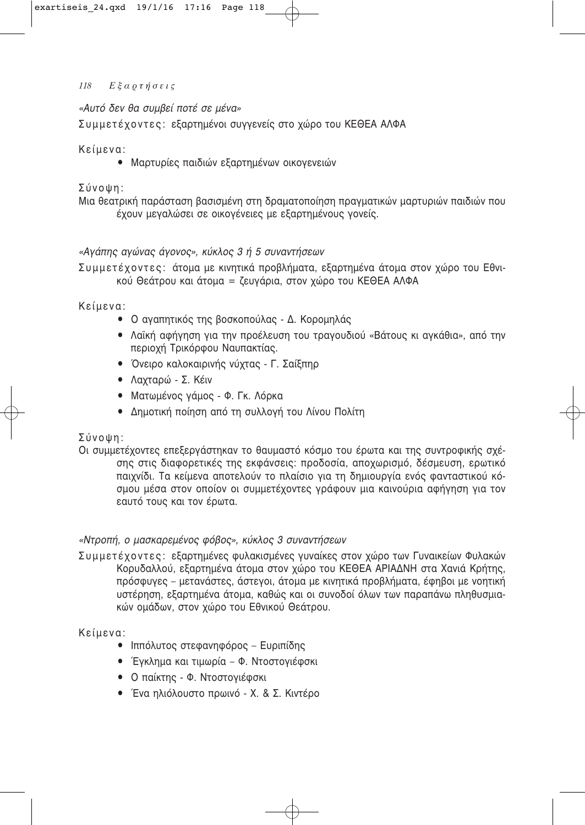«Αυτό δεν θα συμβεί ποτέ σε μένα»

Συμμετέχοντες: εξαρτημένοι συγγενείς στο χώρο του ΚΕΘΕΑ ΑΛΦΑ

Κείμενα:

· Μαρτυρίες παιδιών εξαρτημένων οικονενειών

Σύνοψη:

Μια θεατρική παράσταση βασισμένη στη δραματοποίηση πραγματικών μαρτυριών παιδιών που έχουν μεναλώσει σε οικονένειες με εξαρτημένους νονείς.

«Αγάπης αγώνας άγονος», κύκλος 3 ή 5 συναντήσεων

Συμμετέχοντες: άτομα με κινητικά προβλήματα, εξαρτημένα άτομα στον χώρο του Εθνικού Θεάτρου και άτομα = ζευγάρια, στον χώρο του ΚΕΘΕΑ ΑΛΦΑ

Κείμενα:

- Ο αγαπητικός της βοσκοπούλας Δ. Κορομηλάς
- Λαϊκή αφήγηση για την προέλευση του τραγουδιού «Βάτους κι αγκάθια», από την περιοχή Τρικόρφου Ναυπακτίας.
- Όνειρο καλοκαιρινής νύχτας Γ. Σαίξπηρ
- Λαχταρώ Σ. Κέιν
- Ματωμένος γάμος Φ. Γκ. Λόρκα
- Δημοτική ποίηση από τη συλλογή του Λίνου Πολίτη

Σύνοψη:

Οι συμμετέχοντες επεξεργάστηκαν το θαυμαστό κόσμο του έρωτα και της συντροφικής σχέσης στις διαφορετικές της εκφάνσεις: προδοσία, αποχωρισμό, δέσμευση, ερωτικό παιχνίδι. Τα κείμενα αποτελούν το πλαίσιο για τη δημιουργία ενός φανταστικού κόσμου μέσα στον οποίον οι συμμετέχοντες γράφουν μια καινούρια αφήγηση για τον εαυτό τους και τον έρωτα.

## «Ντροπή, ο μασκαρεμένος φόβος», κύκλος 3 συναντήσεων

Συμμετέχοντες: εξαρτημένες φυλακισμένες γυναίκες στον χώρο των Γυναικείων Φυλακών Κορυδαλλού, εξαρτημένα άτομα στον χώρο του ΚΕΘΕΑ ΑΡΙΑΔΝΗ στα Χανιά Κρήτης, πρόσφυγες - μετανάστες, άστεγοι, άτομα με κινητικά προβλήματα, έφηβοι με νοητική υστέρηση, εξαρτημένα άτομα, καθώς και οι συνοδοί όλων των παραπάνω πληθυσμιακών ομάδων, στον χώρο του Εθνικού Θεάτρου.

Κείμενα:

- Ιππόλυτος στεφανηφόρος Ευριπίδης
- Έγκλημα και τιμωρία Φ. Ντοστογιέφσκι
- · Ο παίκτης Φ. Ντοστογιέφσκι
- Ένα ηλιόλουστο πρωινό Χ. & Σ. Κιντέρο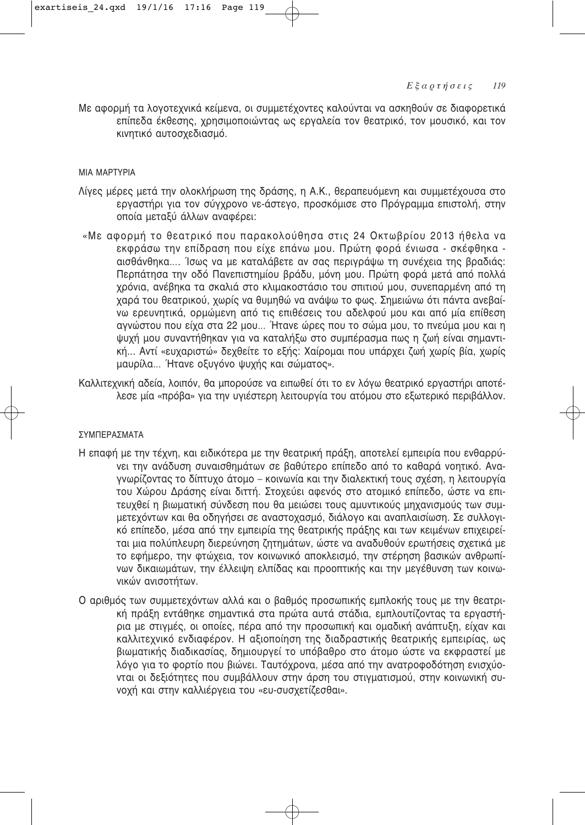Με αφορμή τα λογοτεχνικά κείμενα, οι συμμετέχοντες καλούνται να ασκηθούν σε διαφορετικά επίπεδα έκθεσης, χρησιμοποιώντας ως εργαλεία τον θεατρικό, τον μουσικό, και τον κινητικό αυτοσχεδιασμό.

#### **MIA MAPTYPIA**

- Λίγες μέρες μετά την ολοκλήρωση της δράσης, η Α.Κ., θεραπευόμενη και συμμετέχουσα στο εργαστήρι για τον σύγχρονο νε-άστεγο, προσκόμισε στο Πρόγραμμα επιστολή, στην οποία μεταξύ άλλων αναφέρει:
- «Με αφορμή το θεατρικό που παρακολούθησα στις 24 Οκτωβρίου 2013 ήθελα να εκφράσω την επίδραση που είχε επάνω μου. Πρώτη φορά ένιωσα - σκέφθηκα αισθάνθηκα.... Ίσως να με καταλάβετε αν σας περιγράψω τη συνέχεια της βραδιάς: Περπάτησα την οδό Πανεπιστημίου βράδυ, μόνη μου. Πρώτη φορά μετά από πολλά χρόνια, ανέβηκα τα σκαλιά στο κλιμακοστάσιο του σπιτιού μου, συνεπαρμένη από τη χαρά του θεατρικού, χωρίς να θυμηθώ να ανάψω το φως. Σημειώνω ότι πάντα ανεβαίνω ερευνητικά, ορμώμενη από τις επιθέσεις του αδελφού μου και από μία επίθεση αγνώστου που είχα στα 22 μου... Ήτανε ώρες που το σώμα μου, το πνεύμα μου και η ψυχή μου συναντήθηκαν για να καταλήξω στο συμπέρασμα πως η ζωή είναι σημαντική... Aντί «ευχαριστώ» δεχθείτε το εξής: Χαίρομαι που υπάρχει ζωή χωρίς βία, χωρίς μαυρίλα... Ήτανε οξυγόνο ψυχής και σώματος».
- Καλλιτεχνική αδεία, λοιπόν, θα μπορούσε να ειπωθεί ότι το εν λόγω θεατρικό εργαστήρι αποτέλεσε μία «πρόβα» για την υγιέστερη λειτουργία του ατόμου στο εξωτερικό περιβάλλον.

#### ΣΥΜΠΕΡΑΣΜΑΤΑ

- Η επαφή με την τέχνη, και ειδικότερα με την θεατρική πράξη, αποτελεί εμπειρία που ενθαρρύ-VEL την ανάδυση συναισθημάτων σε βαθύτερο επίπεδο από το καθαρά νοητικό. Αναγνωρίζοντας το δίπτυχο άτομο – κοινωνία και την διαλεκτική τους σχέση, η λειτουργία του Χώρου Δράσης είναι διττή. Στοχεύει αφενός στο ατομικό επίπεδο, ώστε να επιτευχθεί η βιωματική σύνδεση που θα μειώσει τους αμυντικούς μηχανισμούς των συμμετεχόντων και θα οδηγήσει σε αναστοχασμό, διάλογο και αναπλαισίωση. Σε συλλογικό επίπεδο, μέσα από την εμπειρία της θεατρικής πράξης και των κειμένων επιχειρείται μια πολύπλευρη διερεύνηση ζητημάτων, ώστε να αναδυθούν ερωτήσεις σχετικά με το εφήμερο, την φτώχεια, τον κοινωνικό αποκλεισμό, την στέρηση βασικών ανθρωπίνων δικαιωμάτων, την έλλειψη ελπίδας και προοπτικής και την μεγέθυνση των κοινωνικών ανισοτήτων.
- Ο αριθμός των συμμετεχόντων αλλά και ο βαθμός προσωπικής εμπλοκής τους με την θεατρική πράξη εντάθηκε σημαντικά στα πρώτα αυτά στάδια, εμπλουτίζοντας τα εργαστήρια με στιγμές, οι οποίες, πέρα από την προσωπική και ομαδική ανάπτυξη, είχαν και καλλιτεχνικό ενδιαφέρον. Η αξιοποίηση της διαδραστικής θεατρικής εμπειρίας, ως βιωματικής διαδικασίας, δημιουργεί το υπόβαθρο στο άτομο ώστε να εκφραστεί με λόγο για το φορτίο που βιώνει. Ταυτόχρονα, μέσα από την ανατροφοδότηση ενισχύο-Vται οι δεξιότητες που συμβάλλουν στην άρση του στιγματισμού, στην κοινωνική συvoχή και στην καλλιέργεια του «ευ-συσχετίζεσθαι».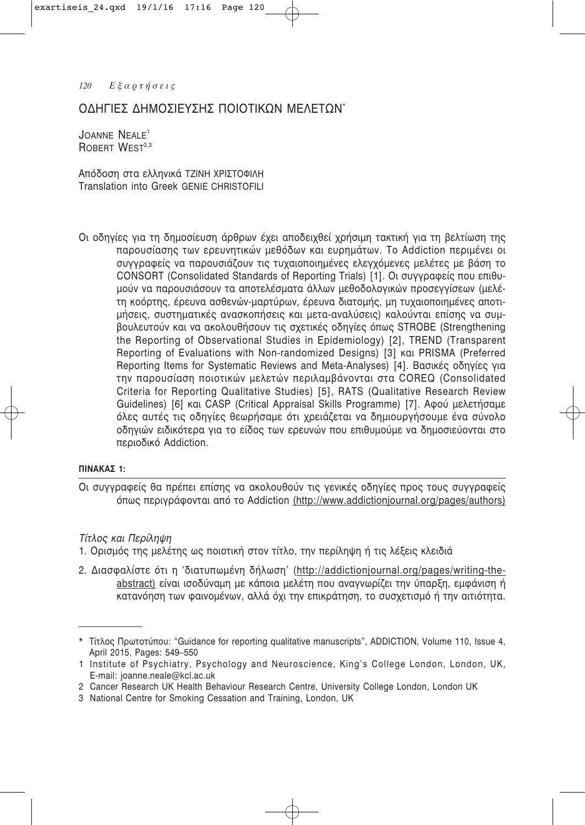# ΟΔΗΓΙΕΣ ΔΗΜΟΣΙΕΥΣΗΣ ΠΟΙΟΤΙΚΩΝ ΜΕΛΕΤΩΝ\*

JOANNE NEALE<sup>1</sup> ROBERT WEST<sup>2,3</sup>

Απόδοση στα ελληνικά ΤΖΙΝΗ ΧΡΙΣΤΟΦΙΛΗ Translation into Greek GENIE CHRISTOFILI

Οι οδηγίες για τη δημοσίευση άρθρων έχει αποδειχθεί χρήσιμη τακτική για τη βελτίωση της παρουσίασης των ερευνητικών μεθόδων και ευρημάτων. Το Addiction περιμένει οι συγγραφείς να παρουσιάζουν τις τυχαιοποιημένες ελεγχόμενες μελέτες με βάση το CONSORT (Consolidated Standards of Reporting Trials) [1]. Οι συγγραφείς που επιθυμούν να παρουσιάσουν τα αποτελέσματα άλλων μεθοδολογικών προσεγγίσεων (μελέτη κοόρτης, έρευνα ασθενών-μαρτύρων, έρευνα διατομής, μη τυχαιοποιημένες αποτιμήσεις, συστηματικές ανασκοπήσεις και μετα-αναλύσεις) καλούνται επίσης να συμβουλευτούν και να ακολουθήσουν τις σχετικές οδηγίες όπως STROBE (Strengthening the Reporting of Observational Studies in Epidemiology) [2], TREND (Transparent Reporting of Evaluations with Non-randomized Designs) [3] Kql PRISMA (Preferred Reporting Items for Systematic Reviews and Meta-Analyses) [4]. Βασικές οδηγίες για την παρουσίαση ποιοτικών μελετών περιλαμβάνονται στα COREQ (Consolidated Criteria for Reporting Qualitative Studies) [5], RATS (Qualitative Research Review Guidelines) [6] και CASP (Critical Appraisal Skills Programme) [7]. Αφού μελετήσαμε όλες αυτές τις οδηγίες θεωρήσαμε ότι χρειάζεται να δημιουργήσουμε ένα σύνολο οδηγιών ειδικότερα για το είδος των ερευνών που επιθυμούμε να δημοσιεύονται στο περιοδικό Addiction.

## ΠΙΝΔΚΑΣ 1:

Οι συγγραφείς θα πρέπει επίσης να ακολουθούν τις γενικές οδηγίες προς τους συγγραφείς όπως περιγράφονται από το Addiction (http://www.addictionjournal.org/pages/authors)

#### Τίτλος και Περίληψη

- 1. Ορισμός της μελέτης ως ποιοτική στον τίτλο, την περίληψη ή τις λέξεις κλειδιά
- 2. Διασφαλίστε ότι η 'διατυπωμένη δήλωση' (http://addictionjournal.org/pages/writing-theabstract) είναι ισοδύναμη με κάποια μελέτη που αναγνωρίζει την ύπαρξη, εμφάνιση ή κατανόηση των φαινομένων, αλλά όχι την επικράτηση, το συσχετισμό ή την αιτιότητα.

3 National Centre for Smoking Cessation and Training, London, UK

<sup>\*</sup> Τίτλος Πρωτοτύπου: "Guidance for reporting qualitative manuscripts", ADDICTION, Volume 110, Issue 4, April 2015, Pages: 549-550

<sup>1</sup> Institute of Psychiatry, Psychology and Neuroscience, King's College London, London, UK, E-mail: joanne.neale@kcl.ac.uk

<sup>2</sup> Cancer Research UK Health Behaviour Research Centre, University College London, London UK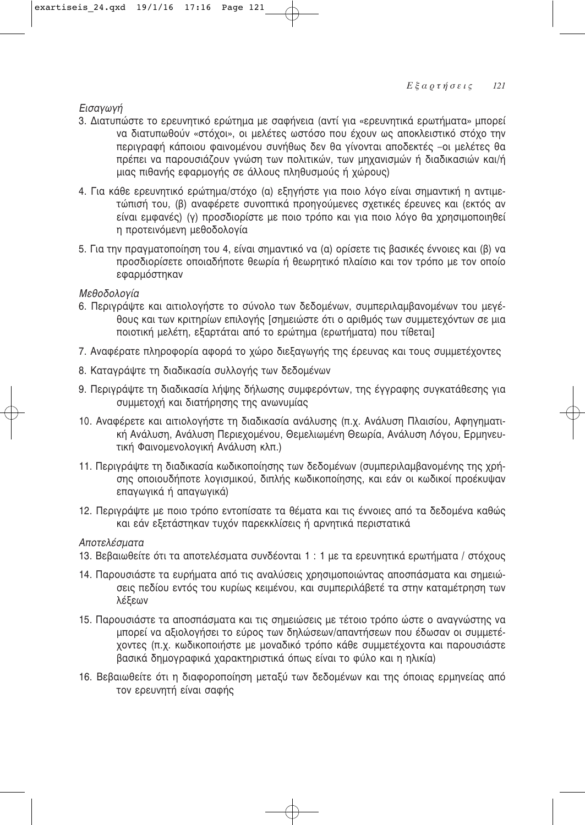#### *<i>Eισαγωγή*

- 3. Διατυπώστε το ερευνητικό ερώτημα με σαφήνεια (αντί για «ερευνητικά ερωτήματα» μπορεί να διατυπωθούν «στόχοι», οι μελέτες ωστόσο που έχουν ως αποκλειστικό στόχο την περιγραφή κάποιου φαινομένου συνήθως δεν θα γίνονται αποδεκτές –οι μελέτες θα πρέπει να παρουσιάζουν γνώση των πολιτικών, των μηχανισμών ή διαδικασιών και/ή μιας πιθανής εφαρμογής σε άλλους πληθυσμούς ή χώρους)
- 4. Για κάθε ερευνητικό ερώτημα/στόχο (α) εξηνήστε για ποιο λόγο είναι σημαντική η αντιμετώπισή του, (β) αναφέρετε συνοπτικά προηγούμενες σχετικές έρευνες και (εκτός αν είναι εμφανές) (γ) προσδιορίστε με ποιο τρόπο και για ποιο λόγο θα χρησιμοποιηθεί η προτεινόμενη μεθοδολογία
- 5. Για την πραγματοποίηση του 4, είναι σημαντικό να (α) ορίσετε τις βασικές έννοιες και (β) να προσδιορίσετε οποιαδήποτε θεωρία ή θεωρητικό πλαίσιο και τον τρόπο με τον οποίο εφαρμόστηκαν

#### $M$ εθοδολογία

- 6. Περιγράψτε και αιτιολογήστε το σύνολο των δεδομένων, συμπεριλαμβανομένων του μεγέθους και των κριτηρίων επιλογής [σημειώστε ότι ο αριθμός των συμμετεχόντων σε μια ποιοτική μελέτη, εξαρτάται από το ερώτημα (ερωτήματα) που τίθεται]
- 7. Αναφέρατε πληροφορία αφορά το χώρο διεξαγωγής της έρευνας και τους συμμετέχοντες
- 8. Καταγράψτε τη διαδικασία συλλογής των δεδομένων
- 9. Περιγράψτε τη διαδικασία λήψης δήλωσης συμφερόντων, της έγγραφης συγκατάθεσης για συμμετοχή και διατήρησης της ανωνυμίας
- 10. Αναφέρετε και αιτιολογήστε τη διαδικασία ανάλυσης (π.χ. Ανάλυση Πλαισίου, Αφηγηματική Ανάλυση, Ανάλυση Περιεχομένου, Θεμελιωμένη Θεωρία, Ανάλυση Λόγου, Ερμηνευτική Φαινομενολογική Ανάλυση κλπ.)
- 11. Περιγράψτε τη διαδικασία κωδικοποίησης των δεδομένων (συμπεριλαμβανομένης της χρήσης οποιουδήποτε λογισμικού, διπλής κωδικοποίησης, και εάν οι κωδικοί προέκυψαν επαγωγικά ή απαγωγικά)
- 12. Περιγράψτε με ποιο τρόπο εντοπίσατε τα θέματα και τις έννοιες από τα δεδομένα καθώς και εάν εξετάστηκαν τυχόν παρεκκλίσεις ή αρνητικά περιστατικά

### *Aποτελέσματα*

- 13. Βεβαιωθείτε ότι τα αποτελέσματα συνδέονται 1 : 1 με τα ερευνητικά ερωτήματα / στόχους
- 14. Παρουσιάστε τα ευρήματα από τις αναλύσεις χρησιμοποιώντας αποσπάσματα και σημειώσεις πεδίου εντός του κυρίως κειμένου, και συμπεριλάβετέ τα στην καταμέτρηση των λέξεων
- 15. Παρουσιάστε τα αποσπάσματα και τις σημειώσεις με τέτοιο τρόπο ώστε ο αναγνώστης να μπορεί να αξιολογήσει το εύρος των δηλώσεων/απαντήσεων που έδωσαν οι συμμετέχοντες (π.χ. κωδικοποιήστε με μοναδικό τρόπο κάθε συμμετέχοντα και παρουσιάστε βασικά δημογραφικά χαρακτηριστικά όπως είναι το φύλο και η ηλικία)
- 16. Βεβαιωθείτε ότι η διαφοροποίηση μεταξύ των δεδομένων και της όποιας ερμηνείας από τον ερευνητή είναι σαφής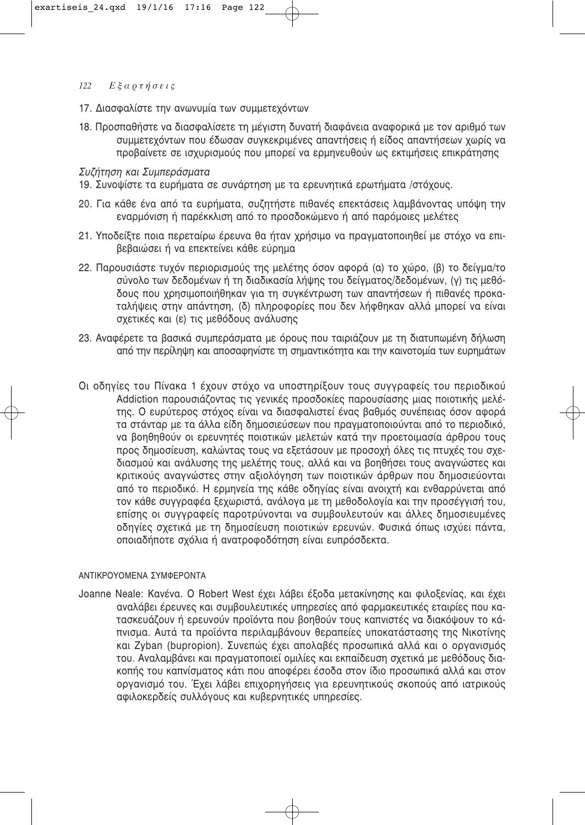- $122$ Εξαρτήσεις
- 17. Διασφαλίστε την ανωνυμία των συμμετεχόντων
- 18. Προσπαθήστε να διασφαλίσετε τη μέγιστη δυνατή διαφάνεια αναφορικά με τον αριθμό των συμμετεχόντων που έδωσαν συνκεκριμένες απαντήσεις ή είδος απαντήσεων χωρίς να προβαίνετε σε ισχυρισμούς που μπορεί να ερμηνευθούν ως εκτιμήσεις επικράτησης

#### Συζήτηση και Συμπεράσματα

19. Συνοψίστε τα ευρήματα σε συνάρτηση με τα ερευνητικά ερωτήματα /στόχους.

- 20. Για κάθε ένα από τα ευρήματα, συζητήστε πιθανές επεκτάσεις λαμβάνοντας υπόψη την εναρμόνιση ή παρέκκλιση από το προσδοκώμενο ή από παρόμοιες μελέτες
- 21. Υποδείξτε ποια περεταίρω έρευνα θα ήταν χρήσιμο να πραγματοποιηθεί με στόχο να επιβεβαιώσει ή να επεκτείνει κάθε εύρημα
- 22. Παρουσιάστε τυχόν περιορισμούς της μελέτης όσον αφορά (α) το χώρο, (β) το δείγμα/το σύνολο των δεδομένων ή τη διαδικασία λήψης του δείνματος/δεδομένων. (γ) τις μεθόδους που χρησιμοποιήθηκαν για τη συγκέντρωση των απαντήσεων ή πιθανές προκαταλήψεις στην απάντηση, (δ) πληροφορίες που δεν λήφθηκαν αλλά μπορεί να είναι σχετικές και (ε) τις μεθόδους ανάλυσης
- 23. Αναφέρετε τα βασικά συμπεράσματα με όρους που ταιριάζουν με τη διατυπωμένη δήλωση από την περίληψη και αποσαφηνίστε τη σημαντικότητα και την καινοτομία των ευρημάτων
- Οι οδηγίες του Πίνακα 1 έχουν στόχο να υποστηρίξουν τους συγγραφείς του περιοδικού Addiction παρουσιάζοντας τις γενικές προσδοκίες παρουσίασης μιας ποιοτικής μελέτης. Ο ευρύτερος στόχος είναι να διασφαλιστεί ένας βαθμός συνέπειας όσον αφορά τα στάνταρ με τα άλλα είδη δημοσιεύσεων που πραγματοποιούνται από το περιοδικό, να βοηθηθούν οι ερευνητές ποιοτικών μελετών κατά την προετοιμασία άρθρου τους προς δημοσίευση, καλώντας τους να εξετάσουν με προσοχή όλες τις πτυχές του σχεδιασμού και ανάλυσης της μελέτης τους, αλλά και να βοηθήσει τους αναγνώστες και κριτικούς αναγνώστες στην αξιολόγηση των ποιοτικών άρθρων που δημοσιεύονται από το περιοδικό. Η ερμηνεία της κάθε οδηγίας είναι ανοιχτή και ενθαρρύνεται από τον κάθε συγγραφέα ξεχωριστά, ανάλογα με τη μεθοδολογία και την προσέγγισή του, επίσης οι συγγραφείς παροτρύνονται να συμβουλευτούν και άλλες δημοσιευμένες οδηγίες σχετικά με τη δημοσίευση ποιοτικών ερευνών. Φυσικά όπως ισχύει πάντα, οποιαδήποτε σχόλια ή ανατροφοδότηση είναι ευπρόσδεκτα.

#### ΑΝΤΙΚΡΟΥΟΜΕΝΑ ΣΥΜΦΕΡΟΝΤΑ

Joanne Neale: Κανένα. Ο Robert West έχει λάβει έξοδα μετακίνησης και φιλοξενίας, και έχει αναλάβει έρευνες και συμβουλευτικές υπηρεσίες από φαρμακευτικές εταιρίες που κατασκευάζουν ή ερευνούν προϊόντα που βοηθούν τους καπνιστές να διακόψουν το κάπνισμα. Αυτά τα προϊόντα περιλαμβάνουν θεραπείες υποκατάστασης της Νικοτίνης και Zyban (bupropion). Συνεπώς έχει απολαβές προσωπικά αλλά και ο οργανισμός του. Αναλαμβάνει και πραγματοποιεί ομιλίες και εκπαίδευση σχετικά με μεθόδους διακοπής του καπνίσματος κάτι που αποφέρει έσοδα στον ίδιο προσωπικά αλλά και στον οργανισμό του. Έχει λάβει επιχορηγήσεις για ερευνητικούς σκοπούς από ιατρικούς αφιλοκερδείς συλλόγους και κυβερνητικές υπηρεσίες.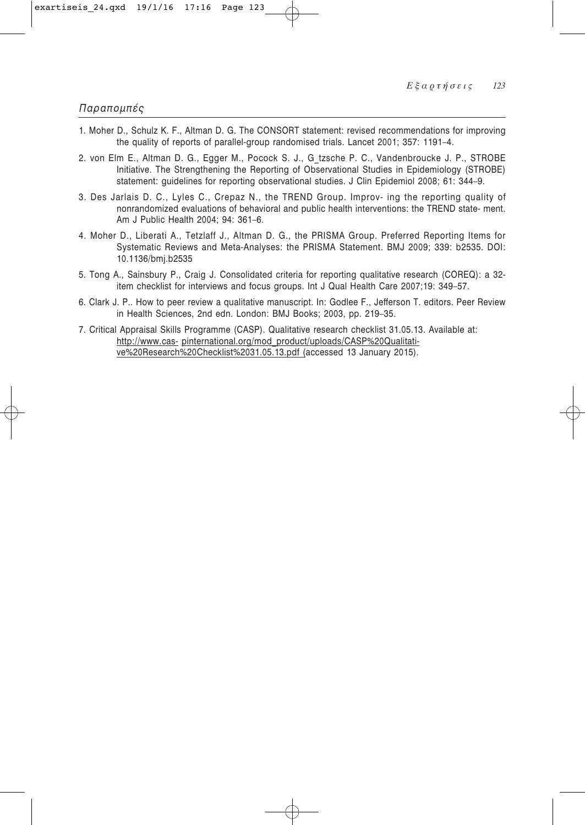#### Παραπομπές

- 1. Moher D., Schulz K. F., Altman D. G. The CONSORT statement: revised recommendations for improving the quality of reports of parallel-group randomised trials. Lancet 2001; 357: 1191-4.
- 2. von Elm E., Altman D. G., Egger M., Pocock S. J., G tzsche P. C., Vandenbroucke J. P., STROBE Initiative. The Strengthening the Reporting of Observational Studies in Epidemiology (STROBE) statement: guidelines for reporting observational studies. J Clin Epidemiol 2008; 61: 344-9.
- 3. Des Jarlais D. C., Lyles C., Crepaz N., the TREND Group. Improv- ing the reporting quality of nonrandomized evaluations of behavioral and public health interventions: the TREND state- ment. Am J Public Health 2004; 94: 361-6.
- 4. Moher D., Liberati A., Tetzlaff J., Altman D. G., the PRISMA Group. Preferred Reporting Items for Systematic Reviews and Meta-Analyses: the PRISMA Statement. BMJ 2009; 339: b2535. DOI: 10.1136/bmj.b2535
- 5. Tong A., Sainsbury P., Craig J. Consolidated criteria for reporting qualitative research (COREQ): a 32item checklist for interviews and focus groups. Int J Qual Health Care 2007;19: 349-57.
- 6. Clark J. P.. How to peer review a qualitative manuscript. In: Godlee F., Jefferson T. editors. Peer Review in Health Sciences, 2nd edn. London: BMJ Books; 2003, pp. 219-35.
- 7. Critical Appraisal Skills Programme (CASP). Qualitative research checklist 31.05.13. Available at: http://www.cas-pinternational.org/mod product/uploads/CASP%20Qualitative%20Research%20Checklist%2031.05.13.pdf (accessed 13 January 2015).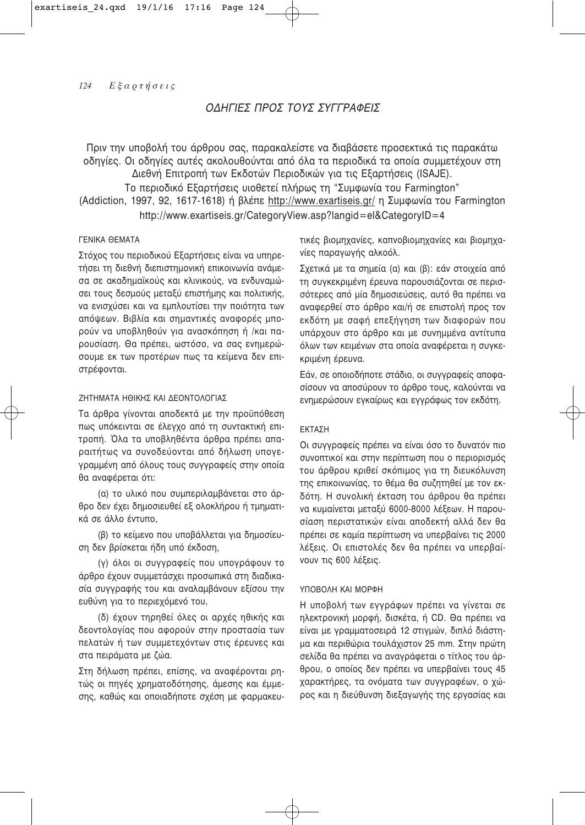## ΟΛΗΓΙΕΣ ΠΡΟΣ ΤΟΥΣ ΣΥΓΓΡΑΦΕΙΣ

Πριν την υποβολή του άρθρου σας, παρακαλείστε να διαβάσετε προσεκτικά τις παρακάτω οδηγίες. Οι οδηγίες αυτές ακολουθούνται από όλα τα περιοδικά τα οποία συμμετέχουν στη Διεθνή Επιτροπή των Εκδοτών Περιοδικών για τις Εξαρτήσεις (ISAJE).

Το περιοδικό Εξαρτήσεις υιοθετεί πλήρως τη "Συμφωνία του Farmington" (Addiction, 1997, 92, 1617-1618) ή βλέπε http://www.exartiseis.gr/ η Συμφωνία του Farmington http://www.exartiseis.gr/CategoryView.asp?langid=el&CategoryID=4

### *TENIKA ΘΕΜΑΤΑ*

Στόχος του περιοδικού Εξαρτήσεις είναι να υπηρετήσει τη διεθνή διεπιστημονική επικοινωνία ανάμεσα σε ακαδημαϊκούς και κλινικούς, να ενδυναμώσει τους δεσμούς μεταξύ επιστήμης και πολιτικής, να ενισχύσει και να εμπλουτίσει την ποιότητα των απόψεων. Βιβλία και σημαντικές αναφορές μπορούν να υποβληθούν για ανασκόπηση ή /και παρουσίαση. Θα πρέπει, ωστόσο, να σας ενημερώσουμε εκ των προτέρων πως τα κείμενα δεν επιστρέφονται.

#### ΖΗΤΗΜΑΤΑ ΗΘΙΚΗΣ ΚΑΙ ΔΕΟΝΤΟΛΟΓΙΑΣ

Τα άρθρα γίνονται αποδεκτά με την προϋπόθεση πως υπόκεινται σε έλεγχο από τη συντακτική επιτροπή. Όλα τα υποβληθέντα άρθρα πρέπει απαραιτήτως να συνοδεύονται από δήλωση υπογεγραμμένη από όλους τους συγγραφείς στην οποία θα αναφέρεται ότι:

(α) το υλικό που συμπεριλαμβάνεται στο άρθρο δεν έχει δημοσιευθεί εξ ολοκλήρου ή τμηματικά σε άλλο έντυπο.

(β) το κείμενο που υποβάλλεται για δημοσίευση δεν βρίσκεται ήδη υπό έκδοση,

(γ) όλοι οι συγγραφείς που υπογράφουν το άρθρο έχουν συμμετάσχει προσωπικά στη διαδικασία συγγραφής του και αναλαμβάνουν εξίσου την ευθύνη για το περιεχόμενό του,

(δ) έχουν τηρηθεί όλες οι αρχές ηθικής και δεοντολογίας που αφορούν στην προστασία των πελατών ή των συμμετεχόντων στις έρευνες και στα πειράματα με ζώα.

Στη δήλωση πρέπει, επίσης, να αναφέρονται ρητώς οι πηγές χρηματοδότησης, άμεσης και έμμεσης, καθώς και οποιαδήποτε σχέση με φαρμακευτικές βιομηχανίες, καπνοβιομηχανίες και βιομηχανίες παραγωγής αλκοόλ.

Σχετικά με τα σημεία (α) και (β): εάν στοιχεία από τη συγκεκριμένη έρευνα παρουσιάζονται σε περισσότερες από μία δημοσιεύσεις, αυτό θα πρέπει να αναφερθεί στο άρθρο και/ή σε επιστολή προς τον εκδότη με σαφή επεξήγηση των διαφορών που υπάρχουν στο άρθρο και με συνημμένα αντίτυπα όλων των κειμένων στα οποία αναφέρεται η συγκεκριμένη έρευνα.

Εάν, σε οποιοδήποτε στάδιο, οι συγγραφείς αποφασίσουν να αποσύρουν το άρθρο τους, καλούνται να ενημερώσουν εγκαίρως και εγγράφως τον εκδότη.

#### ΕΚΤΑΣΗ

Οι συγγραφείς πρέπει να είναι όσο το δυνατόν πιο συνοπτικοί και στην περίπτωση που ο περιορισμός του άρθρου κριθεί σκόπιμος για τη διευκόλυνση της επικοινωνίας, το θέμα θα συζητηθεί με τον εκδότη. Η συνολική έκταση του άρθρου θα πρέπει να κυμαίνεται μεταξύ 6000-8000 λέξεων. Η παρουσίαση περιστατικών είναι αποδεκτή αλλά δεν θα πρέπει σε καμία περίπτωση να υπερβαίνει τις 2000 λέξεις. Οι επιστολές δεν θα πρέπει να υπερβαίνουν τις 600 λέξεις.

#### ҮПОВОЛН КАІ МОРФН

Η υποβολή των εγγράφων πρέπει να γίνεται σε ηλεκτρονική μορφή, δισκέτα, ή CD. Θα πρέπει να είναι με γραμματοσειρά 12 στιγμών, διπλό διάστημα και περιθώρια τουλάχιστον 25 mm. Στην πρώτη σελίδα θα πρέπει να αναγράφεται ο τίτλος του άρθρου, ο οποίος δεν πρέπει να υπερβαίνει τους 45 χαρακτήρες, τα ονόματα των συγγραφέων, ο χώρος και η διεύθυνση διεξαγωγής της εργασίας και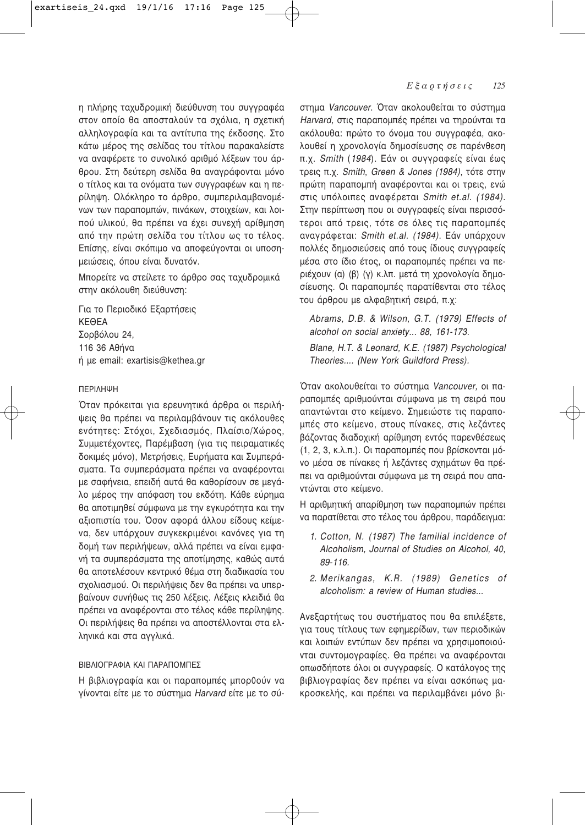η πλήρης ταχυδρομική διεύθυνση του συγγραφέα στον οποίο θα αποσταλούν τα σχόλια, η σχετική αλληλογραφία και τα αντίτυπα της έκδοσης. Στο κάτω μέρος της σελίδας του τίτλου παρακαλείστε να αναφέρετε το συνολικό αριθμό λέξεων του άρθρου. Στη δεύτερη σελίδα θα αναγράφονται μόνο ο τίτλος και τα ονόματα των συγγραφέων και η περίληψη. Ολόκληρο το άρθρο, συμπεριλαμβανομένων των παραπομπών, πινάκων, στοιχείων, και λοιπού υλικού, θα πρέπει να έχει συνεχή αρίθμηση από την πρώτη σελίδα του τίτλου ως το τέλος. Επίσης, είναι σκόπιμο να αποφεύγονται οι υποσημειώσεις, όπου είναι δυνατόν.

Μπορείτε να στείλετε το άρθρο σας ταχυδρομικά στην ακόλουθη διεύθυνση:

Για το Περιοδικό Εξαρτήσεις **KEOEA** Σορβόλου 24, 116 36 Αθήνα ή με email: exartisis@kethea.gr

#### ПЕРІЛНФН

Όταν πρόκειται για ερευνητικά άρθρα οι περιλήψεις θα πρέπει να περιλαμβάνουν τις ακόλουθες ενότητες: Στόχοι, Σχεδιασμός, Πλαίσιο/Χώρος, Συμμετέχοντες, Παρέμβαση (για τις πειραματικές δοκιμές μόνο), Μετρήσεις, Ευρήματα και Συμπεράσματα. Τα συμπεράσματα πρέπει να αναφέρονται με σαφήνεια, επειδή αυτά θα καθορίσουν σε μεγάλο μέρος την απόφαση του εκδότη. Κάθε εύρημα θα αποτιμηθεί σύμφωνα με την εγκυρότητα και την αξιοπιστία του. Όσον αφορά άλλου είδους κείμενα, δεν υπάρχουν συγκεκριμένοι κανόνες για τη δομή των περιλήψεων, αλλά πρέπει να είναι εμφανή τα συμπεράσματα της αποτίμησης, καθώς αυτά θα αποτελέσουν κεντρικό θέμα στη διαδικασία του σχολιασμού. Οι περιλήψεις δεν θα πρέπει να υπερβαίνουν συνήθως τις 250 λέξεις. Λέξεις κλειδιά θα πρέπει να αναφέρονται στο τέλος κάθε περίληψης. Οι περιλήψεις θα πρέπει να αποστέλλονται στα ελληνικά και στα αγγλικά.

#### ΒΙΒΛΙΟΓΡΑΦΙΑ ΚΑΙ ΠΑΡΑΠΟΜΠΕΣ

Η βιβλιογραφία και οι παραπομπές μπορθούν να γίνονται είτε με το σύστημα Harvard είτε με το σύ-

#### Εξαρτήσεις 125

στημα Vancouver. Όταν ακολουθείται το σύστημα Harvard, στις παραπομπές πρέπει να τηρούνται τα ακόλουθα: πρώτο το όνομα του συγγραφέα, ακολουθεί η χρονολογία δημοσίευσης σε παρένθεση π.χ. Smith (1984). Εάν οι συγγραφείς είναι έως τρεις π.χ. Smith, Green & Jones (1984), τότε στην πρώτη παραπομπή αναφέρονται και οι τρεις, ενώ στις υπόλοιπες αναφέρεται Smith et.al. (1984). Στην περίπτωση που οι συγγραφείς είναι περισσότεροι από τρεις, τότε σε όλες τις παραπομπές αναγράφεται: Smith et.al. (1984). Εάν υπάρχουν πολλές δημοσιεύσεις από τους ίδιους συγγραφείς μέσα στο ίδιο έτος, οι παραπομπές πρέπει να περιέχουν (α) (β) (γ) κ.λπ. μετά τη χρονολογία δημοσίευσης. Οι παραπομπές παρατίθενται στο τέλος του άρθρου με αλφαβητική σειρά, π.χ:

Abrams, D.B. & Wilson, G.T. (1979) Effects of alcohol on social anxiety... 88, 161-173. Blane, H.T. & Leonard, K.E. (1987) Psychological Theories.... (New York Guildford Press).

Όταν ακολουθείται το σύστημα Vancouver, οι παραπομπές αριθμούνται σύμφωνα με τη σειρά που απαντώνται στο κείμενο. Σημειώστε τις παραπομπές στο κείμενο, στους πίνακες, στις λεζάντες βάζοντας διαδοχική αρίθμηση εντός παρενθέσεως (1, 2, 3, κ.λ.π.). Οι παραπομπές που βρίσκονται μόνο μέσα σε πίνακες ή λεζάντες σχημάτων θα πρέπει να αριθμούνται σύμφωνα με τη σειρά που απαντώνται στο κείμενο.

Η αριθμητική απαρίθμηση των παραπομπών πρέπει να παρατίθεται στο τέλος του άρθρου, παράδειγμα:

- 1. Cotton, N. (1987) The familial incidence of Alcoholism, Journal of Studies on Alcohol, 40, 89-116.
- 2. Merikangas, K.R. (1989) Genetics of alcoholism: a review of Human studies...

Ανεξαρτήτως του συστήματος που θα επιλέξετε, για τους τίτλους των εφημερίδων, των περιοδικών και λοιπών εντύπων δεν πρέπει να χρησιμοποιούνται συντομογραφίες. Θα πρέπει να αναφέρονται οπωσδήποτε όλοι οι συγγραφείς. Ο κατάλογος της βιβλιογραφίας δεν πρέπει να είναι ασκόπως μακροσκελής, και πρέπει να περιλαμβάνει μόνο βι-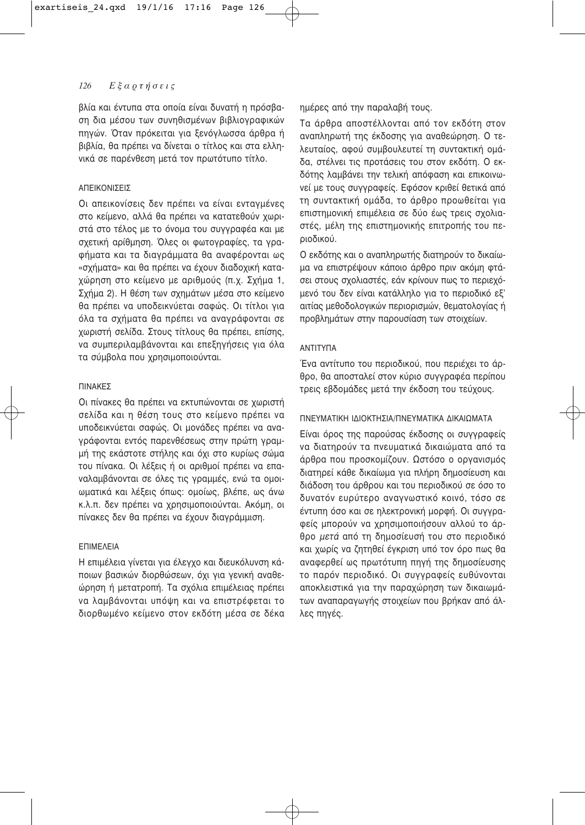βλία και έντυπα στα οποία είναι δυνατή η πρόσβαση δια μέσου των συνηθισμένων βιβλιογραφικών πηγών. Όταν πρόκειται για ξενόγλωσσα άρθρα ή βιβλία, θα πρέπει να δίνεται ο τίτλος και στα ελληνικά σε παρένθεση μετά τον πρωτότυπο τίτλο.

#### ΑΠΕΙΚΟΝΙΣΕΙΣ

Οι απεικονίσεις δεν πρέπει να είναι ενταγμένες στο κείμενο, αλλά θα πρέπει να κατατεθούν χωριστά στο τέλος με το όνομα του συγγραφέα και με σχετική αρίθμηση. Όλες οι φωτογραφίες, τα γραφήματα και τα διαγράμματα θα αναφέρονται ως «σχήματα» και θα πρέπει να έχουν διαδοχική καταχώρηση στο κείμενο με αριθμούς (π.χ. Σχήμα 1, Σχήμα 2). Η θέση των σχημάτων μέσα στο κείμενο θα πρέπει να υποδεικνύεται σαφώς. Οι τίτλοι για όλα τα σχήματα θα πρέπει να αναγράφονται σε χωριστή σελίδα. Στους τίτλους θα πρέπει, επίσης, να συμπεριλαμβάνονται και επεξηγήσεις για όλα τα σύμβολα που χρησιμοποιούνται.

#### ΠΙΝΑΚΕΣ

Οι πίνακες θα πρέπει να εκτυπώνονται σε χωριστή σελίδα και η θέση τους στο κείμενο πρέπει να υποδεικνύεται σαφώς. Οι μονάδες πρέπει να αναγράφονται εντός παρενθέσεως στην πρώτη γραμμή της εκάστοτε στήλης και όχι στο κυρίως σώμα του πίνακα. Οι λέξεις ή οι αριθμοί πρέπει να επαναλαμβάνονται σε όλες τις γραμμές, ενώ τα ομοιωματικά και λέξεις όπως: ομοίως, βλέπε, ως άνω κ.λ.π. δεν πρέπει να χρησιμοποιούνται. Ακόμη, οι πίνακες δεν θα πρέπει να έχουν διαγράμμιση.

#### ΕΠΙΜΕΛΕΙΑ

Η επιμέλεια γίνεται για έλεγχο και διευκόλυνση κάποιων βασικών διορθώσεων, όχι για γενική αναθεώρηση ή μετατροπή. Τα σχόλια επιμέλειας πρέπει να λαμβάνονται υπόψη και να επιστρέφεται το διορθωμένο κείμενο στον εκδότη μέσα σε δέκα ημέρες από την παραλαβή τους.

Τα άρθρα αποστέλλονται από τον εκδότη στον αναπληρωτή της έκδοσης για αναθεώρηση. Ο τελευταίος, αφού συμβουλευτεί τη συντακτική ομάδα, στέλνει τις προτάσεις του στον εκδότη. Ο εκδότης λαμβάνει την τελική απόφαση και επικοινωνεί με τους συγγραφείς. Εφόσον κριθεί θετικά από τη συντακτική ομάδα, το άρθρο προωθείται για επιστημονική επιμέλεια σε δύο έως τρεις σχολιαστές, μέλη της επιστημονικής επιτροπής του περιοδικού.

Ο εκδότης και ο αναπληρωτής διατηρούν το δικαίωμα να επιστρέψουν κάποιο άρθρο πριν ακόμη φτάσει στους σχολιαστές, εάν κρίνουν πως το περιεχόμενό του δεν είναι κατάλληλο για το περιοδικό εξ' αιτίας μεθοδολογικών περιορισμών, θεματολογίας ή προβλημάτων στην παρουσίαση των στοιχείων.

#### ΑΝΤΙΤΥΠΑ

Ένα αντίτυπο του περιοδικού, που περιέχει το άρθρο, θα αποσταλεί στον κύριο συγγραφέα περίπου τρεις εβδομάδες μετά την έκδοση του τεύχους.

#### ΠΝΕΥΜΑΤΙΚΗ ΙΔΙΟΚΤΗΣΙΑ/ΠΝΕΥΜΑΤΙΚΑ ΔΙΚΑΙΩΜΑΤΑ

Είναι όρος της παρούσας έκδοσης οι συγγραφείς να διατηρούν τα πνευματικά δικαιώματα από τα άρθρα που προσκομίζουν. Ωστόσο ο οργανισμός διατηρεί κάθε δικαίωμα για πλήρη δημοσίευση και διάδοση του άρθρου και του περιοδικού σε όσο το δυνατόν ευρύτερο αναγνωστικό κοινό, τόσο σε έντυπη όσο και σε ηλεκτρονική μορφή. Οι συγγραφείς μπορούν να χρησιμοποιήσουν αλλού το άρθρο μετά από τη δημοσίευσή του στο περιοδικό και χωρίς να ζητηθεί έγκριση υπό τον όρο πως θα αναφερθεί ως πρωτότυπη πηγή της δημοσίευσης το παρόν περιοδικό. Οι συγγραφείς ευθύνονται αποκλειστικά για την παραχώρηση των δικαιωμάτων αναπαραγωγής στοιχείων που βρήκαν από άλλες πηγές.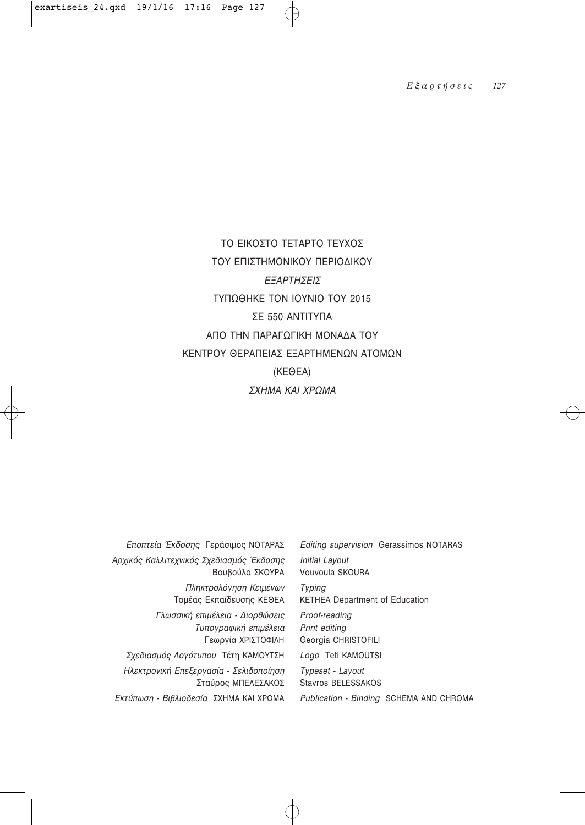exartiseis\_24.qxd 19/1/16 17:16 Page 127

ΤΟ ΕΙΚΟΣΤΟ ΤΕΤΑΡΤΟ ΤΕΥΧΟΣ ΤΟΥ ΕΠΙΣΤΗΜΟΝΙΚΟΥ ΠΕΡΙΟΔΙΚΟΥ ΕΞΑΡΤΗΣΕΙΣ ΤΥΠΩΘΗΚΕ ΤΟΝ ΙΟΥΝΙΟ ΤΟΥ 2015 ΣΕ 550 ΑΝΤΙΤΥΠΑ ΑΠΟ ΤΗΝ ΠΑΡΑΓΩΓΙΚΗ ΜΟΝΑΔΑ ΤΟΥ ΚΕΝΤΡΟΥ ΘΕΡΑΠΕΙΑΣ ΕΞΑΡΤΗΜΕΝΩΝ ΑΤΟΜΩΝ  $(KEOEA)$ ΣΧΗΜΑ ΚΑΙ ΧΡΩΜΑ

*Εποπτεία Έκδοσης* Γεράσιμος ΝΟΤΑΡΑΣ Αρχικός Καλλιτεχνικός Σχεδιασμός Έκδοσης Βουβούλα ΣΚΟΥΡΑ Πληκτρολόγηση Κειμένων Τομέας Εκπαίδευσης ΚΕΘΕΑ Γλωσσική επιμέλεια - Διορθώσεις *Τυπογραφική επιμέλεια* Γεωργία ΧΡΙΣΤΟΦΙΛΗ  $\Sigma \chi \varepsilon \delta$ ιασμός Λογότυπου Τέτη ΚΑΜΟΥΤΣΗ *Hλεκτρονική Επεξεργασία - Σελιδοποίηση* Σταύρος ΜΠΕΛΕΣΑΚΟΣ

*Eκτύπωση - Βιβλιοδεσία* ΣΧΗΜΑ ΚΑΙ ΧΡΩΜΑ

*Editing supervision* Gerassimos NOTARAS *Initial Layout* Vouvoula SKOURA

*Typing* KETHEA Department of Education

*Proof-reading Print editing* Georgia CHRISTOFILI

*Logo* Teti KAMOUTSI

*Typeset - Layout* Stavros BELESSAKOS *Publication - Binding* SCHEMA AND CHROMA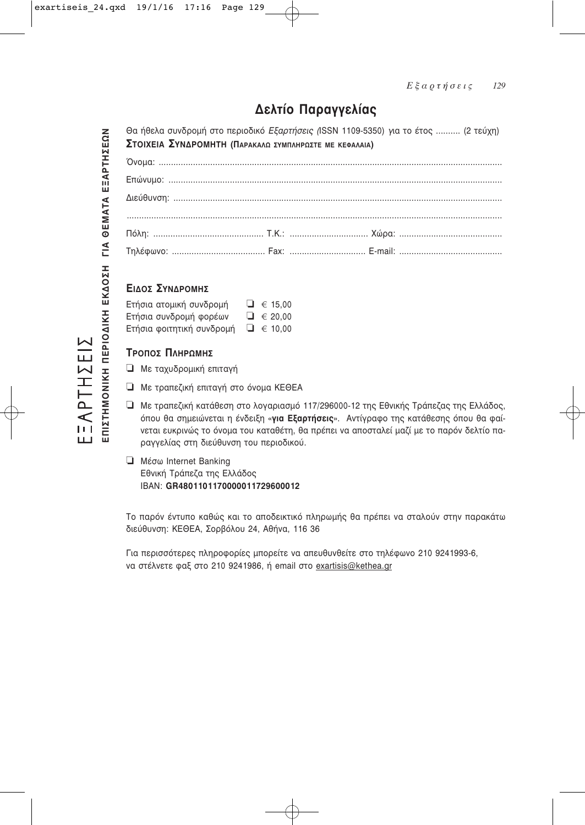# Δελτίο Παραγγελίας

ΕΠΙΣΤΗΜΟΝΙΚΗ ΠΕΡΙΟΔΙΚΗ ΕΚΔΟΣΗ ΓΙΑ ΘΕΜΑΤΑ ΕΞΑΡΤΗΣΕΩΝ APTHIEL  $\mathbf{H}$ Щ

| ΣΤΟΙΧΕΙΑ ΣΥΝΔΡΟΜΗΤΗ (ΠΑΡΑΚΑΛΩ ΣΥΜΠΛΗΡΩΣΤΕ ΜΕ ΚΕΦΑΛΑΙΑ) | Θα ήθελα συνδρομή στο περιοδικό <i>Εξαρτήσεις (</i> ISSN 1109-5350) για το έτος  (2 τεύχη) |  |
|--------------------------------------------------------|--------------------------------------------------------------------------------------------|--|
|                                                        |                                                                                            |  |
|                                                        |                                                                                            |  |
|                                                        |                                                                                            |  |
|                                                        |                                                                                            |  |
|                                                        |                                                                                            |  |
|                                                        |                                                                                            |  |

#### ΕΙΔΟΣ ΣΥΝΔΡΟΜΗΣ

| Ετήσια ατομική συνδρομή   | $\Box$ $\in$ 15,00 |
|---------------------------|--------------------|
| Ετήσια συνδρομή φορέων    | $\Box$ $\in$ 20.00 |
| Ετήσια φοιτητική συνδρομή | $\Box$ $\in$ 10.00 |

# **ΤΡΟΠΟΣ ΠΛΗΡΩΜΗΣ**

- **α** Με ταχυδρομική επιταγή
- **Δ** Με τραπεζική επιταγή στο όνομα ΚΕΘΕΑ
- Δ Με τραπεζική κατάθεση στο λογαριασμό 117/296000-12 της Εθνικής Τράπεζας της Ελλάδος, όπου θα σημειώνεται η ένδειξη «για Εξαρτήσεις». Αντίγραφο της κατάθεσης όπου θα φαίνεται ευκρινώς το όνομα του καταθέτη, θα πρέπει να αποσταλεί μαζί με το παρόν δελτίο παραγγελίας στη διεύθυνση του περιοδικού.
- Μέσω Internet Banking Εθνική Τράπεζα της Ελλάδος IBAN: GR4801101170000011729600012

Το παρόν έντυπο καθώς και το αποδεικτικό πληρωμής θα πρέπει να σταλούν στην παρακάτω διεύθυνση: ΚΕΘΕΑ, Σορβόλου 24, Αθήνα, 116 36

Για περισσότερες πληροφορίες μπορείτε να απευθυνθείτε στο τηλέφωνο 210 9241993-6, να στέλνετε φαξ στο 210 9241986, ή email στο exartisis@kethea.gr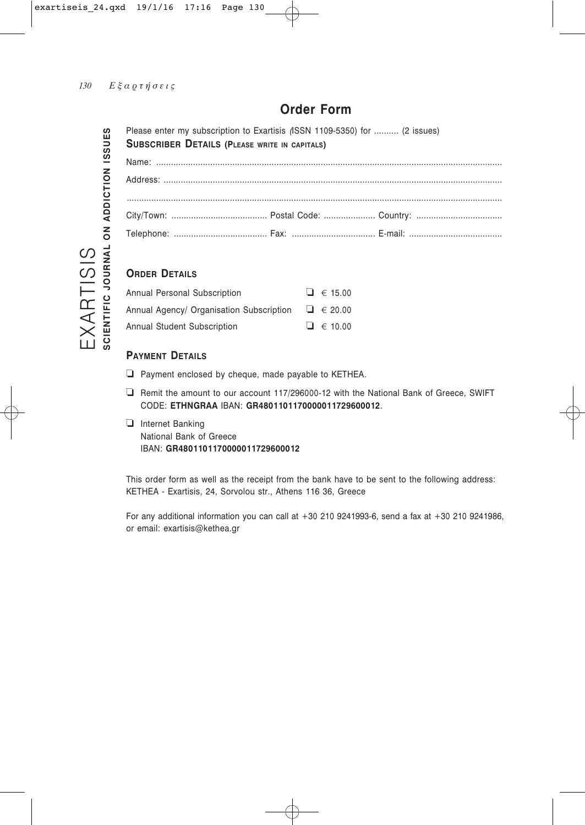# **Order Form**

| Please enter my subscription to Exartisis (ISSN 1109-5350) for  (2 issues)<br>SUBSCRIBER DETAILS (PLEASE WRITE IN CAPITALS) |
|-----------------------------------------------------------------------------------------------------------------------------|
|                                                                                                                             |
|                                                                                                                             |
|                                                                                                                             |
|                                                                                                                             |
|                                                                                                                             |
|                                                                                                                             |

# **ORDER DETAILS**

| $\Box$ $\in$ 15.00                                        |
|-----------------------------------------------------------|
| Annual Agency/ Organisation Subscription $\Box \in 20.00$ |
| $\Box$ $\in$ 10.00                                        |
|                                                           |

#### **PAYMENT DETAILS**

- ❏ Payment enclosed by cheque, made payable to KETHEA.
- ❏ Remit the amount to our account 117/296000-12 with the National Bank of Greece, SWIFT CODE: **ETHNGRAA** IBAN: **GR4801101170000011729600012**.
- ❏ πnternet Banking National Bank of Greece IBAN: **GR4801101170000011729600012**

This order form as well as the receipt from the bank have to be sent to the following address: KETHEA - Exartisis, 24, Sorvolou str., Athens 116 36, Greece

For any additional information you can call at +30 210 9241993-6, send a fax at +30 210 9241986, or email: exartisis@kethea.gr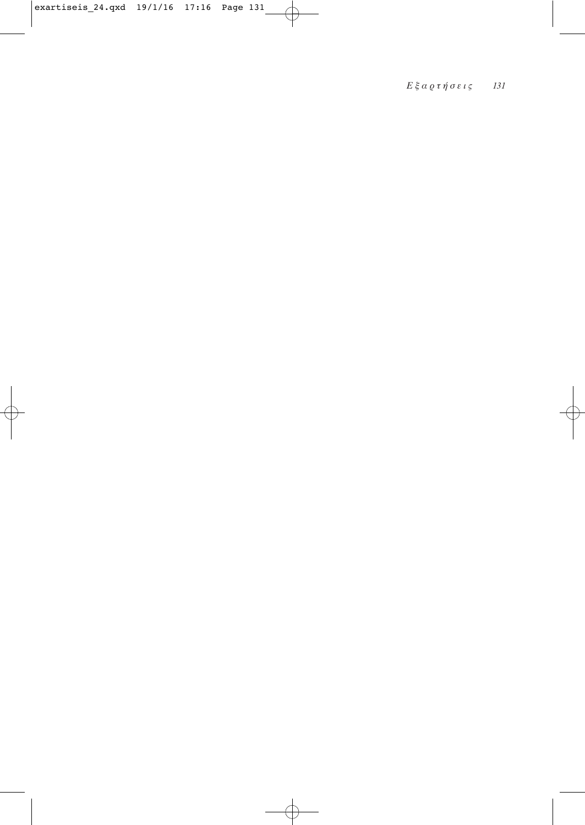$\Big|\text{exartiseis\_24.qxd}$  19/1/16 17:16 Page 131 ₫